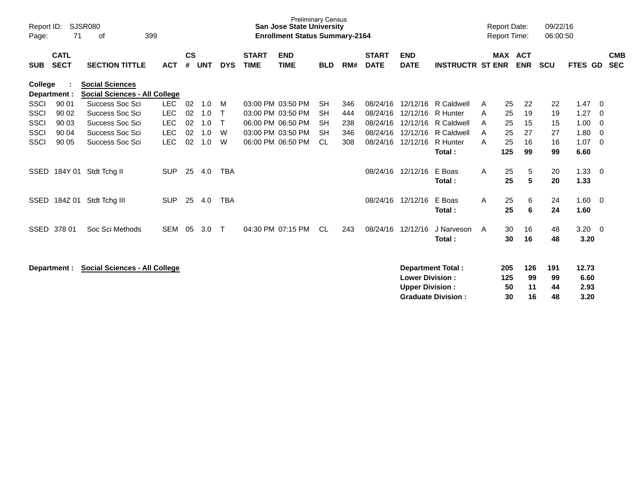| Report ID:<br>Page: | 71                         | <b>SJSR080</b><br>399<br>οf                                    |            |                    |            |            |                             | <b>Preliminary Census</b><br><b>San Jose State University</b><br><b>Enrollment Status Summary-2164</b> |            |     |                             |                                                  |                                                       |   | <b>Report Date:</b><br><b>Report Time:</b> |                       | 09/22/16<br>06:00:50  |                               |                                |
|---------------------|----------------------------|----------------------------------------------------------------|------------|--------------------|------------|------------|-----------------------------|--------------------------------------------------------------------------------------------------------|------------|-----|-----------------------------|--------------------------------------------------|-------------------------------------------------------|---|--------------------------------------------|-----------------------|-----------------------|-------------------------------|--------------------------------|
| <b>SUB</b>          | <b>CATL</b><br><b>SECT</b> | <b>SECTION TITTLE</b>                                          | <b>ACT</b> | $\mathsf{cs}$<br># | <b>UNT</b> | <b>DYS</b> | <b>START</b><br><b>TIME</b> | <b>END</b><br><b>TIME</b>                                                                              | <b>BLD</b> | RM# | <b>START</b><br><b>DATE</b> | <b>END</b><br><b>DATE</b>                        | <b>INSTRUCTR ST ENR</b>                               |   |                                            | MAX ACT<br><b>ENR</b> | <b>SCU</b>            | <b>FTES</b>                   | <b>CMB</b><br>GD<br><b>SEC</b> |
| College             | Department :               | <b>Social Sciences</b><br><b>Social Sciences - All College</b> |            |                    |            |            |                             |                                                                                                        |            |     |                             |                                                  |                                                       |   |                                            |                       |                       |                               |                                |
| SSCI                | 90 01                      | Success Soc Sci                                                | <b>LEC</b> | 02                 | 1.0        | M          |                             | 03:00 PM 03:50 PM                                                                                      | <b>SH</b>  | 346 | 08/24/16                    | 12/12/16                                         | <b>R</b> Caldwell                                     | A | 25                                         | 22                    | 22                    | 1.47                          | -0                             |
| SSCI                | 90 02                      | Success Soc Sci                                                | LEC        | 02                 | 1.0        | т          |                             | 03:00 PM 03:50 PM                                                                                      | <b>SH</b>  | 444 | 08/24/16                    | 12/12/16                                         | R Hunter                                              | Α | 25                                         | 19                    | 19                    | 1.27                          | -0                             |
| <b>SSCI</b>         | 90 03                      | <b>Success Soc Sci</b>                                         | <b>LEC</b> | 02                 | 1.0        |            |                             | 06:00 PM 06:50 PM                                                                                      | <b>SH</b>  | 238 | 08/24/16                    | 12/12/16                                         | <b>R</b> Caldwell                                     | A | 25                                         | 15                    | 15                    | 1.00                          | -0                             |
| <b>SSCI</b>         | 90 04                      | Success Soc Sci                                                | <b>LEC</b> | 02                 | 1.0        | W          |                             | 03:00 PM 03:50 PM                                                                                      | <b>SH</b>  | 346 | 08/24/16                    | 12/12/16                                         | R Caldwell                                            | Α | 25                                         | 27                    | 27                    | 1.80                          | - 0                            |
| <b>SSCI</b>         | 90 05                      | Success Soc Sci                                                | <b>LEC</b> | 02                 | 1.0        | W          |                             | 06:00 PM 06:50 PM                                                                                      | <b>CL</b>  | 308 | 08/24/16                    | 12/12/16                                         | R Hunter                                              | Α | 25                                         | 16                    | 16                    | 1.07                          | $\overline{0}$                 |
| SSED                | 184Y 01                    | Stdt Tchg II                                                   | <b>SUP</b> | 25                 | 4.0        | <b>TBA</b> |                             |                                                                                                        |            |     | 08/24/16                    | 12/12/16                                         | Total:<br>E Boas<br>Total:                            | A | 125<br>25<br>25                            | 99<br>5<br>5          | 99<br>20<br>20        | 6.60<br>1.33<br>1.33          | - 0                            |
| <b>SSED</b>         | 184Z 01                    | Stdt Tchg III                                                  | <b>SUP</b> | 25                 | 4.0        | <b>TBA</b> |                             |                                                                                                        |            |     | 08/24/16                    | 12/12/16                                         | E Boas<br>Total:                                      | A | 25<br>25                                   | 6<br>6                | 24<br>24              | $1.60 \ 0$<br>1.60            |                                |
| <b>SSED</b>         | 378 01                     | Soc Sci Methods                                                | <b>SEM</b> | 05                 | 3.0        | $\top$     |                             | 04:30 PM 07:15 PM                                                                                      | <b>CL</b>  | 243 | 08/24/16                    | 12/12/16                                         | J Narveson<br>Total:                                  | A | 30<br>30                                   | 16<br>16              | 48<br>48              | $3.20 \ 0$<br>3.20            |                                |
|                     | Department :               | <b>Social Sciences - All College</b>                           |            |                    |            |            |                             |                                                                                                        |            |     |                             | <b>Lower Division:</b><br><b>Upper Division:</b> | <b>Department Total:</b><br><b>Graduate Division:</b> |   | 205<br>125<br>50<br>30                     | 126<br>99<br>11<br>16 | 191<br>99<br>44<br>48 | 12.73<br>6.60<br>2.93<br>3.20 |                                |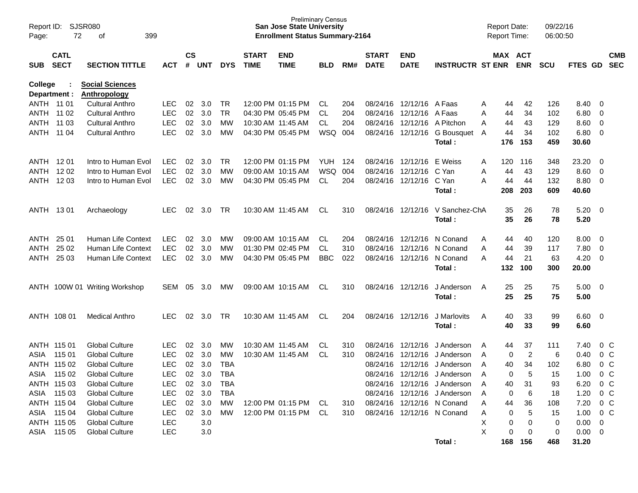| Report ID:<br>Page: | 72          | SJSR080<br>399<br>оf          |            |           |            |            |              | <b>Preliminary Census</b><br><b>San Jose State University</b><br><b>Enrollment Status Summary-2164</b> |            |     |              |                          |                              | <b>Report Date:</b> |           | <b>Report Time:</b> | 09/22/16<br>06:00:50 |                |                          |                |
|---------------------|-------------|-------------------------------|------------|-----------|------------|------------|--------------|--------------------------------------------------------------------------------------------------------|------------|-----|--------------|--------------------------|------------------------------|---------------------|-----------|---------------------|----------------------|----------------|--------------------------|----------------|
|                     | <b>CATL</b> |                               |            | <b>CS</b> |            |            | <b>START</b> | <b>END</b>                                                                                             |            |     | <b>START</b> | <b>END</b>               |                              |                     |           | MAX ACT             |                      |                |                          | <b>CMB</b>     |
| <b>SUB</b>          | <b>SECT</b> | <b>SECTION TITTLE</b>         | АСТ        | #         | <b>UNT</b> | <b>DYS</b> | <b>TIME</b>  | <b>TIME</b>                                                                                            | <b>BLD</b> | RM# | <b>DATE</b>  | <b>DATE</b>              | <b>INSTRUCTR ST ENR</b>      |                     |           | <b>ENR</b>          | <b>SCU</b>           | <b>FTES GD</b> |                          | <b>SEC</b>     |
| College             |             | <b>Social Sciences</b>        |            |           |            |            |              |                                                                                                        |            |     |              |                          |                              |                     |           |                     |                      |                |                          |                |
| Department :        |             | <b>Anthropology</b>           |            |           |            |            |              |                                                                                                        |            |     |              |                          |                              |                     |           |                     |                      |                |                          |                |
| ANTH 11 01          |             | <b>Cultural Anthro</b>        | <b>LEC</b> | 02        | 3.0        | TR         |              | 12:00 PM 01:15 PM                                                                                      | CL.        | 204 |              | 08/24/16 12/12/16 A Faas |                              | Α                   | 44        | 42                  | 126                  | 8.40 0         |                          |                |
| ANTH 11 02          |             | <b>Cultural Anthro</b>        | <b>LEC</b> | 02        | 3.0        | <b>TR</b>  |              | 04:30 PM 05:45 PM                                                                                      | CL.        | 204 | 08/24/16     | 12/12/16 A Faas          |                              | Α                   | 44        | 34                  | 102                  | $6.80$ 0       |                          |                |
| ANTH                | 11 03       | <b>Cultural Anthro</b>        | <b>LEC</b> | 02        | 3.0        | MW         |              | 10:30 AM 11:45 AM                                                                                      | CL.        | 204 | 08/24/16     | 12/12/16                 | A Pitchon                    | A                   | 44        | 43                  | 129                  | $8.60 \quad 0$ |                          |                |
| ANTH                | 11 04       | <b>Cultural Anthro</b>        | <b>LEC</b> | 02        | 3.0        | <b>MW</b>  |              | 04:30 PM 05:45 PM                                                                                      | WSQ 004    |     |              |                          | 08/24/16 12/12/16 G Bousquet | A                   | 44<br>176 | 34                  | 102                  | $6.80$ 0       |                          |                |
|                     |             |                               |            |           |            |            |              |                                                                                                        |            |     |              |                          | Total:                       |                     |           | 153                 | 459                  | 30.60          |                          |                |
| ANTH 1201           |             | Intro to Human Evol           | <b>LEC</b> | 02        | 3.0        | TR         |              | 12:00 PM 01:15 PM                                                                                      | <b>YUH</b> | 124 | 08/24/16     | 12/12/16                 | E Weiss                      | Α                   | 120       | 116                 | 348                  | 23.20          | $\overline{\phantom{0}}$ |                |
| ANTH                | 12 02       | Intro to Human Evol           | <b>LEC</b> | 02        | 3.0        | MW         |              | 09:00 AM 10:15 AM                                                                                      | <b>WSQ</b> | 004 | 08/24/16     | 12/12/16                 | C Yan                        | Α                   | 44        | 43                  | 129                  | $8.60$ 0       |                          |                |
| ANTH                | 12 03       | Intro to Human Evol           | <b>LEC</b> | 02        | 3.0        | МW         |              | 04:30 PM 05:45 PM                                                                                      | CL.        | 204 |              | 08/24/16 12/12/16 C Yan  |                              | Α                   | 44        | 44                  | 132                  | 8.80 0         |                          |                |
|                     |             |                               |            |           |            |            |              |                                                                                                        |            |     |              |                          | Total:                       |                     | 208       | 203                 | 609                  | 40.60          |                          |                |
| ANTH 1301           |             | Archaeology                   | <b>LEC</b> | 02        | 3.0        | TR         |              | 10:30 AM 11:45 AM                                                                                      | CL.        | 310 |              | 08/24/16 12/12/16        | V Sanchez-ChA                |                     | 35        | 26                  | 78                   | $5.20 \ 0$     |                          |                |
|                     |             |                               |            |           |            |            |              |                                                                                                        |            |     |              |                          | Total:                       |                     | 35        | 26                  | 78                   | 5.20           |                          |                |
|                     |             |                               |            |           |            |            |              |                                                                                                        |            |     |              |                          |                              |                     |           |                     |                      |                |                          |                |
| ANTH                | 25 01       | Human Life Context            | <b>LEC</b> | 02        | 3.0        | МW         |              | 09:00 AM 10:15 AM                                                                                      | CL.        | 204 |              | 08/24/16 12/12/16        | N Conand                     | Α                   | 44        | 40                  | 120                  | $8.00 \quad 0$ |                          |                |
| ANTH                | 25 02       | Human Life Context            | <b>LEC</b> | 02        | 3.0        | MW         |              | 01:30 PM 02:45 PM                                                                                      | CL.        | 310 | 08/24/16     | 12/12/16                 | N Conand                     | A                   | 44        | 39                  | 117                  | 7.80           | $\overline{\phantom{0}}$ |                |
| ANTH                | 25 03       | Human Life Context            | <b>LEC</b> | 02        | 3.0        | MW         |              | 04:30 PM 05:45 PM                                                                                      | <b>BBC</b> | 022 |              |                          | 08/24/16 12/12/16 N Conand   | A                   | 44        | 21                  | 63                   | 4.20           | $\overline{\mathbf{0}}$  |                |
|                     |             |                               |            |           |            |            |              |                                                                                                        |            |     |              |                          | Total:                       |                     | 132       | 100                 | 300                  | 20.00          |                          |                |
|                     |             | ANTH 100W 01 Writing Workshop | SEM        | 05        | 3.0        | МW         |              | 09:00 AM 10:15 AM                                                                                      | CL.        | 310 |              | 08/24/16 12/12/16        | J Anderson                   | A                   | 25        | 25                  | 75                   | $5.00 \t 0$    |                          |                |
|                     |             |                               |            |           |            |            |              |                                                                                                        |            |     |              |                          | Total:                       |                     | 25        | 25                  | 75                   | 5.00           |                          |                |
|                     |             |                               |            |           |            |            |              |                                                                                                        |            |     |              |                          |                              |                     |           |                     |                      |                |                          |                |
|                     | ANTH 108 01 | <b>Medical Anthro</b>         | <b>LEC</b> | 02        | 3.0        | TR         |              | 10:30 AM 11:45 AM                                                                                      | CL.        | 204 |              | 08/24/16 12/12/16        | J Marlovits                  | A                   | 40        | 33                  | 99                   | $6.60$ 0       |                          |                |
|                     |             |                               |            |           |            |            |              |                                                                                                        |            |     |              |                          | Total:                       |                     | 40        | 33                  | 99                   | 6.60           |                          |                |
|                     | ANTH 115 01 | <b>Global Culture</b>         | <b>LEC</b> | 02        | 3.0        | МW         |              | 10:30 AM 11:45 AM                                                                                      | CL.        | 310 | 08/24/16     | 12/12/16                 | J Anderson                   | Α                   | 44        | 37                  | 111                  | 7.40           |                          | 0 C            |
| ASIA                | 115 01      | <b>Global Culture</b>         | <b>LEC</b> | 02        | 3.0        | MW         |              | 10:30 AM 11:45 AM                                                                                      | CL.        | 310 | 08/24/16     | 12/12/16                 | J Anderson                   | A                   | 0         | $\overline{2}$      | 6                    | 0.40           | 0 <sup>o</sup>           |                |
|                     | ANTH 115 02 | <b>Global Culture</b>         | <b>LEC</b> | 02        | 3.0        | <b>TBA</b> |              |                                                                                                        |            |     | 08/24/16     | 12/12/16                 | J Anderson                   | Α                   | 40        | 34                  | 102                  | 6.80           |                          | 0 <sup>o</sup> |
| ASIA                | 115 02      | <b>Global Culture</b>         | <b>LEC</b> | 02        | 3.0        | <b>TBA</b> |              |                                                                                                        |            |     |              | 08/24/16 12/12/16        | J Anderson                   | A                   | 0         | 5                   | 15                   | 1.00           |                          | $0\,C$         |
|                     | ANTH 115 03 | <b>Global Culture</b>         | <b>LEC</b> |           | 02 3.0     | TBA        |              |                                                                                                        |            |     |              |                          | 08/24/16 12/12/16 J Anderson | A                   | 40        | 31                  | 93                   | 6.20 0 C       |                          |                |
|                     | ASIA 115 03 | <b>Global Culture</b>         | LEC        |           | 02 3.0     | <b>TBA</b> |              |                                                                                                        |            |     |              |                          | 08/24/16 12/12/16 J Anderson | A                   | 0         | 6                   | 18                   | $1.20 \t 0 C$  |                          |                |
|                     | ANTH 115 04 | <b>Global Culture</b>         | LEC        |           | 02 3.0     | МW         |              | 12:00 PM 01:15 PM CL                                                                                   |            | 310 |              |                          | 08/24/16 12/12/16 N Conand   | Α                   | 44        | 36                  | 108                  | 7.20 0 C       |                          |                |
|                     | ASIA 115 04 | <b>Global Culture</b>         | LEC        |           | 02 3.0     | <b>MW</b>  |              | 12:00 PM 01:15 PM CL                                                                                   |            | 310 |              |                          | 08/24/16 12/12/16 N Conand   | A                   | 0         | 5                   | 15                   | 1.00 0 C       |                          |                |
|                     | ANTH 115 05 | <b>Global Culture</b>         | <b>LEC</b> |           | 3.0        |            |              |                                                                                                        |            |     |              |                          |                              | Х                   | 0         | 0                   | 0                    | $0.00 \t 0$    |                          |                |
|                     | ASIA 115 05 | <b>Global Culture</b>         | <b>LEC</b> |           | 3.0        |            |              |                                                                                                        |            |     |              |                          |                              | X                   | 0         | 0                   | 0                    | $0.00 \t 0$    |                          |                |
|                     |             |                               |            |           |            |            |              |                                                                                                        |            |     |              |                          | Total:                       |                     |           | 168 156             | 468                  | 31.20          |                          |                |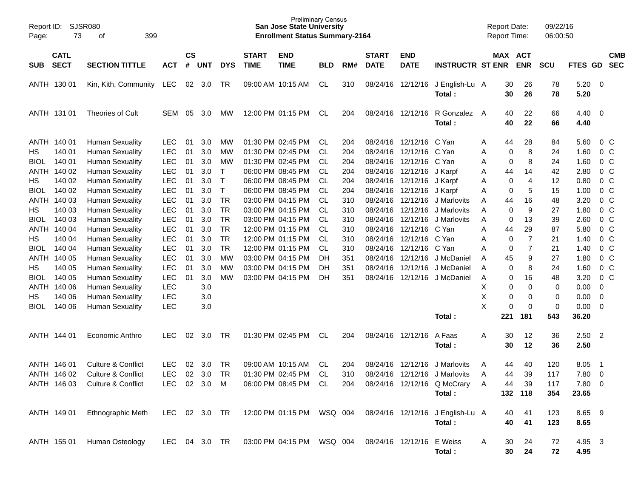| Page:       | SJSR080<br>Report ID:<br>73<br>399<br>оf<br><b>CATL</b> |                               |               |                    |            |            |                             | <b>Preliminary Census</b><br><b>San Jose State University</b><br><b>Enrollment Status Summary-2164</b> |            |     |                             |                           |                                  |   | <b>Report Date:</b><br>Report Time: |                | 09/22/16<br>06:00:50 |                |                |                          |
|-------------|---------------------------------------------------------|-------------------------------|---------------|--------------------|------------|------------|-----------------------------|--------------------------------------------------------------------------------------------------------|------------|-----|-----------------------------|---------------------------|----------------------------------|---|-------------------------------------|----------------|----------------------|----------------|----------------|--------------------------|
| <b>SUB</b>  | <b>SECT</b>                                             | <b>SECTION TITTLE</b>         | <b>ACT</b>    | $\mathsf{cs}$<br># | <b>UNT</b> | <b>DYS</b> | <b>START</b><br><b>TIME</b> | <b>END</b><br><b>TIME</b>                                                                              | <b>BLD</b> | RM# | <b>START</b><br><b>DATE</b> | <b>END</b><br><b>DATE</b> | <b>INSTRUCTR ST ENR</b>          |   | MAX ACT                             | <b>ENR</b>     | <b>SCU</b>           | FTES GD        |                | <b>CMB</b><br><b>SEC</b> |
|             | ANTH 130 01                                             | Kin, Kith, Community          | LEC           | 02                 | 3.0        | TR         |                             | 09:00 AM 10:15 AM                                                                                      | CL         | 310 |                             | 08/24/16 12/12/16         | J English-Lu A<br>Total:         |   | 30<br>30                            | 26<br>26       | 78<br>78             | 5.20<br>5.20   | - 0            |                          |
|             | ANTH 131 01                                             | Theories of Cult              | SEM           | 05                 | 3.0        | <b>MW</b>  |                             | 12:00 PM 01:15 PM                                                                                      | CL.        | 204 | 08/24/16 12/12/16           |                           | R Gonzalez<br>Total:             | A | 40<br>40                            | 22<br>22       | 66<br>66             | 4.40<br>4.40   | - 0            |                          |
|             | ANTH 140 01                                             | <b>Human Sexuality</b>        | <b>LEC</b>    | 01                 | 3.0        | MW         |                             | 01:30 PM 02:45 PM                                                                                      | CL.        | 204 |                             | 08/24/16 12/12/16         | C Yan                            | A | 44                                  | 28             | 84                   | 5.60           | 0 <sup>C</sup> |                          |
| HS.         | 140 01                                                  | <b>Human Sexuality</b>        | <b>LEC</b>    | 01                 | 3.0        | MW         |                             | 01:30 PM 02:45 PM                                                                                      | <b>CL</b>  | 204 |                             | 08/24/16 12/12/16         | C Yan                            | Α | 0                                   | 8              | 24                   | 1.60           | 0 <sup>C</sup> |                          |
| <b>BIOL</b> | 140 01                                                  | <b>Human Sexuality</b>        | <b>LEC</b>    | 01                 | 3.0        | МW         |                             | 01:30 PM 02:45 PM                                                                                      | <b>CL</b>  | 204 |                             | 08/24/16 12/12/16         | C Yan                            | A | 0                                   | 8              | 24                   | 1.60           | 0 <sup>C</sup> |                          |
|             | ANTH 140 02                                             | <b>Human Sexuality</b>        | <b>LEC</b>    | 01                 | 3.0        | Τ          |                             | 06:00 PM 08:45 PM                                                                                      | <b>CL</b>  | 204 | 08/24/16 12/12/16           |                           | J Karpf                          | A | 44                                  | 14             | 42                   | 2.80           | 0 <sup>C</sup> |                          |
| HS          | 140 02                                                  | <b>Human Sexuality</b>        | <b>LEC</b>    | 01                 | 3.0        | Τ          |                             | 06:00 PM 08:45 PM                                                                                      | <b>CL</b>  | 204 | 08/24/16 12/12/16           |                           | J Karpf                          | A | 0                                   | $\overline{4}$ | 12                   | 0.80           | $0\,C$         |                          |
| <b>BIOL</b> | 140 02                                                  | <b>Human Sexuality</b>        | <b>LEC</b>    | 01                 | 3.0        | T          |                             | 06:00 PM 08:45 PM                                                                                      | CL         | 204 |                             | 08/24/16 12/12/16         | J Karpf                          | Α | 0                                   | 5              | 15                   | 1.00           | 0 <sup>C</sup> |                          |
|             | ANTH 140 03                                             | <b>Human Sexuality</b>        | <b>LEC</b>    | 01                 | 3.0        | <b>TR</b>  |                             | 03:00 PM 04:15 PM                                                                                      | CL         | 310 | 08/24/16                    | 12/12/16                  | J Marlovits                      | Α | 44                                  | 16             | 48                   | 3.20           | 0 <sup>C</sup> |                          |
| HS          | 140 03                                                  | <b>Human Sexuality</b>        | <b>LEC</b>    | 01                 | 3.0        | <b>TR</b>  |                             | 03:00 PM 04:15 PM                                                                                      | CL         | 310 | 08/24/16                    | 12/12/16                  | J Marlovits                      | Α | 0                                   | 9              | 27                   | 1.80           | $0\,C$         |                          |
| <b>BIOL</b> | 140 03                                                  | <b>Human Sexuality</b>        | <b>LEC</b>    | 01                 | 3.0        | <b>TR</b>  |                             | 03:00 PM 04:15 PM                                                                                      | <b>CL</b>  | 310 | 08/24/16                    | 12/12/16                  | J Marlovits                      | A | $\mathbf 0$                         | 13             | 39                   | 2.60           | $0\,C$         |                          |
|             | ANTH 140 04                                             | <b>Human Sexuality</b>        | <b>LEC</b>    | 01                 | 3.0        | <b>TR</b>  |                             | 12:00 PM 01:15 PM                                                                                      | CL         | 310 | 08/24/16                    | 12/12/16                  | C Yan                            | Α | 44                                  | 29             | 87                   | 5.80           | 0 <sup>C</sup> |                          |
| HS          | 140 04                                                  | <b>Human Sexuality</b>        | LEC           | 01                 | 3.0        | <b>TR</b>  |                             | 12:00 PM 01:15 PM                                                                                      | CL         | 310 | 08/24/16                    | 12/12/16                  | C Yan                            | Α | 0                                   | $\overline{7}$ | 21                   | 1.40           | 0 <sup>C</sup> |                          |
| <b>BIOL</b> | 140 04                                                  | <b>Human Sexuality</b>        | <b>LEC</b>    | 01                 | 3.0        | <b>TR</b>  |                             | 12:00 PM 01:15 PM                                                                                      | CL         | 310 | 08/24/16                    | 12/12/16                  | C Yan                            | Α | 0                                   | $\overline{7}$ | 21                   | 1.40           | 0 <sup>C</sup> |                          |
|             | ANTH 140 05                                             | <b>Human Sexuality</b>        | <b>LEC</b>    | 01                 | 3.0        | <b>MW</b>  |                             | 03:00 PM 04:15 PM                                                                                      | DH         | 351 | 08/24/16                    | 12/12/16                  | J McDaniel                       | A | 45                                  | 9              | 27                   | 1.80           | 0 <sup>C</sup> |                          |
| HS          | 140 05                                                  | <b>Human Sexuality</b>        | LEC           | 01                 | 3.0        | МW         |                             | 03:00 PM 04:15 PM                                                                                      | DН         | 351 | 08/24/16                    | 12/12/16                  | J McDaniel                       | A | 0                                   | 8              | 24                   | 1.60           | $0\,C$         |                          |
| <b>BIOL</b> | 140 05                                                  | <b>Human Sexuality</b>        | LEC           | 01                 | 3.0        | МW         |                             | 03:00 PM 04:15 PM                                                                                      | DH         | 351 | 08/24/16                    | 12/12/16                  | J McDaniel                       | Α | 0                                   | 16             | 48                   | 3.20           | $0\,C$         |                          |
|             | ANTH 140 06                                             | <b>Human Sexuality</b>        | <b>LEC</b>    |                    | 3.0        |            |                             |                                                                                                        |            |     |                             |                           |                                  | Х | 0                                   | $\mathbf 0$    | 0                    | 0.00           | 0              |                          |
| HS.         | 140 06                                                  | <b>Human Sexuality</b>        | <b>LEC</b>    |                    | 3.0        |            |                             |                                                                                                        |            |     |                             |                           |                                  | X | 0                                   | 0              | 0                    | 0.00           | $\mathbf 0$    |                          |
| <b>BIOL</b> | 140 06                                                  | <b>Human Sexuality</b>        | LEC           |                    | 3.0        |            |                             |                                                                                                        |            |     |                             |                           |                                  | X | 0                                   | 0              | $\mathbf 0$          | 0.00           | - 0            |                          |
|             |                                                         |                               |               |                    |            |            |                             |                                                                                                        |            |     |                             |                           | Total:                           |   | 221                                 | 181            | 543                  | 36.20          |                |                          |
|             | ANTH 144 01                                             | Economic Anthro               | LEC           | 02                 | 3.0        | TR         |                             | 01:30 PM 02:45 PM                                                                                      | CL.        | 204 | 08/24/16 12/12/16           |                           | A Faas                           | A | 30                                  | 12             | 36                   | 2.50           | $\overline{2}$ |                          |
|             |                                                         |                               |               |                    |            |            |                             |                                                                                                        |            |     |                             |                           | Total:                           |   | 30                                  | 12             | 36                   | 2.50           |                |                          |
|             | ANTH 146 01                                             | <b>Culture &amp; Conflict</b> | LEC           | 02                 | 3.0        | TR         |                             | 09:00 AM 10:15 AM                                                                                      | CL         | 204 | 08/24/16                    | 12/12/16                  | J Marlovits                      | A | 44                                  | 40             | 120                  | 8.05           | -1             |                          |
|             | ANTH 146 02                                             | <b>Culture &amp; Conflict</b> | <b>LEC</b>    | 02                 | 3.0        | <b>TR</b>  |                             | 01:30 PM 02:45 PM                                                                                      | <b>CL</b>  | 310 |                             | 08/24/16 12/12/16         | J Marlovits                      | A | 44                                  | 39             | 117                  | 7.80           | $\overline{0}$ |                          |
|             | ANTH 146 03                                             | Culture & Conflict            | LEC.          |                    | 02 3.0 M   |            |                             | 06:00 PM 08:45 PM CL                                                                                   |            | 204 |                             |                           | 08/24/16 12/12/16 Q McCrary      | Α | 44                                  | 39             | 117                  | 7.80 0         |                |                          |
|             |                                                         |                               |               |                    |            |            |                             |                                                                                                        |            |     |                             |                           | Total:                           |   |                                     | 132 118        | 354                  | 23.65          |                |                          |
|             | ANTH 149 01                                             | Ethnographic Meth             | LEC 02 3.0 TR |                    |            |            |                             | 12:00 PM 01:15 PM   WSQ   004                                                                          |            |     |                             |                           | 08/24/16 12/12/16 J English-Lu A |   | 40                                  | 41             | 123                  | 8.65 9         |                |                          |
|             |                                                         |                               |               |                    |            |            |                             |                                                                                                        |            |     |                             |                           | Total:                           |   | 40                                  | 41             | 123                  | 8.65           |                |                          |
|             | ANTH 155 01                                             | Human Osteology               | LEC 04 3.0 TR |                    |            |            |                             |                                                                                                        |            |     | 08/24/16 12/12/16           |                           | E Weiss<br>Total:                | A | 30<br>30                            | 24<br>24       | 72<br>72             | 4.95 3<br>4.95 |                |                          |
|             |                                                         |                               |               |                    |            |            |                             |                                                                                                        |            |     |                             |                           |                                  |   |                                     |                |                      |                |                |                          |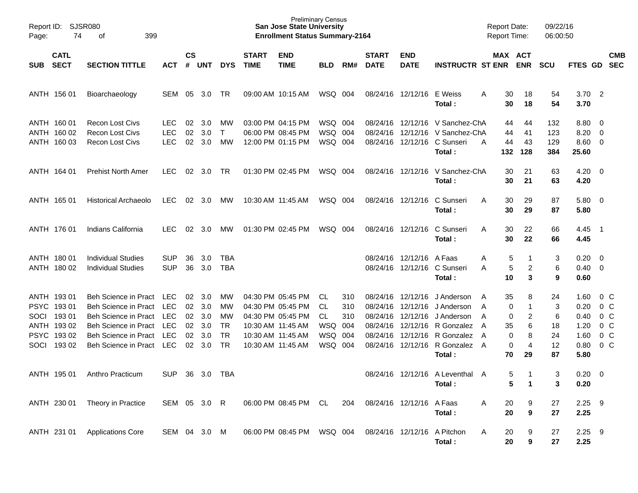| Page:      | SJSR080<br>Report ID:<br>74<br>399<br>оf<br><b>CATL</b>                         |                                                                                                                                                     |                                                                           |                                  |                                        |                                                       |                             | <b>Preliminary Census</b><br><b>San Jose State University</b><br><b>Enrollment Status Summary-2164</b>                     |                                                   |                   |                                                                      |                                  |                                                                                                                         | <b>Report Date:</b><br><b>Report Time:</b>                  |                                               | 09/22/16<br>06:00:50                 |                                                      |                                                                                               |
|------------|---------------------------------------------------------------------------------|-----------------------------------------------------------------------------------------------------------------------------------------------------|---------------------------------------------------------------------------|----------------------------------|----------------------------------------|-------------------------------------------------------|-----------------------------|----------------------------------------------------------------------------------------------------------------------------|---------------------------------------------------|-------------------|----------------------------------------------------------------------|----------------------------------|-------------------------------------------------------------------------------------------------------------------------|-------------------------------------------------------------|-----------------------------------------------|--------------------------------------|------------------------------------------------------|-----------------------------------------------------------------------------------------------|
| <b>SUB</b> | <b>SECT</b>                                                                     | <b>SECTION TITTLE</b>                                                                                                                               | <b>ACT</b>                                                                | <b>CS</b><br>#                   | UNT                                    | <b>DYS</b>                                            | <b>START</b><br><b>TIME</b> | <b>END</b><br><b>TIME</b>                                                                                                  | <b>BLD</b>                                        | RM#               | <b>START</b><br><b>DATE</b>                                          | <b>END</b><br><b>DATE</b>        | <b>INSTRUCTR ST ENR</b>                                                                                                 | MAX ACT                                                     | <b>ENR</b>                                    | <b>SCU</b>                           | <b>FTES GD</b>                                       | <b>CMB</b><br><b>SEC</b>                                                                      |
|            | ANTH 156 01                                                                     | Bioarchaeology                                                                                                                                      | SEM                                                                       | 05                               | -3.0                                   | TR                                                    |                             | 09:00 AM 10:15 AM                                                                                                          | WSQ 004                                           |                   |                                                                      | 08/24/16 12/12/16 E Weiss        | Total:                                                                                                                  | 30<br>A<br>30                                               | 18<br>18                                      | 54<br>54                             | $3.70\quad 2$<br>3.70                                |                                                                                               |
|            | ANTH 160 01<br>ANTH 160 02<br>ANTH 160 03                                       | <b>Recon Lost Civs</b><br><b>Recon Lost Civs</b><br><b>Recon Lost Civs</b>                                                                          | <b>LEC</b><br><b>LEC</b><br><b>LEC</b>                                    | 02<br>02<br>02                   | 3.0<br>3.0<br>3.0                      | <b>MW</b><br>$\mathsf{T}$<br>МW                       |                             | 03:00 PM 04:15 PM<br>06:00 PM 08:45 PM<br>12:00 PM 01:15 PM                                                                | WSQ 004<br>WSQ 004<br>WSQ 004                     |                   | 08/24/16<br>08/24/16<br>08/24/16                                     |                                  | 12/12/16 V Sanchez-ChA<br>12/12/16 V Sanchez-ChA<br>12/12/16 C Sunseri<br>Total:                                        | 44<br>44<br>44<br>A<br>132                                  | 44<br>41<br>43<br>128                         | 132<br>123<br>129<br>384             | $8.80\quad 0$<br>8.20<br>$8.60$ 0<br>25.60           | $\overline{\phantom{0}}$                                                                      |
|            | ANTH 164 01                                                                     | <b>Prehist North Amer</b>                                                                                                                           | <b>LEC</b>                                                                | 02                               | 3.0                                    | TR                                                    |                             | 01:30 PM 02:45 PM                                                                                                          | WSQ 004                                           |                   |                                                                      |                                  | 08/24/16 12/12/16 V Sanchez-ChA<br>Total:                                                                               | 30<br>30                                                    | 21<br>21                                      | 63<br>63                             | $4.20 \ 0$<br>4.20                                   |                                                                                               |
|            | ANTH 165 01                                                                     | Historical Archaeolo                                                                                                                                | <b>LEC</b>                                                                | 02                               | 3.0                                    | <b>MW</b>                                             |                             | 10:30 AM 11:45 AM                                                                                                          | WSQ 004                                           |                   |                                                                      | 08/24/16 12/12/16                | C Sunseri<br>Total:                                                                                                     | 30<br>A<br>30                                               | 29<br>29                                      | 87<br>87                             | $5.80 \ 0$<br>5.80                                   |                                                                                               |
|            | ANTH 176 01                                                                     | Indians California                                                                                                                                  | <b>LEC</b>                                                                | 02                               | 3.0                                    | <b>MW</b>                                             |                             | 01:30 PM 02:45 PM                                                                                                          | WSQ 004                                           |                   |                                                                      | 08/24/16 12/12/16                | C Sunseri<br>Total:                                                                                                     | 30<br>A<br>30                                               | 22<br>22                                      | 66<br>66                             | 4.45<br>4.45                                         | $\overline{\phantom{1}}$                                                                      |
|            | ANTH 180 01<br>ANTH 180 02                                                      | <b>Individual Studies</b><br><b>Individual Studies</b>                                                                                              | <b>SUP</b><br><b>SUP</b>                                                  | 36<br>36                         | 3.0<br>3.0                             | TBA<br><b>TBA</b>                                     |                             |                                                                                                                            |                                                   |                   |                                                                      | 08/24/16 12/12/16 A Faas         | 08/24/16 12/12/16 C Sunseri<br>Total:                                                                                   | 5<br>A<br>5<br>A<br>10                                      | 1<br>2<br>3                                   | 3<br>6<br>9                          | $0.20 \ 0$<br>$0.40 \quad 0$<br>0.60                 |                                                                                               |
| SOCI       | ANTH 193 01<br>PSYC 19301<br>SOCI 193 01<br>ANTH 193 02<br>PSYC 193 02<br>19302 | Beh Science in Pract<br>Beh Science in Pract<br>Beh Science in Pract<br>Beh Science in Pract<br>Beh Science in Pract<br><b>Beh Science in Pract</b> | LEC<br><b>LEC</b><br><b>LEC</b><br><b>LEC</b><br><b>LEC</b><br><b>LEC</b> | 02<br>02<br>02<br>02<br>02<br>02 | 3.0<br>3.0<br>3.0<br>3.0<br>3.0<br>3.0 | <b>MW</b><br>МW<br>MW<br>TR<br><b>TR</b><br><b>TR</b> |                             | 04:30 PM 05:45 PM<br>04:30 PM 05:45 PM<br>04:30 PM 05:45 PM<br>10:30 AM 11:45 AM<br>10:30 AM 11:45 AM<br>10:30 AM 11:45 AM | CL.<br>CL<br>CL.<br>WSQ 004<br>WSQ 004<br>WSQ 004 | 310<br>310<br>310 | 08/24/16<br>08/24/16<br>08/24/16<br>08/24/16<br>08/24/16<br>08/24/16 | 12/12/16<br>12/12/16<br>12/12/16 | J Anderson<br>J Anderson<br>J Anderson<br>12/12/16 R Gonzalez<br>12/12/16 R Gonzalez<br>12/12/16 R Gonzalez A<br>Total: | 35<br>A<br>0<br>A<br>0<br>A<br>35<br>A<br>0<br>A<br>0<br>70 | 8<br>1<br>2<br>6<br>8<br>$\overline{4}$<br>29 | 24<br>3<br>6<br>18<br>24<br>12<br>87 | 1.60<br>0.20<br>0.40<br>1.20<br>1.60<br>0.80<br>5.80 | 0 C<br>0 <sup>o</sup><br>0 <sup>o</sup><br>0 <sup>o</sup><br>0 <sup>o</sup><br>0 <sup>o</sup> |
|            | ANTH 195 01                                                                     | Anthro Practicum                                                                                                                                    | <b>SUP</b>                                                                | 36                               | 3.0                                    | TBA                                                   |                             |                                                                                                                            |                                                   |                   |                                                                      |                                  | 08/24/16 12/12/16 A Leventhal A<br>Total:                                                                               | 5<br>5                                                      | 1                                             | 3<br>3                               | $0.20 \ 0$<br>0.20                                   |                                                                                               |
|            | ANTH 230 01                                                                     | Theory in Practice                                                                                                                                  | SEM 05 3.0 R                                                              |                                  |                                        |                                                       |                             | 06:00 PM 08:45 PM CL                                                                                                       |                                                   | 204               |                                                                      | 08/24/16 12/12/16 A Faas         | Total:                                                                                                                  | 20<br>Α<br>20                                               | 9<br>9                                        | 27<br>27                             | $2.25$ 9<br>2.25                                     |                                                                                               |
|            | ANTH 231 01                                                                     | <b>Applications Core</b>                                                                                                                            | SEM 04 3.0 M                                                              |                                  |                                        |                                                       |                             | 06:00 PM 08:45 PM                                                                                                          | WSQ 004                                           |                   |                                                                      | 08/24/16 12/12/16                | A Pitchon<br>Total:                                                                                                     | 20<br>A<br>20                                               | 9<br>9                                        | 27<br>27                             | $2.25$ 9<br>2.25                                     |                                                                                               |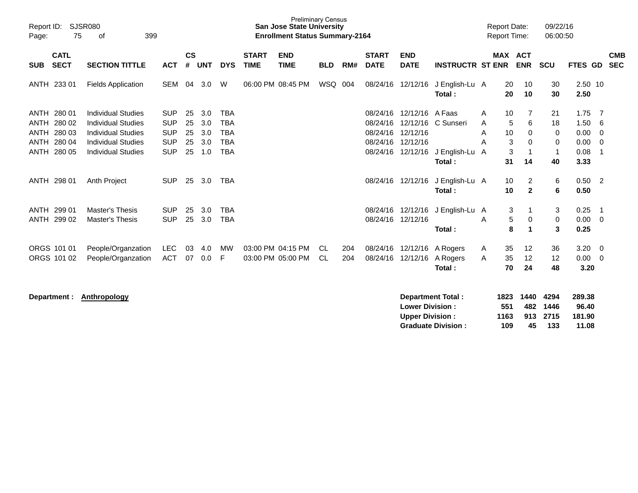| Report ID:<br>75<br>Page:                                                            | <b>SJSR080</b><br>399<br>οf                                                                                                                   |                                                                    |                            |                                 |                                                                    |                             | <b>Preliminary Census</b><br><b>San Jose State University</b><br><b>Enrollment Status Summary-2164</b> |                 |            |                                                          |                                                                 |                                                       |                  | <b>Report Date:</b><br>Report Time: |                                              | 09/22/16<br>06:00:50                     |                                              |                                                  |                          |
|--------------------------------------------------------------------------------------|-----------------------------------------------------------------------------------------------------------------------------------------------|--------------------------------------------------------------------|----------------------------|---------------------------------|--------------------------------------------------------------------|-----------------------------|--------------------------------------------------------------------------------------------------------|-----------------|------------|----------------------------------------------------------|-----------------------------------------------------------------|-------------------------------------------------------|------------------|-------------------------------------|----------------------------------------------|------------------------------------------|----------------------------------------------|--------------------------------------------------|--------------------------|
| <b>CATL</b><br><b>SECT</b><br><b>SUB</b>                                             | <b>SECTION TITTLE</b>                                                                                                                         | <b>ACT</b>                                                         | $\mathsf{cs}$<br>#         | <b>UNT</b>                      | <b>DYS</b>                                                         | <b>START</b><br><b>TIME</b> | <b>END</b><br><b>TIME</b>                                                                              | <b>BLD</b>      | RM#        | <b>START</b><br><b>DATE</b>                              | <b>END</b><br><b>DATE</b>                                       | <b>INSTRUCTR ST ENR</b>                               |                  |                                     | <b>MAX ACT</b><br><b>ENR</b>                 | <b>SCU</b>                               | FTES GD                                      |                                                  | <b>CMB</b><br><b>SEC</b> |
| ANTH 233 01                                                                          | <b>Fields Application</b>                                                                                                                     | <b>SEM</b>                                                         | 04                         | 3.0                             | W                                                                  |                             | 06:00 PM 08:45 PM                                                                                      | WSQ 004         |            |                                                          | 08/24/16 12/12/16                                               | J English-Lu A<br>Total:                              |                  | 20<br>20                            | 10<br>10                                     | 30<br>30                                 | 2.50 10<br>2.50                              |                                                  |                          |
| ANTH 280 01<br><b>ANTH</b><br>280 02<br>280 03<br>ANTH<br>ANTH 280 04<br>ANTH 280 05 | <b>Individual Studies</b><br><b>Individual Studies</b><br><b>Individual Studies</b><br><b>Individual Studies</b><br><b>Individual Studies</b> | <b>SUP</b><br><b>SUP</b><br><b>SUP</b><br><b>SUP</b><br><b>SUP</b> | 25<br>25<br>25<br>25<br>25 | 3.0<br>3.0<br>3.0<br>3.0<br>1.0 | <b>TBA</b><br><b>TBA</b><br><b>TBA</b><br><b>TBA</b><br><b>TBA</b> |                             |                                                                                                        |                 |            | 08/24/16<br>08/24/16<br>08/24/16<br>08/24/16<br>08/24/16 | 12/12/16 A Faas<br>12/12/16<br>12/12/16<br>12/12/16<br>12/12/16 | C Sunseri<br>J English-Lu A<br>Total:                 | A<br>A<br>A<br>A | 10<br>5<br>10<br>3<br>3<br>31       | 7<br>6<br>0<br>$\Omega$<br>$\mathbf 1$<br>14 | 21<br>18<br>0<br>0<br>$\mathbf{1}$<br>40 | 1.75<br>1.50<br>0.00<br>0.00<br>0.08<br>3.33 | - 7<br>6<br>- 0<br>$\mathbf 0$<br>$\overline{1}$ |                          |
| ANTH 298 01                                                                          | Anth Project                                                                                                                                  | <b>SUP</b>                                                         | 25                         | 3.0                             | <b>TBA</b>                                                         |                             |                                                                                                        |                 |            |                                                          | 08/24/16 12/12/16                                               | J English-Lu A<br>Total:                              |                  | 10<br>10                            | $\overline{c}$<br>$\mathbf{2}$               | 6<br>6                                   | $0.50$ 2<br>0.50                             |                                                  |                          |
| ANTH 299 01<br>ANTH 299 02                                                           | <b>Master's Thesis</b><br><b>Master's Thesis</b>                                                                                              | <b>SUP</b><br><b>SUP</b>                                           | 25<br>25                   | 3.0<br>3.0                      | <b>TBA</b><br><b>TBA</b>                                           |                             |                                                                                                        |                 |            | 08/24/16<br>08/24/16                                     | 12/12/16<br>12/12/16                                            | J English-Lu A<br>Total:                              | A                | 3<br>5<br>8                         | 0<br>$\mathbf{1}$                            | 3<br>0<br>3                              | 0.25<br>0.00<br>0.25                         | - 1<br>- 0                                       |                          |
| ORGS 101 01<br>ORGS 101 02                                                           | People/Organzation<br>People/Organzation                                                                                                      | <b>LEC</b><br><b>ACT</b>                                           | 03<br>07                   | 4.0<br>0.0                      | MW<br>F                                                            |                             | 03:00 PM 04:15 PM<br>03:00 PM 05:00 PM                                                                 | CL<br><b>CL</b> | 204<br>204 | 08/24/16<br>08/24/16                                     | 12/12/16<br>12/12/16                                            | A Rogers<br>A Rogers<br>Total:                        | A<br>Α           | 35<br>35<br>70                      | 12<br>12<br>24                               | 36<br>12<br>48                           | 3.20<br>0.00<br>3.20                         | - 0<br>$\overline{0}$                            |                          |
| Department :                                                                         | Anthropology                                                                                                                                  |                                                                    |                            |                                 |                                                                    |                             |                                                                                                        |                 |            |                                                          | <b>Lower Division:</b><br><b>Upper Division:</b>                | <b>Department Total:</b><br><b>Graduate Division:</b> |                  | 1823<br>551<br>1163<br>109          | 1440<br>482<br>913<br>45                     | 4294<br>1446<br>2715<br>133              | 289.38<br>96.40<br>181.90<br>11.08           |                                                  |                          |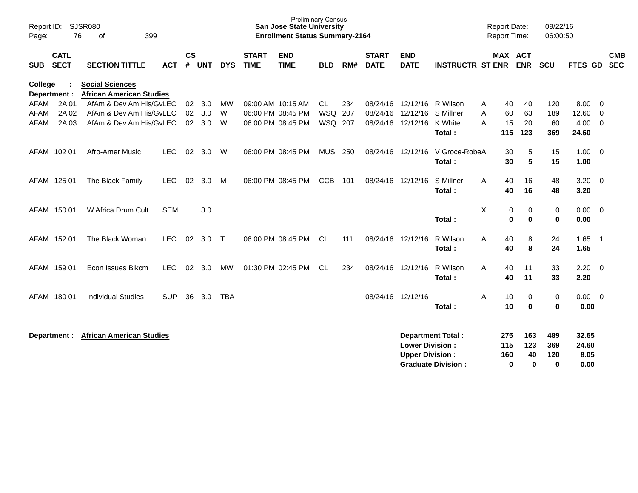| $\mathsf{cs}$<br><b>CATL</b><br><b>START</b><br><b>END</b><br><b>START</b><br><b>END</b><br><b>MAX ACT</b><br><b>SECT</b><br>#<br><b>TIME</b><br><b>TIME</b><br><b>DATE</b><br><b>DATE</b><br><b>INSTRUCTR ST ENR</b><br><b>ENR</b><br><b>SUB</b><br><b>SECTION TITTLE</b><br><b>ACT</b><br><b>UNT</b><br><b>DYS</b><br><b>BLD</b><br>RM#<br><b>SCU</b><br><b>Social Sciences</b><br>College<br><b>African American Studies</b><br>Department :<br>2A 01<br>AfAm & Dev Am His/GvLEC<br><b>AFAM</b><br><b>MW</b><br>09:00 AM 10:15 AM<br><b>CL</b><br>234<br>08/24/16<br>12/12/16<br>R Wilson<br>120<br>02<br>3.0<br>40<br>40<br>A<br>2A 02<br><b>WSQ</b><br><b>AFAM</b><br>AfAm & Dev Am His/GvLEC<br>02 <sub>2</sub><br>3.0<br>W<br>06:00 PM 08:45 PM<br>207<br>08/24/16<br>12/12/16<br>S Millner<br>60<br>63<br>189<br>A<br>2A 03<br>AfAm & Dev Am His/GvLEC<br>WSQ 207<br>K White<br>20<br>60<br><b>AFAM</b><br>02<br>3.0<br>W<br>06:00 PM 08:45 PM<br>08/24/16<br>12/12/16<br>A<br>15<br>115<br>123<br>369<br>Total :<br>AFAM 102 01<br>02<br>06:00 PM 08:45 PM<br><b>MUS</b><br>12/12/16<br>V Groce-RobeA<br>5<br>Afro-Amer Music<br><b>LEC</b><br>3.0<br>W<br>250<br>08/24/16<br>30<br>15<br>5<br>30<br>15<br>Total:<br>AFAM 125 01<br>02<br>3.0<br>06:00 PM 08:45 PM<br><b>CCB</b><br>08/24/16<br>S Millner<br>40<br>16<br>48<br>The Black Family<br><b>LEC</b><br>M<br>101<br>12/12/16<br>A | 09/22/16<br>06:00:50                       |
|-----------------------------------------------------------------------------------------------------------------------------------------------------------------------------------------------------------------------------------------------------------------------------------------------------------------------------------------------------------------------------------------------------------------------------------------------------------------------------------------------------------------------------------------------------------------------------------------------------------------------------------------------------------------------------------------------------------------------------------------------------------------------------------------------------------------------------------------------------------------------------------------------------------------------------------------------------------------------------------------------------------------------------------------------------------------------------------------------------------------------------------------------------------------------------------------------------------------------------------------------------------------------------------------------------------------------------------------------------------------------------------------------------|--------------------------------------------|
|                                                                                                                                                                                                                                                                                                                                                                                                                                                                                                                                                                                                                                                                                                                                                                                                                                                                                                                                                                                                                                                                                                                                                                                                                                                                                                                                                                                                     | <b>CMB</b><br><b>SEC</b><br><b>FTES GD</b> |
|                                                                                                                                                                                                                                                                                                                                                                                                                                                                                                                                                                                                                                                                                                                                                                                                                                                                                                                                                                                                                                                                                                                                                                                                                                                                                                                                                                                                     |                                            |
|                                                                                                                                                                                                                                                                                                                                                                                                                                                                                                                                                                                                                                                                                                                                                                                                                                                                                                                                                                                                                                                                                                                                                                                                                                                                                                                                                                                                     | 8.00<br>0<br>12.60<br>$\mathbf 0$          |
|                                                                                                                                                                                                                                                                                                                                                                                                                                                                                                                                                                                                                                                                                                                                                                                                                                                                                                                                                                                                                                                                                                                                                                                                                                                                                                                                                                                                     | 4.00<br>$\mathbf 0$                        |
|                                                                                                                                                                                                                                                                                                                                                                                                                                                                                                                                                                                                                                                                                                                                                                                                                                                                                                                                                                                                                                                                                                                                                                                                                                                                                                                                                                                                     | 24.60                                      |
|                                                                                                                                                                                                                                                                                                                                                                                                                                                                                                                                                                                                                                                                                                                                                                                                                                                                                                                                                                                                                                                                                                                                                                                                                                                                                                                                                                                                     | 1.00<br>$\overline{0}$                     |
|                                                                                                                                                                                                                                                                                                                                                                                                                                                                                                                                                                                                                                                                                                                                                                                                                                                                                                                                                                                                                                                                                                                                                                                                                                                                                                                                                                                                     | 1.00                                       |
|                                                                                                                                                                                                                                                                                                                                                                                                                                                                                                                                                                                                                                                                                                                                                                                                                                                                                                                                                                                                                                                                                                                                                                                                                                                                                                                                                                                                     | 3.20<br>$\overline{0}$                     |
| 40<br>16<br>Total:<br>48                                                                                                                                                                                                                                                                                                                                                                                                                                                                                                                                                                                                                                                                                                                                                                                                                                                                                                                                                                                                                                                                                                                                                                                                                                                                                                                                                                            | 3.20                                       |
| X<br>AFAM 150 01<br>W Africa Drum Cult<br><b>SEM</b><br>3.0<br>0<br>0<br>0                                                                                                                                                                                                                                                                                                                                                                                                                                                                                                                                                                                                                                                                                                                                                                                                                                                                                                                                                                                                                                                                                                                                                                                                                                                                                                                          | 0.00<br>$\overline{0}$                     |
| $\bf{0}$<br>$\bf{0}$<br>0<br>Total:                                                                                                                                                                                                                                                                                                                                                                                                                                                                                                                                                                                                                                                                                                                                                                                                                                                                                                                                                                                                                                                                                                                                                                                                                                                                                                                                                                 | 0.00                                       |
| AFAM 152 01<br>The Black Woman<br><b>LEC</b><br>02<br>3.0<br>06:00 PM 08:45 PM<br>CL.<br>08/24/16 12/12/16<br>R Wilson<br>A<br>40<br>8<br>24<br>$\top$<br>111                                                                                                                                                                                                                                                                                                                                                                                                                                                                                                                                                                                                                                                                                                                                                                                                                                                                                                                                                                                                                                                                                                                                                                                                                                       | 1.65<br>$\overline{1}$                     |
| 8<br>24<br>Total:<br>40                                                                                                                                                                                                                                                                                                                                                                                                                                                                                                                                                                                                                                                                                                                                                                                                                                                                                                                                                                                                                                                                                                                                                                                                                                                                                                                                                                             | 1.65                                       |
| AFAM 159 01<br>Econ Issues Blkcm<br><b>LEC</b><br>MW<br>01:30 PM 02:45 PM<br><b>CL</b><br>R Wilson<br>11<br>33<br>02<br>3.0<br>234<br>08/24/16<br>12/12/16<br>A<br>40                                                                                                                                                                                                                                                                                                                                                                                                                                                                                                                                                                                                                                                                                                                                                                                                                                                                                                                                                                                                                                                                                                                                                                                                                               | 2.20<br>$\overline{0}$                     |
| 11<br>33<br>Total:<br>40                                                                                                                                                                                                                                                                                                                                                                                                                                                                                                                                                                                                                                                                                                                                                                                                                                                                                                                                                                                                                                                                                                                                                                                                                                                                                                                                                                            | 2.20                                       |
| AFAM 180 01<br><b>Individual Studies</b><br><b>SUP</b><br>36<br>3.0<br><b>TBA</b><br>08/24/16 12/12/16<br>A<br>10<br>0<br>0                                                                                                                                                                                                                                                                                                                                                                                                                                                                                                                                                                                                                                                                                                                                                                                                                                                                                                                                                                                                                                                                                                                                                                                                                                                                         | 0.00<br>$\overline{0}$                     |
| $\bf{0}$<br>0<br>Total:<br>10                                                                                                                                                                                                                                                                                                                                                                                                                                                                                                                                                                                                                                                                                                                                                                                                                                                                                                                                                                                                                                                                                                                                                                                                                                                                                                                                                                       | 0.00                                       |
| <b>Department Total:</b><br>275<br>163<br>489<br><b>African American Studies</b><br>Department :<br><b>Lower Division:</b><br>115<br>123<br>369<br>120<br><b>Upper Division:</b><br>160<br>40<br>$\bf{0}$<br><b>Graduate Division:</b><br>$\bf{0}$<br>$\bf{0}$                                                                                                                                                                                                                                                                                                                                                                                                                                                                                                                                                                                                                                                                                                                                                                                                                                                                                                                                                                                                                                                                                                                                      | 32.65<br>24.60<br>8.05<br>0.00             |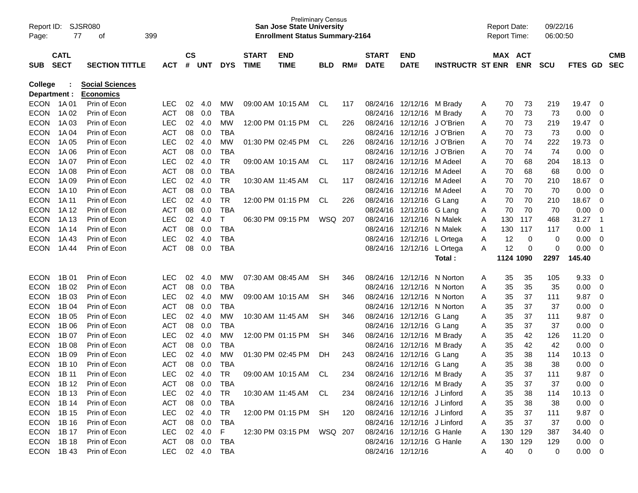| Report ID:<br>Page: | 77                                                  | SJSR080<br>399<br>оf   |            |    |               |            |              | <b>Preliminary Census</b><br><b>San Jose State University</b><br><b>Enrollment Status Summary-2164</b> |            |     |              |                             |                         |   | <b>Report Date:</b><br><b>Report Time:</b> |            | 09/22/16<br>06:00:50 |             |                |            |
|---------------------|-----------------------------------------------------|------------------------|------------|----|---------------|------------|--------------|--------------------------------------------------------------------------------------------------------|------------|-----|--------------|-----------------------------|-------------------------|---|--------------------------------------------|------------|----------------------|-------------|----------------|------------|
|                     | <b>CATL</b><br><b>SECT</b><br><b>SECTION TITTLE</b> |                        |            |    | $\mathsf{cs}$ |            | <b>START</b> | <b>END</b>                                                                                             |            |     | <b>START</b> | <b>END</b>                  |                         |   | MAX ACT                                    |            |                      |             |                | <b>CMB</b> |
| <b>SUB</b>          |                                                     |                        | <b>ACT</b> | #  | <b>UNT</b>    | <b>DYS</b> | <b>TIME</b>  | <b>TIME</b>                                                                                            | <b>BLD</b> | RM# | <b>DATE</b>  | <b>DATE</b>                 | <b>INSTRUCTR ST ENR</b> |   |                                            | <b>ENR</b> | <b>SCU</b>           | FTES GD     |                | <b>SEC</b> |
| <b>College</b>      |                                                     | <b>Social Sciences</b> |            |    |               |            |              |                                                                                                        |            |     |              |                             |                         |   |                                            |            |                      |             |                |            |
| Department :        |                                                     | <b>Economics</b>       |            |    |               |            |              |                                                                                                        |            |     |              |                             |                         |   |                                            |            |                      |             |                |            |
| <b>ECON</b>         | 1A 01                                               | Prin of Econ           | <b>LEC</b> | 02 | 4.0           | MW         |              | 09:00 AM 10:15 AM                                                                                      | CL.        | 117 | 08/24/16     | 12/12/16                    | M Brady                 | A | 70                                         | 73         | 219                  | 19.47       | 0              |            |
| <b>ECON</b>         | 1A 02                                               | Prin of Econ           | <b>ACT</b> | 08 | 0.0           | <b>TBA</b> |              |                                                                                                        |            |     | 08/24/16     | 12/12/16                    | M Brady                 | A | 70                                         | 73         | 73                   | 0.00        | 0              |            |
| <b>ECON</b>         | 1A 03                                               | Prin of Econ           | <b>LEC</b> | 02 | 4.0           | <b>MW</b>  |              | 12:00 PM 01:15 PM                                                                                      | CL.        | 226 | 08/24/16     | 12/12/16                    | J O'Brien               | A | 70                                         | 73         | 219                  | 19.47       | 0              |            |
| <b>ECON</b>         | 1A 04                                               | Prin of Econ           | <b>ACT</b> | 08 | 0.0           | <b>TBA</b> |              |                                                                                                        |            |     | 08/24/16     | 12/12/16                    | J O'Brien               | Α | 70                                         | 73         | 73                   | 0.00        | 0              |            |
| <b>ECON</b>         | 1A 05                                               | Prin of Econ           | LEC        | 02 | 4.0           | <b>MW</b>  |              | 01:30 PM 02:45 PM                                                                                      | CL.        | 226 | 08/24/16     | 12/12/16                    | J O'Brien               | Α | 70                                         | 74         | 222                  | 19.73       | 0              |            |
| <b>ECON</b>         | 1A 06                                               | Prin of Econ           | <b>ACT</b> | 08 | 0.0           | <b>TBA</b> |              |                                                                                                        |            |     | 08/24/16     | 12/12/16                    | J O'Brien               | Α | 70                                         | 74         | 74                   | 0.00        | $\mathbf 0$    |            |
| <b>ECON</b>         | 1A 07                                               | Prin of Econ           | <b>LEC</b> | 02 | 4.0           | <b>TR</b>  |              | 09:00 AM 10:15 AM                                                                                      | CL.        | 117 | 08/24/16     | 12/12/16                    | M Adeel                 | Α | 70                                         | 68         | 204                  | 18.13       | 0              |            |
| <b>ECON</b>         | 1A 08                                               | Prin of Econ           | <b>ACT</b> | 08 | 0.0           | <b>TBA</b> |              |                                                                                                        |            |     | 08/24/16     | 12/12/16                    | M Adeel                 | Α | 70                                         | 68         | 68                   | 0.00        | 0              |            |
| <b>ECON</b>         | 1A 09                                               | Prin of Econ           | LEC        | 02 | 4.0           | <b>TR</b>  |              | 10:30 AM 11:45 AM                                                                                      | CL.        | 117 | 08/24/16     | 12/12/16                    | M Adeel                 | Α | 70                                         | 70         | 210                  | 18.67       | 0              |            |
| <b>ECON</b>         | 1A 10                                               | Prin of Econ           | <b>ACT</b> | 08 | 0.0           | <b>TBA</b> |              |                                                                                                        |            |     | 08/24/16     | 12/12/16                    | M Adeel                 | Α | 70                                         | 70         | 70                   | 0.00        | $\mathbf 0$    |            |
| <b>ECON</b>         | 1A 11                                               | Prin of Econ           | <b>LEC</b> | 02 | 4.0           | <b>TR</b>  |              | 12:00 PM 01:15 PM                                                                                      | CL.        | 226 | 08/24/16     | 12/12/16                    | G Lang                  | Α | 70                                         | 70         | 210                  | 18.67       | $\mathbf 0$    |            |
| <b>ECON</b>         | 1A 12                                               | Prin of Econ           | <b>ACT</b> | 08 | 0.0           | <b>TBA</b> |              |                                                                                                        |            |     | 08/24/16     | 12/12/16                    | G Lang                  | Α | 70                                         | 70         | 70                   | 0.00        | 0              |            |
| <b>ECON</b>         | 1A 13                                               | Prin of Econ           | LEC        | 02 | 4.0           | т          |              | 06:30 PM 09:15 PM                                                                                      | WSQ        | 207 | 08/24/16     | 12/12/16                    | N Malek                 | A | 130                                        | 117        | 468                  | 31.27       | $\mathbf 1$    |            |
| <b>ECON</b>         | 1A 14                                               | Prin of Econ           | <b>ACT</b> | 08 | 0.0           | <b>TBA</b> |              |                                                                                                        |            |     | 08/24/16     | 12/12/16                    | N Malek                 | Α | 130                                        | 117        | 117                  | 0.00        | $\overline{1}$ |            |
| <b>ECON</b>         | 1A43                                                | Prin of Econ           | LEC        | 02 | 4.0           | <b>TBA</b> |              |                                                                                                        |            |     | 08/24/16     | 12/12/16                    | L Ortega                | Α | 12                                         | 0          | 0                    | 0.00        | 0              |            |
| <b>ECON</b>         | 1A 44                                               | Prin of Econ           | <b>ACT</b> | 08 | 0.0           | <b>TBA</b> |              |                                                                                                        |            |     | 08/24/16     | 12/12/16                    | L Ortega                | A | 12                                         | 0          | 0                    | 0.00        | 0              |            |
|                     |                                                     |                        |            |    |               |            |              |                                                                                                        |            |     |              |                             | Total :                 |   | 1124 1090                                  |            | 2297                 | 145.40      |                |            |
| <b>ECON</b>         | 1B 01                                               | Prin of Econ           | <b>LEC</b> | 02 | 4.0           | MW         |              | 07:30 AM 08:45 AM                                                                                      | <b>SH</b>  | 346 | 08/24/16     | 12/12/16                    | N Norton                | A | 35                                         | 35         | 105                  | 9.33        | 0              |            |
| <b>ECON</b>         | 1B 02                                               | Prin of Econ           | <b>ACT</b> | 08 | 0.0           | <b>TBA</b> |              |                                                                                                        |            |     | 08/24/16     | 12/12/16                    | N Norton                | Α | 35                                         | 35         | 35                   | 0.00        | 0              |            |
| <b>ECON</b>         | 1B 03                                               | Prin of Econ           | LEC        | 02 | 4.0           | <b>MW</b>  |              | 09:00 AM 10:15 AM                                                                                      | <b>SH</b>  | 346 | 08/24/16     | 12/12/16                    | N Norton                | Α | 35                                         | 37         | 111                  | 9.87        | $\mathbf 0$    |            |
| <b>ECON</b>         | 1B 04                                               | Prin of Econ           | <b>ACT</b> | 08 | 0.0           | <b>TBA</b> |              |                                                                                                        |            |     | 08/24/16     | 12/12/16                    | N Norton                | Α | 35                                         | 37         | 37                   | 0.00        | 0              |            |
| <b>ECON</b>         | 1B 05                                               | Prin of Econ           | LEC        | 02 | 4.0           | <b>MW</b>  |              | 10:30 AM 11:45 AM                                                                                      | <b>SH</b>  | 346 | 08/24/16     | 12/12/16                    | G Lang                  | Α | 35                                         | 37         | 111                  | 9.87        | $\mathbf 0$    |            |
| <b>ECON</b>         | 1B 06                                               | Prin of Econ           | <b>ACT</b> | 08 | 0.0           | <b>TBA</b> |              |                                                                                                        |            |     | 08/24/16     | 12/12/16                    | G Lang                  | Α | 35                                         | 37         | 37                   | 0.00        | 0              |            |
| <b>ECON</b>         | 1B 07                                               | Prin of Econ           | LEC        | 02 | 4.0           | <b>MW</b>  |              | 12:00 PM 01:15 PM                                                                                      | <b>SH</b>  | 346 | 08/24/16     | 12/12/16                    | M Brady                 | Α | 35                                         | 42         | 126                  | 11.20       | 0              |            |
| <b>ECON</b>         | 1B 08                                               | Prin of Econ           | <b>ACT</b> | 08 | 0.0           | <b>TBA</b> |              |                                                                                                        |            |     | 08/24/16     | 12/12/16                    | M Brady                 | Α | 35                                         | 42         | 42                   | 0.00        | 0              |            |
| <b>ECON</b>         | 1B 09                                               | Prin of Econ           | LEC        | 02 | 4.0           | MW         |              | 01:30 PM 02:45 PM                                                                                      | DH         | 243 | 08/24/16     | 12/12/16                    | G Lang                  | Α | 35                                         | 38         | 114                  | 10.13       | 0              |            |
| <b>ECON</b>         | 1B 10                                               | Prin of Econ           | <b>ACT</b> | 08 | 0.0           | <b>TBA</b> |              |                                                                                                        |            |     | 08/24/16     | 12/12/16                    | G Lang                  | Α | 35                                         | 38         | 38                   | 0.00        | $\mathbf 0$    |            |
| <b>ECON</b>         | 1B 11                                               | Prin of Econ           | <b>LEC</b> | 02 | 4.0           | <b>TR</b>  |              | 09:00 AM 10:15 AM                                                                                      | CL.        | 234 | 08/24/16     | 12/12/16                    | M Brady                 | Α | 35                                         | 37         | 111                  | 9.87        | $\Omega$       |            |
| ECON 1B12           |                                                     | Prin of Econ           | ACT        |    | 08 0.0        | <b>TBA</b> |              |                                                                                                        |            |     |              | 08/24/16 12/12/16 M Brady   |                         | A | 35                                         | 37         | 37                   | 0.00        | 0              |            |
| <b>ECON</b>         | 1B 13                                               | Prin of Econ           | <b>LEC</b> |    | 02 4.0        | TR         |              | 10:30 AM 11:45 AM CL                                                                                   |            | 234 |              | 08/24/16 12/12/16 J Linford |                         | A | 35                                         | 38         | 114                  | 10.13       | - 0            |            |
| <b>ECON</b>         | 1B 14                                               | Prin of Econ           | ACT        |    | 08 0.0        | <b>TBA</b> |              |                                                                                                        |            |     |              | 08/24/16 12/12/16 J Linford |                         | A | 35                                         | 38         | 38                   | 0.00        | 0              |            |
| <b>ECON</b>         | 1B 15                                               | Prin of Econ           | <b>LEC</b> |    | 02 4.0        | TR         |              | 12:00 PM 01:15 PM SH                                                                                   |            | 120 |              | 08/24/16 12/12/16 J Linford |                         | A | 35                                         | 37         | 111                  | 9.87        | 0              |            |
| <b>ECON</b>         | 1B 16                                               | Prin of Econ           | <b>ACT</b> |    | 08 0.0        | <b>TBA</b> |              |                                                                                                        |            |     |              | 08/24/16 12/12/16 J Linford |                         | A | 35                                         | 37         | 37                   | 0.00        | 0              |            |
| <b>ECON</b>         | 1B 17                                               | Prin of Econ           | <b>LEC</b> |    | 02 4.0        | F          |              | 12:30 PM 03:15 PM WSQ 207                                                                              |            |     |              | 08/24/16 12/12/16 G Hanle   |                         | A | 130                                        | 129        | 387                  | 34.40       | 0              |            |
| <b>ECON</b>         | 1B 18                                               | Prin of Econ           | ACT        |    | 08 0.0        | TBA        |              |                                                                                                        |            |     |              | 08/24/16 12/12/16 G Hanle   |                         | A | 130                                        | 129        | 129                  | 0.00        | $\mathbf{0}$   |            |
| ECON 1B43           |                                                     | Prin of Econ           | <b>LEC</b> |    | 02 4.0        | TBA        |              |                                                                                                        |            |     |              | 08/24/16 12/12/16           |                         | A | 40                                         | 0          | 0                    | $0.00 \t 0$ |                |            |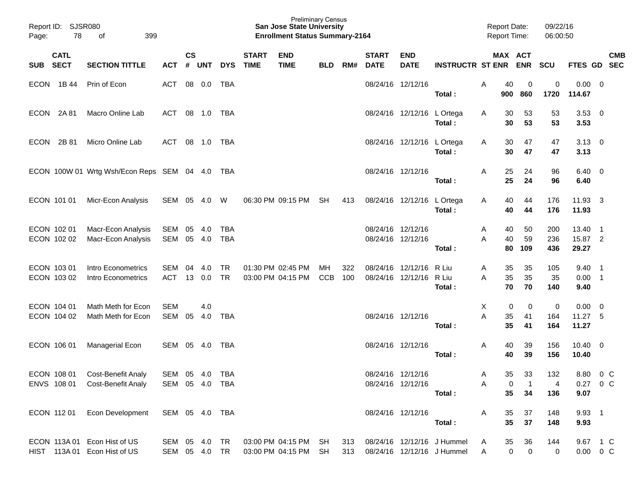| Page:       | Report ID: SJSR080<br>78   | 399                                                                        |                          |                    |               |                            | <b>San Jose State University</b><br><b>Enrollment Status Summary-2164</b> | <b>Preliminary Census</b>                    |                   |            |                             |                                        |                                                                  | <b>Report Date:</b><br><b>Report Time:</b> |                   | 09/22/16<br>06:00:50       |                   |                           |                                   |                          |
|-------------|----------------------------|----------------------------------------------------------------------------|--------------------------|--------------------|---------------|----------------------------|---------------------------------------------------------------------------|----------------------------------------------|-------------------|------------|-----------------------------|----------------------------------------|------------------------------------------------------------------|--------------------------------------------|-------------------|----------------------------|-------------------|---------------------------|-----------------------------------|--------------------------|
| SUB         | <b>CATL</b><br><b>SECT</b> | <b>SECTION TITTLE</b>                                                      | <b>ACT</b>               | $\mathsf{cs}$<br># | <b>UNT</b>    | <b>DYS</b>                 | <b>START</b><br><b>TIME</b>                                               | <b>END</b><br><b>TIME</b>                    | <b>BLD</b>        | RM#        | <b>START</b><br><b>DATE</b> | <b>END</b><br><b>DATE</b>              | <b>INSTRUCTR ST ENR</b>                                          |                                            | MAX ACT           | <b>ENR</b>                 | SCU               | <b>FTES GD</b>            |                                   | <b>CMB</b><br><b>SEC</b> |
|             | ECON 1B44                  | Prin of Econ                                                               | ACT                      |                    | 08 0.0        | TBA                        |                                                                           |                                              |                   |            |                             | 08/24/16 12/12/16                      | Total:                                                           | Α                                          | 40<br>900         | 0<br>860                   | 0<br>1720         | 0.00<br>114.67            | - 0                               |                          |
| <b>ECON</b> | 2A 81                      | Macro Online Lab                                                           | ACT                      |                    | 08 1.0        | TBA                        |                                                                           |                                              |                   |            |                             | 08/24/16 12/12/16 L Ortega             | Total:                                                           | A                                          | 30<br>30          | 53<br>53                   | 53<br>53          | $3.53 \ 0$<br>3.53        |                                   |                          |
| <b>ECON</b> | 2B 81                      | Micro Online Lab                                                           | ACT                      |                    | 08 1.0        | TBA                        |                                                                           |                                              |                   |            |                             | 08/24/16 12/12/16 L Ortega             | Total:                                                           | A                                          | 30<br>30          | 47<br>47                   | 47<br>47          | $3.13 \quad 0$<br>3.13    |                                   |                          |
|             |                            | ECON 100W 01 Wrtg Wsh/Econ Reps SEM 04 4.0 TBA                             |                          |                    |               |                            |                                                                           |                                              |                   |            |                             | 08/24/16 12/12/16                      | Total:                                                           | Α                                          | 25<br>25          | 24<br>24                   | 96<br>96          | $6.40 \quad 0$<br>6.40    |                                   |                          |
|             | ECON 101 01                | Micr-Econ Analysis                                                         | SEM 05                   |                    | 4.0           | W                          |                                                                           | 06:30 PM 09:15 PM                            | SH                | 413        |                             | 08/24/16 12/12/16 L Ortega             | Total:                                                           | A                                          | 40<br>40          | 44<br>44                   | 176<br>176        | 11.93<br>11.93            | $_{3}$                            |                          |
|             | ECON 102 01<br>ECON 102 02 | Macr-Econ Analysis<br>Macr-Econ Analysis                                   | SEM<br>SEM 05            | 05                 | -4.0<br>4.0   | TBA<br><b>TBA</b>          |                                                                           |                                              |                   |            |                             | 08/24/16 12/12/16<br>08/24/16 12/12/16 | Total:                                                           | A<br>A                                     | 40<br>40<br>80    | 50<br>59<br>109            | 200<br>236<br>436 | 13.40<br>15.87 2<br>29.27 | $\overline{\phantom{1}}$          |                          |
|             | ECON 103 01<br>ECON 103 02 | Intro Econometrics<br>Intro Econometrics                                   | <b>SEM</b><br>ACT        | 04                 | 4.0<br>13 0.0 | <b>TR</b><br><b>TR</b>     |                                                                           | 01:30 PM 02:45 PM<br>03:00 PM 04:15 PM       | MH.<br><b>CCB</b> | 322<br>100 |                             | 08/24/16 12/12/16<br>08/24/16 12/12/16 | R Liu<br>R Liu<br>Total:                                         | A<br>A                                     | 35<br>35<br>70    | 35<br>35<br>70             | 105<br>35<br>140  | 9.40<br>0.00<br>9.40      | - 1<br>$\overline{\phantom{0}}$ 1 |                          |
|             | ECON 104 01<br>ECON 104 02 | Math Meth for Econ<br>Math Meth for Econ                                   | <b>SEM</b><br><b>SEM</b> | 05                 | 4.0<br>4.0    | TBA                        |                                                                           |                                              |                   |            |                             | 08/24/16 12/12/16                      | Total:                                                           | Х<br>A                                     | 0<br>35<br>35     | 0<br>41<br>41              | 0<br>164<br>164   | 0.00<br>11.27 5<br>11.27  | $\overline{\mathbf{0}}$           |                          |
|             | ECON 106 01                | Managerial Econ                                                            | SEM 05 4.0               |                    |               | TBA                        |                                                                           |                                              |                   |            |                             | 08/24/16 12/12/16                      | Total:                                                           | A                                          | 40<br>40          | 39<br>39                   | 156<br>156        | $10.40 \quad 0$<br>10.40  |                                   |                          |
|             | ECON 108 01                | <b>Cost-Benefit Analy</b><br>ENVS 108 01 Cost-Benefit Analy SEM 05 4.0 TBA | SEM 05 4.0               |                    |               | TBA                        |                                                                           |                                              |                   |            |                             | 08/24/16 12/12/16<br>08/24/16 12/12/16 | Total:                                                           | A<br>Α                                     | 35<br>0<br>35     | 33<br>$\overline{1}$<br>34 | 132<br>4<br>136   | 8.80<br>0.27 0 C<br>9.07  | $0\,$ C                           |                          |
|             |                            | ECON 112 01  Econ Development  SEM 05  4.0  TBA                            |                          |                    |               |                            |                                                                           |                                              |                   |            |                             | 08/24/16 12/12/16                      | Total:                                                           | A                                          | 35<br>35          | 37<br>37                   | 148<br>148        | $9.93$ 1<br>9.93          |                                   |                          |
|             |                            | ECON 113A 01 Econ Hist of US<br>HIST 113A 01 Econ Hist of US               | SEM 05 4.0               |                    |               | <b>TR</b><br>SEM 05 4.0 TR |                                                                           | 03:00 PM 04:15 PM SH<br>03:00 PM 04:15 PM SH |                   |            |                             |                                        | 313 08/24/16 12/12/16 J Hummel<br>313 08/24/16 12/12/16 J Hummel | A<br>A                                     | 35<br>$\mathbf 0$ | 36<br>$\overline{0}$       | 144<br>0          | 9.67 1 C<br>$0.00 \t 0 C$ |                                   |                          |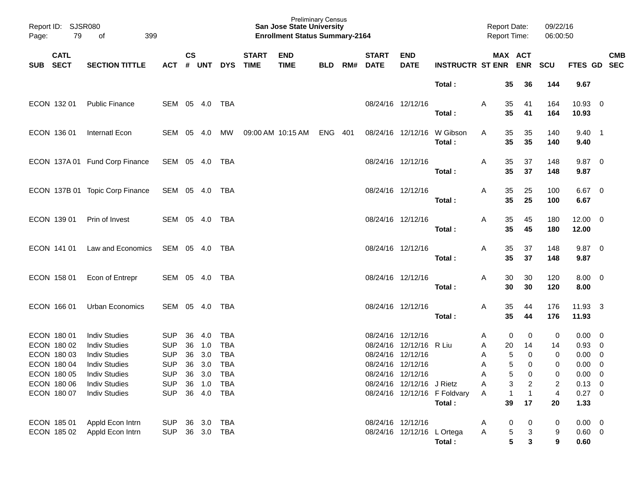| Page:      | Report ID: SJSR080<br>79                                          | 399<br>оf                                    |                                  |          |            |                          |                             | <b>Preliminary Census</b><br><b>San Jose State University</b><br><b>Enrollment Status Summary-2164</b> |            |     |                             |                                                |                              | <b>Report Date:</b><br><b>Report Time:</b> |              |                                  | 09/22/16<br>06:00:50    |                               |                           |
|------------|-------------------------------------------------------------------|----------------------------------------------|----------------------------------|----------|------------|--------------------------|-----------------------------|--------------------------------------------------------------------------------------------------------|------------|-----|-----------------------------|------------------------------------------------|------------------------------|--------------------------------------------|--------------|----------------------------------|-------------------------|-------------------------------|---------------------------|
| <b>SUB</b> | <b>CATL</b><br><b>SECT</b><br><b>SECTION TITTLE</b><br><b>ACT</b> |                                              |                                  |          | <b>UNT</b> | <b>DYS</b>               | <b>START</b><br><b>TIME</b> | <b>END</b><br><b>TIME</b>                                                                              | <b>BLD</b> | RM# | <b>START</b><br><b>DATE</b> | <b>END</b><br><b>DATE</b>                      | <b>INSTRUCTR ST ENR</b>      | MAX ACT                                    |              | <b>ENR</b>                       | <b>SCU</b>              |                               | <b>CMB</b><br>FTES GD SEC |
|            |                                                                   |                                              |                                  |          |            |                          |                             |                                                                                                        |            |     |                             |                                                | Total:                       |                                            | 35           | 36                               | 144                     | 9.67                          |                           |
|            | ECON 132 01                                                       | <b>Public Finance</b>                        | SEM 05 4.0                       |          |            | TBA                      |                             |                                                                                                        |            |     |                             | 08/24/16 12/12/16                              | Total:                       | A                                          | 35<br>35     | 41<br>41                         | 164<br>164              | $10.93$ 0<br>10.93            |                           |
|            | ECON 136 01                                                       | Internatl Econ                               | SEM 05 4.0                       |          |            | MW                       |                             | 09:00 AM 10:15 AM                                                                                      | ENG 401    |     |                             | 08/24/16 12/12/16                              | W Gibson<br>Total:           | A                                          | 35<br>35     | 35<br>35                         | 140<br>140              | $9.40 \quad 1$<br>9.40        |                           |
|            |                                                                   | ECON 137A 01 Fund Corp Finance               | SEM 05 4.0                       |          |            | TBA                      |                             |                                                                                                        |            |     |                             | 08/24/16 12/12/16                              | Total:                       | A                                          | 35<br>35     | 37<br>37                         | 148<br>148              | $9.87 \quad 0$<br>9.87        |                           |
|            |                                                                   | ECON 137B 01 Topic Corp Finance              | SEM 05 4.0                       |          |            | TBA                      |                             |                                                                                                        |            |     |                             | 08/24/16 12/12/16                              | Total:                       | A                                          | 35<br>35     | 25<br>25                         | 100<br>100              | $6.67$ 0<br>6.67              |                           |
|            | ECON 139 01                                                       | Prin of Invest                               | SEM 05 4.0                       |          |            | TBA                      |                             |                                                                                                        |            |     |                             | 08/24/16 12/12/16                              | Total:                       | A                                          | 35<br>35     | 45<br>45                         | 180<br>180              | $12.00 \t 0$<br>12.00         |                           |
|            | ECON 141 01                                                       | Law and Economics                            | SEM 05 4.0                       |          |            | TBA                      |                             |                                                                                                        |            |     |                             | 08/24/16 12/12/16                              | Total:                       | A                                          | 35<br>35     | 37<br>37                         | 148<br>148              | $9.87$ 0<br>9.87              |                           |
|            | ECON 158 01                                                       | Econ of Entrepr                              | SEM 05 4.0                       |          |            | TBA                      |                             |                                                                                                        |            |     |                             | 08/24/16 12/12/16                              | Total:                       | A                                          | 30<br>30     | 30<br>30                         | 120<br>120              | $8.00 \t 0$<br>8.00           |                           |
|            | ECON 166 01                                                       | Urban Economics                              | SEM 05 4.0                       |          |            | TBA                      |                             |                                                                                                        |            |     |                             | 08/24/16 12/12/16                              | Total:                       | A                                          | 35<br>35     | 44<br>44                         | 176<br>176              | 11.93 3<br>11.93              |                           |
|            | ECON 180 01<br>ECON 180 02                                        | <b>Indiv Studies</b><br><b>Indiv Studies</b> | <b>SUP</b><br><b>SUP</b>         | 36<br>36 | 4.0<br>1.0 | <b>TBA</b><br><b>TBA</b> |                             |                                                                                                        |            |     | 08/24/16 12/12/16           | 08/24/16 12/12/16 R Liu                        |                              | A<br>A                                     | 0<br>20      | 0<br>14                          | 0<br>14                 | $0.00 \quad 0$<br>0.93        | $\overline{\mathbf{0}}$   |
|            | ECON 180 03                                                       | <b>Indiv Studies</b>                         | <b>SUP</b>                       | 36       | 3.0        | <b>TBA</b>               |                             |                                                                                                        |            |     | 08/24/16 12/12/16           |                                                |                              | A                                          | 5            | $\Omega$                         | $\mathbf 0$             | 0.00                          | $\overline{\mathbf{0}}$   |
|            | ECON 180 04                                                       | <b>Indiv Studies</b>                         | <b>SUP</b>                       | 36       | 3.0        | <b>TBA</b>               |                             |                                                                                                        |            |     | 08/24/16 12/12/16           |                                                |                              | A                                          | 5            | 0                                | 0                       | 0.00                          | $\overline{0}$            |
|            | ECON 180 05<br>ECON 180 06                                        | <b>Indiv Studies</b><br><b>Indiv Studies</b> | SUP 36 3.0 TBA<br>SUP 36 1.0 TBA |          |            |                          |                             |                                                                                                        |            |     |                             | 08/24/16 12/12/16<br>08/24/16 12/12/16 J Rietz |                              | Α                                          | 5<br>3       | 0                                | 0<br>2                  | $0.00 \t 0$<br>$0.13 \quad 0$ |                           |
|            | ECON 180 07                                                       | <b>Indiv Studies</b>                         | SUP 36 4.0 TBA                   |          |            |                          |                             |                                                                                                        |            |     |                             |                                                | 08/24/16 12/12/16 F Foldvary | A<br>A                                     | $\mathbf{1}$ | $\overline{2}$<br>$\overline{1}$ | $\overline{\mathbf{4}}$ | $0.27$ 0                      |                           |
|            |                                                                   |                                              |                                  |          |            |                          |                             |                                                                                                        |            |     |                             |                                                | Total:                       |                                            | 39           | 17                               | 20                      | 1.33                          |                           |
|            | ECON 185 01                                                       | Appld Econ Intrn                             | SUP 36 3.0 TBA                   |          |            |                          |                             |                                                                                                        |            |     |                             | 08/24/16 12/12/16                              |                              | A                                          | 0            | 0                                | 0                       | $0.00 \quad 0$                |                           |
|            | ECON 185 02                                                       | Appld Econ Intrn                             | SUP 36 3.0 TBA                   |          |            |                          |                             |                                                                                                        |            |     |                             | 08/24/16 12/12/16 L Ortega                     |                              | A                                          | $\sqrt{5}$   | 3                                | 9                       | $0.60 \t 0$                   |                           |
|            |                                                                   |                                              |                                  |          |            |                          |                             |                                                                                                        |            |     |                             |                                                | Total:                       |                                            | 5            | $\mathbf{3}$                     | 9                       | 0.60                          |                           |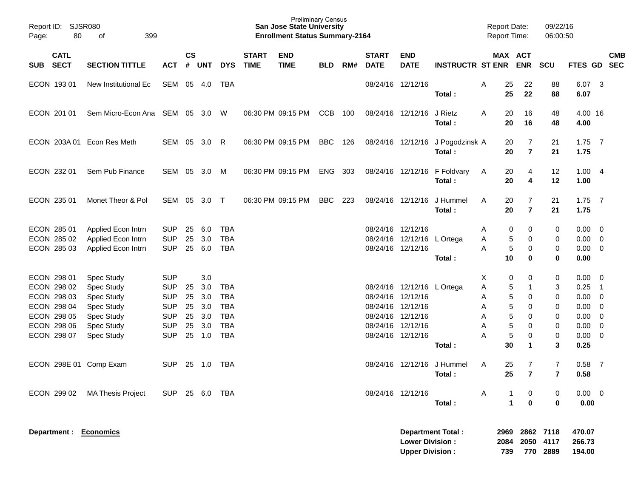| Report ID: SJSR080<br>80<br>Page:                        | 399<br>οf                                                      |                                                      |                    |                          |                                        |                             | <b>San Jose State University</b><br><b>Enrollment Status Summary-2164</b> | <b>Preliminary Census</b> |     |                                                             |                                                  |                                            |                  | <b>Report Date:</b><br><b>Report Time:</b> |                            | 09/22/16<br>06:00:50             |                              |                                                                                                              |                          |
|----------------------------------------------------------|----------------------------------------------------------------|------------------------------------------------------|--------------------|--------------------------|----------------------------------------|-----------------------------|---------------------------------------------------------------------------|---------------------------|-----|-------------------------------------------------------------|--------------------------------------------------|--------------------------------------------|------------------|--------------------------------------------|----------------------------|----------------------------------|------------------------------|--------------------------------------------------------------------------------------------------------------|--------------------------|
| <b>CATL</b><br><b>SECT</b><br><b>SUB</b>                 | <b>SECTION TITTLE</b>                                          | <b>ACT</b>                                           | $\mathsf{cs}$<br># | <b>UNT</b>               | <b>DYS</b>                             | <b>START</b><br><b>TIME</b> | <b>END</b><br><b>TIME</b>                                                 | <b>BLD</b>                | RM# | <b>START</b><br><b>DATE</b>                                 | <b>END</b><br><b>DATE</b>                        | <b>INSTRUCTR ST ENR</b>                    |                  | MAX ACT                                    | <b>ENR</b>                 | <b>SCU</b>                       | FTES GD                      |                                                                                                              | <b>CMB</b><br><b>SEC</b> |
| ECON 193 01                                              | New Institutional Ec                                           | SEM                                                  | 05                 | 4.0                      | TBA                                    |                             |                                                                           |                           |     |                                                             | 08/24/16 12/12/16                                | Total:                                     | A                | 25<br>25                                   | 22<br>22                   | 88<br>88                         | 6.07<br>6.07                 | $\overline{\mathbf{3}}$                                                                                      |                          |
| ECON 201 01                                              | Sem Micro-Econ Ana                                             | SEM 05                                               |                    | 3.0                      | W                                      |                             | 06:30 PM 09:15 PM                                                         | <b>CCB</b>                | 100 |                                                             | 08/24/16 12/12/16                                | J Rietz<br>Total:                          | A                | 20<br>20                                   | 16<br>16                   | 48<br>48                         | 4.00 16<br>4.00              |                                                                                                              |                          |
|                                                          | ECON 203A 01 Econ Res Meth                                     | SEM 05                                               |                    | 3.0                      | -R                                     |                             | 06:30 PM 09:15 PM                                                         | <b>BBC</b>                | 126 |                                                             |                                                  | 08/24/16 12/12/16 J Pogodzinsk A<br>Total: |                  | 20<br>20                                   | 7<br>$\overline{7}$        | 21<br>21                         | $1.75$ 7<br>1.75             |                                                                                                              |                          |
| ECON 232 01                                              | Sem Pub Finance                                                | SEM                                                  | 05                 | 3.0                      | M                                      |                             | 06:30 PM 09:15 PM                                                         | <b>ENG</b>                | 303 |                                                             |                                                  | 08/24/16 12/12/16 F Foldvary<br>Total:     | A                | 20<br>20                                   | 4<br>4                     | 12<br>12                         | 1.004<br>1.00                |                                                                                                              |                          |
| ECON 235 01                                              | Monet Theor & Pol                                              | SEM                                                  | 05                 | $3.0$ T                  |                                        |                             | 06:30 PM 09:15 PM                                                         | <b>BBC</b>                | 223 |                                                             | 08/24/16 12/12/16                                | J Hummel<br>Total:                         | A                | 20<br>20                                   | 7<br>$\overline{7}$        | 21<br>21                         | $1.75$ 7<br>1.75             |                                                                                                              |                          |
| ECON 285 01<br>ECON 285 02<br>ECON 285 03                | Applied Econ Intrn<br>Applied Econ Intrn<br>Applied Econ Intrn | <b>SUP</b><br><b>SUP</b><br><b>SUP</b>               | 25<br>25<br>25     | 6.0<br>3.0<br>6.0        | <b>TBA</b><br><b>TBA</b><br><b>TBA</b> |                             |                                                                           |                           |     | 08/24/16 12/12/16                                           | 08/24/16 12/12/16<br>08/24/16 12/12/16           | L Ortega<br>Total:                         | A<br>A<br>Α      | 0<br>5<br>5<br>10                          | 0<br>0<br>0<br>0           | 0<br>0<br>0<br>0                 | 0.00<br>0.00<br>0.00<br>0.00 | $\overline{\mathbf{0}}$<br>$\overline{\phantom{0}}$<br>$\overline{\phantom{0}}$                              |                          |
| ECON 298 01<br>ECON 298 02<br>ECON 298 03<br>ECON 298 04 | Spec Study<br>Spec Study<br>Spec Study<br>Spec Study           | <b>SUP</b><br><b>SUP</b><br><b>SUP</b><br><b>SUP</b> | 25<br>25<br>25     | 3.0<br>3.0<br>3.0<br>3.0 | <b>TBA</b><br><b>TBA</b><br><b>TBA</b> |                             |                                                                           |                           |     | 08/24/16 12/12/16<br>08/24/16 12/12/16                      | 08/24/16 12/12/16 L Ortega                       |                                            | X<br>A<br>A<br>A | 0<br>5<br>5<br>5                           | 0<br>1<br>0<br>0           | 0<br>3<br>0<br>0                 | 0.00<br>0.25<br>0.00<br>0.00 | $\overline{\phantom{0}}$<br>$\overline{\phantom{0}}$ 1<br>$\overline{\mathbf{0}}$<br>$\overline{\mathbf{0}}$ |                          |
| ECON 298 05<br>ECON 298 06<br>ECON 298 07                | Spec Study<br>Spec Study<br>Spec Study                         | <b>SUP</b><br><b>SUP</b><br><b>SUP</b>               | 25<br>25<br>25     | 3.0<br>3.0<br>1.0        | <b>TBA</b><br><b>TBA</b><br><b>TBA</b> |                             |                                                                           |                           |     | 08/24/16 12/12/16<br>08/24/16 12/12/16<br>08/24/16 12/12/16 |                                                  | Total:                                     | Α<br>Α<br>А      | 5<br>5<br>5<br>30                          | 0<br>0<br>0<br>$\mathbf 1$ | 0<br>0<br>0<br>3                 | 0.00<br>0.00<br>0.00<br>0.25 | $\overline{0}$<br>$\overline{\mathbf{0}}$<br>$\overline{0}$                                                  |                          |
| ECON 298E 01 Comp Exam                                   |                                                                | <b>SUP</b>                                           |                    | 25 1.0                   | TBA                                    |                             |                                                                           |                           |     |                                                             |                                                  | 08/24/16 12/12/16 J Hummel<br>Total:       | A                | 25<br>25                                   | 7<br>7                     | $\overline{7}$<br>$\overline{7}$ | $0.58$ 7<br>0.58             |                                                                                                              |                          |
| ECON 299 02                                              | MA Thesis Project                                              | SUP 25 6.0 TBA                                       |                    |                          |                                        |                             |                                                                           |                           |     |                                                             | 08/24/16 12/12/16                                | Total:                                     | A                | $\mathbf 1$                                | 0<br>$\bf{0}$              | 0<br>$\mathbf 0$                 | $0.00 \t 0$<br>0.00          |                                                                                                              |                          |
| Department : Economics                                   |                                                                |                                                      |                    |                          |                                        |                             |                                                                           |                           |     |                                                             | <b>Lower Division:</b><br><b>Upper Division:</b> | <b>Department Total:</b>                   |                  | 2969<br>2084<br>739                        | 2050                       | 2862 7118<br>4117<br>770 2889    | 470.07<br>266.73<br>194.00   |                                                                                                              |                          |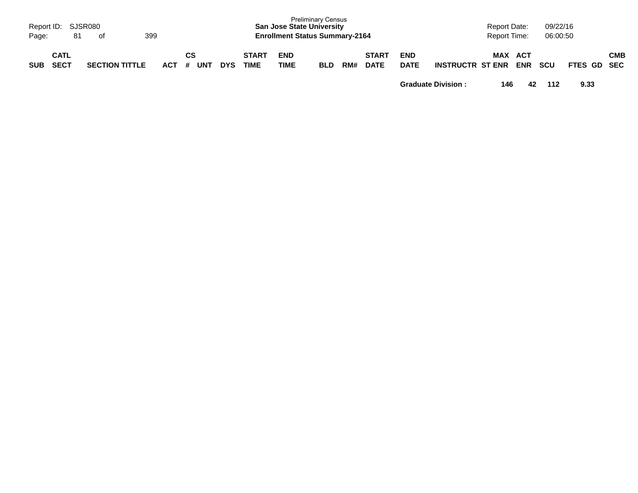| Page:      | Report ID: SJSR080<br>81 | of                    | 399     |           |            |                      |                    | <b>Preliminary Census</b><br><b>San Jose State University</b><br><b>Enrollment Status Summary-2164</b> |     |                             |                           |                         | <b>Report Date:</b><br><b>Report Time:</b> |                   | 09/22/16<br>06:00:50 |             |     |
|------------|--------------------------|-----------------------|---------|-----------|------------|----------------------|--------------------|--------------------------------------------------------------------------------------------------------|-----|-----------------------------|---------------------------|-------------------------|--------------------------------------------|-------------------|----------------------|-------------|-----|
| <b>SUB</b> | CATL<br><b>SECT</b>      | <b>SECTION TITTLE</b> | $ACT$ # | CS<br>UNT | <b>DYS</b> | <b>START</b><br>TIME | <b>END</b><br>TIME | <b>BLD</b>                                                                                             | RM# | <b>START</b><br><b>DATE</b> | <b>END</b><br><b>DATE</b> | <b>INSTRUCTR ST ENR</b> | MAX                                        | ACT<br><b>ENR</b> | <b>SCU</b>           | FTES GD SEC | СМВ |

**Graduate Division : 146 42 112 9.33**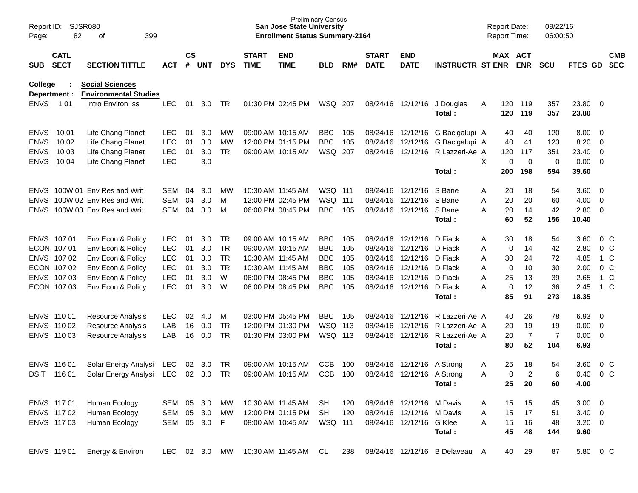| Page:          | <b>SJSR080</b><br>Report ID:<br>82<br>399<br>of<br><b>CATL</b><br><b>SECT</b><br><b>SECTION TITTLE</b> |                                                        |               |                    |            |            |                             | <b>San Jose State University</b><br><b>Enrollment Status Summary-2164</b> | <b>Preliminary Census</b> |     |                             |                            |                                       | <b>Report Date:</b><br>Report Time: |                       |                | 09/22/16<br>06:00:50 |                  |                          |                          |
|----------------|--------------------------------------------------------------------------------------------------------|--------------------------------------------------------|---------------|--------------------|------------|------------|-----------------------------|---------------------------------------------------------------------------|---------------------------|-----|-----------------------------|----------------------------|---------------------------------------|-------------------------------------|-----------------------|----------------|----------------------|------------------|--------------------------|--------------------------|
| SUB            |                                                                                                        |                                                        | <b>ACT</b>    | $\mathsf{cs}$<br># | <b>UNT</b> | <b>DYS</b> | <b>START</b><br><b>TIME</b> | <b>END</b><br><b>TIME</b>                                                 | BLD                       | RM# | <b>START</b><br><b>DATE</b> | <b>END</b><br><b>DATE</b>  | <b>INSTRUCTR ST ENR</b>               |                                     | MAX ACT<br><b>ENR</b> |                | <b>SCU</b>           | <b>FTES GD</b>   |                          | <b>CMB</b><br><b>SEC</b> |
| <b>College</b> | Department :                                                                                           | <b>Social Sciences</b><br><b>Environmental Studies</b> |               |                    |            |            |                             |                                                                           |                           |     |                             |                            |                                       |                                     |                       |                |                      |                  |                          |                          |
| <b>ENVS</b>    | 1 0 1                                                                                                  | Intro Environ Iss                                      | <b>LEC</b>    | 01                 | 3.0        | TR         |                             | 01:30 PM 02:45 PM                                                         | WSQ 207                   |     |                             |                            | 08/24/16 12/12/16 J Douglas<br>Total: | A                                   | 120<br>120            | 119<br>119     | 357<br>357           | 23.80 0<br>23.80 |                          |                          |
| <b>ENVS</b>    | 10 01                                                                                                  | Life Chang Planet                                      | <b>LEC</b>    | 01                 | 3.0        | MW         |                             | 09:00 AM 10:15 AM                                                         | <b>BBC</b>                | 105 |                             | 08/24/16 12/12/16          | G Bacigalupi A                        |                                     | 40                    | 40             | 120                  | $8.00 \t 0$      |                          |                          |
| <b>ENVS</b>    | 10 02                                                                                                  | Life Chang Planet                                      | <b>LEC</b>    | 01                 | 3.0        | MW         |                             | 12:00 PM 01:15 PM                                                         | <b>BBC</b>                | 105 |                             | 08/24/16 12/12/16          | G Bacigalupi A                        |                                     | 40                    | 41             | 123                  | 8.20             | $\overline{\phantom{0}}$ |                          |
| <b>ENVS</b>    | 10 03                                                                                                  | Life Chang Planet                                      | <b>LEC</b>    | 01                 | 3.0        | <b>TR</b>  |                             | 09:00 AM 10:15 AM                                                         | WSQ 207                   |     |                             | 08/24/16 12/12/16          | R Lazzeri-Ae A                        |                                     | 120                   | 117            | 351                  | 23.40 0          |                          |                          |
| <b>ENVS</b>    | 10 04                                                                                                  | Life Chang Planet                                      | <b>LEC</b>    |                    | 3.0        |            |                             |                                                                           |                           |     |                             |                            |                                       | X                                   | 0                     | $\overline{0}$ | 0                    | $0.00 \t 0$      |                          |                          |
|                |                                                                                                        |                                                        |               |                    |            |            |                             |                                                                           |                           |     |                             |                            | Total:                                |                                     | 200                   | 198            | 594                  | 39.60            |                          |                          |
| <b>ENVS</b>    |                                                                                                        | 100W 01 Env Res and Writ                               | SEM           | 04                 | 3.0        | <b>MW</b>  | 10:30 AM 11:45 AM           |                                                                           | <b>WSQ 111</b>            |     |                             | 08/24/16 12/12/16          | S Bane                                | Α                                   | 20                    | 18             | 54                   | 3.60 0           |                          |                          |
| <b>ENVS</b>    |                                                                                                        | 100W 02 Env Res and Writ                               | <b>SEM</b>    | 04                 | 3.0        | M          |                             | 12:00 PM 02:45 PM                                                         | <b>WSQ 111</b>            |     |                             | 08/24/16 12/12/16          | S Bane                                | Α                                   | 20                    | 20             | 60                   | $4.00 \ 0$       |                          |                          |
| <b>ENVS</b>    |                                                                                                        | 100W 03 Env Res and Writ                               | <b>SEM</b>    | 04                 | 3.0        | M          |                             | 06:00 PM 08:45 PM                                                         | <b>BBC</b>                | 105 |                             | 08/24/16 12/12/16 S Bane   |                                       | Α                                   | 20                    | 14             | 42                   | $2.80 \t 0$      |                          |                          |
|                |                                                                                                        |                                                        |               |                    |            |            |                             |                                                                           |                           |     |                             |                            | Total:                                |                                     | 60                    | 52             | 156                  | 10.40            |                          |                          |
|                | ENVS 107 01                                                                                            | Env Econ & Policy                                      | <b>LEC</b>    | 01                 | 3.0        | TR         |                             | 09:00 AM 10:15 AM                                                         | <b>BBC</b>                | 105 |                             | 08/24/16 12/12/16          | D Fiack                               | Α                                   | 30                    | 18             | 54                   | 3.60             |                          | $0\,$ C                  |
|                | ECON 107 01                                                                                            | Env Econ & Policy                                      | <b>LEC</b>    | 01                 | 3.0        | TR         |                             | 09:00 AM 10:15 AM                                                         | <b>BBC</b>                | 105 |                             | 08/24/16 12/12/16          | D Fiack                               | Α                                   | 0                     | 14             | 42                   | 2.80             | 0 <sup>o</sup>           |                          |
|                | ENVS 107 02                                                                                            | Env Econ & Policy                                      | <b>LEC</b>    | 01                 | 3.0        | TR         | 10:30 AM 11:45 AM           |                                                                           | <b>BBC</b>                | 105 |                             | 08/24/16 12/12/16          | D Fiack                               | Α                                   | 30                    | 24             | 72                   | 4.85             |                          | 1 C                      |
|                | ECON 107 02                                                                                            | Env Econ & Policy                                      | <b>LEC</b>    | 01                 | 3.0        | <b>TR</b>  |                             | 10:30 AM 11:45 AM                                                         | <b>BBC</b>                | 105 |                             | 08/24/16 12/12/16          | D Fiack                               | Α                                   | 0                     | 10             | 30                   | 2.00             | $0\,C$                   |                          |
|                | ENVS 107 03                                                                                            | Env Econ & Policy                                      | <b>LEC</b>    | 01                 | 3.0        | W          |                             | 06:00 PM 08:45 PM                                                         | <b>BBC</b>                | 105 |                             | 08/24/16 12/12/16          | D Fiack                               | Α                                   | 25                    | 13             | 39                   | 2.65             |                          | 1 C                      |
|                | ECON 107 03                                                                                            | Env Econ & Policy                                      | <b>LEC</b>    | 01                 | 3.0        | W          |                             | 06:00 PM 08:45 PM                                                         | <b>BBC</b>                | 105 |                             | 08/24/16 12/12/16 D Fiack  |                                       | Α                                   | 0                     | 12             | 36                   | 2.45             |                          | $1\,C$                   |
|                |                                                                                                        |                                                        |               |                    |            |            |                             |                                                                           |                           |     |                             |                            | Total:                                |                                     | 85                    | 91             | 273                  | 18.35            |                          |                          |
|                | ENVS 110 01                                                                                            | Resource Analysis                                      | <b>LEC</b>    | 02                 | 4.0        | м          |                             | 03:00 PM 05:45 PM                                                         | <b>BBC</b>                | 105 |                             | 08/24/16 12/12/16          | R Lazzeri-Ae A                        |                                     | 40                    | 26             | 78                   | 6.93             | $\overline{\phantom{0}}$ |                          |
|                | ENVS 110 02                                                                                            | <b>Resource Analysis</b>                               | LAB           | 16                 | 0.0        | <b>TR</b>  |                             | 12:00 PM 01:30 PM                                                         | WSQ 113                   |     | 08/24/16                    | 12/12/16                   | R Lazzeri-Ae A                        |                                     | 20                    | 19             | 19                   | $0.00 \t 0$      |                          |                          |
|                | ENVS 110 03                                                                                            | Resource Analysis                                      | LAB           | 16                 | 0.0        | TR         |                             | 01:30 PM 03:00 PM                                                         | WSQ 113                   |     |                             |                            | 08/24/16 12/12/16 R Lazzeri-Ae A      |                                     | 20                    | $\overline{7}$ | $\overline{7}$       | $0.00 \t 0$      |                          |                          |
|                |                                                                                                        |                                                        |               |                    |            |            |                             |                                                                           |                           |     |                             |                            | Total:                                |                                     | 80                    | 52             | 104                  | 6.93             |                          |                          |
|                | ENVS 116 01                                                                                            | Solar Energy Analysi                                   | <b>LEC</b>    | 02                 | 3.0        | TR         |                             | 09:00 AM 10:15 AM                                                         | <b>CCB</b>                | 100 | 08/24/16                    | 12/12/16                   | A Strong                              | Α                                   | 25                    | 18             | 54                   | 3.60             |                          | $0\,C$                   |
| DSIT           | 116 01                                                                                                 | Solar Energy Analysi                                   | LEC           | 02                 | 3.0        | <b>TR</b>  |                             | 09:00 AM 10:15 AM                                                         | <b>CCB</b>                | 100 |                             | 08/24/16 12/12/16 A Strong |                                       | A                                   | 0                     | $\overline{2}$ | 6                    | 0.40             | $0\,$ C                  |                          |
|                |                                                                                                        |                                                        |               |                    |            |            |                             |                                                                           |                           |     |                             |                            | Total:                                |                                     | 25                    | 20             | 60                   | 4.00             |                          |                          |
|                | ENVS 117 01                                                                                            | Human Ecology                                          | SEM           | 05                 | 3.0        | MW         |                             | 10:30 AM 11:45 AM                                                         | SH                        | 120 |                             | 08/24/16 12/12/16 M Davis  |                                       | A                                   | 15                    | 15             | 45                   | $3.00 \ 0$       |                          |                          |
|                | ENVS 117 02                                                                                            | Human Ecology                                          | SEM 05 3.0    |                    |            | MW         |                             | 12:00 PM 01:15 PM                                                         | <b>SH</b>                 | 120 |                             | 08/24/16 12/12/16 M Davis  |                                       | Α                                   | 15                    | 17             | 51                   | $3.40 \ 0$       |                          |                          |
|                | ENVS 117 03                                                                                            | Human Ecology                                          | SEM           |                    | 05 3.0     | F          |                             | 08:00 AM 10:45 AM                                                         | WSQ 111                   |     |                             | 08/24/16 12/12/16 G Klee   |                                       | A                                   | 15                    | 16             | 48                   | $3.20 \ 0$       |                          |                          |
|                |                                                                                                        |                                                        |               |                    |            |            |                             |                                                                           |                           |     |                             |                            | Total:                                |                                     | 45                    | 48             | 144                  | 9.60             |                          |                          |
|                | ENVS 119 01                                                                                            | Energy & Environ                                       | LEC 02 3.0 MW |                    |            |            |                             | 10:30 AM 11:45 AM                                                         | CL                        | 238 |                             |                            | 08/24/16 12/12/16 B Delaveau A        |                                     | 40                    | 29             | 87                   | 5.80 0 C         |                          |                          |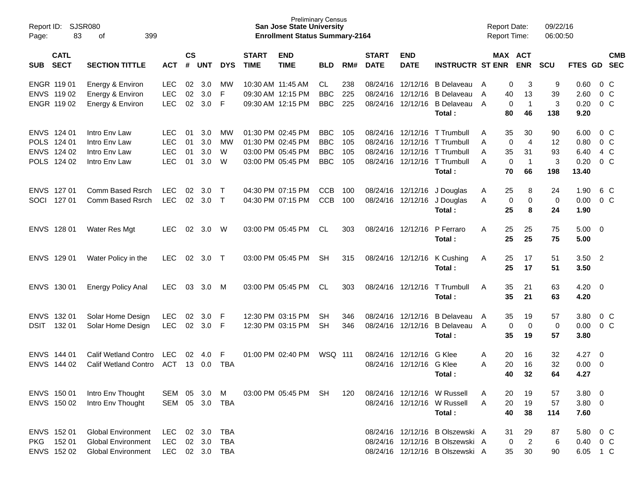| Report ID:<br>Page: | 83                                                       | <b>SJSR080</b><br>399<br>οf                                                         |                                                      |                      |                            |                                        |                             | <b>Preliminary Census</b><br><b>San Jose State University</b><br><b>Enrollment Status Summary-2164</b> |                                                      |                          |                             |                                                                |                                                                                                       | <b>Report Date:</b><br><b>Report Time:</b> |                                                                 | 09/22/16<br>06:00:50                |                                       |                                                |            |
|---------------------|----------------------------------------------------------|-------------------------------------------------------------------------------------|------------------------------------------------------|----------------------|----------------------------|----------------------------------------|-----------------------------|--------------------------------------------------------------------------------------------------------|------------------------------------------------------|--------------------------|-----------------------------|----------------------------------------------------------------|-------------------------------------------------------------------------------------------------------|--------------------------------------------|-----------------------------------------------------------------|-------------------------------------|---------------------------------------|------------------------------------------------|------------|
| <b>SUB</b>          | <b>CATL</b><br><b>SECT</b>                               | <b>SECTION TITTLE</b>                                                               | <b>ACT</b>                                           | <b>CS</b><br>#       | <b>UNT</b>                 | <b>DYS</b>                             | <b>START</b><br><b>TIME</b> | <b>END</b><br><b>TIME</b>                                                                              | <b>BLD</b>                                           | RM#                      | <b>START</b><br><b>DATE</b> | <b>END</b><br><b>DATE</b>                                      | <b>INSTRUCTR ST ENR</b>                                                                               |                                            | MAX ACT<br><b>ENR</b>                                           | <b>SCU</b>                          | FTES GD SEC                           |                                                | <b>CMB</b> |
|                     | ENGR 119 01<br>ENVS 119 02<br>ENGR 119 02                | Energy & Environ<br>Energy & Environ<br>Energy & Environ                            | <b>LEC</b><br><b>LEC</b><br>LEC                      | 02<br>02<br>02       | 3.0<br>3.0<br>3.0          | MW<br>F<br>F                           |                             | 10:30 AM 11:45 AM<br>09:30 AM 12:15 PM<br>09:30 AM 12:15 PM                                            | CL<br><b>BBC</b><br><b>BBC</b>                       | 238<br>225<br>225        | 08/24/16<br>08/24/16        | 08/24/16 12/12/16<br>12/12/16<br>12/12/16                      | B Delaveau<br><b>B</b> Delaveau<br>B Delaveau<br>Total:                                               | A<br>A<br>40<br>A                          | 0<br>3<br>13<br>0<br>$\mathbf 1$<br>80<br>46                    | 9<br>39<br>$\mathbf{3}$<br>138      | 0.60<br>2.60<br>0.20<br>9.20          | 0 C<br>0 <sup>o</sup><br>$0\,C$                |            |
|                     | ENVS 124 01<br>POLS 124 01<br>ENVS 124 02<br>POLS 124 02 | Intro Env Law<br>Intro Env Law<br>Intro Env Law<br>Intro Env Law                    | <b>LEC</b><br><b>LEC</b><br><b>LEC</b><br><b>LEC</b> | 01<br>01<br>01<br>01 | 3.0<br>3.0<br>3.0<br>3.0   | MW<br>MW<br>W<br>W                     |                             | 01:30 PM 02:45 PM<br>01:30 PM 02:45 PM<br>03:00 PM 05:45 PM<br>03:00 PM 05:45 PM                       | <b>BBC</b><br><b>BBC</b><br><b>BBC</b><br><b>BBC</b> | 105<br>105<br>105<br>105 | 08/24/16<br>08/24/16        | 08/24/16 12/12/16<br>12/12/16<br>12/12/16<br>08/24/16 12/12/16 | T Trumbull<br>T Trumbull<br>T Trumbull<br>T Trumbull<br>Total:                                        | 35<br>A<br>A<br>A<br>35<br>A               | 30<br>$\overline{4}$<br>0<br>31<br>0<br>$\mathbf 1$<br>70<br>66 | 90<br>12<br>93<br>$\sqrt{3}$<br>198 | 6.00<br>0.80<br>6.40<br>0.20<br>13.40 | 0 C<br>0 <sup>o</sup><br>4 C<br>0 <sup>o</sup> |            |
| SOCI                | ENVS 127 01<br>127 01                                    | Comm Based Rsrch<br>Comm Based Rsrch                                                | <b>LEC</b><br><b>LEC</b>                             | 02<br>02             | 3.0<br>3.0                 | $\top$<br>$\top$                       |                             | 04:30 PM 07:15 PM<br>04:30 PM 07:15 PM                                                                 | <b>CCB</b><br><b>CCB</b>                             | 100<br>100               |                             | 08/24/16 12/12/16<br>08/24/16 12/12/16                         | J Douglas<br>J Douglas<br>Total:                                                                      | 25<br>A<br>A<br>25                         | 8<br>$\pmb{0}$<br>$\mathbf 0$<br>8                              | 24<br>0<br>24                       | 1.90<br>0.00<br>1.90                  | 6 C<br>0 <sup>o</sup>                          |            |
|                     | ENVS 128 01                                              | Water Res Mgt                                                                       | <b>LEC</b>                                           | 02                   | 3.0                        | W                                      |                             | 03:00 PM 05:45 PM                                                                                      | CL.                                                  | 303                      |                             | 08/24/16 12/12/16                                              | P Ferraro<br>Total:                                                                                   | 25<br>A                                    | 25<br>25<br>25                                                  | 75<br>75                            | $5.00 \t 0$<br>5.00                   |                                                |            |
|                     | ENVS 129 01                                              | Water Policy in the                                                                 | <b>LEC</b>                                           | 02                   | 3.0                        | $\top$                                 |                             | 03:00 PM 05:45 PM                                                                                      | SН                                                   | 315                      |                             | 08/24/16 12/12/16                                              | K Cushing<br>Total:                                                                                   | Α<br>25<br>25                              | 17<br>17                                                        | 51<br>51                            | $3.50$ 2<br>3.50                      |                                                |            |
|                     | ENVS 130 01                                              | <b>Energy Policy Anal</b>                                                           | <b>LEC</b>                                           | 03                   | 3.0                        | M                                      |                             | 03:00 PM 05:45 PM                                                                                      | CL.                                                  | 303                      |                             | 08/24/16 12/12/16                                              | T Trumbull<br>Total:                                                                                  | A<br>35                                    | 21<br>35<br>21                                                  | 63<br>63                            | $4.20 \ 0$<br>4.20                    |                                                |            |
| <b>DSIT</b>         | ENVS 132 01<br>132 01                                    | Solar Home Design<br>Solar Home Design                                              | <b>LEC</b><br><b>LEC</b>                             | 02<br>02             | 3.0<br>3.0                 | F<br>F                                 |                             | 12:30 PM 03:15 PM<br>12:30 PM 03:15 PM                                                                 | SН<br><b>SH</b>                                      | 346<br>346               | 08/24/16                    | 12/12/16<br>08/24/16 12/12/16                                  | <b>B</b> Delaveau<br>B Delaveau<br>Total:                                                             | 35<br>A<br>A                               | 19<br>0<br>0<br>35<br>19                                        | 57<br>0<br>57                       | 3.80<br>0.00<br>3.80                  | 0 C<br>0 <sup>o</sup>                          |            |
|                     | ENVS 144 01<br>ENVS 144 02                               | <b>Calif Wetland Contro</b><br><b>Calif Wetland Contro</b>                          | <b>LEC</b><br><b>ACT</b>                             | 02<br>13             | 4.0<br>0.0                 | F<br><b>TBA</b>                        |                             | 01:00 PM 02:40 PM                                                                                      | WSQ 111                                              |                          | 08/24/16<br>08/24/16        | 12/12/16<br>12/12/16                                           | G Klee<br>G Klee<br>Total:                                                                            | 20<br>A<br>A<br>20                         | 16<br>16<br>40<br>32                                            | 32<br>32<br>64                      | 4.27<br>0.00<br>4.27                  | $\overline{\mathbf{0}}$<br>- 0                 |            |
|                     | ENVS 150 01<br>ENVS 150 02                               | Intro Env Thought<br>Intro Env Thought                                              | SEM<br>SEM 05 3.0                                    | 05                   | 3.0                        | M<br>TBA                               |                             | 03:00 PM 05:45 PM                                                                                      | -SH                                                  | 120                      |                             |                                                                | 08/24/16 12/12/16 W Russell<br>08/24/16 12/12/16 W Russell<br>Total:                                  | 20<br>A<br>A                               | 19<br>19<br>20<br>40<br>38                                      | 57<br>57<br>114                     | 3.80<br>$3.80\ 0$<br>7.60             | $\overline{\phantom{0}}$                       |            |
| PKG                 | ENVS 152 01<br>152 01<br>ENVS 152 02                     | <b>Global Environment</b><br><b>Global Environment</b><br><b>Global Environment</b> | <b>LEC</b><br>LEC<br><b>LEC</b>                      |                      | 02 3.0<br>02 3.0<br>02 3.0 | <b>TBA</b><br><b>TBA</b><br><b>TBA</b> |                             |                                                                                                        |                                                      |                          |                             |                                                                | 08/24/16 12/12/16 B Olszewski A<br>08/24/16 12/12/16 B Olszewski A<br>08/24/16 12/12/16 B Olszewski A | 31                                         | 29<br>$\overline{2}$<br>0<br>30<br>35                           | 87<br>6<br>90                       | 5.80<br>0.40 0 C<br>6.05 1 C          | $0\,$ C                                        |            |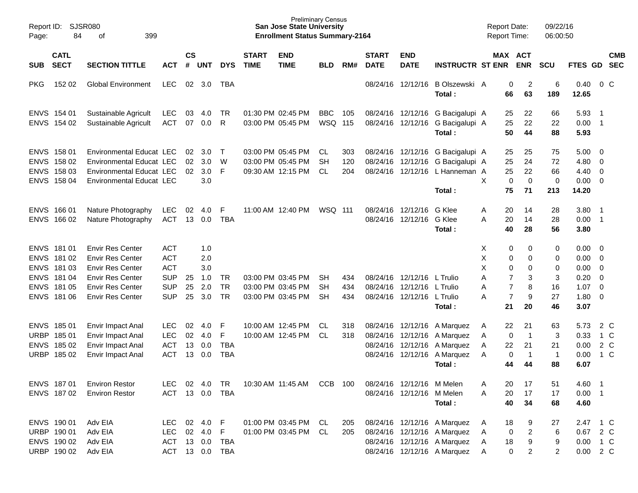| Page:      | Report ID:<br>SJSR080<br>84<br>399<br>οf<br><b>CATL</b><br><b>SECT</b>                 |                                                                                                                                                                |                                                                                  |                      |                                        |                                     |                             | <b>San Jose State University</b><br><b>Enrollment Status Summary-2164</b> | <b>Preliminary Census</b>           |                   |                             |                                                                      |                                                                                                                          | <b>Report Date:</b><br>Report Time: |                                                                                                                 | 09/22/16<br>06:00:50                 |                                                      |                                                                                  |                                |
|------------|----------------------------------------------------------------------------------------|----------------------------------------------------------------------------------------------------------------------------------------------------------------|----------------------------------------------------------------------------------|----------------------|----------------------------------------|-------------------------------------|-----------------------------|---------------------------------------------------------------------------|-------------------------------------|-------------------|-----------------------------|----------------------------------------------------------------------|--------------------------------------------------------------------------------------------------------------------------|-------------------------------------|-----------------------------------------------------------------------------------------------------------------|--------------------------------------|------------------------------------------------------|----------------------------------------------------------------------------------|--------------------------------|
| <b>SUB</b> |                                                                                        | <b>SECTION TITTLE</b>                                                                                                                                          | <b>ACT</b>                                                                       | $\mathsf{cs}$<br>#   | <b>UNT</b>                             | <b>DYS</b>                          | <b>START</b><br><b>TIME</b> | <b>END</b><br><b>TIME</b>                                                 | <b>BLD</b>                          | RM#               | <b>START</b><br><b>DATE</b> | <b>END</b><br><b>DATE</b>                                            | <b>INSTRUCTR ST ENR</b>                                                                                                  |                                     | MAX ACT<br><b>ENR</b>                                                                                           | <b>SCU</b>                           | FTES GD SEC                                          |                                                                                  | <b>CMB</b>                     |
| <b>PKG</b> | 152 02                                                                                 | <b>Global Environment</b>                                                                                                                                      | <b>LEC</b>                                                                       |                      | 02 3.0                                 | TBA                                 |                             |                                                                           |                                     |                   |                             | 08/24/16 12/12/16                                                    | B Olszewski A<br>Total:                                                                                                  |                                     | 0<br>$\overline{c}$<br>66<br>63                                                                                 | 6<br>189                             | 0.40<br>12.65                                        |                                                                                  | $0\,C$                         |
|            | ENVS 154 01<br>ENVS 154 02                                                             | Sustainable Agricult<br>Sustainable Agricult                                                                                                                   | <b>LEC</b><br><b>ACT</b>                                                         | 03<br>07             | 4.0<br>0.0                             | TR.<br>R                            |                             | 01:30 PM 02:45 PM<br>03:00 PM 05:45 PM                                    | <b>BBC</b><br><b>WSQ 115</b>        | 105               |                             | 08/24/16 12/12/16<br>08/24/16 12/12/16                               | G Bacigalupi A<br>G Bacigalupi A<br>Total:                                                                               | 25                                  | 22<br>25<br>22<br>50<br>44                                                                                      | 66<br>22<br>88                       | 5.93<br>0.00<br>5.93                                 | - 1<br>$\overline{\phantom{0}}$ 1                                                |                                |
|            | ENVS 158 01<br>ENVS 158 02<br>ENVS 158 03<br>ENVS 158 04                               | Environmental Educat LEC<br>Environmental Educat LEC<br>Environmental Educat LEC<br>Environmental Educat LEC                                                   |                                                                                  | 02<br>02<br>02       | 3.0<br>3.0<br>3.0<br>3.0               | $\top$<br>W<br>F                    |                             | 03:00 PM 05:45 PM<br>03:00 PM 05:45 PM<br>09:30 AM 12:15 PM               | CL<br><b>SH</b><br><b>CL</b>        | 303<br>120<br>204 |                             | 08/24/16 12/12/16                                                    | 08/24/16 12/12/16 G Bacigalupi A<br>G Bacigalupi A<br>08/24/16 12/12/16 L Hanneman A<br>Total:                           | 25<br>25<br>X                       | 25<br>24<br>25<br>22<br>$\pmb{0}$<br>$\mathbf 0$<br>75<br>71                                                    | 75<br>72<br>66<br>$\mathbf 0$<br>213 | 5.00<br>4.80<br>4.40<br>0.00<br>14.20                | - 0<br>0<br>$\overline{0}$<br>$\overline{0}$                                     |                                |
|            | ENVS 166 01<br>ENVS 166 02                                                             | Nature Photography<br>Nature Photography                                                                                                                       | <b>LEC</b><br><b>ACT</b>                                                         | 02<br>13             | 4.0<br>0.0                             | F<br><b>TBA</b>                     |                             | 11:00 AM 12:40 PM                                                         | WSQ 111                             |                   |                             | 08/24/16 12/12/16<br>08/24/16 12/12/16                               | G Klee<br>G Klee<br>Total:                                                                                               | Α<br>A<br>20                        | 20<br>14<br>14<br>40<br>28                                                                                      | 28<br>28<br>56                       | 3.80<br>0.00<br>3.80                                 | $\overline{\phantom{0}}$ 1<br>$\overline{\phantom{0}}$ 1                         |                                |
|            | ENVS 181 01<br>ENVS 181 02<br>ENVS 181 03<br>ENVS 181 04<br>ENVS 181 05<br>ENVS 181 06 | <b>Envir Res Center</b><br><b>Envir Res Center</b><br><b>Envir Res Center</b><br><b>Envir Res Center</b><br><b>Envir Res Center</b><br><b>Envir Res Center</b> | <b>ACT</b><br><b>ACT</b><br><b>ACT</b><br><b>SUP</b><br><b>SUP</b><br><b>SUP</b> | 25<br>25<br>25       | 1.0<br>2.0<br>3.0<br>1.0<br>2.0<br>3.0 | <b>TR</b><br><b>TR</b><br><b>TR</b> |                             | 03:00 PM 03:45 PM<br>03:00 PM 03:45 PM<br>03:00 PM 03:45 PM               | <b>SH</b><br><b>SH</b><br><b>SH</b> | 434<br>434<br>434 |                             | 08/24/16 12/12/16<br>08/24/16 12/12/16<br>08/24/16 12/12/16 L Trulio | L Trulio<br>L Trulio<br>Total:                                                                                           | Χ<br>Χ<br>Χ<br>A<br>A<br>A<br>21    | 0<br>0<br>0<br>0<br>0<br>$\mathbf 0$<br>$\overline{7}$<br>3<br>$\overline{7}$<br>8<br>$\overline{7}$<br>9<br>20 | 0<br>0<br>0<br>3<br>16<br>27<br>46   | 0.00<br>0.00<br>0.00<br>0.20<br>1.07<br>1.80<br>3.07 | - 0<br>$\overline{0}$<br>0<br>$\overline{0}$<br>$\overline{0}$<br>$\overline{0}$ |                                |
|            | ENVS 185 01<br>URBP 185 01<br>ENVS 185 02<br>URBP 185 02                               | Envir Impact Anal<br>Envir Impact Anal<br>Envir Impact Anal<br>Envir Impact Anal                                                                               | <b>LEC</b><br><b>LEC</b><br><b>ACT</b><br><b>ACT</b>                             | 02<br>02<br>13<br>13 | 4.0<br>4.0<br>0.0<br>0.0               | F<br>F<br><b>TBA</b><br><b>TBA</b>  |                             | 10:00 AM 12:45 PM<br>10:00 AM 12:45 PM                                    | CL.<br><b>CL</b>                    | 318<br>318        |                             | 08/24/16 12/12/16<br>08/24/16 12/12/16<br>08/24/16 12/12/16          | A Marguez<br>A Marguez<br>A Marguez<br>08/24/16 12/12/16 A Marquez<br>Total:                                             | A<br>A<br>A<br>A                    | 22<br>21<br>$\mathbf 0$<br>$\overline{\mathbf{1}}$<br>22<br>21<br>$\mathbf 0$<br>$\mathbf 1$<br>44<br>44        | 63<br>3<br>21<br>$\mathbf{1}$<br>88  | 5.73<br>0.33<br>0.00<br>0.00<br>6.07                 |                                                                                  | 2 C<br>$1\,C$<br>2 C<br>$1\,C$ |
|            | ENVS 187 01<br>ENVS 187 02                                                             | <b>Environ Restor</b><br><b>Environ Restor</b>                                                                                                                 | ACT 13 0.0 TBA                                                                   |                      |                                        |                                     |                             | LEC 02 4.0 TR  10:30 AM  11:45 AM  CCB  100                               |                                     |                   |                             | 08/24/16 12/12/16 M Melen<br>08/24/16 12/12/16 M Melen               | Total:                                                                                                                   | Α<br>A                              | 20<br>17<br>17<br>20<br>40<br>34                                                                                | 51<br>17<br>68                       | 4.60 1<br>$0.00$ 1<br>4.60                           |                                                                                  |                                |
|            | ENVS 190 01<br>URBP 190 01<br>ENVS 190 02<br>URBP 190 02                               | Adv EIA<br>Adv EIA<br>Adv EIA<br>Adv EIA                                                                                                                       | LEC 02 4.0 F<br>LEC 02 4.0 F<br>ACT 13 0.0                                       |                      |                                        | TBA<br>ACT 13 0.0 TBA               |                             | 01:00 PM 03:45 PM CL<br>01:00 PM 03:45 PM CL                              |                                     | 205<br>205        |                             |                                                                      | 08/24/16 12/12/16 A Marquez<br>08/24/16 12/12/16 A Marquez<br>08/24/16 12/12/16 A Marquez<br>08/24/16 12/12/16 A Marquez | A<br>A<br>A<br>- A                  | 18<br>9<br>$\overline{a}$<br>0<br>9<br>18<br>0<br>2                                                             | 27<br>6<br>9<br>$\overline{2}$       | 2.47 1 C<br>0.67 2 C<br>0.00 1 C<br>$0.00$ 2 C       |                                                                                  |                                |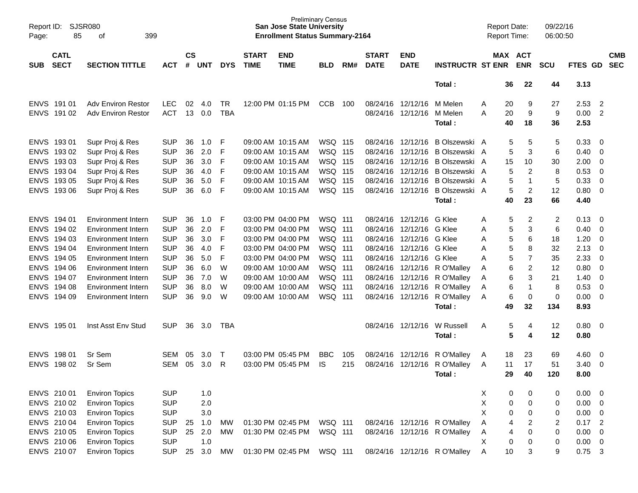| Report ID:<br>Page: | <b>SJSR080</b><br>85       | 399<br>оf                 |            |                    |            |            |                             | <b>San Jose State University</b><br><b>Enrollment Status Summary-2164</b> | <b>Preliminary Census</b> |     |                             |                           |                              | <b>Report Date:</b><br>Report Time: |                              | 09/22/16<br>06:00:50 |             |                          |                          |
|---------------------|----------------------------|---------------------------|------------|--------------------|------------|------------|-----------------------------|---------------------------------------------------------------------------|---------------------------|-----|-----------------------------|---------------------------|------------------------------|-------------------------------------|------------------------------|----------------------|-------------|--------------------------|--------------------------|
| <b>SUB</b>          | <b>CATL</b><br><b>SECT</b> | <b>SECTION TITTLE</b>     | <b>ACT</b> | $\mathsf{cs}$<br># | <b>UNT</b> | <b>DYS</b> | <b>START</b><br><b>TIME</b> | <b>END</b><br><b>TIME</b>                                                 | <b>BLD</b>                | RM# | <b>START</b><br><b>DATE</b> | <b>END</b><br><b>DATE</b> | <b>INSTRUCTR ST ENR</b>      |                                     | MAX ACT<br><b>ENR</b>        | <b>SCU</b>           | FTES GD     |                          | <b>CMB</b><br><b>SEC</b> |
|                     |                            |                           |            |                    |            |            |                             |                                                                           |                           |     |                             |                           | Total:                       | 36                                  | 22                           | 44                   | 3.13        |                          |                          |
|                     | ENVS 191 01                | <b>Adv Environ Restor</b> | <b>LEC</b> | 02                 | 4.0        | TR         |                             | 12:00 PM 01:15 PM                                                         | <b>CCB</b>                | 100 |                             | 08/24/16 12/12/16         | M Melen                      | A                                   | 9<br>20                      | 27                   | 2.53        | $\overline{2}$           |                          |
|                     | ENVS 191 02                | <b>Adv Environ Restor</b> | <b>ACT</b> | 13                 | 0.0        | <b>TBA</b> |                             |                                                                           |                           |     |                             | 08/24/16 12/12/16         | M Melen                      | 20<br>A                             | 9                            | 9                    | 0.00        | $\overline{2}$           |                          |
|                     |                            |                           |            |                    |            |            |                             |                                                                           |                           |     |                             |                           | Total:                       | 40                                  | 18                           | 36                   | 2.53        |                          |                          |
|                     | ENVS 193 01                | Supr Proj & Res           | <b>SUP</b> | 36                 | 1.0        | F          |                             | 09:00 AM 10:15 AM                                                         | WSQ 115                   |     |                             | 08/24/16 12/12/16         | B Olszewski A                |                                     | 5<br>5                       | 5                    | 0.33        | $\overline{0}$           |                          |
| <b>ENVS</b>         | 193 02                     | Supr Proj & Res           | <b>SUP</b> | 36                 | 2.0        | F          |                             | 09:00 AM 10:15 AM                                                         | <b>WSQ 115</b>            |     |                             | 08/24/16 12/12/16         | B Olszewski A                |                                     | 5<br>3                       | 6                    | 0.40        | $\overline{0}$           |                          |
| <b>ENVS</b>         | 193 03                     | Supr Proj & Res           | <b>SUP</b> | 36                 | 3.0        | F          |                             | 09:00 AM 10:15 AM                                                         | <b>WSQ 115</b>            |     |                             | 08/24/16 12/12/16         | B Olszewski A                | 15                                  | 10                           | 30                   | 2.00        | $\overline{0}$           |                          |
|                     | ENVS 193 04                | Supr Proj & Res           | <b>SUP</b> | 36                 | 4.0        | F          |                             | 09:00 AM 10:15 AM                                                         | <b>WSQ 115</b>            |     |                             | 08/24/16 12/12/16         | B Olszewski A                |                                     | $\overline{c}$<br>5          | 8                    | 0.53        | $\mathbf 0$              |                          |
| <b>ENVS</b>         | 193 05                     | Supr Proj & Res           | <b>SUP</b> | 36                 | 5.0        | F          |                             | 09:00 AM 10:15 AM                                                         | <b>WSQ 115</b>            |     |                             | 08/24/16 12/12/16         | B Olszewski A                |                                     | 5<br>1                       | 5                    | 0.33        | $\overline{0}$           |                          |
| <b>ENVS</b>         | 193 06                     | Supr Proj & Res           | <b>SUP</b> | 36                 | 6.0        | F          |                             | 09:00 AM 10:15 AM                                                         | WSQ 115                   |     |                             | 08/24/16 12/12/16         | B Olszewski A                |                                     | 5<br>2                       | 12                   | 0.80        | $\overline{0}$           |                          |
|                     |                            |                           |            |                    |            |            |                             |                                                                           |                           |     |                             |                           | Total:                       | 40                                  | 23                           | 66                   | 4.40        |                          |                          |
|                     | ENVS 194 01                | <b>Environment Intern</b> | <b>SUP</b> | 36                 | 1.0        | F          |                             | 03:00 PM 04:00 PM                                                         | <b>WSQ 111</b>            |     |                             | 08/24/16 12/12/16         | G Klee                       | Α                                   | 5<br>$\overline{2}$          | $\overline{2}$       | 0.13        | - 0                      |                          |
| <b>ENVS</b>         | 194 02                     | <b>Environment Intern</b> | <b>SUP</b> | 36                 | 2.0        | F          |                             | 03:00 PM 04:00 PM                                                         | <b>WSQ 111</b>            |     |                             | 08/24/16 12/12/16         | G Klee                       | Α                                   | 5<br>3                       | 6                    | 0.40        | 0                        |                          |
| <b>ENVS</b>         | 194 03                     | Environment Intern        | <b>SUP</b> | 36                 | 3.0        | F          |                             | 03:00 PM 04:00 PM                                                         | <b>WSQ 111</b>            |     |                             | 08/24/16 12/12/16         | G Klee                       | Α                                   | 5<br>6                       | 18                   | 1.20        | $\mathbf 0$              |                          |
| <b>ENVS</b>         | 194 04                     | <b>Environment Intern</b> | <b>SUP</b> | 36                 | 4.0        | F          |                             | 03:00 PM 04:00 PM                                                         | <b>WSQ 111</b>            |     |                             | 08/24/16 12/12/16         | G Klee                       | Α                                   | 5<br>8                       | 32                   | 2.13        | $\overline{0}$           |                          |
| <b>ENVS</b>         | 194 05                     | Environment Intern        | <b>SUP</b> | 36                 | 5.0        | F          |                             | 03:00 PM 04:00 PM                                                         | <b>WSQ 111</b>            |     |                             | 08/24/16 12/12/16         | G Klee                       | Α                                   | 5<br>7                       | 35                   | 2.33        | $\overline{0}$           |                          |
| <b>ENVS</b>         | 194 06                     | Environment Intern        | <b>SUP</b> | 36                 | 6.0        | W          |                             | 09:00 AM 10:00 AM                                                         | <b>WSQ 111</b>            |     |                             |                           | 08/24/16 12/12/16 R O'Malley | A                                   | 6<br>$\overline{\mathbf{c}}$ | 12                   | 0.80        | $\overline{0}$           |                          |
| <b>ENVS</b>         | 194 07                     | <b>Environment Intern</b> | <b>SUP</b> | 36                 | 7.0        | W          |                             | 09:00 AM 10:00 AM                                                         | <b>WSQ 111</b>            |     |                             |                           | 08/24/16 12/12/16 R O'Malley | A                                   | 6<br>3                       | 21                   | 1.40        | $\overline{0}$           |                          |
| <b>ENVS</b>         | 194 08                     | Environment Intern        | <b>SUP</b> | 36                 | 8.0        | W          |                             | 09:00 AM 10:00 AM                                                         | WSQ 111                   |     |                             | 08/24/16 12/12/16         | R O'Malley                   | A                                   | 6<br>$\mathbf 1$             | 8                    | 0.53        | $\overline{0}$           |                          |
| <b>ENVS</b>         | 194 09                     | Environment Intern        | <b>SUP</b> | 36                 | 9.0        | W          |                             | 09:00 AM 10:00 AM                                                         | WSQ 111                   |     |                             |                           | 08/24/16 12/12/16 R O'Malley | A                                   | 6<br>0                       | 0                    | 0.00        | $\overline{0}$           |                          |
|                     |                            |                           |            |                    |            |            |                             |                                                                           |                           |     |                             |                           | Total:                       | 49                                  | 32                           | 134                  | 8.93        |                          |                          |
| <b>ENVS</b>         | 195 01                     | Inst Asst Env Stud        | <b>SUP</b> | 36                 | 3.0        | TBA        |                             |                                                                           |                           |     |                             | 08/24/16 12/12/16         | W Russell                    | A                                   | 5<br>4                       | 12                   | 0.80        | $\overline{\mathbf{0}}$  |                          |
|                     |                            |                           |            |                    |            |            |                             |                                                                           |                           |     |                             |                           | Total:                       |                                     | 5<br>4                       | 12                   | 0.80        |                          |                          |
|                     | ENVS 198 01                | Sr Sem                    | SEM        | 05                 | 3.0        | $\top$     |                             | 03:00 PM 05:45 PM                                                         | <b>BBC</b>                | 105 |                             | 08/24/16 12/12/16         | R O'Malley                   | 18<br>A                             | 23                           | 69                   | 4.60        | 0                        |                          |
| <b>ENVS</b>         | 198 02                     | Sr Sem                    | <b>SEM</b> | 05                 | 3.0        | R          |                             | 03:00 PM 05:45 PM                                                         | IS                        | 215 |                             | 08/24/16 12/12/16         | R O'Malley                   | 11<br>A                             | 17                           | 51                   | 3.40        | $\overline{0}$           |                          |
|                     |                            |                           |            |                    |            |            |                             |                                                                           |                           |     |                             |                           | Total:                       | 29                                  | 40                           | 120                  | 8.00        |                          |                          |
|                     | ENVS 210 01                | <b>Environ Topics</b>     | <b>SUP</b> |                    | 1.0        |            |                             |                                                                           |                           |     |                             |                           |                              | X                                   | $\pmb{0}$<br>0               | 0                    | 0.00        | - 0                      |                          |
|                     | ENVS 210 02                | <b>Environ Topics</b>     | <b>SUP</b> |                    | 2.0        |            |                             |                                                                           |                           |     |                             |                           |                              | X                                   | $\pmb{0}$<br>0               | 0                    | $0.00 \t 0$ |                          |                          |
|                     | ENVS 210 03                | <b>Environ Topics</b>     | <b>SUP</b> |                    | 3.0        |            |                             |                                                                           |                           |     |                             |                           |                              | X                                   | 0<br>0                       | 0                    | 0.00        | $\overline{\phantom{0}}$ |                          |
|                     | ENVS 210 04                | <b>Environ Topics</b>     | <b>SUP</b> | 25                 | 1.0        | MW         |                             | 01:30 PM 02:45 PM                                                         | <b>WSQ 111</b>            |     |                             |                           | 08/24/16 12/12/16 R O'Malley | Α                                   | 4<br>$\overline{c}$          | 2                    | 0.17        | $\overline{2}$           |                          |
|                     | ENVS 210 05                | <b>Environ Topics</b>     | <b>SUP</b> | 25                 | 2.0        | МW         |                             | 01:30 PM 02:45 PM                                                         | WSQ 111                   |     |                             |                           | 08/24/16 12/12/16 R O'Malley | A                                   | 4<br>0                       | 0                    | 0.00        | $\overline{\mathbf{0}}$  |                          |
|                     | ENVS 210 06                | <b>Environ Topics</b>     | <b>SUP</b> |                    | 1.0        |            |                             |                                                                           |                           |     |                             |                           |                              | Χ                                   | 0<br>0                       | 0                    | $0.00 \t 0$ |                          |                          |
|                     | ENVS 210 07                | <b>Environ Topics</b>     | <b>SUP</b> | 25                 | 3.0        | MW         |                             | 01:30 PM 02:45 PM                                                         | WSQ 111                   |     |                             |                           | 08/24/16 12/12/16 R O'Malley | 10<br>A                             | 3                            | 9                    | $0.75$ 3    |                          |                          |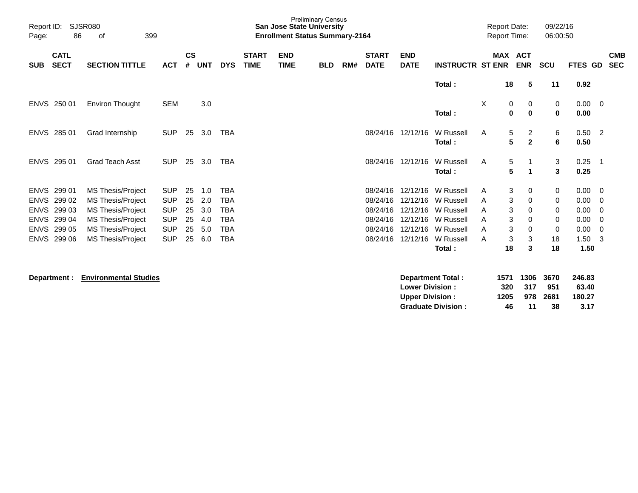| Report ID:<br>Page: | 86                         | <b>SJSR080</b><br>399<br>оf |            |                    |     |            |                             |                           | <b>Preliminary Census</b><br><b>San Jose State University</b><br><b>Enrollment Status Summary-2164</b> |     |                             |                           |                         |              | <b>Report Date:</b><br><b>Report Time:</b> |            | 09/22/16<br>06:00:50 |                     |                          |
|---------------------|----------------------------|-----------------------------|------------|--------------------|-----|------------|-----------------------------|---------------------------|--------------------------------------------------------------------------------------------------------|-----|-----------------------------|---------------------------|-------------------------|--------------|--------------------------------------------|------------|----------------------|---------------------|--------------------------|
| <b>SUB</b>          | <b>CATL</b><br><b>SECT</b> | <b>SECTION TITTLE</b>       | <b>ACT</b> | $\mathsf{cs}$<br># | UNT | <b>DYS</b> | <b>START</b><br><b>TIME</b> | <b>END</b><br><b>TIME</b> | <b>BLD</b>                                                                                             | RM# | <b>START</b><br><b>DATE</b> | <b>END</b><br><b>DATE</b> | <b>INSTRUCTR ST ENR</b> |              | MAX ACT<br><b>ENR</b>                      | <b>SCU</b> |                      | FTES GD             | <b>CMB</b><br><b>SEC</b> |
|                     |                            |                             |            |                    |     |            |                             |                           |                                                                                                        |     |                             |                           | Total:                  |              | 18<br>5                                    |            | 11                   | 0.92                |                          |
|                     | ENVS 250 01                | <b>Environ Thought</b>      | <b>SEM</b> |                    | 3.0 |            |                             |                           |                                                                                                        |     |                             |                           | Total:                  | X            | 0<br>0<br>$\mathbf 0$<br>$\bf{0}$          |            | 0<br>0               | $0.00 \t 0$<br>0.00 |                          |
| <b>ENVS</b>         | 28501                      | Grad Internship             | <b>SUP</b> | 25                 | 3.0 | <b>TBA</b> |                             |                           |                                                                                                        |     |                             | 08/24/16 12/12/16         | W Russell<br>Total:     | $\mathsf{A}$ | 5<br>$\overline{c}$<br>5<br>$\mathbf{2}$   |            | 6<br>6               | $0.50$ 2<br>0.50    |                          |
| <b>ENVS</b>         | 295 01                     | <b>Grad Teach Asst</b>      | <b>SUP</b> | 25                 | 3.0 | <b>TBA</b> |                             |                           |                                                                                                        |     |                             | 08/24/16 12/12/16         | W Russell<br>Total:     | A            | 5<br>1<br>5<br>$\blacktriangleleft$        |            | 3<br>3               | 0.25<br>0.25        | -1                       |
| <b>ENVS</b>         | 299 01                     | MS Thesis/Project           | <b>SUP</b> | 25                 | 1.0 | <b>TBA</b> |                             |                           |                                                                                                        |     | 08/24/16                    | 12/12/16                  | W Russell               | A            | 3<br>0                                     |            | 0                    | 0.00                | - 0                      |
| <b>ENVS</b>         | 299 02                     | <b>MS Thesis/Project</b>    | <b>SUP</b> | 25                 | 2.0 | <b>TBA</b> |                             |                           |                                                                                                        |     | 08/24/16                    | 12/12/16                  | W Russell               | A            | $\ensuremath{\mathsf{3}}$<br>0             |            | 0                    | 0.00                | 0                        |
| <b>ENVS</b>         | 299 03                     | <b>MS Thesis/Project</b>    | <b>SUP</b> | 25                 | 3.0 | <b>TBA</b> |                             |                           |                                                                                                        |     | 08/24/16                    | 12/12/16                  | W Russell               | A            | 3<br>0                                     |            | 0                    | 0.00                | 0                        |
|                     | ENVS 299 04                | <b>MS Thesis/Project</b>    | <b>SUP</b> | 25                 | 4.0 | <b>TBA</b> |                             |                           |                                                                                                        |     | 08/24/16                    | 12/12/16                  | W Russell               | A            | 3<br>0                                     |            | 0                    | 0.00                | 0                        |
|                     | ENVS 299 05                | MS Thesis/Project           | <b>SUP</b> | 25                 | 5.0 | <b>TBA</b> |                             |                           |                                                                                                        |     | 08/24/16                    | 12/12/16                  | W Russell               | A            | 3<br>0                                     |            | 0                    | 0.00                | 0                        |
|                     | ENVS 299 06                | <b>MS Thesis/Project</b>    | <b>SUP</b> | 25                 | 6.0 | <b>TBA</b> |                             |                           |                                                                                                        |     | 08/24/16                    | 12/12/16                  | W Russell               | A            | 3<br>3                                     |            | 18                   | $1.50 \t3$          |                          |
|                     |                            |                             |            |                    |     |            |                             |                           |                                                                                                        |     |                             |                           | Total:                  |              | 18<br>3                                    |            | 18                   | 1.50                |                          |
|                     |                            |                             |            |                    |     |            |                             |                           |                                                                                                        |     |                             |                           |                         |              |                                            |            |                      |                     |                          |

**Department : Environmental Studies** 

| <b>Department Total:</b>  | 1571 |      | 1306 3670 | 246.83 |
|---------------------------|------|------|-----------|--------|
| <b>Lower Division:</b>    | 320  | -317 | 951       | 63.40  |
| <b>Upper Division:</b>    | 1205 |      | 978 2681  | 180.27 |
| <b>Graduate Division:</b> | 46   | 11   | 38        | 3.17   |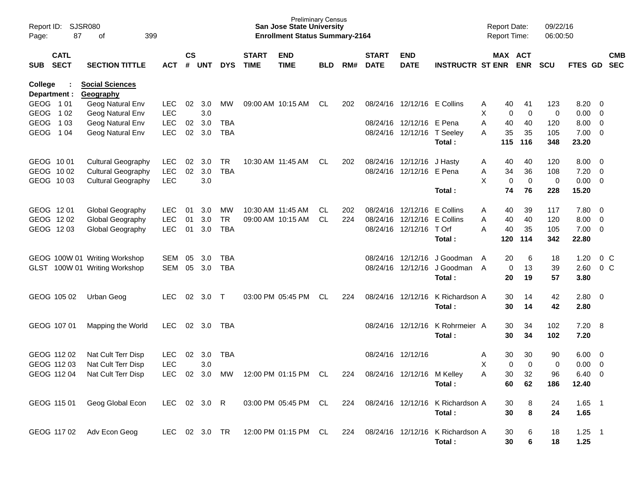| Report ID:<br>Page: | 87                         | SJSR080<br>399<br>οf          |               |               |       |            |                             | <b>Preliminary Census</b><br><b>San Jose State University</b><br><b>Enrollment Status Summary-2164</b> |            |     |                             |                             |                                  | <b>Report Date:</b><br><b>Report Time:</b> |             |             | 09/22/16<br>06:00:50 |               |                          |            |
|---------------------|----------------------------|-------------------------------|---------------|---------------|-------|------------|-----------------------------|--------------------------------------------------------------------------------------------------------|------------|-----|-----------------------------|-----------------------------|----------------------------------|--------------------------------------------|-------------|-------------|----------------------|---------------|--------------------------|------------|
| <b>SUB</b>          | <b>CATL</b><br><b>SECT</b> | <b>SECTION TITTLE</b>         | <b>ACT</b>    | $\mathsf{cs}$ | # UNT | <b>DYS</b> | <b>START</b><br><b>TIME</b> | <b>END</b><br><b>TIME</b>                                                                              | <b>BLD</b> | RM# | <b>START</b><br><b>DATE</b> | <b>END</b><br><b>DATE</b>   | <b>INSTRUCTR ST ENR</b>          | MAX ACT                                    |             | <b>ENR</b>  | <b>SCU</b>           | FTES GD SEC   |                          | <b>CMB</b> |
| College             |                            | <b>Social Sciences</b>        |               |               |       |            |                             |                                                                                                        |            |     |                             |                             |                                  |                                            |             |             |                      |               |                          |            |
|                     | Department :               | Geography                     |               |               |       |            |                             |                                                                                                        |            |     |                             |                             |                                  |                                            |             |             |                      |               |                          |            |
| GEOG 101            |                            | Geog Natural Env              | <b>LEC</b>    | 02            | 3.0   | МW         |                             | 09:00 AM 10:15 AM                                                                                      | CL         | 202 |                             | 08/24/16 12/12/16 E Collins |                                  | A                                          | 40          | 41          | 123                  | 8.20          | $\overline{\phantom{0}}$ |            |
| GEOG                | 102                        | Geog Natural Env              | <b>LEC</b>    |               | 3.0   |            |                             |                                                                                                        |            |     |                             |                             |                                  | X                                          | $\mathbf 0$ | 0           | $\mathbf 0$          | 0.00          | $\overline{0}$           |            |
| <b>GEOG</b>         | 1 0 3                      | Geog Natural Env              | <b>LEC</b>    | 02            | 3.0   | <b>TBA</b> |                             |                                                                                                        |            |     |                             | 08/24/16 12/12/16 E Pena    |                                  | A                                          | 40          | 40          | 120                  | 8.00          | $\overline{0}$           |            |
| GEOG 104            |                            | Geog Natural Env              | <b>LEC</b>    | 02            | 3.0   | <b>TBA</b> |                             |                                                                                                        |            |     |                             | 08/24/16 12/12/16 T Seeley  | Total :                          | A                                          | 35<br>115   | 35<br>116   | 105<br>348           | 7.00<br>23.20 | $\overline{\mathbf{0}}$  |            |
| GEOG 1001           |                            | <b>Cultural Geography</b>     | <b>LEC</b>    | 02            | 3.0   | TR         | 10:30 AM 11:45 AM           |                                                                                                        | CL.        | 202 |                             | 08/24/16 12/12/16 J Hasty   |                                  | A                                          | 40          | 40          | 120                  | 8.00          | $\overline{\mathbf{0}}$  |            |
| GEOG 1002           |                            | <b>Cultural Geography</b>     | LEC           | 02            | 3.0   | <b>TBA</b> |                             |                                                                                                        |            |     |                             | 08/24/16 12/12/16 E Pena    |                                  | Α                                          | 34          | 36          | 108                  | 7.20          | $\overline{0}$           |            |
| GEOG 1003           |                            | <b>Cultural Geography</b>     | <b>LEC</b>    |               | 3.0   |            |                             |                                                                                                        |            |     |                             |                             |                                  | X                                          | $\mathbf 0$ | $\mathbf 0$ | $\mathbf 0$          | 0.00          | $\overline{\phantom{0}}$ |            |
|                     |                            |                               |               |               |       |            |                             |                                                                                                        |            |     |                             |                             | Total:                           |                                            | 74          | 76          | 228                  | 15.20         |                          |            |
| GEOG 1201           |                            | Global Geography              | <b>LEC</b>    | 01            | 3.0   | MW         | 10:30 AM 11:45 AM           |                                                                                                        | CL.        | 202 |                             | 08/24/16 12/12/16           | E Collins                        | A                                          | 40          | 39          | 117                  | 7.80          | $\overline{\mathbf{0}}$  |            |
| GEOG 1202           |                            | Global Geography              | <b>LEC</b>    | 01            | 3.0   | <b>TR</b>  | 09:00 AM 10:15 AM           |                                                                                                        | CL.        | 224 |                             | 08/24/16 12/12/16           | E Collins                        | A                                          | 40          | 40          | 120                  | 8.00          | $\overline{0}$           |            |
| GEOG 1203           |                            | Global Geography              | <b>LEC</b>    | 01            | 3.0   | <b>TBA</b> |                             |                                                                                                        |            |     |                             | 08/24/16 12/12/16           | T Orf                            | A                                          | 40          | 35          | 105                  | 7.00          | $\overline{\mathbf{0}}$  |            |
|                     |                            |                               |               |               |       |            |                             |                                                                                                        |            |     |                             |                             | Total:                           |                                            | 120         | 114         | 342                  | 22.80         |                          |            |
|                     |                            | GEOG 100W 01 Writing Workshop | <b>SEM</b>    | 05            | 3.0   | TBA        |                             |                                                                                                        |            |     | 08/24/16                    | 12/12/16                    | J Goodman                        | A                                          | 20          | 6           | 18                   | 1.20          | $0\,C$                   |            |
|                     |                            | GLST 100W 01 Writing Workshop | SEM           | 05            | 3.0   | <b>TBA</b> |                             |                                                                                                        |            |     |                             |                             | 08/24/16 12/12/16 J Goodman      | A                                          | 0           | 13          | 39                   | 2.60          | 0 <sup>C</sup>           |            |
|                     |                            |                               |               |               |       |            |                             |                                                                                                        |            |     |                             |                             | Total:                           |                                            | 20          | 19          | 57                   | 3.80          |                          |            |
|                     | GEOG 105 02                | Urban Geog                    | <b>LEC</b>    | 02            | 3.0   | $\top$     |                             | 03:00 PM 05:45 PM                                                                                      | CL         | 224 |                             | 08/24/16 12/12/16           | K Richardson A                   |                                            | 30          | 14          | 42                   | 2.80          | $\overline{\mathbf{0}}$  |            |
|                     |                            |                               |               |               |       |            |                             |                                                                                                        |            |     |                             |                             | Total :                          |                                            | 30          | 14          | 42                   | 2.80          |                          |            |
|                     | GEOG 107 01                | Mapping the World             | <b>LEC</b>    | 02            | 3.0   | TBA        |                             |                                                                                                        |            |     | 08/24/16                    | 12/12/16                    | K Rohrmeier A                    |                                            | 30          | 34          | 102                  | 7.20          | - 8                      |            |
|                     |                            |                               |               |               |       |            |                             |                                                                                                        |            |     |                             |                             | Total:                           |                                            | 30          | 34          | 102                  | 7.20          |                          |            |
|                     | GEOG 112 02                | Nat Cult Terr Disp            | <b>LEC</b>    | 02            | 3.0   | <b>TBA</b> |                             |                                                                                                        |            |     | 08/24/16 12/12/16           |                             |                                  | Α                                          | 30          | 30          | 90                   | 6.00          | $\overline{\mathbf{0}}$  |            |
|                     | GEOG 112 03                | Nat Cult Terr Disp            | <b>LEC</b>    |               | 3.0   |            |                             |                                                                                                        |            |     |                             |                             |                                  | X                                          | 0           | $\mathbf 0$ | 0                    | 0.00          | $\overline{0}$           |            |
|                     | GEOG 112 04                | Nat Cult Terr Disp            | <b>LEC</b>    | 02            | 3.0   | MW         |                             | 12:00 PM 01:15 PM                                                                                      | CL         | 224 |                             | 08/24/16 12/12/16 M Kelley  |                                  | A                                          | 30          | 32          | 96                   | 6.40          | $\mathbf 0$              |            |
|                     |                            |                               |               |               |       |            |                             |                                                                                                        |            |     |                             |                             | Total:                           |                                            | 60          | 62          | 186                  | 12.40         |                          |            |
|                     | GEOG 115 01                | Geog Global Econ              | LEC 02 3.0 R  |               |       |            |                             | 03:00 PM 05:45 PM CL                                                                                   |            | 224 |                             |                             | 08/24/16 12/12/16 K Richardson A |                                            | 30          | 8           | 24                   | $1.65$ 1      |                          |            |
|                     |                            |                               |               |               |       |            |                             |                                                                                                        |            |     |                             |                             | Total:                           |                                            | 30          | 8           | 24                   | 1.65          |                          |            |
|                     |                            |                               |               |               |       |            |                             |                                                                                                        |            |     |                             |                             |                                  |                                            |             |             |                      |               |                          |            |
|                     | GEOG 117 02                | Adv Econ Geog                 | LEC 02 3.0 TR |               |       |            |                             | 12:00 PM 01:15 PM CL                                                                                   |            | 224 | 08/24/16 12/12/16           |                             | K Richardson A                   |                                            | 30          | 6           | 18                   | $1.25 - 1$    |                          |            |
|                     |                            |                               |               |               |       |            |                             |                                                                                                        |            |     |                             |                             | Total:                           |                                            | 30          | 6           | 18                   | 1.25          |                          |            |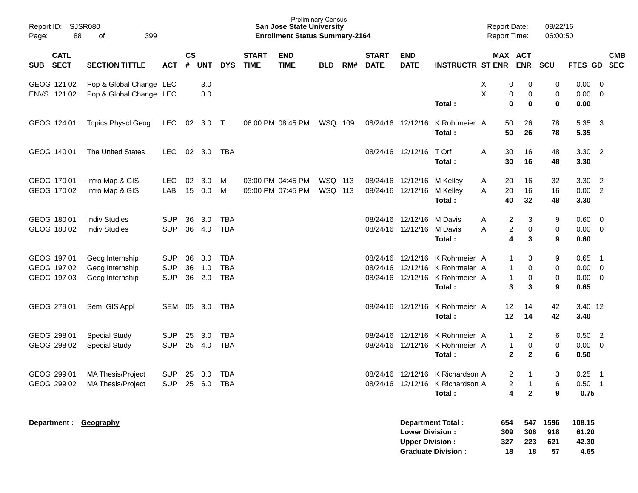| Report ID:<br>88<br>Page:                 | <b>SJSR080</b><br>399<br>οf                                    |                                        |                    |                   |                                        |                             | <b>San Jose State University</b><br><b>Enrollment Status Summary-2164</b> | <b>Preliminary Census</b>        |     |                             |                                                  |                                                                                               | <b>Report Date:</b><br>Report Time: |                                       |                                                                | 09/22/16<br>06:00:50     |                                  |                                                              |                          |
|-------------------------------------------|----------------------------------------------------------------|----------------------------------------|--------------------|-------------------|----------------------------------------|-----------------------------|---------------------------------------------------------------------------|----------------------------------|-----|-----------------------------|--------------------------------------------------|-----------------------------------------------------------------------------------------------|-------------------------------------|---------------------------------------|----------------------------------------------------------------|--------------------------|----------------------------------|--------------------------------------------------------------|--------------------------|
| <b>CATL</b><br><b>SECT</b><br><b>SUB</b>  | <b>SECTION TITTLE</b>                                          | <b>ACT</b>                             | $\mathsf{cs}$<br># | <b>UNT</b>        | <b>DYS</b>                             | <b>START</b><br><b>TIME</b> | <b>END</b><br><b>TIME</b>                                                 | <b>BLD</b>                       | RM# | <b>START</b><br><b>DATE</b> | <b>END</b><br><b>DATE</b>                        | <b>INSTRUCTR ST ENR</b>                                                                       |                                     |                                       | MAX ACT<br><b>ENR</b>                                          | SCU                      | FTES GD                          |                                                              | <b>CMB</b><br><b>SEC</b> |
| GEOG 121 02<br>ENVS 121 02                | Pop & Global Change LEC<br>Pop & Global Change LEC             |                                        |                    | 3.0<br>3.0        |                                        |                             |                                                                           |                                  |     |                             |                                                  | Total:                                                                                        | X<br>X                              | 0<br>0<br>0                           | 0<br>0<br>0                                                    | 0<br>0<br>0              | 0.00<br>0.00<br>0.00             | $\overline{\mathbf{0}}$<br>$\overline{\mathbf{0}}$           |                          |
| GEOG 124 01                               | <b>Topics Physcl Geog</b>                                      | <b>LEC</b>                             | 02                 | 3.0               | $\top$                                 |                             | 06:00 PM 08:45 PM                                                         | WSQ 109                          |     |                             | 08/24/16 12/12/16                                | K Rohrmeier A<br>Total:                                                                       |                                     | 50<br>50                              | 26<br>26                                                       | 78<br>78                 | 5.35<br>5.35                     | $\overline{\mathbf{3}}$                                      |                          |
| GEOG 140 01                               | <b>The United States</b>                                       | <b>LEC</b>                             | 02                 | 3.0               | TBA                                    |                             |                                                                           |                                  |     |                             | 08/24/16 12/12/16                                | T Orf<br>Total:                                                                               | A                                   | 30<br>30                              | 16<br>16                                                       | 48<br>48                 | $3.30$ 2<br>3.30                 |                                                              |                          |
| GEOG 170 01<br>GEOG 170 02                | Intro Map & GIS<br>Intro Map & GIS                             | <b>LEC</b><br>LAB                      | 02<br>15           | 3.0<br>0.0        | м<br>M                                 |                             | 03:00 PM 04:45 PM<br>05:00 PM 07:45 PM                                    | <b>WSQ 113</b><br><b>WSQ 113</b> |     | 08/24/16                    | 12/12/16 M Kelley<br>08/24/16 12/12/16           | M Kelley<br>Total:                                                                            | A<br>A                              | 20<br>20<br>40                        | 16<br>16<br>32                                                 | 32<br>16<br>48           | 3.30<br>0.00<br>3.30             | $\overline{2}$<br>$\overline{2}$                             |                          |
| GEOG 180 01<br>GEOG 180 02                | <b>Indiv Studies</b><br><b>Indiv Studies</b>                   | <b>SUP</b><br><b>SUP</b>               | 36<br>36           | 3.0<br>4.0        | <b>TBA</b><br><b>TBA</b>               |                             |                                                                           |                                  |     | 08/24/16                    | 12/12/16<br>08/24/16 12/12/16                    | M Davis<br>M Davis<br>Total:                                                                  | A<br>Α                              | $\overline{c}$<br>$\overline{c}$<br>4 | 3<br>0<br>3                                                    | 9<br>0<br>9              | 0.60<br>0.00<br>0.60             | $\overline{0}$<br>$\overline{\mathbf{0}}$                    |                          |
| GEOG 197 01<br>GEOG 197 02<br>GEOG 197 03 | Geog Internship<br>Geog Internship<br>Geog Internship          | <b>SUP</b><br><b>SUP</b><br><b>SUP</b> | 36<br>36<br>36     | 3.0<br>1.0<br>2.0 | <b>TBA</b><br><b>TBA</b><br><b>TBA</b> |                             |                                                                           |                                  |     | 08/24/16<br>08/24/16        |                                                  | 12/12/16 K Rohrmeier A<br>12/12/16 K Rohrmeier A<br>08/24/16 12/12/16 K Rohrmeier A<br>Total: |                                     | 1<br>1<br>1<br>3                      | 3<br>0<br>0<br>3                                               | 9<br>0<br>0<br>9         | 0.65<br>0.00<br>0.00<br>0.65     | $\overline{\phantom{1}}$<br>$\overline{0}$<br>$\overline{0}$ |                          |
| GEOG 279 01                               | Sem: GIS Appl                                                  | SEM                                    | 05                 | 3.0               | TBA                                    |                             |                                                                           |                                  |     |                             |                                                  | 08/24/16 12/12/16 K Rohrmeier A<br>Total:                                                     |                                     | 12<br>12                              | 14<br>14                                                       | 42<br>42                 | 3.40 12<br>3.40                  |                                                              |                          |
| GEOG 298 01<br>GEOG 298 02                | <b>Special Study</b><br><b>Special Study</b>                   | <b>SUP</b><br><b>SUP</b>               | 25                 | 3.0<br>25 4.0     | TBA<br><b>TBA</b>                      |                             |                                                                           |                                  |     | 08/24/16                    |                                                  | 12/12/16 K Rohrmeier A<br>08/24/16 12/12/16 K Rohrmeier A<br>Total:                           |                                     | 1<br>1<br>$\mathbf{2}$                | 2<br>0<br>$\mathbf{2}$                                         | 6<br>0<br>6              | 0.50<br>0.00<br>0.50             | $\overline{2}$<br>0                                          |                          |
|                                           | GEOG 299 01 MA Thesis/Project<br>GEOG 299 02 MA Thesis/Project | SUP 25 3.0 TBA<br>SUP 25 6.0 TBA       |                    |                   |                                        |                             |                                                                           |                                  |     |                             |                                                  | 08/24/16 12/12/16 K Richardson A<br>08/24/16 12/12/16 K Richardson A<br>Total:                |                                     | $2^{\circ}$<br>2<br>4                 | $\overline{1}$<br>$\overline{\phantom{0}}$ 1<br>$\overline{2}$ | 3<br>6<br>9              | $0.25$ 1<br>$0.50$ 1<br>0.75     |                                                              |                          |
| Department : Geography                    |                                                                |                                        |                    |                   |                                        |                             |                                                                           |                                  |     |                             | <b>Lower Division:</b><br><b>Upper Division:</b> | <b>Department Total:</b><br><b>Graduate Division:</b>                                         |                                     | 654<br>309<br>327<br>18               | 547<br>306<br>223<br>18                                        | 1596<br>918<br>621<br>57 | 108.15<br>61.20<br>42.30<br>4.65 |                                                              |                          |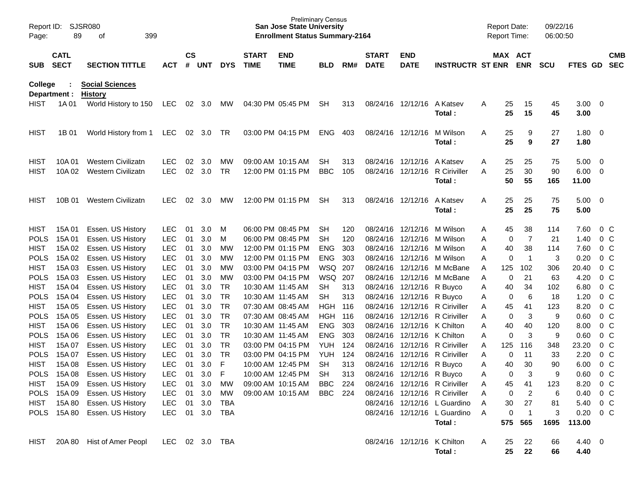| Page:                      | SJSR080<br>Report ID:<br>89<br>399<br>οf<br><b>CATL</b><br><b>SECT</b><br><b>SECTION TITTLE</b> |                                          |                          |                |                |                        |                             | <b>Preliminary Census</b><br><b>San Jose State University</b><br><b>Enrollment Status Summary-2164</b> |            |            |                             |                             |                                     |        | <b>Report Date:</b><br><b>Report Time:</b> |                       | 09/22/16<br>06:00:50 |                        |                                  |                          |
|----------------------------|-------------------------------------------------------------------------------------------------|------------------------------------------|--------------------------|----------------|----------------|------------------------|-----------------------------|--------------------------------------------------------------------------------------------------------|------------|------------|-----------------------------|-----------------------------|-------------------------------------|--------|--------------------------------------------|-----------------------|----------------------|------------------------|----------------------------------|--------------------------|
| <b>SUB</b>                 |                                                                                                 |                                          | <b>ACT</b>               | <b>CS</b><br># | UNT            | <b>DYS</b>             | <b>START</b><br><b>TIME</b> | <b>END</b><br><b>TIME</b>                                                                              | <b>BLD</b> | RM#        | <b>START</b><br><b>DATE</b> | <b>END</b><br><b>DATE</b>   | <b>INSTRUCTR ST ENR</b>             |        |                                            | MAX ACT<br><b>ENR</b> | <b>SCU</b>           | FTES GD                |                                  | <b>CMB</b><br><b>SEC</b> |
| <b>College</b>             | Department :                                                                                    | <b>Social Sciences</b><br><b>History</b> |                          |                |                |                        |                             |                                                                                                        |            |            |                             |                             |                                     |        |                                            |                       |                      |                        |                                  |                          |
| <b>HIST</b>                | 1A 01                                                                                           | World History to 150                     | LEC                      |                | 02 3.0         | МW                     |                             | 04:30 PM 05:45 PM                                                                                      | <b>SH</b>  | 313        |                             | 08/24/16 12/12/16           | A Katsev<br>Total:                  | Α      | 25<br>25                                   | 15<br>15              | 45<br>45             | 3.00<br>3.00           | - 0                              |                          |
| <b>HIST</b>                | 1B 01                                                                                           | World History from 1                     | LEC                      | 02             | 3.0            | TR.                    |                             | 03:00 PM 04:15 PM                                                                                      | ENG        | 403        | 08/24/16 12/12/16           |                             | M Wilson<br>Total:                  | Α      | 25<br>25                                   | 9<br>9                | 27<br>27             | 1.80<br>1.80           | - 0                              |                          |
| <b>HIST</b>                | 10A 01                                                                                          | <b>Western Civilizatn</b>                | <b>LEC</b>               | 02             | 3.0            | MW                     |                             | 09:00 AM 10:15 AM                                                                                      | <b>SH</b>  | 313        |                             | 08/24/16 12/12/16           | A Katsev                            | Α      | 25                                         | 25                    | 75                   | 5.00                   | - 0                              |                          |
| <b>HIST</b>                | 10A 02                                                                                          | <b>Western Civilizatn</b>                | <b>LEC</b>               | 02             | 3.0            | TR                     |                             | 12:00 PM 01:15 PM                                                                                      | <b>BBC</b> | 105        | 08/24/16 12/12/16           |                             | <b>R</b> Ciriviller<br>Total:       | A      | 25<br>50                                   | 30<br>55              | 90<br>165            | 6.00<br>11.00          | - 0                              |                          |
| HIST                       | 10B 01                                                                                          | <b>Western Civilizatn</b>                | <b>LEC</b>               | 02             | 3.0            | MW                     |                             | 12:00 PM 01:15 PM                                                                                      | <b>SH</b>  | 313        | 08/24/16 12/12/16           |                             | A Katsev<br>Total:                  | Α      | 25<br>25                                   | 25<br>25              | 75<br>75             | 5.00<br>5.00           | - 0                              |                          |
| <b>HIST</b>                | 15A 01                                                                                          | Essen. US History                        | <b>LEC</b>               | 01             | 3.0            | M                      |                             | 06:00 PM 08:45 PM                                                                                      | <b>SH</b>  | 120        |                             | 08/24/16 12/12/16           | M Wilson                            | Α      | 45                                         | 38                    | 114                  | 7.60                   | 0 <sup>o</sup>                   |                          |
| <b>POLS</b>                | 15A 01                                                                                          | Essen. US History                        | <b>LEC</b>               | 01             | 3.0            | м                      |                             | 06:00 PM 08:45 PM                                                                                      | <b>SH</b>  | 120        |                             | 08/24/16 12/12/16           | M Wilson                            | Α      | 0                                          | $\overline{7}$        | 21                   | 1.40                   | 0 <sup>o</sup>                   |                          |
| <b>HIST</b>                | 15A 02                                                                                          | Essen. US History                        | <b>LEC</b>               | 01             | 3.0            | MW                     |                             | 12:00 PM 01:15 PM                                                                                      | <b>ENG</b> | 303        |                             | 08/24/16 12/12/16           | M Wilson                            | A      | 40                                         | 38                    | 114                  | 7.60                   | 0 <sup>o</sup>                   |                          |
| <b>POLS</b>                | 15A 02                                                                                          | Essen. US History                        | <b>LEC</b>               | 01             | 3.0            | MW                     |                             | 12:00 PM 01:15 PM                                                                                      | <b>ENG</b> | 303        |                             | 08/24/16 12/12/16           | M Wilson                            | Α      | 0                                          | $\overline{1}$        | 3                    | 0.20                   | 0 <sup>o</sup>                   |                          |
| <b>HIST</b>                | 15A 03                                                                                          | Essen. US History                        | <b>LEC</b>               | 01             | 3.0            | MW                     |                             | 03:00 PM 04:15 PM                                                                                      | WSQ        | 207        | 08/24/16                    | 12/12/16                    | M McBane                            | A      | 125                                        | 102                   | 306                  | 20.40                  | 0 <sup>o</sup>                   |                          |
| <b>POLS</b>                | 15A 03                                                                                          | Essen. US History                        | <b>LEC</b>               | 01             | 3.0            | MW                     |                             | 03:00 PM 04:15 PM                                                                                      | WSQ        | 207        |                             | 08/24/16 12/12/16           | M McBane                            | Α      | 0                                          | 21                    | 63                   | 4.20                   | 0 <sup>o</sup>                   |                          |
| <b>HIST</b>                | 15A 04                                                                                          | Essen. US History                        | <b>LEC</b>               | 01             | 3.0            | TR                     |                             | 10:30 AM 11:45 AM                                                                                      | <b>SH</b>  | 313        |                             | 08/24/16 12/12/16           | R Buyco                             | Α      | 40                                         | 34                    | 102                  | 6.80                   | 0 <sup>o</sup>                   |                          |
| <b>POLS</b>                | 15A 04                                                                                          | Essen. US History                        | <b>LEC</b>               | 01             | 3.0            | <b>TR</b>              |                             | 10:30 AM 11:45 AM                                                                                      | <b>SH</b>  | 313        |                             | 08/24/16 12/12/16           | R Buyco                             | Α      | 0                                          | 6                     | 18                   | 1.20                   | 0 <sup>o</sup>                   |                          |
| <b>HIST</b>                | 15A 05                                                                                          | Essen. US History                        | <b>LEC</b>               | 01             | 3.0            | <b>TR</b>              |                             | 07:30 AM 08:45 AM                                                                                      | HGH        | 116        |                             | 08/24/16 12/12/16           | <b>R</b> Ciriviller                 | A      | 45                                         | 41                    | 123                  | 8.20                   | 0 <sup>o</sup>                   |                          |
| <b>POLS</b>                | 15A 05                                                                                          | Essen. US History                        | <b>LEC</b>               | 01             | 3.0            | <b>TR</b>              |                             | 07:30 AM 08:45 AM                                                                                      | HGH        | 116        |                             | 08/24/16 12/12/16           | <b>R</b> Ciriviller                 | A      | 0                                          | 3                     | 9                    | 0.60                   | 0 <sup>o</sup>                   |                          |
| <b>HIST</b>                | 15A 06                                                                                          | Essen. US History                        | <b>LEC</b>               | 01             | 3.0            | <b>TR</b>              |                             | 10:30 AM 11:45 AM                                                                                      | <b>ENG</b> | 303        | 08/24/16                    | 12/12/16                    | K Chilton                           | Α      | 40                                         | 40                    | 120                  | 8.00                   | 0 <sup>o</sup>                   |                          |
| <b>POLS</b>                | 15A 06                                                                                          | Essen. US History                        | <b>LEC</b>               | 01             | 3.0            | <b>TR</b>              |                             | 10:30 AM 11:45 AM                                                                                      | <b>ENG</b> | 303        | 08/24/16<br>08/24/16        | 12/12/16                    | K Chilton                           | Α      | 0                                          | 3                     | 9                    | 0.60                   | 0 <sup>o</sup>                   |                          |
| <b>HIST</b><br><b>POLS</b> | 15A 07<br>15A 07                                                                                | Essen. US History<br>Essen. US History   | <b>LEC</b><br><b>LEC</b> | 01<br>01       | 3.0<br>3.0     | <b>TR</b><br><b>TR</b> |                             | 03:00 PM 04:15 PM<br>03:00 PM 04:15 PM                                                                 | YUH<br>YUH | 124<br>124 | 08/24/16                    | 12/12/16<br>12/12/16        | <b>R</b> Ciriviller<br>R Ciriviller | A<br>Α | 125<br>0                                   | 116<br>11             | 348<br>33            | 23.20<br>2.20          | 0 <sup>o</sup><br>0 <sup>o</sup> |                          |
| <b>HIST</b>                | 15A 08                                                                                          | Essen. US History                        | <b>LEC</b>               | 01             | 3.0            | F                      |                             | 10:00 AM 12:45 PM                                                                                      | <b>SH</b>  | 313        | 08/24/16                    | 12/12/16                    | R Buyco                             | Α      | 40                                         | 30                    | 90                   | 6.00                   | 0 <sup>o</sup>                   |                          |
| <b>POLS</b>                | 15A 08                                                                                          | Essen. US History                        | <b>LEC</b>               | 01             | 3.0            | F                      |                             | 10:00 AM 12:45 PM                                                                                      | <b>SH</b>  | 313        |                             | 08/24/16 12/12/16           | R Buyco                             | Α      | 0                                          | 3                     | 9                    | 0.60                   | 0 <sup>o</sup>                   |                          |
|                            | HIST 15A 09                                                                                     | Essen. US History                        | LEC.                     | 01             | 3.0            | MW                     |                             | 09:00 AM 10:15 AM                                                                                      | BBC 224    |            |                             |                             | 08/24/16 12/12/16 R Ciriviller      |        | 45                                         | 41                    | 123                  | 8.20                   | 0 <sup>o</sup>                   |                          |
|                            | POLS 15A 09                                                                                     | Essen. US History                        | <b>LEC</b>               |                | 01 3.0         | MW                     |                             | 09:00 AM 10:15 AM                                                                                      | BBC 224    |            |                             |                             | 08/24/16 12/12/16 R Ciriviller      | Α      | 0                                          | $\overline{c}$        | 6                    | 0.40                   | 0 <sup>o</sup>                   |                          |
|                            |                                                                                                 | HIST 15A 80 Essen. US History            | LEC                      |                | $01 \quad 3.0$ | TBA                    |                             |                                                                                                        |            |            |                             |                             | 08/24/16 12/12/16 L Guardino        | A      | $30\,$                                     | 27                    | 81                   | 5.40                   | $0\,C$                           |                          |
|                            |                                                                                                 | POLS 15A 80 Essen. US History            | LEC                      |                | 01 3.0 TBA     |                        |                             |                                                                                                        |            |            |                             |                             | 08/24/16 12/12/16 L Guardino        | Α      | 0                                          | $\overline{1}$        | 3                    | 0.20                   | $0\,$ C                          |                          |
|                            |                                                                                                 |                                          |                          |                |                |                        |                             |                                                                                                        |            |            |                             |                             | Total:                              |        |                                            | 575 565               | 1695                 | 113.00                 |                                  |                          |
| HIST                       |                                                                                                 | 20A 80 Hist of Amer Peopl                | LEC 02 3.0 TBA           |                |                |                        |                             |                                                                                                        |            |            |                             | 08/24/16 12/12/16 K Chilton | Total:                              | A      | 25<br>25                                   | 22<br>22              | 66<br>66             | $4.40 \quad 0$<br>4.40 |                                  |                          |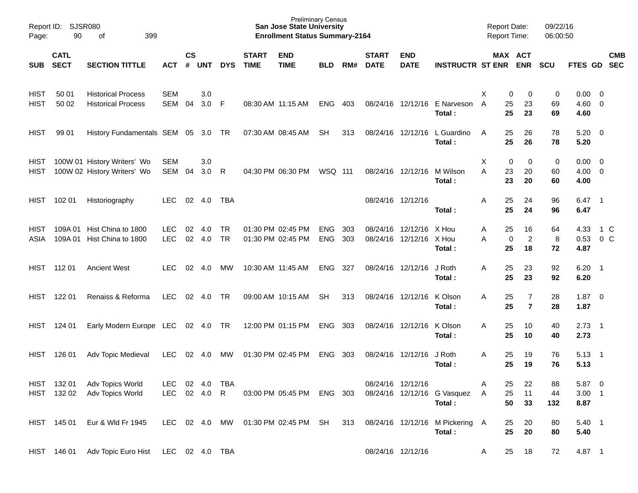| Page:                      | Report ID: SJSR080<br>90   | 399<br>of                                                  |                          |                    |                  |                        |                             | <b>Preliminary Census</b><br><b>San Jose State University</b><br><b>Enrollment Status Summary-2164</b> |                          |            |                             |                                              |                                           |         | <b>Report Date:</b><br><b>Report Time:</b>   | 09/22/16<br>06:00:50 |                                   |                            |            |
|----------------------------|----------------------------|------------------------------------------------------------|--------------------------|--------------------|------------------|------------------------|-----------------------------|--------------------------------------------------------------------------------------------------------|--------------------------|------------|-----------------------------|----------------------------------------------|-------------------------------------------|---------|----------------------------------------------|----------------------|-----------------------------------|----------------------------|------------|
| <b>SUB</b>                 | <b>CATL</b><br><b>SECT</b> | <b>SECTION TITTLE</b>                                      | <b>ACT</b>               | $\mathsf{cs}$<br># | <b>UNT</b>       | <b>DYS</b>             | <b>START</b><br><b>TIME</b> | <b>END</b><br><b>TIME</b>                                                                              | <b>BLD</b>               | RM#        | <b>START</b><br><b>DATE</b> | <b>END</b><br><b>DATE</b>                    | <b>INSTRUCTR ST ENR</b>                   |         | MAX ACT<br><b>ENR</b>                        | <b>SCU</b>           | FTES GD SEC                       |                            | <b>CMB</b> |
| <b>HIST</b><br><b>HIST</b> | 50 01<br>50 02             | <b>Historical Process</b><br><b>Historical Process</b>     | <b>SEM</b><br><b>SEM</b> | 04                 | 3.0<br>3.0 F     |                        |                             | 08:30 AM 11:15 AM                                                                                      | <b>ENG</b>               | 403        |                             | 08/24/16 12/12/16                            | E Narveson<br>Total:                      | X.<br>A | 0<br>0<br>25<br>23<br>25<br>23               | 0<br>69<br>69        | $0.00 \t 0$<br>$4.60$ 0<br>4.60   |                            |            |
| <b>HIST</b>                | 99 01                      | History Fundamentals SEM 05 3.0 TR                         |                          |                    |                  |                        |                             | 07:30 AM 08:45 AM                                                                                      | SH                       | 313        |                             | 08/24/16 12/12/16                            | L Guardino<br>Total:                      | A       | 25<br>26<br>25<br>26                         | 78<br>78             | $5.20 \ 0$<br>5.20                |                            |            |
| <b>HIST</b><br>HIST        |                            | 100W 01 History Writers' Wo<br>100W 02 History Writers' Wo | SEM<br>SEM               | 04                 | 3.0<br>3.0       | $\mathsf{R}$           |                             | 04:30 PM 06:30 PM                                                                                      | <b>WSQ 111</b>           |            |                             | 08/24/16 12/12/16                            | M Wilson<br>Total:                        | Χ<br>A  | 0<br>$\mathbf 0$<br>23<br>20<br>23<br>20     | 0<br>60<br>60        | $0.00 \t 0$<br>$4.00 \ 0$<br>4.00 |                            |            |
| HIST                       | 102 01                     | Historiography                                             | <b>LEC</b>               |                    | 02 4.0           | TBA                    |                             |                                                                                                        |                          |            | 08/24/16 12/12/16           |                                              | Total:                                    | Α       | 25<br>24<br>25<br>24                         | 96<br>96             | 6.47<br>6.47                      | $\overline{\phantom{0}}$ 1 |            |
| HIST<br>ASIA               |                            | 109A 01 Hist China to 1800<br>109A 01 Hist China to 1800   | <b>LEC</b><br><b>LEC</b> | 02<br>02           | 4.0<br>4.0       | <b>TR</b><br><b>TR</b> |                             | 01:30 PM 02:45 PM<br>01:30 PM 02:45 PM                                                                 | <b>ENG</b><br><b>ENG</b> | 303<br>303 |                             | 08/24/16 12/12/16<br>08/24/16 12/12/16 X Hou | X Hou<br>Total:                           | Α<br>A  | 16<br>25<br>$\overline{c}$<br>0<br>25<br>18  | 64<br>8<br>72        | 4.33<br>0.53<br>4.87              | 1 C<br>$0\,C$              |            |
| HIST                       | 11201                      | <b>Ancient West</b>                                        | LEC.                     | 02                 | 4.0              | MW                     |                             | 10:30 AM 11:45 AM                                                                                      | ENG                      | - 327      | 08/24/16 12/12/16           |                                              | J Roth<br>Total:                          | Α       | 25<br>23<br>25<br>23                         | 92<br>92             | 6.20<br>6.20                      | $\overline{\phantom{0}}$   |            |
| HIST                       | 122 01                     | Renaiss & Reforma                                          | <b>LEC</b>               |                    | 02 4.0           | TR                     |                             | 09:00 AM 10:15 AM                                                                                      | SH                       | 313        | 08/24/16 12/12/16           |                                              | K Olson<br>Total:                         | Α       | 25<br>$\overline{7}$<br>25<br>$\overline{7}$ | 28<br>28             | $1.87 \ 0$<br>1.87                |                            |            |
| HIST                       | 124 01                     | Early Modern Europe LEC 02 4.0 TR                          |                          |                    |                  |                        |                             | 12:00 PM 01:15 PM                                                                                      | ENG                      | 303        | 08/24/16 12/12/16           |                                              | K Olson<br>Total:                         | A       | 25<br>10<br>25<br>10                         | 40<br>40             | 2.73<br>2.73                      | $\overline{\phantom{0}}$   |            |
| HIST                       | 126 01                     | Adv Topic Medieval                                         | <b>LEC</b>               | 02                 | 4.0              | МW                     |                             | 01:30 PM 02:45 PM                                                                                      | ENG                      | 303        | 08/24/16 12/12/16           |                                              | J Roth<br>Total:                          | Α       | 25<br>19<br>25<br>19                         | 76<br>76             | $5.13 \quad 1$<br>5.13            |                            |            |
|                            | HIST 132 01<br>HIST 132 02 | Adv Topics World<br>Adv Topics World                       | <b>LEC</b><br>LEC        |                    | 02 4.0<br>02 4.0 | TBA<br>R               |                             | 03:00 PM 05:45 PM ENG 303                                                                              |                          |            | 08/24/16 12/12/16           |                                              | 08/24/16 12/12/16 G Vasquez<br>Total:     | Α<br>A  | 25<br>22<br>25<br>11<br>50<br>33             | 88<br>44<br>132      | 5.87 0<br>$3.00$ 1<br>8.87        |                            |            |
|                            | HIST 145 01                | Eur & Wld Fr 1945                                          | LEC 02 4.0 MW            |                    |                  |                        |                             | 01:30 PM 02:45 PM SH                                                                                   |                          | 313        |                             |                                              | 08/24/16 12/12/16 M Pickering A<br>Total: |         | 25<br>20<br>25<br>20                         | 80<br>80             | 5.40 1<br>5.40                    |                            |            |
|                            | HIST 146 01                | Adv Topic Euro Hist                                        | LEC 02 4.0 TBA           |                    |                  |                        |                             |                                                                                                        |                          |            |                             | 08/24/16 12/12/16                            |                                           | A       | 25<br>18                                     | 72                   | 4.87 1                            |                            |            |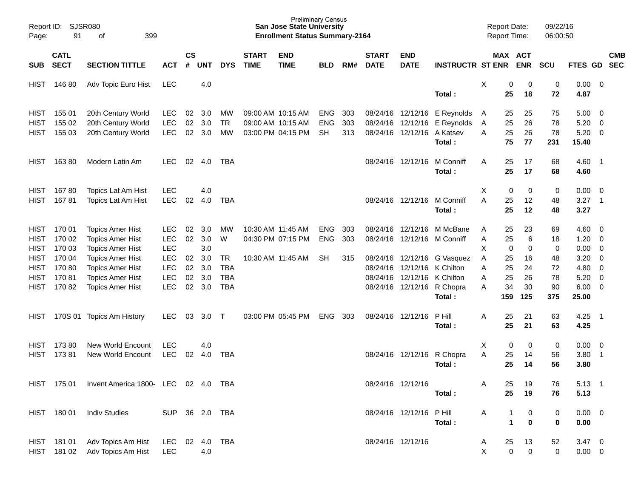| Report ID:<br>Page: | SJSR080<br>91              | 399                                 |                |                |            |            | <b>Preliminary Census</b><br><b>San Jose State University</b><br><b>Enrollment Status Summary-2164</b> |                           |            |     |                             |                             |                              | <b>Report Date:</b><br>Report Time: |             | 09/22/16<br>06:00:50 |                 |              |                            |            |
|---------------------|----------------------------|-------------------------------------|----------------|----------------|------------|------------|--------------------------------------------------------------------------------------------------------|---------------------------|------------|-----|-----------------------------|-----------------------------|------------------------------|-------------------------------------|-------------|----------------------|-----------------|--------------|----------------------------|------------|
| SUB                 | <b>CATL</b><br><b>SECT</b> | <b>SECTION TITTLE</b>               | <b>ACT</b>     | <b>CS</b><br># | <b>UNT</b> | <b>DYS</b> | <b>START</b><br><b>TIME</b>                                                                            | <b>END</b><br><b>TIME</b> | <b>BLD</b> | RM# | <b>START</b><br><b>DATE</b> | <b>END</b><br><b>DATE</b>   | <b>INSTRUCTR ST ENR</b>      |                                     | MAX ACT     | <b>ENR</b>           | <b>SCU</b>      | FTES GD SEC  |                            | <b>CMB</b> |
| <b>HIST</b>         | 14680                      | Adv Topic Euro Hist                 | <b>LEC</b>     |                | 4.0        |            |                                                                                                        |                           |            |     |                             |                             | Total:                       | X                                   | 0<br>25     | 0<br>18              | $\pmb{0}$<br>72 | 0.00<br>4.87 | - 0                        |            |
| <b>HIST</b>         | 155 01                     | 20th Century World                  | <b>LEC</b>     | 02             | 3.0        | MW         |                                                                                                        | 09:00 AM 10:15 AM         | <b>ENG</b> | 303 |                             | 08/24/16 12/12/16           | E Reynolds                   | A                                   | 25          | 25                   | 75              | 5.00         | $\overline{\mathbf{0}}$    |            |
| <b>HIST</b>         | 155 02                     | 20th Century World                  | <b>LEC</b>     | 02             | 3.0        | <b>TR</b>  |                                                                                                        | 09:00 AM 10:15 AM         | <b>ENG</b> | 303 |                             |                             | 08/24/16 12/12/16 E Reynolds | Α                                   | 25          | 26                   | 78              | 5.20         | $\overline{0}$             |            |
| <b>HIST</b>         | 155 03                     | 20th Century World                  | <b>LEC</b>     | 02             | 3.0        | MW         |                                                                                                        | 03:00 PM 04:15 PM         | <b>SH</b>  | 313 |                             | 08/24/16 12/12/16 A Katsev  |                              | A                                   | 25          | 26                   | 78              | 5.20         | $\overline{0}$             |            |
|                     |                            |                                     |                |                |            |            |                                                                                                        |                           |            |     |                             |                             | Total:                       |                                     | 75          | 77                   | 231             | 15.40        |                            |            |
| <b>HIST</b>         | 16380                      | Modern Latin Am                     | <b>LEC</b>     | 02             | 4.0        | TBA        |                                                                                                        |                           |            |     |                             | 08/24/16 12/12/16           | M Conniff<br>Total:          | A                                   | 25<br>25    | 17<br>17             | 68<br>68        | 4.60<br>4.60 | $\overline{\phantom{0}}$ 1 |            |
| <b>HIST</b>         | 16780                      | Topics Lat Am Hist                  | <b>LEC</b>     |                | 4.0        |            |                                                                                                        |                           |            |     |                             |                             |                              | X                                   | 0           | 0                    | 0               | 0.00         | $\overline{\phantom{0}}$   |            |
| <b>HIST</b>         | 16781                      | Topics Lat Am Hist                  | <b>LEC</b>     | 02             | 4.0        | <b>TBA</b> |                                                                                                        |                           |            |     |                             |                             | 08/24/16 12/12/16 M Conniff  | A                                   | 25          | 12                   | 48              | 3.27         | $\overline{\phantom{0}}$ 1 |            |
|                     |                            |                                     |                |                |            |            |                                                                                                        |                           |            |     |                             |                             | Total:                       |                                     | 25          | 12                   | 48              | 3.27         |                            |            |
| <b>HIST</b>         | 170 01                     | <b>Topics Amer Hist</b>             | <b>LEC</b>     | 02             | 3.0        | MW         |                                                                                                        | 10:30 AM 11:45 AM         | <b>ENG</b> | 303 |                             |                             | 08/24/16 12/12/16 M McBane   | A                                   | 25          | 23                   | 69              | 4.60         | $\overline{\mathbf{0}}$    |            |
| <b>HIST</b>         | 170 02                     | <b>Topics Amer Hist</b>             | <b>LEC</b>     | 02             | 3.0        | W          |                                                                                                        | 04:30 PM 07:15 PM         | <b>ENG</b> | 303 |                             |                             | 08/24/16 12/12/16 M Conniff  | Α                                   | 25          | 6                    | 18              | 1.20         | 0                          |            |
| <b>HIST</b>         | 170 03                     | <b>Topics Amer Hist</b>             | <b>LEC</b>     |                | 3.0        |            |                                                                                                        |                           |            |     |                             |                             |                              | X                                   | 0           | $\mathbf 0$          | $\pmb{0}$       | 0.00         | 0                          |            |
| <b>HIST</b>         | 170 04                     | <b>Topics Amer Hist</b>             | <b>LEC</b>     | 02             | 3.0        | <b>TR</b>  |                                                                                                        | 10:30 AM 11:45 AM         | <b>SH</b>  | 315 |                             |                             | 08/24/16 12/12/16 G Vasquez  | Α                                   | 25          | 16                   | 48              | 3.20         | 0                          |            |
| <b>HIST</b>         | 17080                      | <b>Topics Amer Hist</b>             | <b>LEC</b>     | 02             | 3.0        | <b>TBA</b> |                                                                                                        |                           |            |     |                             | 08/24/16 12/12/16 K Chilton |                              | A                                   | 25          | 24                   | 72              | 4.80         | $\overline{\mathbf{0}}$    |            |
| <b>HIST</b>         | 17081                      | <b>Topics Amer Hist</b>             | <b>LEC</b>     | 02             | 3.0        | <b>TBA</b> |                                                                                                        |                           |            |     |                             | 08/24/16 12/12/16 K Chilton |                              | A                                   | 25          | 26                   | 78              | 5.20         | $\overline{0}$             |            |
| <b>HIST</b>         | 17082                      | <b>Topics Amer Hist</b>             | <b>LEC</b>     | 02             | 3.0        | <b>TBA</b> |                                                                                                        |                           |            |     |                             |                             | 08/24/16 12/12/16 R Chopra   | A                                   | 34          | 30                   | 90              | 6.00         | $\overline{\mathbf{0}}$    |            |
|                     |                            |                                     |                |                |            |            |                                                                                                        |                           |            |     |                             |                             | Total:                       |                                     | 159         | 125                  | 375             | 25.00        |                            |            |
| HIST                | 170S 01                    | <b>Topics Am History</b>            | <b>LEC</b>     | 03             | 3.0        | $\top$     |                                                                                                        | 03:00 PM 05:45 PM         | <b>ENG</b> | 303 | 08/24/16 12/12/16           |                             | P Hill                       | A                                   | 25          | 21                   | 63              | 4.25         | $\overline{\phantom{0}}$ 1 |            |
|                     |                            |                                     |                |                |            |            |                                                                                                        |                           |            |     |                             |                             | Total:                       |                                     | 25          | 21                   | 63              | 4.25         |                            |            |
| <b>HIST</b>         | 17380                      | <b>New World Encount</b>            | <b>LEC</b>     |                | 4.0        |            |                                                                                                        |                           |            |     |                             |                             |                              | Χ                                   | 0           | 0                    | 0               | 0.00         | $\overline{\mathbf{0}}$    |            |
| <b>HIST</b>         | 17381                      | New World Encount                   | <b>LEC</b>     | 02             | 4.0        | <b>TBA</b> |                                                                                                        |                           |            |     |                             |                             | 08/24/16 12/12/16 R Chopra   | A                                   | 25          | 14                   | 56              | 3.80         | $\overline{\phantom{0}}$   |            |
|                     |                            |                                     |                |                |            |            |                                                                                                        |                           |            |     |                             |                             | Total:                       |                                     | 25          | 14                   | 56              | 3.80         |                            |            |
|                     | HIST 175 01                | Invent America 1800- LEC 02 4.0 TBA |                |                |            |            |                                                                                                        |                           |            |     | 08/24/16 12/12/16           |                             |                              | Α                                   | 25          | 19                   | 76              | $5.13$ 1     |                            |            |
|                     |                            |                                     |                |                |            |            |                                                                                                        |                           |            |     |                             |                             | Total:                       |                                     | 25          | 19                   | 76              | 5.13         |                            |            |
|                     | HIST 180 01                | <b>Indiv Studies</b>                | SUP 36 2.0 TBA |                |            |            |                                                                                                        |                           |            |     |                             | 08/24/16 12/12/16 PHill     |                              | A                                   |             | 0                    | 0               | $0.00 \t 0$  |                            |            |
|                     |                            |                                     |                |                |            |            |                                                                                                        |                           |            |     |                             |                             | Total:                       |                                     | $\mathbf 1$ | $\mathbf 0$          | 0               | 0.00         |                            |            |
|                     | HIST 181 01                | Adv Topics Am Hist                  | <b>LEC</b>     |                | 02 4.0     | <b>TBA</b> |                                                                                                        |                           |            |     | 08/24/16 12/12/16           |                             |                              | A                                   | 25          | 13                   | 52              | $3.47 \ 0$   |                            |            |
|                     |                            | HIST 181 02 Adv Topics Am Hist      | <b>LEC</b>     |                | 4.0        |            |                                                                                                        |                           |            |     |                             |                             |                              | X                                   | 0           | $\mathbf 0$          | 0               | $0.00 \t 0$  |                            |            |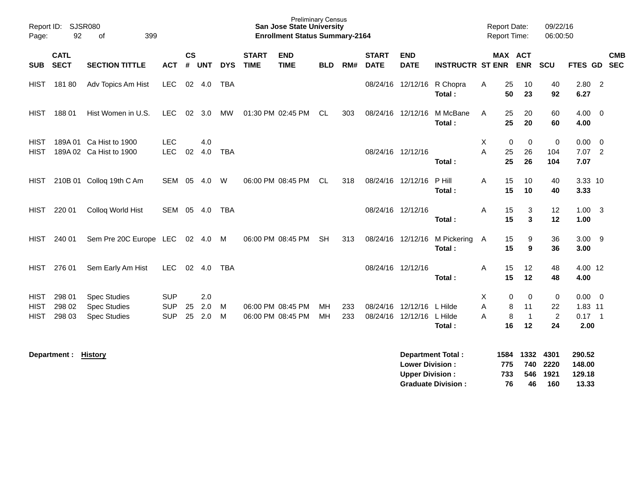| Report ID:<br>Page:                       | SJSR080<br>92              |                                                                   |                                        |                    |                   |            | <b>Preliminary Census</b><br><b>San Jose State University</b><br><b>Enrollment Status Summary-2164</b> |                                        |            |            |                             |                                                  | <b>Report Date:</b><br><b>Report Time:</b> |             |                   | 09/22/16<br>06:00:50            |                                         |                                            |                         |            |
|-------------------------------------------|----------------------------|-------------------------------------------------------------------|----------------------------------------|--------------------|-------------------|------------|--------------------------------------------------------------------------------------------------------|----------------------------------------|------------|------------|-----------------------------|--------------------------------------------------|--------------------------------------------|-------------|-------------------|---------------------------------|-----------------------------------------|--------------------------------------------|-------------------------|------------|
| <b>SUB</b>                                | <b>CATL</b><br><b>SECT</b> | <b>SECTION TITTLE</b>                                             | <b>ACT</b>                             | $\mathsf{cs}$<br># | <b>UNT</b>        | <b>DYS</b> | <b>START</b><br><b>TIME</b>                                                                            | <b>END</b><br><b>TIME</b>              | <b>BLD</b> | RM#        | <b>START</b><br><b>DATE</b> | <b>END</b><br><b>DATE</b>                        | <b>INSTRUCTR ST ENR</b>                    |             | MAX ACT           | <b>ENR</b>                      | SCU                                     | FTES GD SEC                                |                         | <b>CMB</b> |
| <b>HIST</b>                               | 18180                      | Adv Topics Am Hist                                                | <b>LEC</b>                             |                    | 02 4.0            | <b>TBA</b> |                                                                                                        |                                        |            |            |                             | 08/24/16 12/12/16                                | R Chopra<br>Total:                         | Α           | 25<br>50          | 10<br>23                        | 40<br>92                                | $2.80$ 2<br>6.27                           |                         |            |
| <b>HIST</b>                               | 18801                      | Hist Women in U.S.                                                | LEC                                    |                    | 02 3.0            | MW         |                                                                                                        | 01:30 PM 02:45 PM                      | CL.        | 303        |                             | 08/24/16 12/12/16                                | M McBane<br>Total:                         | A           | 25<br>25          | 20<br>20                        | 60<br>60                                | $4.00 \ 0$<br>4.00                         |                         |            |
| <b>HIST</b><br><b>HIST</b>                |                            | 189A 01 Ca Hist to 1900<br>189A 02 Ca Hist to 1900                | <b>LEC</b><br><b>LEC</b>               | 02                 | 4.0<br>4.0        | <b>TBA</b> |                                                                                                        |                                        |            |            |                             | 08/24/16 12/12/16                                | Total:                                     | X<br>A      | 0<br>25<br>25     | 0<br>26<br>26                   | $\pmb{0}$<br>104<br>104                 | 0.00<br>$7.07$ 2<br>7.07                   | $\overline{\mathbf{0}}$ |            |
| <b>HIST</b>                               |                            | 210B 01 Colloq 19th C Am                                          | <b>SEM</b>                             | 05                 | 4.0               | W          |                                                                                                        | 06:00 PM 08:45 PM                      | <b>CL</b>  | 318        |                             | 08/24/16 12/12/16                                | P Hill<br>Total:                           | A           | 15<br>15          | 10<br>10                        | 40<br>40                                | 3.33 10<br>3.33                            |                         |            |
| <b>HIST</b>                               | 220 01                     | Colloq World Hist                                                 | SEM                                    |                    | 05 4.0            | TBA        |                                                                                                        |                                        |            |            |                             | 08/24/16 12/12/16                                | Total:                                     | Α           | 15<br>15          | 3<br>3                          | 12<br>12                                | $1.00 \quad 3$<br>1.00                     |                         |            |
| <b>HIST</b>                               | 240 01                     | Sem Pre 20C Europe LEC                                            |                                        |                    |                   |            |                                                                                                        | 06:00 PM 08:45 PM                      | <b>SH</b>  | 313        |                             | 08/24/16 12/12/16                                | M Pickering<br>Total:                      | A           | 15<br>15          | 9<br>9                          | 36<br>36                                | $3.00$ 9<br>3.00                           |                         |            |
| <b>HIST</b>                               | 276 01                     | Sem Early Am Hist                                                 | LEC                                    |                    | 02 4.0            | TBA        |                                                                                                        |                                        |            |            |                             | 08/24/16 12/12/16                                | Total:                                     | A           | 15<br>15          | 12<br>12                        | 48<br>48                                | 4.00 12<br>4.00                            |                         |            |
| <b>HIST</b><br><b>HIST</b><br><b>HIST</b> | 298 01<br>298 02<br>298 03 | <b>Spec Studies</b><br><b>Spec Studies</b><br><b>Spec Studies</b> | <b>SUP</b><br><b>SUP</b><br><b>SUP</b> | 25<br>25           | 2.0<br>2.0<br>2.0 | M<br>M     |                                                                                                        | 06:00 PM 08:45 PM<br>06:00 PM 08:45 PM | MH<br>MH   | 233<br>233 |                             | 08/24/16 12/12/16<br>08/24/16 12/12/16 L Hilde   | L Hilde<br>Total:                          | X<br>A<br>A | 0<br>8<br>8<br>16 | 0<br>11<br>$\overline{1}$<br>12 | $\pmb{0}$<br>22<br>$\overline{c}$<br>24 | $0.00 \t 0$<br>1.83 11<br>$0.17$ 1<br>2.00 |                         |            |
|                                           | Department :               | <b>History</b>                                                    |                                        |                    |                   |            |                                                                                                        |                                        |            |            |                             | <b>Lower Division:</b><br><b>Upper Division:</b> | <b>Department Total:</b>                   | 1584        | 775<br>733        | 1332<br>740<br>546              | 4301<br>2220<br>1921                    | 290.52<br>148.00<br>129.18                 |                         |            |

**Graduate Division : 76 46 160 13.33**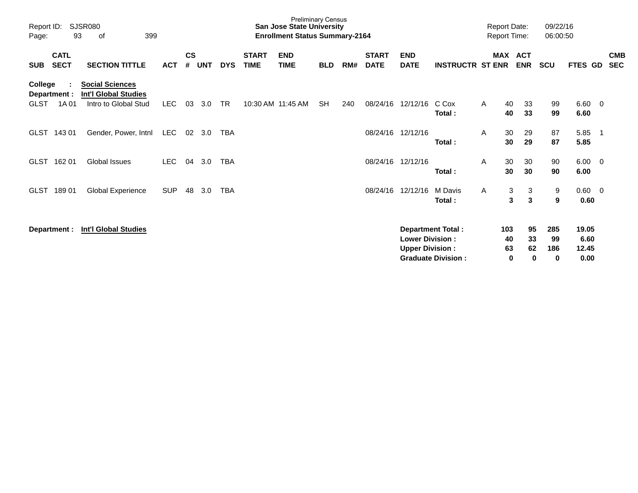| Report ID:<br>Page:                             | SJSR080<br>399<br>93<br>οf<br><b>CATL</b>                                     |            |                    |            |            |                             | <b>Preliminary Census</b><br><b>San Jose State University</b><br><b>Enrollment Status Summary-2164</b> |            |     |                             |                                                  |                                                | <b>Report Date:</b> | <b>Report Time:</b>             | 09/22/16<br>06:00:50              |                                |                          |                          |
|-------------------------------------------------|-------------------------------------------------------------------------------|------------|--------------------|------------|------------|-----------------------------|--------------------------------------------------------------------------------------------------------|------------|-----|-----------------------------|--------------------------------------------------|------------------------------------------------|---------------------|---------------------------------|-----------------------------------|--------------------------------|--------------------------|--------------------------|
| <b>SECT</b><br><b>SUB</b>                       | <b>SECTION TITTLE</b>                                                         | <b>ACT</b> | $\mathsf{cs}$<br># | <b>UNT</b> | <b>DYS</b> | <b>START</b><br><b>TIME</b> | <b>END</b><br><b>TIME</b>                                                                              | <b>BLD</b> | RM# | <b>START</b><br><b>DATE</b> | <b>END</b><br><b>DATE</b>                        | <b>INSTRUCTR ST ENR</b>                        | MAX                 | <b>ACT</b><br><b>ENR</b>        | SCU                               | <b>FTES GD</b>                 |                          | <b>CMB</b><br><b>SEC</b> |
| College<br>Department :<br><b>GLST</b><br>1A 01 | <b>Social Sciences</b><br><b>Int'l Global Studies</b><br>Intro to Global Stud | LEC.       | 03                 | 3.0        | <b>TR</b>  |                             | 10:30 AM 11:45 AM                                                                                      | <b>SH</b>  | 240 | 08/24/16                    | 12/12/16                                         | C Cox<br>Total:                                | A                   | 40<br>33<br>33<br>40            | 99<br>99                          | 6.60<br>6.60                   | $\overline{\phantom{0}}$ |                          |
| GLST 143 01                                     | Gender, Power, Intnl                                                          | <b>LEC</b> | 02                 | 3.0        | <b>TBA</b> |                             |                                                                                                        |            |     |                             | 08/24/16 12/12/16                                | Total:                                         | A                   | 30<br>29<br>29<br>30            | 87<br>87                          | 5.85<br>5.85                   | $\overline{\phantom{1}}$ |                          |
| 162 01<br><b>GLST</b>                           | <b>Global Issues</b>                                                          | <b>LEC</b> | 04                 | 3.0        | <b>TBA</b> |                             |                                                                                                        |            |     |                             | 08/24/16 12/12/16                                | Total:                                         | A                   | 30<br>30<br>30<br>30            | 90<br>90                          | $6.00 \quad 0$<br>6.00         |                          |                          |
| 18901<br><b>GLST</b>                            | <b>Global Experience</b>                                                      | <b>SUP</b> | 48                 | 3.0        | TBA        |                             |                                                                                                        |            |     | 08/24/16                    | 12/12/16                                         | M Davis<br>Total:                              | $\mathsf{A}$        | 3<br>3<br>3<br>3                | 9<br>9                            | $0.60 \quad 0$<br>0.60         |                          |                          |
| Department :                                    | <b>Int'l Global Studies</b>                                                   |            |                    |            |            |                             |                                                                                                        |            |     |                             | <b>Lower Division:</b><br><b>Upper Division:</b> | Department Total:<br><b>Graduate Division:</b> | 103                 | 95<br>33<br>40<br>63<br>62<br>0 | 285<br>99<br>186<br>$\bf{0}$<br>0 | 19.05<br>6.60<br>12.45<br>0.00 |                          |                          |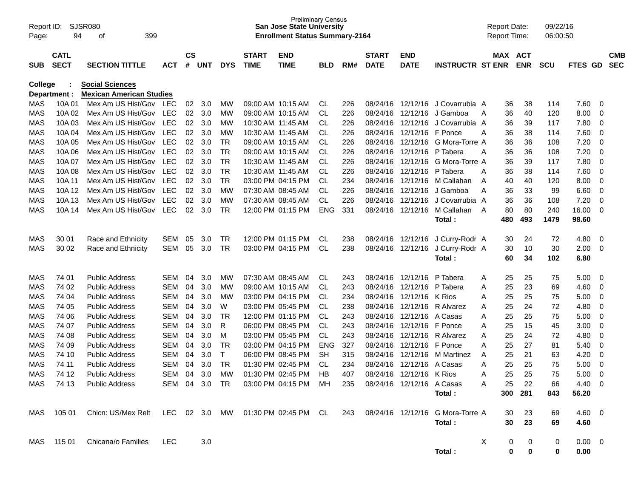| Report ID:<br>Page: | 94             | SJSR080<br>399<br>оf                                                                       |                          |               |            |                |              | <b>Preliminary Census</b><br><b>San Jose State University</b><br><b>Enrollment Status Summary-2164</b> |                        |            |                      |                           |                         | <b>Report Date:</b><br><b>Report Time:</b> |          |            | 09/22/16<br>06:00:50 |                |             |            |
|---------------------|----------------|--------------------------------------------------------------------------------------------|--------------------------|---------------|------------|----------------|--------------|--------------------------------------------------------------------------------------------------------|------------------------|------------|----------------------|---------------------------|-------------------------|--------------------------------------------|----------|------------|----------------------|----------------|-------------|------------|
|                     | <b>CATL</b>    |                                                                                            |                          | $\mathsf{cs}$ |            |                | <b>START</b> | <b>END</b>                                                                                             |                        |            | <b>START</b>         | <b>END</b>                |                         |                                            |          | MAX ACT    |                      |                |             | <b>CMB</b> |
| <b>SUB</b>          | <b>SECT</b>    | <b>SECTION TITTLE</b>                                                                      | <b>ACT</b>               | #             | UNT        | <b>DYS</b>     | <b>TIME</b>  | <b>TIME</b>                                                                                            | <b>BLD</b>             | RM#        | <b>DATE</b>          | <b>DATE</b>               | <b>INSTRUCTR ST ENR</b> |                                            |          | <b>ENR</b> | <b>SCU</b>           | FTES GD        |             | <b>SEC</b> |
| College             |                | <b>Social Sciences</b>                                                                     |                          |               |            |                |              |                                                                                                        |                        |            |                      |                           |                         |                                            |          |            |                      |                |             |            |
|                     | Department :   | <b>Mexican American Studies</b>                                                            |                          |               |            |                |              |                                                                                                        |                        |            |                      |                           |                         |                                            |          |            |                      |                |             |            |
| MAS                 | 10A01          | Mex Am US Hist/Gov                                                                         | LEC                      | 02            | 3.0        | MW             |              | 09:00 AM 10:15 AM                                                                                      | CL.                    | 226        | 08/24/16             |                           | 12/12/16 J Covarrubia A |                                            | 36       | 38         | 114                  | 7.60           | 0           |            |
| <b>MAS</b>          | 10A 02         | Mex Am US Hist/Gov                                                                         | <b>LEC</b>               | 02            | 3.0        | <b>MW</b>      |              | 09:00 AM 10:15 AM                                                                                      | CL                     | 226        | 08/24/16             | 12/12/16                  | J Gamboa                | A                                          | 36       | 40         | 120                  | 8.00           | 0           |            |
| <b>MAS</b>          | 10A03          | Mex Am US Hist/Gov                                                                         | <b>LEC</b>               | 02            | 3.0        | <b>MW</b>      |              | 10:30 AM 11:45 AM                                                                                      | <b>CL</b>              | 226        | 08/24/16             | 12/12/16                  | J Covarrubia A          |                                            | 36       | 39         | 117                  | 7.80           | 0           |            |
| <b>MAS</b>          | 10A 04         | Mex Am US Hist/Gov                                                                         | <b>LEC</b>               | 02            | 3.0        | <b>MW</b>      |              | 10:30 AM 11:45 AM                                                                                      | <b>CL</b>              | 226        | 08/24/16             | 12/12/16                  | F Ponce                 | Α                                          | 36       | 38         | 114                  | 7.60           | 0           |            |
| <b>MAS</b>          | 10A 05         | Mex Am US Hist/Gov                                                                         | <b>LEC</b>               | 02            | 3.0        | <b>TR</b>      |              | 09:00 AM 10:15 AM                                                                                      | <b>CL</b>              | 226        | 08/24/16             | 12/12/16                  | G Mora-Torre A          |                                            | 36       | 36         | 108                  | 7.20           | 0           |            |
| <b>MAS</b>          | 10A 06         | Mex Am US Hist/Gov                                                                         | <b>LEC</b>               | 02            | 3.0        | <b>TR</b>      |              | 09:00 AM 10:15 AM                                                                                      | <b>CL</b>              | 226        | 08/24/16             | 12/12/16                  | P Tabera                | Α                                          | 36       | 36         | 108                  | 7.20           | 0           |            |
| <b>MAS</b>          | 10A 07         | Mex Am US Hist/Gov                                                                         | <b>LEC</b>               | 02            | 3.0        | <b>TR</b>      |              | 10:30 AM 11:45 AM                                                                                      | <b>CL</b>              | 226        | 08/24/16             | 12/12/16                  | G Mora-Torre A          |                                            | 36       | 39         | 117                  | 7.80           | $\mathbf 0$ |            |
| <b>MAS</b>          | 10A 08         | Mex Am US Hist/Gov                                                                         | <b>LEC</b>               | 02            | 3.0        | <b>TR</b>      |              | 10:30 AM 11:45 AM                                                                                      | <b>CL</b>              | 226        | 08/24/16             | 12/12/16                  | P Tabera                | Α                                          | 36       | 38         | 114                  | 7.60           | 0           |            |
| <b>MAS</b>          | 10A 11         | Mex Am US Hist/Gov                                                                         | <b>LEC</b>               | 02            | 3.0        | <b>TR</b>      |              | 03:00 PM 04:15 PM                                                                                      | <b>CL</b>              | 234        | 08/24/16             | 12/12/16                  | M Callahan              | A                                          | 40       | 40         | 120                  | 8.00           | 0           |            |
| <b>MAS</b>          | 10A 12         | Mex Am US Hist/Gov                                                                         | <b>LEC</b>               | 02            | 3.0        | <b>MW</b>      |              | 07:30 AM 08:45 AM                                                                                      | <b>CL</b>              | 226        | 08/24/16             | 12/12/16                  | J Gamboa                | A                                          | 36       | 33         | 99                   | 6.60           | 0           |            |
| <b>MAS</b>          | 10A 13         | Mex Am US Hist/Gov                                                                         | <b>LEC</b>               | 02            | 3.0        | <b>MW</b>      |              | 07:30 AM 08:45 AM                                                                                      | <b>CL</b>              | 226        | 08/24/16             | 12/12/16                  | J Covarrubia A          |                                            | 36       | 36         | 108                  | 7.20           | $\mathbf 0$ |            |
| <b>MAS</b>          | 10A 14         | Mex Am US Hist/Gov                                                                         | <b>LEC</b>               | 02            | 3.0        | <b>TR</b>      |              | 12:00 PM 01:15 PM                                                                                      | <b>ENG</b>             | 331        | 08/24/16             | 12/12/16                  | M Callahan              | - A                                        | 80       | 80         | 240                  | 16.00          | $\mathbf 0$ |            |
|                     |                |                                                                                            |                          |               |            |                |              |                                                                                                        |                        |            |                      |                           | Total:                  |                                            | 480      | 493        | 1479                 | 98.60          |             |            |
| <b>MAS</b>          | 30 01          | Race and Ethnicity                                                                         | <b>SEM</b>               | 05            | 3.0        | <b>TR</b>      |              | 12:00 PM 01:15 PM                                                                                      | CL                     | 238        | 08/24/16             | 12/12/16                  | J Curry-Rodr A          |                                            | 30       | 24         | 72                   | 4.80           | 0           |            |
| <b>MAS</b>          | 30 02          | Race and Ethnicity                                                                         | <b>SEM</b>               | 05            | 3.0        | <b>TR</b>      |              | 03:00 PM 04:15 PM                                                                                      | <b>CL</b>              | 238        | 08/24/16             | 12/12/16                  | J Curry-Rodr A          |                                            | 30       | 10         | 30                   | 2.00           | 0           |            |
|                     |                |                                                                                            |                          |               |            |                |              |                                                                                                        |                        |            |                      |                           | Total:                  |                                            | 60       | 34         | 102                  | 6.80           |             |            |
|                     |                |                                                                                            |                          |               |            |                |              |                                                                                                        |                        |            |                      |                           |                         |                                            |          |            |                      |                |             |            |
| MAS                 | 74 01          | <b>Public Address</b>                                                                      | <b>SEM</b>               | 04            | 3.0        | MW             |              | 07:30 AM 08:45 AM                                                                                      | <b>CL</b>              | 243        | 08/24/16             | 12/12/16                  | P Tabera                | A                                          | 25       | 25         | 75                   | 5.00           | 0           |            |
| MAS                 | 74 02          | <b>Public Address</b>                                                                      | <b>SEM</b>               | 04            | 3.0        | <b>MW</b>      |              | 09:00 AM 10:15 AM                                                                                      | CL                     | 243        | 08/24/16             | 12/12/16                  | P Tabera                | A                                          | 25       | 23         | 69                   | 4.60           | 0           |            |
| MAS                 | 74 04          | <b>Public Address</b>                                                                      | <b>SEM</b>               | 04            | 3.0        | MW             |              | 03:00 PM 04:15 PM                                                                                      | <b>CL</b>              | 234        | 08/24/16             | 12/12/16                  | K Rios                  | A                                          | 25       | 25         | 75                   | 5.00           | 0           |            |
| MAS<br>MAS          | 74 05<br>74 06 | <b>Public Address</b><br><b>Public Address</b>                                             | <b>SEM</b><br><b>SEM</b> | 04<br>04      | 3.0<br>3.0 | W<br><b>TR</b> |              | 03:00 PM 05:45 PM<br>12:00 PM 01:15 PM                                                                 | <b>CL</b><br><b>CL</b> | 238<br>243 | 08/24/16<br>08/24/16 | 12/12/16<br>12/12/16      | R Alvarez<br>A Casas    | Α<br>A                                     | 25<br>25 | 24<br>25   | 72<br>75             | 4.80<br>5.00   | 0<br>0      |            |
| <b>MAS</b>          | 74 07          | <b>Public Address</b>                                                                      | <b>SEM</b>               | 04            | 3.0        | R              |              | 06:00 PM 08:45 PM                                                                                      | <b>CL</b>              | 243        | 08/24/16             | 12/12/16                  | F Ponce                 | A                                          | 25       | 15         | 45                   | 3.00           | 0           |            |
| MAS                 | 74 08          | <b>Public Address</b>                                                                      | <b>SEM</b>               | 04            | 3.0        | M              |              | 03:00 PM 05:45 PM                                                                                      | CL                     | 243        | 08/24/16             | 12/12/16                  | R Alvarez               | A                                          | 25       | 24         | 72                   | 4.80           | 0           |            |
| MAS                 | 74 09          | <b>Public Address</b>                                                                      | <b>SEM</b>               | 04            | 3.0        | <b>TR</b>      |              | 03:00 PM 04:15 PM                                                                                      | <b>ENG</b>             | 327        | 08/24/16             | 12/12/16                  | F Ponce                 | A                                          | 25       | 27         | 81                   | 5.40           | 0           |            |
| MAS                 | 74 10          | <b>Public Address</b>                                                                      | <b>SEM</b>               | 04            | 3.0        | T              |              | 06:00 PM 08:45 PM                                                                                      | <b>SH</b>              | 315        | 08/24/16             | 12/12/16                  | M Martinez              | A                                          | 25       | 21         | 63                   | 4.20           | 0           |            |
| <b>MAS</b>          | 74 11          | <b>Public Address</b>                                                                      | <b>SEM</b>               | 04            | 3.0        | <b>TR</b>      |              | 01:30 PM 02:45 PM                                                                                      | <b>CL</b>              | 234        | 08/24/16             | 12/12/16                  | A Casas                 | A                                          | 25       | 25         | 75                   | 5.00           | $\mathbf 0$ |            |
| <b>MAS</b>          | 74 12          | <b>Public Address</b>                                                                      | <b>SEM</b>               | 04            | 3.0        | <b>MW</b>      |              | 01:30 PM 02:45 PM                                                                                      | <b>HB</b>              | 407        | 08/24/16             | 12/12/16                  | K Rios                  | Α                                          | 25       | 25         | 75                   | 5.00           | $\Omega$    |            |
| MAS                 | 74 13          | <b>Public Address</b>                                                                      |                          |               |            |                |              | SEM 04 3.0 TR 03:00 PM 04:15 PM MH                                                                     |                        | 235        |                      | 08/24/16 12/12/16 A Casas |                         | A                                          | 25       | 22         | 66                   | 4.40           | - 0         |            |
|                     |                |                                                                                            |                          |               |            |                |              |                                                                                                        |                        |            |                      |                           | Total:                  |                                            | 300      | 281        | 843                  | 56.20          |             |            |
|                     |                |                                                                                            |                          |               |            |                |              |                                                                                                        |                        |            |                      |                           |                         |                                            |          |            |                      |                |             |            |
|                     | MAS 105 01     | Chicn: US/Mex Relt LEC 02 3.0 MW 01:30 PM 02:45 PM CL 243 08/24/16 12/12/16 G Mora-Torre A |                          |               |            |                |              |                                                                                                        |                        |            |                      |                           |                         |                                            | 30       | 23         | 69                   | $4.60$ 0       |             |            |
|                     |                |                                                                                            |                          |               |            |                |              |                                                                                                        |                        |            |                      |                           | Total:                  |                                            | 30       | 23         | 69                   | 4.60           |             |            |
|                     | MAS 11501      | Chicana/o Families                                                                         | LEC                      |               | 3.0        |                |              |                                                                                                        |                        |            |                      |                           |                         | $\boldsymbol{\mathsf{X}}$                  | 0        | 0          | 0                    | $0.00 \quad 0$ |             |            |
|                     |                |                                                                                            |                          |               |            |                |              |                                                                                                        |                        |            |                      |                           | Total:                  |                                            | 0        | 0          | 0                    | 0.00           |             |            |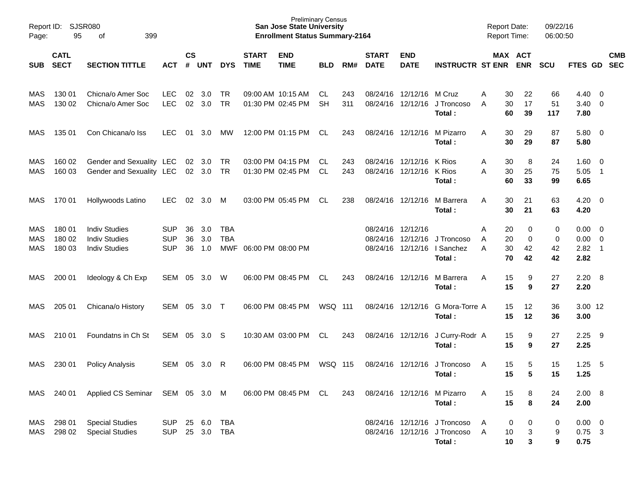| Report ID:<br>Page:             | 95                         | SJSR080<br>399<br>оf                                                 |                                        |                    |                   |                          |                             | <b>Preliminary Census</b><br><b>San Jose State University</b><br><b>Enrollment Status Summary-2164</b> |                  |            |                               |                                        |                                                                        | <b>Report Date:</b> | <b>Report Time:</b>                        | 09/22/16<br>06:00:50 |                                 |                                                  |            |
|---------------------------------|----------------------------|----------------------------------------------------------------------|----------------------------------------|--------------------|-------------------|--------------------------|-----------------------------|--------------------------------------------------------------------------------------------------------|------------------|------------|-------------------------------|----------------------------------------|------------------------------------------------------------------------|---------------------|--------------------------------------------|----------------------|---------------------------------|--------------------------------------------------|------------|
| <b>SUB</b>                      | <b>CATL</b><br><b>SECT</b> | <b>SECTION TITTLE</b>                                                | ACT                                    | $\mathsf{cs}$<br># | <b>UNT</b>        | <b>DYS</b>               | <b>START</b><br><b>TIME</b> | <b>END</b><br><b>TIME</b>                                                                              | <b>BLD</b>       | RM#        | <b>START</b><br><b>DATE</b>   | <b>END</b><br><b>DATE</b>              | <b>INSTRUCTR ST ENR</b>                                                |                     | MAX ACT<br><b>ENR</b>                      | <b>SCU</b>           | FTES GD SEC                     |                                                  | <b>CMB</b> |
| MAS<br><b>MAS</b>               | 130 01<br>130 02           | Chicna/o Amer Soc<br>Chicna/o Amer Soc                               | <b>LEC</b><br><b>LEC</b>               | 02<br>02           | 3.0<br>3.0        | TR<br><b>TR</b>          |                             | 09:00 AM 10:15 AM<br>01:30 PM 02:45 PM                                                                 | CL.<br><b>SH</b> | 243<br>311 |                               | 08/24/16 12/12/16<br>08/24/16 12/12/16 | M Cruz<br>J Troncoso<br>Total:                                         | Α<br>A              | 30<br>22<br>17<br>30<br>60<br>39           | 66<br>51<br>117      | 4.40<br>3.40<br>7.80            | - 0<br>$\overline{0}$                            |            |
| MAS                             | 135 01                     | Con Chicana/o Iss                                                    | <b>LEC</b>                             | 01                 | 3.0               | МW                       |                             | 12:00 PM 01:15 PM                                                                                      | CL.              | 243        |                               | 08/24/16 12/12/16                      | M Pizarro<br>Total:                                                    | A                   | 30<br>29<br>30<br>29                       | 87<br>87             | 5.80<br>5.80                    | $\overline{\mathbf{0}}$                          |            |
| MAS<br><b>MAS</b>               | 160 02<br>160 03           | Gender and Sexuality LEC<br>Gender and Sexuality LEC                 |                                        |                    | 02 3.0<br>02 3.0  | TR<br>TR                 |                             | 03:00 PM 04:15 PM<br>01:30 PM 02:45 PM                                                                 | CL.<br>CL        | 243<br>243 |                               | 08/24/16 12/12/16<br>08/24/16 12/12/16 | K Rios<br>K Rios<br>Total :                                            | Α<br>A              | 8<br>30<br>30<br>25<br>60<br>33            | 24<br>75<br>99       | 1.60<br>5.05<br>6.65            | $\overline{0}$<br>$\overline{1}$                 |            |
| MAS                             | 170 01                     | Hollywoods Latino                                                    | <b>LEC</b>                             | 02                 | 3.0               | M                        |                             | 03:00 PM 05:45 PM                                                                                      | CL               | 238        |                               | 08/24/16 12/12/16                      | M Barrera<br>Total:                                                    | A                   | 30<br>21<br>21<br>30                       | 63<br>63             | 4.20<br>4.20                    | $\overline{\mathbf{0}}$                          |            |
| MAS<br><b>MAS</b><br><b>MAS</b> | 180 01<br>180 02<br>180 03 | <b>Indiv Studies</b><br><b>Indiv Studies</b><br><b>Indiv Studies</b> | <b>SUP</b><br><b>SUP</b><br><b>SUP</b> | 36<br>36<br>36     | 3.0<br>3.0<br>1.0 | TBA<br><b>TBA</b>        | MWF 06:00 PM 08:00 PM       |                                                                                                        |                  |            | 08/24/16 12/12/16<br>08/24/16 | 12/12/16<br>08/24/16 12/12/16          | J Troncoso<br>I Sanchez<br>Total:                                      | Α<br>A<br>A         | 0<br>20<br>20<br>0<br>30<br>42<br>70<br>42 | 0<br>0<br>42<br>42   | 0.00<br>0.00<br>2.82<br>2.82    | $\overline{\mathbf{0}}$<br>$\overline{0}$<br>- 1 |            |
| MAS                             | 200 01                     | Ideology & Ch Exp                                                    | SEM                                    | 05                 | 3.0               | W                        |                             | 06:00 PM 08:45 PM                                                                                      | CL               | 243        |                               | 08/24/16 12/12/16                      | M Barrera<br>Total:                                                    | A                   | 15<br>9<br>15<br>9                         | 27<br>27             | 2.20<br>2.20                    | - 8                                              |            |
| MAS                             | 205 01                     | Chicana/o History                                                    | <b>SEM</b>                             | 05                 | 3.0               | $\top$                   |                             | 06:00 PM 08:45 PM                                                                                      | WSQ 111          |            |                               | 08/24/16 12/12/16                      | G Mora-Torre A<br>Total:                                               |                     | 15<br>12<br>15<br>12                       | 36<br>36             | 3.00 12<br>3.00                 |                                                  |            |
| MAS                             | 210 01                     | Foundatns in Ch St                                                   | SEM                                    | 05                 | 3.0               | -S                       |                             | 10:30 AM 03:00 PM                                                                                      | CL               | 243        |                               | 08/24/16 12/12/16                      | J Curry-Rodr A<br>Total:                                               |                     | 15<br>9<br>15<br>9                         | 27<br>27             | 2.25<br>2.25                    | - 9                                              |            |
| MAS                             | 230 01                     | <b>Policy Analysis</b>                                               | <b>SEM</b>                             | 05                 | 3.0               | R                        |                             | 06:00 PM 08:45 PM                                                                                      | <b>WSQ 115</b>   |            |                               | 08/24/16 12/12/16                      | J Troncoso<br>Total:                                                   | A                   | 15<br>5<br>15<br>5                         | 15<br>15             | 1.25<br>1.25                    | - 5                                              |            |
| MAS                             | 240 01                     | Applied CS Seminar SEM 05 3.0 M                                      |                                        |                    |                   |                          |                             | 06:00 PM 08:45 PM CL                                                                                   |                  | 243        |                               | 08/24/16 12/12/16                      | M Pizarro<br>Total:                                                    | A                   | 15<br>8<br>15<br>8                         | 24<br>24             | 2.00<br>2.00                    | $_{\rm 8}$                                       |            |
| MAS<br>MAS                      | 298 01<br>298 02           | <b>Special Studies</b><br><b>Special Studies</b>                     | <b>SUP</b><br><b>SUP</b>               |                    | 25 6.0<br>25 3.0  | <b>TBA</b><br><b>TBA</b> |                             |                                                                                                        |                  |            |                               |                                        | 08/24/16 12/12/16 J Troncoso<br>08/24/16 12/12/16 J Troncoso<br>Total: | Α<br>Α              | 0<br>0<br>3<br>10<br>3<br>10               | 0<br>9<br>9          | $0.00 \t 0$<br>$0.75$ 3<br>0.75 |                                                  |            |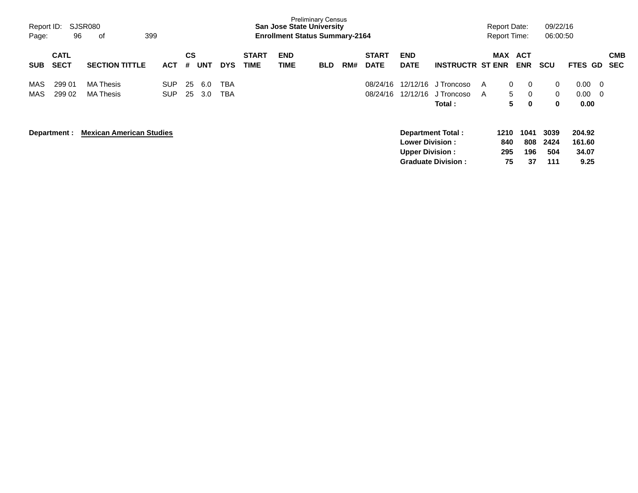| Report ID:<br>Page: | 96                         | SJSR080<br>399<br>оf                 |                          |                |            |                          |                             | <b>San Jose State University</b><br><b>Enrollment Status Summary-2164</b> | <b>Preliminary Census</b> |     |                             |                                                  |                                                       |        | <b>Report Date:</b><br><b>Report Time:</b> |                          | 09/22/16<br>06:00:50                    |                                    |                          |  |
|---------------------|----------------------------|--------------------------------------|--------------------------|----------------|------------|--------------------------|-----------------------------|---------------------------------------------------------------------------|---------------------------|-----|-----------------------------|--------------------------------------------------|-------------------------------------------------------|--------|--------------------------------------------|--------------------------|-----------------------------------------|------------------------------------|--------------------------|--|
| <b>SUB</b>          | <b>CATL</b><br><b>SECT</b> | <b>SECTION TITTLE</b>                | ACT                      | <b>CS</b><br># | <b>UNT</b> | <b>DYS</b>               | <b>START</b><br><b>TIME</b> | <b>END</b><br>TIME                                                        | <b>BLD</b>                | RM# | <b>START</b><br><b>DATE</b> | <b>END</b><br><b>DATE</b>                        | <b>INSTRUCTR ST ENR</b>                               |        | MAX                                        | ACT<br><b>ENR</b>        | <b>SCU</b>                              | <b>FTES GD</b>                     | <b>CMB</b><br><b>SEC</b> |  |
| MAS<br>MAS          | 299 01<br>299 02           | <b>MA Thesis</b><br><b>MA Thesis</b> | <b>SUP</b><br><b>SUP</b> | 25<br>25       | 6.0<br>3.0 | <b>TBA</b><br><b>TBA</b> |                             |                                                                           |                           |     | 08/24/16<br>08/24/16        | 12/12/16<br>12/12/16                             | J Troncoso<br>J Troncoso<br>Total:                    | A<br>A | 0<br>5<br>5                                | 0<br>0<br>0              | $\mathbf{0}$<br>$\Omega$<br>$\mathbf 0$ | $0.00\,$<br>$0.00 \quad 0$<br>0.00 | $\overline{\phantom{0}}$ |  |
|                     | Department :               | <b>Mexican American Studies</b>      |                          |                |            |                          |                             |                                                                           |                           |     |                             | <b>Lower Division:</b><br><b>Upper Division:</b> | <b>Department Total:</b><br><b>Graduate Division:</b> |        | 1210<br>840<br>295<br>75                   | 1041<br>808<br>196<br>37 | 3039<br>2424<br>504<br>111              | 204.92<br>161.60<br>34.07<br>9.25  |                          |  |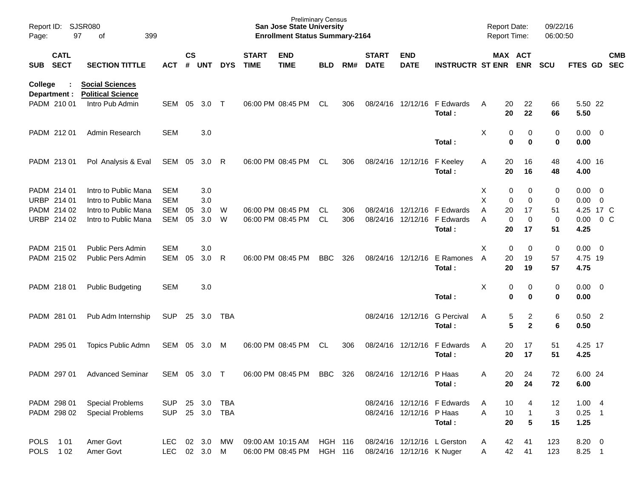| Report ID:<br>Page: | 97                          | SJSR080<br>399<br>οf                                                  |                            |                    |                  |                   |                             | <b>Preliminary Census</b><br><b>San Jose State University</b><br><b>Enrollment Status Summary-2164</b> |                 |            |                             |                           |                                       |        | <b>Report Date:</b><br>Report Time: |                                      | 09/22/16<br>06:00:50 |                           |                                            |                          |
|---------------------|-----------------------------|-----------------------------------------------------------------------|----------------------------|--------------------|------------------|-------------------|-----------------------------|--------------------------------------------------------------------------------------------------------|-----------------|------------|-----------------------------|---------------------------|---------------------------------------|--------|-------------------------------------|--------------------------------------|----------------------|---------------------------|--------------------------------------------|--------------------------|
| <b>SUB</b>          | <b>CATL</b><br><b>SECT</b>  | <b>SECTION TITTLE</b>                                                 | ACT                        | $\mathsf{cs}$<br># | <b>UNT</b>       | <b>DYS</b>        | <b>START</b><br><b>TIME</b> | <b>END</b><br><b>TIME</b>                                                                              | <b>BLD</b>      | RM#        | <b>START</b><br><b>DATE</b> | <b>END</b><br><b>DATE</b> | <b>INSTRUCTR ST ENR</b>               |        |                                     | <b>MAX ACT</b><br><b>ENR</b>         | <b>SCU</b>           | FTES GD                   |                                            | <b>CMB</b><br><b>SEC</b> |
| College             | Department :<br>PADM 210 01 | <b>Social Sciences</b><br><b>Political Science</b><br>Intro Pub Admin | <b>SEM</b>                 | 05                 | 3.0              | $\top$            |                             | 06:00 PM 08:45 PM                                                                                      | <b>CL</b>       | 306        | 08/24/16                    | 12/12/16                  | F Edwards                             | A      | 20                                  | 22                                   | 66                   | 5.50 22                   |                                            |                          |
|                     | PADM 212 01                 | Admin Research                                                        | <b>SEM</b>                 |                    | 3.0              |                   |                             |                                                                                                        |                 |            |                             |                           | Total :                               | X      | 20<br>0                             | 22<br>0                              | 66<br>0              | 5.50<br>$0.00 \t 0$       |                                            |                          |
|                     |                             |                                                                       |                            |                    |                  |                   |                             |                                                                                                        |                 |            |                             |                           | Total :                               |        | 0                                   | 0                                    | 0                    | 0.00                      |                                            |                          |
|                     | PADM 213 01                 | Pol Analysis & Eval                                                   | SEM                        | 05                 | 3.0              | R                 |                             | 06:00 PM 08:45 PM                                                                                      | <b>CL</b>       | 306        |                             | 08/24/16 12/12/16         | F Keeley<br>Total :                   | A      | 20<br>20                            | 16<br>16                             | 48<br>48             | 4.00 16<br>4.00           |                                            |                          |
| <b>URBP</b>         | PADM 214 01<br>214 01       | Intro to Public Mana<br>Intro to Public Mana                          | <b>SEM</b><br><b>SEM</b>   |                    | 3.0<br>3.0       |                   |                             |                                                                                                        |                 |            |                             |                           |                                       | х<br>X | 0<br>0                              | 0<br>0                               | 0<br>0               | 0.00<br>0.00              | $\overline{\phantom{0}}$<br>$\overline{0}$ |                          |
|                     | PADM 214 02<br>URBP 214 02  | Intro to Public Mana<br>Intro to Public Mana                          | <b>SEM</b><br><b>SEM</b>   | 05<br>05           | 3.0<br>3.0       | W<br>W            |                             | 06:00 PM 08:45 PM<br>06:00 PM 08:45 PM                                                                 | CL<br><b>CL</b> | 306<br>306 | 08/24/16<br>08/24/16        | 12/12/16<br>12/12/16      | F Edwards<br>F Edwards<br>Total :     | Α<br>A | 20<br>$\mathbf 0$<br>20             | 17<br>$\mathbf 0$<br>17              | 51<br>0<br>51        | 4.25 17 C<br>0.00<br>4.25 |                                            | 0 <sup>o</sup>           |
|                     | PADM 215 01<br>PADM 215 02  | <b>Public Pers Admin</b><br>Public Pers Admin                         | <b>SEM</b><br><b>SEM</b>   | 05                 | 3.0<br>3.0       | R                 |                             | 06:00 PM 08:45 PM                                                                                      | <b>BBC</b>      | 326        |                             | 08/24/16 12/12/16         | E Ramones<br>Total :                  | X<br>A | 0<br>20<br>20                       | 0<br>19<br>19                        | 0<br>57<br>57        | 0.00<br>4.75 19<br>4.75   | - 0                                        |                          |
|                     | PADM 218 01                 | <b>Public Budgeting</b>                                               | <b>SEM</b>                 |                    | 3.0              |                   |                             |                                                                                                        |                 |            |                             |                           | Total:                                | х      | 0<br>0                              | 0<br>0                               | 0<br>0               | $0.00 \t 0$<br>0.00       |                                            |                          |
|                     | PADM 281 01                 | Pub Adm Internship                                                    | <b>SUP</b>                 | 25                 | 3.0              | <b>TBA</b>        |                             |                                                                                                        |                 |            |                             | 08/24/16 12/12/16         | <b>G</b> Percival<br>Total:           | A      | 5<br>5                              | $\overline{c}$<br>$\mathbf{2}$       | 6<br>6               | $0.50$ 2<br>0.50          |                                            |                          |
|                     | PADM 295 01                 | Topics Public Admn                                                    | <b>SEM</b>                 | 05                 | 3.0              | M                 |                             | 06:00 PM 08:45 PM                                                                                      | <b>CL</b>       | 306        |                             | 08/24/16 12/12/16         | F Edwards<br>Total:                   | A      | 20<br>20                            | 17<br>17                             | 51<br>51             | 4.25 17<br>4.25           |                                            |                          |
|                     | PADM 297 01                 | <b>Advanced Seminar</b>                                               | SEM 05 3.0 T               |                    |                  |                   |                             | 06:00 PM 08:45 PM                                                                                      | <b>BBC</b>      | 326        |                             | 08/24/16 12/12/16 P Haas  | Total:                                | A      | 20<br>20                            | 24<br>24                             | 72<br>72             | 6.00 24<br>6.00           |                                            |                          |
|                     | PADM 298 01<br>PADM 298 02  | <b>Special Problems</b><br><b>Special Problems</b>                    | <b>SUP</b><br><b>SUP</b>   |                    | 25 3.0<br>25 3.0 | <b>TBA</b><br>TBA |                             |                                                                                                        |                 |            |                             | 08/24/16 12/12/16 P Haas  | 08/24/16 12/12/16 F Edwards<br>Total: | A<br>A | 10<br>10<br>20                      | 4<br>$\mathbf{1}$<br>$5\phantom{.0}$ | 12<br>3<br>15        | 1.004<br>$0.25$ 1<br>1.25 |                                            |                          |
|                     | POLS 101<br>POLS 102        | Amer Govt<br>Amer Govt                                                | LEC 02 3.0<br>LEC 02 3.0 M |                    |                  | MW                |                             | 09:00 AM 10:15 AM HGH 116<br>06:00 PM 08:45 PM                                                         | HGH 116         |            |                             | 08/24/16 12/12/16 K Nuger | 08/24/16 12/12/16 L Gerston           | A<br>A | 42<br>42                            | 41<br>41                             | 123<br>123           | 8.20 0<br>8.25 1          |                                            |                          |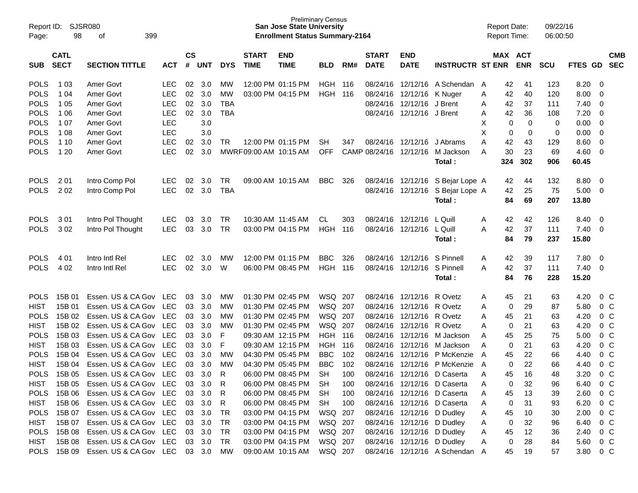| Report ID:<br>Page:        | 98               | SJSR080<br>399<br>οf                     |             |               |                  |            |                       | <b>Preliminary Census</b><br><b>San Jose State University</b><br><b>Enrollment Status Summary-2164</b> |                           |            |              |                               |                                                            | <b>Report Date:</b><br><b>Report Time:</b> |               | 09/22/16<br>06:00:50 |                  |                                  |            |
|----------------------------|------------------|------------------------------------------|-------------|---------------|------------------|------------|-----------------------|--------------------------------------------------------------------------------------------------------|---------------------------|------------|--------------|-------------------------------|------------------------------------------------------------|--------------------------------------------|---------------|----------------------|------------------|----------------------------------|------------|
|                            | <b>CATL</b>      |                                          |             | $\mathsf{cs}$ |                  |            | <b>START</b>          | <b>END</b>                                                                                             |                           |            | <b>START</b> | <b>END</b>                    |                                                            |                                            | MAX ACT       |                      |                  |                                  | <b>CMB</b> |
| <b>SUB</b>                 | <b>SECT</b>      | <b>SECTION TITTLE</b>                    | <b>ACT</b>  | $\pmb{\#}$    | <b>UNT</b>       | <b>DYS</b> | <b>TIME</b>           | <b>TIME</b>                                                                                            | <b>BLD</b>                | RM#        | <b>DATE</b>  | <b>DATE</b>                   | <b>INSTRUCTR ST ENR</b>                                    |                                            | <b>ENR</b>    | SCU                  | <b>FTES</b>      | GD                               | <b>SEC</b> |
| <b>POLS</b>                | 1 0 3            | Amer Govt                                | <b>LEC</b>  | 02            | 3.0              | MW         |                       | 12:00 PM 01:15 PM                                                                                      | <b>HGH 116</b>            |            |              |                               | 08/24/16 12/12/16 A Schendan A                             |                                            | 41<br>42      | 123                  | 8.20             | - 0                              |            |
| <b>POLS</b>                | 1 04             | Amer Govt                                | <b>LEC</b>  | 02            | 3.0              | МW         |                       | 03:00 PM 04:15 PM                                                                                      | <b>HGH 116</b>            |            | 08/24/16     | 12/12/16 K Nuger              |                                                            | 42<br>Α                                    | 40            | 120                  | 8.00             | -0                               |            |
| <b>POLS</b>                | 1 0 5            | Amer Govt                                | <b>LEC</b>  | 02            | 3.0              | TBA        |                       |                                                                                                        |                           |            | 08/24/16     | 12/12/16 J Brent              |                                                            | 42<br>Α                                    | 37            | 111                  | 7.40             | -0                               |            |
| <b>POLS</b>                | 1 0 6            | Amer Govt                                | <b>LEC</b>  | 02            | 3.0              | <b>TBA</b> |                       |                                                                                                        |                           |            | 08/24/16     | 12/12/16 J Brent              |                                                            | 42<br>Α                                    | 36            | 108                  | 7.20             | -0                               |            |
| <b>POLS</b>                | 1 07             | Amer Govt                                | <b>LEC</b>  |               | 3.0              |            |                       |                                                                                                        |                           |            |              |                               |                                                            | X                                          | 0<br>0        | 0                    | 0.00             | -0                               |            |
| <b>POLS</b>                | 1 0 8            | Amer Govt                                | <b>LEC</b>  |               | 3.0              |            |                       |                                                                                                        |                           |            |              |                               |                                                            | X                                          | 0<br>0        | 0                    | 0.00             | -0                               |            |
| <b>POLS</b>                | 1 10             | Amer Govt                                | <b>LEC</b>  | 02            | 3.0              | TR         |                       | 12:00 PM 01:15 PM                                                                                      | <b>SH</b>                 | 347        |              | 08/24/16 12/12/16             | J Abrams                                                   | Α<br>42                                    | 43            | 129                  | 8.60             | -0                               |            |
| <b>POLS</b>                | 1 2 0            | <b>Amer Govt</b>                         | <b>LEC</b>  | 02            | 3.0              |            | MWRF09:00 AM 10:15 AM |                                                                                                        | <b>OFF</b>                |            |              | CAMP 08/24/16 12/12/16        | M Jackson                                                  | 30<br>Α                                    | 23            | 69                   | 4.60             | -0                               |            |
|                            |                  |                                          |             |               |                  |            |                       |                                                                                                        |                           |            |              |                               | Total:                                                     | 324                                        | 302           | 906                  | 60.45            |                                  |            |
| <b>POLS</b>                | 201              | Intro Comp Pol                           | <b>LEC</b>  | 02            | 3.0              | TR         |                       | 09:00 AM 10:15 AM                                                                                      | <b>BBC</b>                | 326        |              | 08/24/16 12/12/16             | S Bejar Lope A                                             |                                            | 44<br>42      | 132                  | 8.80             | - 0                              |            |
| <b>POLS</b>                | 202              | Intro Comp Pol                           | <b>LEC</b>  | 02            | 3.0              | <b>TBA</b> |                       |                                                                                                        |                           |            |              | 08/24/16 12/12/16             | S Bejar Lope A                                             | 42                                         | 25            | 75                   | 5.00             | - 0                              |            |
|                            |                  |                                          |             |               |                  |            |                       |                                                                                                        |                           |            |              |                               | Total :                                                    |                                            | 84<br>69      | 207                  | 13.80            |                                  |            |
| <b>POLS</b>                | 301              | Intro Pol Thought                        | <b>LEC</b>  | 03            | 3.0              | TR         | 10:30 AM 11:45 AM     |                                                                                                        | CL.                       | 303        |              | 08/24/16 12/12/16             | L Quill                                                    | 42<br>Α                                    | 42            | 126                  | 8.40             | - 0                              |            |
| <b>POLS</b>                | 302              | Intro Pol Thought                        | <b>LEC</b>  | 03            | 3.0              | <b>TR</b>  |                       | 03:00 PM 04:15 PM                                                                                      | HGH                       | 116        |              | 08/24/16 12/12/16             | L Quill                                                    | 42<br>A                                    | 37            | 111                  | 7.40             | - 0                              |            |
|                            |                  |                                          |             |               |                  |            |                       |                                                                                                        |                           |            |              |                               | <b>Total :</b>                                             |                                            | 84<br>79      | 237                  | 15.80            |                                  |            |
| <b>POLS</b>                | 4 0 1            | Intro Intl Rel                           | <b>LEC</b>  | 02            | 3.0              | MW         |                       | 12:00 PM 01:15 PM                                                                                      | <b>BBC</b>                | 326        |              | 08/24/16 12/12/16             | S Pinnell                                                  | 42<br>A                                    | 39            | 117                  | 7.80             | - 0                              |            |
| <b>POLS</b>                | 4 0 2            | Intro Intl Rel                           | <b>LEC</b>  | 02            | 3.0              | W          |                       | 06:00 PM 08:45 PM                                                                                      | <b>HGH 116</b>            |            |              | 08/24/16 12/12/16             | S Pinnell                                                  | 42<br>A                                    | 37            | 111                  | 7.40             | - 0                              |            |
|                            |                  |                                          |             |               |                  |            |                       |                                                                                                        |                           |            |              |                               | <b>Total :</b>                                             |                                            | 76<br>84      | 228                  | 15.20            |                                  |            |
|                            |                  |                                          |             |               |                  |            |                       |                                                                                                        |                           |            |              |                               |                                                            |                                            |               |                      |                  |                                  |            |
| <b>POLS</b>                | 15B 01           | Essen. US & CA Gov                       | LEC         | 03            | 3.0              | MW         |                       | 01:30 PM 02:45 PM                                                                                      | WSQ 207                   |            |              | 08/24/16 12/12/16 R Ovetz     |                                                            | 45<br>A                                    | 21            | 63                   | 4.20             | $0\,$ C                          |            |
| <b>HIST</b>                | 15B 01           | Essen. US & CA Gov                       | LEC         | 03            | 3.0              | МW         |                       | 01:30 PM 02:45 PM                                                                                      | WSQ 207                   |            |              | 08/24/16 12/12/16 R Ovetz     |                                                            | A                                          | 0<br>29       | 87                   | 5.80             | 0 <sup>o</sup>                   |            |
| <b>POLS</b>                | 15B 02           | Essen. US & CA Gov                       | <b>LEC</b>  | 03            | 3.0              | МW         |                       | 01:30 PM 02:45 PM                                                                                      | WSQ 207                   |            |              | 08/24/16 12/12/16 R Ovetz     |                                                            | 45<br>A                                    | 21            | 63                   | 4.20             | 0 <sup>o</sup>                   |            |
| <b>HIST</b>                | 15B 02           | Essen. US & CA Gov                       | <b>LEC</b>  | 03            | 3.0              | МW         |                       | 01:30 PM 02:45 PM                                                                                      | WSQ 207<br><b>HGH 116</b> |            |              | 08/24/16 12/12/16 R Ovetz     |                                                            | A                                          | 21<br>0       | 63                   | 4.20             | 0 <sup>o</sup>                   |            |
| <b>POLS</b>                | 15B 03<br>15B 03 | Essen. US & CA Gov                       | <b>LEC</b>  | 03            | 3.0<br>3.0       | F<br>F     |                       | 09:30 AM 12:15 PM                                                                                      |                           |            | 08/24/16     |                               | 12/12/16 M Jackson                                         | 45<br>A                                    | 25            | 75                   | 5.00             | 0 <sup>o</sup>                   |            |
| <b>HIST</b><br><b>POLS</b> | 15B 04           | Essen. US & CA Gov<br>Essen. US & CA Gov | LEC.<br>LEC | 03<br>03      | 3.0              | <b>MW</b>  |                       | 09:30 AM 12:15 PM<br>04:30 PM 05:45 PM                                                                 | HGH<br><b>BBC</b>         | 116<br>102 | 08/24/16     | 08/24/16 12/12/16<br>12/12/16 | M Jackson<br>P McKenzie                                    | A<br>45<br>A                               | 21<br>0<br>22 | 63<br>66             | 4.20<br>4.40     | 0 <sup>o</sup><br>0 <sup>o</sup> |            |
| <b>HIST</b>                | 15B 04           | Essen. US & CA Gov                       | LEC         | 03            | 3.0              | МW         |                       | 04:30 PM 05:45 PM                                                                                      | <b>BBC</b>                | 102        |              |                               | 08/24/16 12/12/16 P McKenzie                               |                                            | 22<br>0       | 66                   | 4.40             | 0 <sup>o</sup>                   |            |
| <b>POLS</b>                |                  | Essen. US & CA Gov LEC                   |             |               |                  | R          |                       | 06:00 PM 08:45 PM                                                                                      | <b>SH</b>                 | 100        |              |                               |                                                            | A                                          | 16<br>45      | 48                   | 3.20             | $0\,C$                           |            |
|                            | 15B 05           | Essen. US & CA Gov LEC                   |             |               | 03 3.0           |            |                       |                                                                                                        |                           |            |              |                               | 08/24/16 12/12/16 D Caserta<br>08/24/16 12/12/16 D Caserta |                                            |               |                      | 6.40 0 C         |                                  |            |
| <b>HIST</b><br><b>POLS</b> | 15B 05<br>15B 06 | Essen. US & CA Gov LEC                   |             |               | 03 3.0           | R          |                       | 06:00 PM 08:45 PM SH<br>06:00 PM 08:45 PM                                                              |                           | 100        |              |                               |                                                            | Α                                          | 32<br>0       | 96                   | 2.60 0 C         |                                  |            |
|                            | 15B 06           | Essen. US & CA Gov LEC                   |             |               | 03 3.0           | R          |                       |                                                                                                        | SH                        | 100        |              |                               | 08/24/16 12/12/16 D Caserta                                | 45<br>Α                                    | 13            | 39                   |                  |                                  |            |
| HIST<br><b>POLS</b>        | 15B 07           | Essen. US & CA Gov LEC                   |             |               | 03 3.0<br>03 3.0 | R<br>TR    |                       | 06:00 PM 08:45 PM<br>03:00 PM 04:15 PM                                                                 | SH<br>WSQ 207             | 100        |              | 08/24/16 12/12/16 D Dudley    | 08/24/16 12/12/16 D Caserta                                | A                                          | 0<br>31<br>10 | 93<br>30             | 6.20 0 C<br>2.00 | $0\,$ C                          |            |
| HIST                       | 15B 07           | Essen. US & CA Gov LEC                   |             |               | 03 3.0           | TR         |                       | 03:00 PM 04:15 PM                                                                                      | WSQ 207                   |            |              | 08/24/16 12/12/16 D Dudley    |                                                            | A<br>45<br>Α                               | 0<br>32       | 96                   | 6.40             | 0 C                              |            |
| <b>POLS</b>                | 15B 08           | Essen. US & CA Gov LEC                   |             |               | 03 3.0           | <b>TR</b>  |                       | 03:00 PM 04:15 PM                                                                                      | WSQ 207                   |            |              | 08/24/16 12/12/16 D Dudley    |                                                            | Α                                          | 12            | 36                   | 2.40             | $0\,$ C                          |            |
| <b>HIST</b>                | 15B 08           | Essen. US & CA Gov LEC                   |             |               | 03 3.0           | TR         |                       | 03:00 PM 04:15 PM                                                                                      | WSQ 207                   |            |              | 08/24/16 12/12/16 D Dudley    |                                                            | 45<br>Α                                    | 0<br>28       | 84                   | 5.60             | $0\,$ C                          |            |
| <b>POLS</b>                | 15B 09           | Essen. US & CA Gov LEC                   |             |               | 03 3.0           | МW         |                       | 09:00 AM 10:15 AM                                                                                      | WSQ 207                   |            |              |                               | 08/24/16 12/12/16 A Schendan A                             | 45                                         | 19            | 57                   | 3.80 0 C         |                                  |            |
|                            |                  |                                          |             |               |                  |            |                       |                                                                                                        |                           |            |              |                               |                                                            |                                            |               |                      |                  |                                  |            |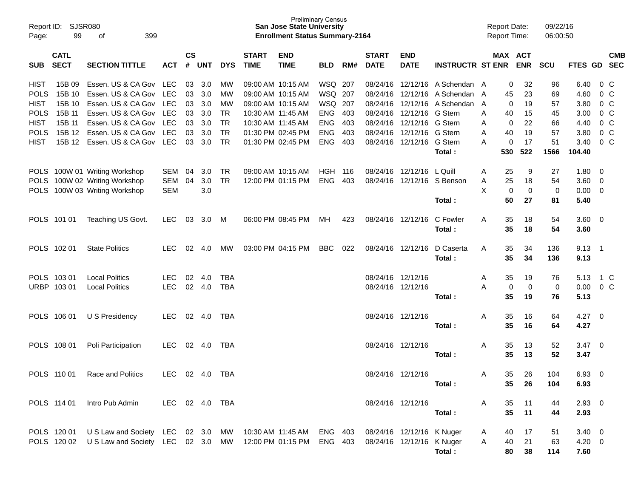| Report ID:<br>Page: | 99                         | <b>SJSR080</b><br>399<br>οf                         |                |                    |            |            |                             | <b>Preliminary Census</b><br><b>San Jose State University</b><br><b>Enrollment Status Summary-2164</b> |            |       |                             |                           |                         |   | <b>Report Date:</b><br><b>Report Time:</b> |            | 09/22/16<br>06:00:50 |                |                |                          |
|---------------------|----------------------------|-----------------------------------------------------|----------------|--------------------|------------|------------|-----------------------------|--------------------------------------------------------------------------------------------------------|------------|-------|-----------------------------|---------------------------|-------------------------|---|--------------------------------------------|------------|----------------------|----------------|----------------|--------------------------|
| <b>SUB</b>          | <b>CATL</b><br><b>SECT</b> | <b>SECTION TITTLE</b>                               | <b>ACT</b>     | $\mathsf{cs}$<br># | <b>UNT</b> | <b>DYS</b> | <b>START</b><br><b>TIME</b> | <b>END</b><br><b>TIME</b>                                                                              | <b>BLD</b> | RM#   | <b>START</b><br><b>DATE</b> | <b>END</b><br><b>DATE</b> | <b>INSTRUCTR ST ENR</b> |   | MAX ACT                                    | <b>ENR</b> | <b>SCU</b>           | FTES GD        |                | <b>CMB</b><br><b>SEC</b> |
| <b>HIST</b>         | 15B 09                     | Essen. US & CA Gov                                  | <b>LEC</b>     | 03                 | 3.0        | MW         | 09:00 AM 10:15 AM           |                                                                                                        | WSQ 207    |       | 08/24/16                    |                           | 12/12/16 A Schendan A   |   | 0                                          | 32         | 96                   | 6.40           |                | $0\,C$                   |
| <b>POLS</b>         | 15B 10                     | Essen. US & CA Gov                                  | LEC            | 03                 | 3.0        | МW         | 09:00 AM 10:15 AM           |                                                                                                        | WSQ 207    |       | 08/24/16                    | 12/12/16                  | A Schendan              | A | 45                                         | 23         | 69                   | 4.60           |                | $0\,C$                   |
| <b>HIST</b>         | 15B 10                     | Essen. US & CA Gov                                  | <b>LEC</b>     | 03                 | 3.0        | MW         | 09:00 AM 10:15 AM           |                                                                                                        | WSQ 207    |       | 08/24/16                    | 12/12/16                  | A Schendan              | A | 0                                          | 19         | 57                   | 3.80           |                | 0 <sup>C</sup>           |
| <b>POLS</b>         | 15B 11                     | Essen. US & CA Gov                                  | <b>LEC</b>     | 03                 | 3.0        | TR         | 10:30 AM 11:45 AM           |                                                                                                        | <b>ENG</b> | 403   | 08/24/16                    | 12/12/16                  | G Stern                 | A | 40                                         | 15         | 45                   | 3.00           |                | 0 <sup>C</sup>           |
| <b>HIST</b>         | 15B 11                     | Essen. US & CA Gov                                  | <b>LEC</b>     | 03                 | 3.0        | <b>TR</b>  | 10:30 AM 11:45 AM           |                                                                                                        | <b>ENG</b> | 403   | 08/24/16                    | 12/12/16                  | G Stern                 | A | 0                                          | 22         | 66                   | 4.40           |                | $0\,C$                   |
| <b>POLS</b>         | 15B 12                     | Essen. US & CA Gov                                  | <b>LEC</b>     | 03                 | 3.0        | <b>TR</b>  |                             | 01:30 PM 02:45 PM                                                                                      | <b>ENG</b> | 403   | 08/24/16                    | 12/12/16                  | G Stern                 | A | 40                                         | 19         | 57                   | 3.80           |                | $0\,C$                   |
| <b>HIST</b>         | 15B 12                     | Essen. US & CA Gov                                  | <b>LEC</b>     | 03                 | 3.0        | <b>TR</b>  |                             | 01:30 PM 02:45 PM                                                                                      | <b>ENG</b> | 403   |                             | 08/24/16 12/12/16         | G Stern                 | A | 0                                          | 17         | 51                   | 3.40           | $0\,$ C        |                          |
|                     |                            |                                                     |                |                    |            |            |                             |                                                                                                        |            |       |                             |                           | Total :                 |   | 530                                        | 522        | 1566                 | 104.40         |                |                          |
| <b>POLS</b>         |                            | 100W 01 Writing Workshop                            | <b>SEM</b>     | 04                 | 3.0        | TR         | 09:00 AM 10:15 AM           |                                                                                                        | HGH        | - 116 |                             | 08/24/16 12/12/16         | L Quill                 | A | 25                                         | 9          | 27                   | 1.80           | - 0            |                          |
| <b>POLS</b>         |                            | 100W 02 Writing Workshop                            | <b>SEM</b>     | 04                 | 3.0        | <b>TR</b>  |                             | 12:00 PM 01:15 PM                                                                                      | <b>ENG</b> | 403   | 08/24/16                    | 12/12/16                  | S Benson                | A | 25                                         | 18         | 54                   | 3.60           | $\overline{0}$ |                          |
| <b>POLS</b>         |                            | 100W 03 Writing Workshop                            | <b>SEM</b>     |                    | 3.0        |            |                             |                                                                                                        |            |       |                             |                           |                         | X | 0                                          | 0          | 0                    | 0.00           | 0              |                          |
|                     |                            |                                                     |                |                    |            |            |                             |                                                                                                        |            |       |                             |                           | Total:                  |   | 50                                         | 27         | 81                   | 5.40           |                |                          |
|                     | POLS 101 01                | Teaching US Govt.                                   | <b>LEC</b>     | 03                 | 3.0        | M          |                             | 06:00 PM 08:45 PM                                                                                      | МH         | 423   |                             | 08/24/16 12/12/16         | C Fowler                | Α | 35                                         | 18         | 54                   | $3.60 \quad 0$ |                |                          |
|                     |                            |                                                     |                |                    |            |            |                             |                                                                                                        |            |       |                             |                           | Total:                  |   | 35                                         | 18         | 54                   | 3.60           |                |                          |
|                     | POLS 102 01                | <b>State Politics</b>                               | LEC            | 02                 | 4.0        | MW         |                             | 03:00 PM 04:15 PM                                                                                      | <b>BBC</b> | 022   |                             | 08/24/16 12/12/16         | D Caserta               | Α | 35                                         | 34         | 136                  | $9.13 \quad 1$ |                |                          |
|                     |                            |                                                     |                |                    |            |            |                             |                                                                                                        |            |       |                             |                           | Total :                 |   | 35                                         | 34         | 136                  | 9.13           |                |                          |
|                     | POLS 103 01                | <b>Local Politics</b>                               | <b>LEC</b>     | 02                 | 4.0        | <b>TBA</b> |                             |                                                                                                        |            |       |                             | 08/24/16 12/12/16         |                         | A | 35                                         | 19         | 76                   | 5.13           |                | 1 C                      |
|                     | URBP 103 01                | <b>Local Politics</b>                               | <b>LEC</b>     | 02                 | 4.0        | <b>TBA</b> |                             |                                                                                                        |            |       |                             | 08/24/16 12/12/16         |                         | A | 0                                          | 0          | 0                    | 0.00           |                | 0 <sup>C</sup>           |
|                     |                            |                                                     |                |                    |            |            |                             |                                                                                                        |            |       |                             |                           | Total:                  |   | 35                                         | 19         | 76                   | 5.13           |                |                          |
|                     | POLS 106 01                | U S Presidency                                      | <b>LEC</b>     | 02                 | 4.0        | TBA        |                             |                                                                                                        |            |       |                             | 08/24/16 12/12/16         |                         | A | 35                                         | 16         | 64                   | $4.27 \t 0$    |                |                          |
|                     |                            |                                                     |                |                    |            |            |                             |                                                                                                        |            |       |                             |                           | Total :                 |   | 35                                         | 16         | 64                   | 4.27           |                |                          |
|                     | POLS 108 01                | Poli Participation                                  | <b>LEC</b>     | 02                 | 4.0        | TBA        |                             |                                                                                                        |            |       |                             | 08/24/16 12/12/16         |                         | A | 35                                         | 13         | 52                   | $3.47 \quad 0$ |                |                          |
|                     |                            |                                                     |                |                    |            |            |                             |                                                                                                        |            |       |                             |                           | Total:                  |   | 35                                         | 13         | 52                   | 3.47           |                |                          |
|                     | POLS 110 01                | Race and Politics                                   | LEC 02 4.0     |                    |            | <b>TBA</b> |                             |                                                                                                        |            |       |                             | 08/24/16 12/12/16         |                         | A | 35                                         | 26         | 104                  | 6.93           | - 0            |                          |
|                     |                            |                                                     |                |                    |            |            |                             |                                                                                                        |            |       |                             |                           | Total:                  |   | 35                                         | 26         | 104                  | 6.93           |                |                          |
|                     | POLS 114 01                | Intro Pub Admin                                     | LEC 02 4.0 TBA |                    |            |            |                             |                                                                                                        |            |       |                             | 08/24/16 12/12/16         |                         | A | 35                                         | 11         | 44                   | $2.93$ 0       |                |                          |
|                     |                            |                                                     |                |                    |            |            |                             |                                                                                                        |            |       |                             |                           | Total:                  |   | 35                                         | 11         | 44                   | 2.93           |                |                          |
|                     | POLS 120 01                | U S Law and Society LEC 02 3.0 MW 10:30 AM 11:45 AM |                |                    |            |            |                             |                                                                                                        | ENG 403    |       |                             | 08/24/16 12/12/16 K Nuger |                         | A | 40                                         | 17         | 51                   | $3.40 \quad 0$ |                |                          |
|                     | POLS 120 02                | U S Law and Society LEC 02 3.0 MW 12:00 PM 01:15 PM |                |                    |            |            |                             |                                                                                                        | ENG 403    |       |                             | 08/24/16 12/12/16 K Nuger |                         | A | 40                                         | 21         | 63                   | $4.20 \ 0$     |                |                          |
|                     |                            |                                                     |                |                    |            |            |                             |                                                                                                        |            |       |                             |                           | Total:                  |   | 80                                         | 38         | 114                  | 7.60           |                |                          |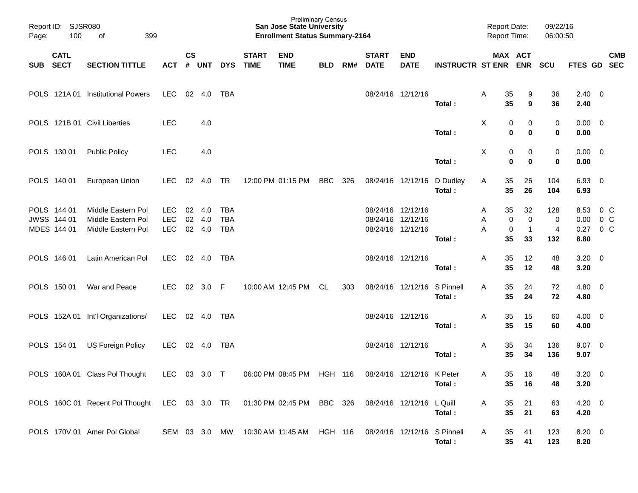| Page:    | Report ID: SJSR080<br>100<br>399<br>of    |                                                                         |                                        |               |                      |                                        |                             | <b>Preliminary Census</b><br><b>San Jose State University</b><br><b>Enrollment Status Summary-2164</b> |                |     |                             |                                                             |                             | <b>Report Date:</b><br><b>Report Time:</b> |                                                           | 09/22/16<br>06:00:50 |                                       |                |  |
|----------|-------------------------------------------|-------------------------------------------------------------------------|----------------------------------------|---------------|----------------------|----------------------------------------|-----------------------------|--------------------------------------------------------------------------------------------------------|----------------|-----|-----------------------------|-------------------------------------------------------------|-----------------------------|--------------------------------------------|-----------------------------------------------------------|----------------------|---------------------------------------|----------------|--|
| SUB SECT | <b>CATL</b>                               | <b>SECTION TITTLE</b>                                                   | ACT                                    | $\mathsf{cs}$ | # UNT                | <b>DYS</b>                             | <b>START</b><br><b>TIME</b> | <b>END</b><br><b>TIME</b>                                                                              | <b>BLD</b>     | RM# | <b>START</b><br><b>DATE</b> | <b>END</b><br><b>DATE</b>                                   | <b>INSTRUCTR ST ENR ENR</b> |                                            | MAX ACT                                                   | SCU                  | FTES GD SEC                           | <b>CMB</b>     |  |
|          |                                           | POLS 121A 01 Institutional Powers                                       | LEC                                    |               | 02 4.0               | TBA                                    |                             |                                                                                                        |                |     |                             | 08/24/16 12/12/16                                           | Total:                      | 35<br>Α<br>35                              | 9<br>9                                                    | 36<br>36             | $2.40 \ 0$<br>2.40                    |                |  |
|          |                                           | POLS 121B 01 Civil Liberties                                            | <b>LEC</b>                             |               | 4.0                  |                                        |                             |                                                                                                        |                |     |                             |                                                             | Total:                      | X                                          | 0<br>0<br>$\bf{0}$<br>0                                   | 0<br>$\mathbf 0$     | $0.00 \t 0$<br>0.00                   |                |  |
|          | POLS 130 01                               | <b>Public Policy</b>                                                    | <b>LEC</b>                             |               | 4.0                  |                                        |                             |                                                                                                        |                |     |                             |                                                             | Total:                      | X                                          | 0<br>0<br>$\mathbf 0$<br>0                                | 0<br>$\bf{0}$        | $0.00 \t 0$<br>0.00                   |                |  |
|          | POLS 140 01                               | European Union                                                          | <b>LEC</b>                             | 02            | 4.0                  | <b>TR</b>                              |                             | 12:00 PM 01:15 PM                                                                                      | <b>BBC</b>     | 326 |                             | 08/24/16 12/12/16                                           | D Dudley<br>Total:          | 35<br>A<br>35                              | 26<br>26                                                  | 104<br>104           | $6.93$ 0<br>6.93                      |                |  |
|          | POLS 144 01<br>JWSS 144 01<br>MDES 144 01 | Middle Eastern Pol<br>Middle Eastern Pol<br>Middle Eastern Pol          | <b>LEC</b><br><b>LEC</b><br><b>LEC</b> | 02<br>02      | 4.0<br>4.0<br>02 4.0 | <b>TBA</b><br><b>TBA</b><br><b>TBA</b> |                             |                                                                                                        |                |     |                             | 08/24/16 12/12/16<br>08/24/16 12/12/16<br>08/24/16 12/12/16 | Total:                      | 35<br>A<br>Α<br>Α<br>35                    | 32<br>$\pmb{0}$<br>$\mathbf 0$<br>0<br>$\mathbf{1}$<br>33 | 128<br>0<br>4<br>132 | 8.53<br>$0.00 \t 0 C$<br>0.27<br>8.80 | 0 C<br>$0\,$ C |  |
|          | POLS 146 01                               | Latin American Pol                                                      | LEC                                    |               | 02 4.0               | TBA                                    |                             |                                                                                                        |                |     |                             | 08/24/16 12/12/16                                           | Total:                      | 35<br>Α<br>35                              | 12<br>12                                                  | 48<br>48             | $3.20 \ 0$<br>3.20                    |                |  |
|          | POLS 150 01                               | War and Peace                                                           | <b>LEC</b>                             |               | 02 3.0 F             |                                        |                             | 10:00 AM 12:45 PM                                                                                      | CL             | 303 |                             | 08/24/16 12/12/16                                           | S Pinnell<br>Total:         | 35<br>A<br>35                              | 24<br>24                                                  | 72<br>72             | $4.80\ 0$<br>4.80                     |                |  |
|          |                                           | POLS 152A 01 Int'l Organizations/                                       | LEC                                    |               | 02 4.0               | TBA                                    |                             |                                                                                                        |                |     |                             | 08/24/16 12/12/16                                           | Total:                      | Α<br>35<br>35                              | 15<br>15                                                  | 60<br>60             | $4.00 \ 0$<br>4.00                    |                |  |
|          | POLS 154 01                               | US Foreign Policy                                                       | LEC                                    |               | 02 4.0               | TBA                                    |                             |                                                                                                        |                |     |                             | 08/24/16 12/12/16                                           | Total:                      | 35<br>Α<br>35                              | 34<br>34                                                  | 136<br>136           | $9.07$ 0<br>9.07                      |                |  |
|          |                                           | POLS 160A 01 Class Pol Thought                                          | <b>LEC</b>                             |               | 03 3.0 T             |                                        |                             | 06:00 PM 08:45 PM                                                                                      | <b>HGH 116</b> |     |                             | 08/24/16 12/12/16 K Peter                                   | Total:                      | 35<br>A<br>35                              | 16<br>16                                                  | 48<br>48             | $3.20 \ 0$<br>3.20                    |                |  |
|          |                                           | POLS 160C 01 Recent Pol Thought LEC 03 3.0 TR 01:30 PM 02:45 PM BBC 326 |                                        |               |                      |                                        |                             |                                                                                                        |                |     |                             | 08/24/16 12/12/16                                           | L Quill<br>Total:           | 35<br>A<br>35                              | 21<br>21                                                  | 63<br>63             | $4.20 \ 0$<br>4.20                    |                |  |
|          |                                           | POLS 170V 01 Amer Pol Global                                            | SEM 03 3.0 MW                          |               |                      |                                        |                             | 10:30 AM 11:45 AM HGH 116                                                                              |                |     |                             | 08/24/16 12/12/16                                           | S Pinnell<br>Total:         | 35<br>A<br>35                              | 41<br>41                                                  | 123<br>123           | $8.20 \ 0$<br>8.20                    |                |  |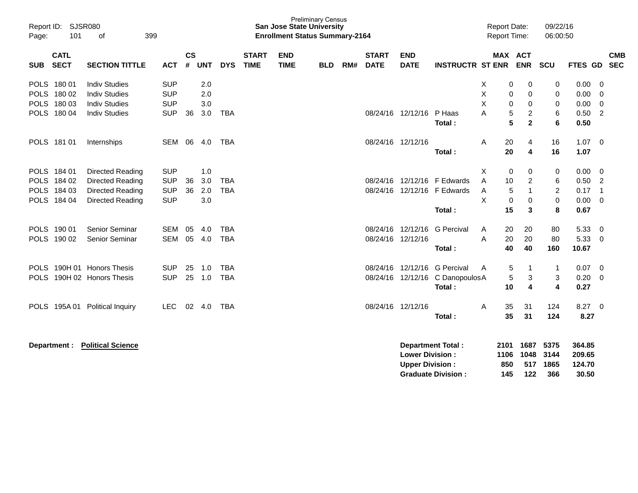| Report ID:<br>101<br>Page:                                                  | <b>Preliminary Census</b><br><b>SJSR080</b><br><b>San Jose State University</b><br>399<br><b>Enrollment Status Summary-2164</b><br>οf |                                                      |                |                          |                          |                             |                           |            |     |                             |                                                                              |                                                    |                  | <b>Report Date:</b><br>Report Time: |                                                          | 09/22/16<br>06:00:50                         |                                      |                                                      |
|-----------------------------------------------------------------------------|---------------------------------------------------------------------------------------------------------------------------------------|------------------------------------------------------|----------------|--------------------------|--------------------------|-----------------------------|---------------------------|------------|-----|-----------------------------|------------------------------------------------------------------------------|----------------------------------------------------|------------------|-------------------------------------|----------------------------------------------------------|----------------------------------------------|--------------------------------------|------------------------------------------------------|
| <b>CATL</b><br><b>SECT</b><br><b>SUB</b>                                    | <b>SECTION TITTLE</b>                                                                                                                 | <b>ACT</b>                                           | <b>CS</b><br># | <b>UNT</b>               | <b>DYS</b>               | <b>START</b><br><b>TIME</b> | <b>END</b><br><b>TIME</b> | <b>BLD</b> | RM# | <b>START</b><br><b>DATE</b> | <b>END</b><br><b>DATE</b>                                                    | <b>INSTRUCTR ST ENR</b>                            |                  | MAX ACT                             | <b>ENR</b>                                               | SCU                                          | FTES GD                              | <b>CMB</b><br><b>SEC</b>                             |
| <b>POLS</b><br>18001<br><b>POLS</b><br>180 02<br>POLS 180 03<br>POLS 180 04 | <b>Indiv Studies</b><br><b>Indiv Studies</b><br><b>Indiv Studies</b><br><b>Indiv Studies</b>                                          | <b>SUP</b><br><b>SUP</b><br><b>SUP</b><br><b>SUP</b> | 36             | 2.0<br>2.0<br>3.0<br>3.0 | <b>TBA</b>               |                             |                           |            |     |                             | 08/24/16 12/12/16                                                            | P Haas<br>Total:                                   | Х<br>X<br>X<br>А | 0<br>0<br>0<br>5<br>5               | 0<br>0<br>0<br>$\overline{c}$<br>$\overline{\mathbf{2}}$ | 0<br>0<br>0<br>6<br>6                        | 0.00<br>0.00<br>0.00<br>0.50<br>0.50 | 0<br>0<br>$\mathbf 0$<br>2                           |
| POLS 181 01                                                                 | Internships                                                                                                                           | SEM                                                  | 06             | 4.0                      | TBA                      |                             |                           |            |     | 08/24/16 12/12/16           |                                                                              | Total:                                             | A                | 20<br>20                            | 4<br>$\overline{\mathbf{4}}$                             | 16<br>16                                     | 1.07<br>1.07                         | 0                                                    |
| POLS 184 01<br>POLS 184 02<br>POLS 184 03<br>POLS 184 04                    | Directed Reading<br>Directed Reading<br>Directed Reading<br><b>Directed Reading</b>                                                   | <b>SUP</b><br><b>SUP</b><br><b>SUP</b><br><b>SUP</b> | 36<br>36       | 1.0<br>3.0<br>2.0<br>3.0 | <b>TBA</b><br><b>TBA</b> |                             |                           |            |     | 08/24/16                    | 12/12/16                                                                     | F Edwards<br>08/24/16 12/12/16 F Edwards<br>Total: | X<br>A<br>A<br>X | 0<br>10<br>5<br>$\mathbf 0$<br>15   | 0<br>$\overline{c}$<br>$\mathbf{1}$<br>0<br>3            | 0<br>6<br>$\overline{c}$<br>$\mathbf 0$<br>8 | 0.00<br>0.50<br>0.17<br>0.00<br>0.67 | 0<br>$\overline{2}$<br>$\overline{1}$<br>$\mathbf 0$ |
| POLS 190 01<br>POLS 190 02                                                  | Senior Seminar<br>Senior Seminar                                                                                                      | <b>SEM</b><br><b>SEM</b>                             | 05<br>05       | 4.0<br>4.0               | <b>TBA</b><br><b>TBA</b> |                             |                           |            |     | 08/24/16 12/12/16           | 08/24/16 12/12/16                                                            | <b>G</b> Percival<br>Total:                        | A<br>A           | 20<br>20<br>40                      | 20<br>20<br>40                                           | 80<br>80<br>160                              | 5.33<br>5.33<br>10.67                | $\overline{0}$<br>0                                  |
| <b>POLS</b><br><b>POLS</b>                                                  | 190H 01 Honors Thesis<br>190H 02 Honors Thesis                                                                                        | <b>SUP</b><br><b>SUP</b>                             | 25<br>25       | 1.0<br>1.0               | <b>TBA</b><br><b>TBA</b> |                             |                           |            |     | 08/24/16                    | 12/12/16<br>08/24/16 12/12/16                                                | <b>G</b> Percival<br>C DanopoulosA<br>Total:       | A                | 5<br>5<br>10                        | 1<br>3<br>4                                              | -1<br>3<br>4                                 | 0.07<br>0.20<br>0.27                 | 0<br>$\mathbf 0$                                     |
| 195A01<br><b>POLS</b>                                                       | <b>Political Inquiry</b>                                                                                                              | LEC                                                  | 02             | 4.0                      | <b>TBA</b>               |                             |                           |            |     | 08/24/16 12/12/16           |                                                                              | Total:                                             | Α                | 35<br>35                            | 31<br>31                                                 | 124<br>124                                   | 8.27 0<br>8.27                       |                                                      |
| Department :                                                                | <b>Political Science</b>                                                                                                              |                                                      |                |                          |                          |                             |                           |            |     |                             | <b>Department Total:</b><br><b>Lower Division:</b><br><b>Upper Division:</b> |                                                    |                  | 2101<br>1106<br>850                 | 1687<br>1048<br>517                                      | 5375<br>3144<br>1865                         | 364.85<br>209.65<br>124.70           |                                                      |

**Graduate Division : 145 122 366 30.50**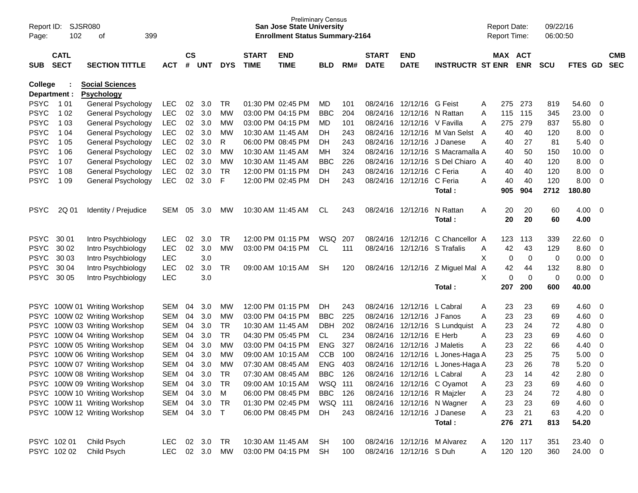| Report ID:                 | SJSR080          |                                                      |                   |               |            |                 |                   | <b>Preliminary Census</b><br><b>San Jose State University</b> |                          |            |                   |                              |                                         |   | <b>Report Date:</b> |                    | 09/22/16   |                |                         |            |
|----------------------------|------------------|------------------------------------------------------|-------------------|---------------|------------|-----------------|-------------------|---------------------------------------------------------------|--------------------------|------------|-------------------|------------------------------|-----------------------------------------|---|---------------------|--------------------|------------|----------------|-------------------------|------------|
| Page:                      | 102<br>399<br>оf |                                                      |                   |               |            |                 |                   | <b>Enrollment Status Summary-2164</b>                         |                          |            |                   |                              |                                         |   | Report Time:        |                    | 06:00:50   |                |                         |            |
|                            | <b>CATL</b>      |                                                      |                   | $\mathsf{cs}$ |            |                 | <b>START</b>      | <b>END</b>                                                    |                          |            | <b>START</b>      | <b>END</b>                   |                                         |   | MAX ACT             |                    |            |                |                         | <b>CMB</b> |
| <b>SUB</b>                 | <b>SECT</b>      | <b>SECTION TITTLE</b>                                | <b>ACT</b>        | #             | <b>UNT</b> | <b>DYS</b>      | <b>TIME</b>       | <b>TIME</b>                                                   | <b>BLD</b>               | RM#        | <b>DATE</b>       | <b>DATE</b>                  | <b>INSTRUCTR ST ENR</b>                 |   |                     | <b>ENR</b>         | <b>SCU</b> | <b>FTES GD</b> |                         | <b>SEC</b> |
| <b>College</b>             |                  | <b>Social Sciences</b>                               |                   |               |            |                 |                   |                                                               |                          |            |                   |                              |                                         |   |                     |                    |            |                |                         |            |
| Department :               |                  | <b>Psychology</b>                                    |                   |               |            |                 |                   |                                                               |                          |            |                   |                              |                                         |   |                     |                    |            |                |                         |            |
| <b>PSYC</b>                | 1 0 1            | General Psychology                                   | <b>LEC</b>        | 02            | 3.0        | TR              |                   | 01:30 PM 02:45 PM                                             | MD                       | 101        |                   | 08/24/16 12/12/16 G Feist    |                                         | A | 275                 | 273                | 819        | 54.60          | - 0                     |            |
| <b>PSYC</b>                | 1 0 2            | General Psychology                                   | <b>LEC</b>        | 02            | 3.0        | MW              |                   | 03:00 PM 04:15 PM                                             | <b>BBC</b>               | 204        |                   | 08/24/16 12/12/16 N Rattan   |                                         | A | 115                 | 115                | 345        | 23.00          | 0                       |            |
| <b>PSYC</b>                | 1 0 3            | General Psychology                                   | <b>LEC</b>        | 02            | 3.0        | MW              |                   | 03:00 PM 04:15 PM                                             | MD                       | 101        |                   | 08/24/16 12/12/16 V Favilla  |                                         | A | 275                 | 279                | 837        | 55.80          | 0                       |            |
| <b>PSYC</b>                | 1 0 4            | General Psychology                                   | <b>LEC</b>        | 02            | 3.0        | МW              | 10:30 AM 11:45 AM |                                                               | DH                       | 243        |                   | 08/24/16 12/12/16            | M Van Selst                             | A | 40                  | 40                 | 120        | 8.00           | - 0                     |            |
| <b>PSYC</b>                | 1 0 5            | General Psychology                                   | <b>LEC</b>        | 02            | 3.0        | R               |                   | 06:00 PM 08:45 PM                                             | DH                       | 243        |                   | 08/24/16 12/12/16            | J Danese                                | A | 40                  | 27                 | 81         | 5.40           | $\overline{0}$          |            |
| <b>PSYC</b>                | 1 0 6            | General Psychology                                   | <b>LEC</b>        | 02            | 3.0        | MW              |                   | 10:30 AM 11:45 AM                                             | MН                       | 324        |                   | 08/24/16 12/12/16            | S Macramalla A                          |   | 40                  | 50                 | 150        | 10.00          | $\overline{0}$          |            |
| <b>PSYC</b>                | 1 0 7            | General Psychology                                   | <b>LEC</b>        | 02            | 3.0        | MW              |                   | 10:30 AM 11:45 AM                                             | <b>BBC</b>               | 226        |                   | 08/24/16 12/12/16            | S Del Chiaro A                          |   | 40                  | 40                 | 120        | 8.00           | 0                       |            |
| <b>PSYC</b>                | 1 0 8            | General Psychology                                   | <b>LEC</b>        | 02            | 3.0        | <b>TR</b>       |                   | 12:00 PM 01:15 PM                                             | DH.                      | 243        |                   | 08/24/16 12/12/16            | C Feria                                 | A | 40                  | 40                 | 120        | 8.00           | $\overline{0}$          |            |
| <b>PSYC</b>                | 1 0 9            | General Psychology                                   | <b>LEC</b>        | 02            | 3.0        | F               |                   | 12:00 PM 02:45 PM                                             | DH                       | 243        |                   | 08/24/16 12/12/16            | C Feria                                 | Α | 40                  | 40                 | 120        | 8.00           | 0                       |            |
|                            |                  |                                                      |                   |               |            |                 |                   |                                                               |                          |            |                   |                              | Total:                                  |   | 905                 | 904                | 2712       | 180.80         |                         |            |
|                            |                  |                                                      |                   |               |            |                 |                   |                                                               |                          |            |                   |                              |                                         |   |                     |                    |            |                |                         |            |
| <b>PSYC</b>                | 2Q 01            | Identity / Prejudice                                 | <b>SEM</b>        | 05            | 3.0        | <b>MW</b>       |                   | 10:30 AM 11:45 AM                                             | CL                       | 243        | 08/24/16 12/12/16 |                              | N Rattan                                | A | 20                  | 20                 | 60         | 4.00           | $\overline{\mathbf{0}}$ |            |
|                            |                  |                                                      |                   |               |            |                 |                   |                                                               |                          |            |                   |                              | Total:                                  |   | 20                  | 20                 | 60         | 4.00           |                         |            |
|                            |                  |                                                      |                   |               |            |                 |                   |                                                               |                          |            |                   |                              |                                         |   |                     |                    |            |                |                         |            |
| <b>PSYC</b>                | 30 01            | Intro Psychbiology                                   | LEC.              | 02            | 3.0        | TR.             |                   | 12:00 PM 01:15 PM                                             | WSQ                      | 207        |                   | 08/24/16 12/12/16            | C Chancellor A                          |   | 123                 | 113                | 339        | 22.60          | - 0                     |            |
| <b>PSYC</b>                | 30 02            | Intro Psychbiology                                   | <b>LEC</b>        | 02            | 3.0        | MW              |                   | 03:00 PM 04:15 PM                                             | CL.                      | 111        |                   | 08/24/16 12/12/16 S Trafalis |                                         | A | 42                  | 43                 | 129        | 8.60           | - 0                     |            |
| <b>PSYC</b>                | 30 03            | Intro Psychbiology                                   | <b>LEC</b>        |               | 3.0        |                 |                   |                                                               |                          |            |                   |                              |                                         | X | 0                   | 0                  | 0          | 0.00           | 0                       |            |
| <b>PSYC</b>                | 30 04            | Intro Psychbiology                                   | <b>LEC</b>        | 02            | 3.0        | TR              |                   | 09:00 AM 10:15 AM                                             | <b>SH</b>                | 120        |                   | 08/24/16 12/12/16            | Z Miguel Mal A                          |   | 42                  | 44                 | 132        | 8.80           | $\overline{0}$          |            |
| <b>PSYC</b>                | 30 05            | Intro Psychbiology                                   | <b>LEC</b>        |               | 3.0        |                 |                   |                                                               |                          |            |                   |                              |                                         | X | $\mathbf 0$         | $\mathbf 0$        | 0          | 0.00           | 0                       |            |
|                            |                  |                                                      |                   |               |            |                 |                   |                                                               |                          |            |                   |                              | Total:                                  |   | 207                 | 200                | 600        | 40.00          |                         |            |
|                            |                  |                                                      | SEM               | 04            | 3.0        |                 |                   | 12:00 PM 01:15 PM                                             |                          | 243        |                   | 08/24/16 12/12/16            | L Cabral                                |   |                     | 23                 |            | 4.60           |                         |            |
|                            |                  | PSYC 100W 01 Writing Workshop                        | SEM               | 04            | 3.0        | <b>MW</b><br>MW |                   | 03:00 PM 04:15 PM                                             | DH.<br><b>BBC</b>        | 225        |                   | 08/24/16 12/12/16            | J Fanos                                 | A | 23<br>23            | 23                 | 69<br>69   | 4.60           | - 0                     |            |
|                            |                  | PSYC 100W 02 Writing Workshop                        |                   |               |            |                 |                   |                                                               |                          |            |                   |                              |                                         | A |                     |                    |            |                | - 0                     |            |
| <b>PSYC</b>                |                  | PSYC 100W 03 Writing Workshop                        | SEM<br><b>SEM</b> | 04<br>04      | 3.0<br>3.0 | TR<br><b>TR</b> |                   | 10:30 AM 11:45 AM<br>04:30 PM 05:45 PM                        | <b>DBH</b><br>CL.        | 202<br>234 | 08/24/16          | 12/12/16                     | 08/24/16 12/12/16 S Lundquist<br>E Herb | A | 23<br>23            | 24<br>23           | 72<br>69   | 4.80<br>4.60   | 0                       |            |
| <b>PSYC</b>                |                  | 100W 04 Writing Workshop<br>100W 05 Writing Workshop | <b>SEM</b>        | 04            | 3.0        | МW              |                   | 03:00 PM 04:15 PM                                             | <b>ENG</b>               | 327        | 08/24/16          | 12/12/16                     | J Maletis                               | A | 23                  | 22                 | 66         | 4.40           | 0                       |            |
|                            |                  |                                                      |                   |               |            |                 |                   |                                                               |                          |            |                   |                              | 08/24/16 12/12/16 L Jones-Haga A        | A |                     |                    |            |                | 0                       |            |
| <b>PSYC</b><br><b>PSYC</b> |                  | 100W 06 Writing Workshop<br>100W 07 Writing Workshop | SEM<br><b>SEM</b> | 04<br>04      | 3.0<br>3.0 | MW<br><b>MW</b> |                   | 09:00 AM 10:15 AM<br>07:30 AM 08:45 AM                        | <b>CCB</b><br><b>ENG</b> | 100<br>403 | 08/24/16          | 12/12/16                     | L Jones-Haga A                          |   | 23<br>23            | 25<br>26           | 75<br>78   | 5.00<br>5.20   | 0                       |            |
|                            |                  | PSYC 100W 08 Writing Workshop                        | <b>SEM</b>        | 04            | 3.0        | <b>TR</b>       |                   | 07:30 AM 08:45 AM                                             | <b>BBC</b>               | 126        |                   | 08/24/16 12/12/16 L Cabral   |                                         |   | 23                  | 14                 | 42         | 2.80           | 0<br>$\overline{0}$     |            |
|                            |                  |                                                      |                   |               |            |                 |                   |                                                               |                          |            |                   |                              |                                         | A |                     |                    |            |                |                         |            |
|                            |                  | PSYC 100W 09 Writing Workshop                        | SEM 04            |               | 3.0        | TR              |                   | 09:00 AM 10:15 AM                                             | WSQ 111                  |            |                   |                              | 08/24/16 12/12/16 C Oyamot              | Α | 23                  | 23                 | 69         | 4.60 0         |                         |            |
|                            |                  | PSYC 100W 10 Writing Workshop                        | SEM 04            |               | 3.0        | M               |                   | 06:00 PM 08:45 PM                                             | <b>BBC</b>               | 126        |                   |                              | 08/24/16 12/12/16 R Majzler             | A | 23                  | 24                 | 72         | 4.80 0         |                         |            |
|                            |                  | PSYC 100W 11 Writing Workshop                        | SEM 04 3.0        |               |            | TR              |                   | 01:30 PM 02:45 PM                                             | WSQ 111                  |            |                   |                              | 08/24/16 12/12/16 N Wagner              | A | 23                  | 23                 | 69         | $4.60$ 0       |                         |            |
|                            |                  | PSYC 100W 12 Writing Workshop                        | SEM 04 3.0        |               |            | $\top$          |                   | 06:00 PM 08:45 PM                                             | DH                       | 243        |                   |                              | 08/24/16 12/12/16 J Danese              | A | 23                  | 21                 | 63         | $4.20 \ 0$     |                         |            |
|                            |                  |                                                      |                   |               |            |                 |                   |                                                               |                          |            |                   |                              | Total:                                  |   | 276                 | 271                | 813        | 54.20          |                         |            |
|                            | PSYC 102 01      |                                                      | <b>LEC</b>        |               | 02 3.0     | TR              |                   | 10:30 AM 11:45 AM                                             | SH                       |            |                   |                              |                                         |   |                     |                    |            |                |                         |            |
|                            | PSYC 102 02      | Child Psych                                          |                   |               |            |                 |                   |                                                               |                          | 100        |                   |                              | 08/24/16 12/12/16 M Alvarez             | A |                     | 120 117<br>120 120 | 351        | 23.40 0        |                         |            |
|                            |                  | Child Psych                                          | LEC 02 3.0 MW     |               |            |                 |                   | 03:00 PM 04:15 PM                                             | SH                       | 100        |                   | 08/24/16 12/12/16 S Duh      |                                         | A |                     |                    | 360        | 24.00 0        |                         |            |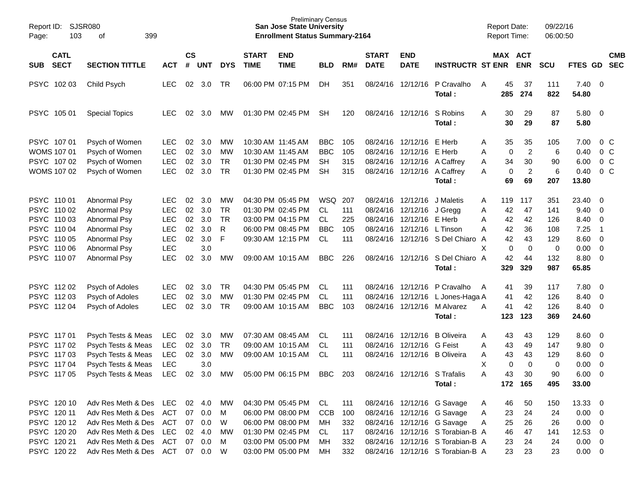| Report ID:<br>Page:                      | SJSR080<br>103<br>399<br>οf     |            |                |        |            |                             | <b>San Jose State University</b><br><b>Enrollment Status Summary-2164</b> | <b>Preliminary Census</b> |     |                             |                             |                                  | <b>Report Date:</b><br><b>Report Time:</b> |                       | 09/22/16<br>06:00:50 |                         |                          |                          |
|------------------------------------------|---------------------------------|------------|----------------|--------|------------|-----------------------------|---------------------------------------------------------------------------|---------------------------|-----|-----------------------------|-----------------------------|----------------------------------|--------------------------------------------|-----------------------|----------------------|-------------------------|--------------------------|--------------------------|
| <b>CATL</b><br><b>SECT</b><br><b>SUB</b> | <b>SECTION TITTLE</b>           | <b>ACT</b> | <b>CS</b><br># | UNT    | <b>DYS</b> | <b>START</b><br><b>TIME</b> | <b>END</b><br><b>TIME</b>                                                 | <b>BLD</b>                | RM# | <b>START</b><br><b>DATE</b> | <b>END</b><br><b>DATE</b>   | <b>INSTRUCTR ST ENR</b>          |                                            | MAX ACT<br><b>ENR</b> | <b>SCU</b>           | FTES GD                 |                          | <b>CMB</b><br><b>SEC</b> |
| PSYC 10203                               | Child Psych                     | <b>LEC</b> | 02             | 3.0    | TR         |                             | 06:00 PM 07:15 PM                                                         | DH                        | 351 |                             | 08/24/16 12/12/16           | P Cravalho<br>Total:             | 45<br>A<br>285                             | 37<br>274             | 111<br>822           | $7.40 \quad 0$<br>54.80 |                          |                          |
| PSYC 105 01                              | <b>Special Topics</b>           | <b>LEC</b> | 02             | 3.0    | <b>MW</b>  |                             | 01:30 PM 02:45 PM                                                         | SН                        | 120 |                             | 08/24/16 12/12/16           | S Robins<br>Total:               | Α<br>30<br>30                              | 29<br>29              | 87<br>87             | 5.80 0<br>5.80          |                          |                          |
| PSYC 107 01                              | Psych of Women                  | <b>LEC</b> | 02             | 3.0    | MW         |                             | 10:30 AM 11:45 AM                                                         | <b>BBC</b>                | 105 |                             | 08/24/16 12/12/16 E Herb    |                                  | 35<br>A                                    | 35                    | 105                  | 7.00                    |                          | $0\,C$                   |
| <b>WOMS 107 01</b>                       | Psych of Women                  | <b>LEC</b> | 02             | 3.0    | MW         |                             | 10:30 AM 11:45 AM                                                         | <b>BBC</b>                | 105 | 08/24/16                    | 12/12/16                    | E Herb                           | Α                                          | $\overline{c}$<br>0   | 6                    | 0.40                    |                          | 0 <sup>o</sup>           |
| PSYC 107 02                              | Psych of Women                  | <b>LEC</b> | 02             | 3.0    | <b>TR</b>  |                             | 01:30 PM 02:45 PM                                                         | SH                        | 315 |                             | 08/24/16 12/12/16 A Caffrey |                                  | 34<br>Α                                    | 30                    | 90                   | 6.00                    |                          | 0 <sup>o</sup>           |
| WOMS 107 02                              | Psych of Women                  | <b>LEC</b> | 02             | 3.0    | TR         |                             | 01:30 PM 02:45 PM                                                         | <b>SH</b>                 | 315 |                             | 08/24/16 12/12/16 A Caffrey |                                  | Α                                          | $\boldsymbol{2}$<br>0 | 6                    | 0.40                    |                          | 0 <sup>o</sup>           |
|                                          |                                 |            |                |        |            |                             |                                                                           |                           |     |                             |                             | Total:                           | 69                                         | 69                    | 207                  | 13.80                   |                          |                          |
| PSYC 110 01                              | Abnormal Psy                    | LEC.       | 02             | 3.0    | MW         |                             | 04:30 PM 05:45 PM                                                         | WSQ                       | 207 |                             | 08/24/16 12/12/16           | J Maletis                        | 119<br>A                                   | 117                   | 351                  | 23.40                   | $\overline{\phantom{0}}$ |                          |
| PSYC 110 02                              | Abnormal Psy                    | <b>LEC</b> | 02             | 3.0    | TR         |                             | 01:30 PM 02:45 PM                                                         | <b>CL</b>                 | 111 | 08/24/16                    | 12/12/16                    | J Gregg                          | 42<br>Α                                    | 47                    | 141                  | 9.40                    | $\overline{\phantom{0}}$ |                          |
| PSYC 110 03                              | Abnormal Psy                    | <b>LEC</b> | 02             | 3.0    | TR         |                             | 03:00 PM 04:15 PM                                                         | <b>CL</b>                 | 225 | 08/24/16                    | 12/12/16 E Herb             |                                  | 42<br>Α                                    | 42                    | 126                  | 8.40                    | $\overline{\phantom{0}}$ |                          |
| PSYC 110 04                              | Abnormal Psy                    | <b>LEC</b> | 02             | 3.0    | R          |                             | 06:00 PM 08:45 PM                                                         | <b>BBC</b>                | 105 | 08/24/16                    | 12/12/16 L Tinson           |                                  | 42<br>А                                    | 36                    | 108                  | 7.25                    | $\overline{1}$           |                          |
| PSYC 110 05                              | Abnormal Psy                    | <b>LEC</b> | 02             | 3.0    | F          |                             | 09:30 AM 12:15 PM                                                         | CL.                       | 111 |                             |                             | 08/24/16 12/12/16 S Del Chiaro A | 42                                         | 43                    | 129                  | $8.60$ 0                |                          |                          |
| PSYC 110 06                              | Abnormal Psy                    | <b>LEC</b> |                | 3.0    |            |                             |                                                                           |                           |     |                             |                             |                                  | X                                          | 0<br>0                | 0                    | 0.00                    | $\overline{\phantom{0}}$ |                          |
| PSYC 110 07                              | <b>Abnormal Psy</b>             | <b>LEC</b> | 02             | 3.0    | MW         |                             | 09:00 AM 10:15 AM                                                         | <b>BBC</b>                | 226 |                             |                             | 08/24/16 12/12/16 S Del Chiaro A | 42                                         | 44                    | 132                  | 8.80 0                  |                          |                          |
|                                          |                                 |            |                |        |            |                             |                                                                           |                           |     |                             |                             | Total:                           | 329                                        | 329                   | 987                  | 65.85                   |                          |                          |
| PSYC 112 02                              | Psych of Adoles                 | <b>LEC</b> | 02             | 3.0    | TR         |                             | 04:30 PM 05:45 PM                                                         | CL.                       | 111 |                             | 08/24/16 12/12/16           | P Cravalho                       | 41<br>A                                    | 39                    | 117                  | 7.80 0                  |                          |                          |
| PSYC 11203                               | Psych of Adoles                 | <b>LEC</b> | 02             | 3.0    | MW         |                             | 01:30 PM 02:45 PM                                                         | <b>CL</b>                 | 111 | 08/24/16                    | 12/12/16                    | L Jones-Haga A                   | 41                                         | 42                    | 126                  | 8.40                    | $\overline{0}$           |                          |
| PSYC 11204                               | Psych of Adoles                 | <b>LEC</b> | 02             | 3.0    | TR         |                             | 09:00 AM 10:15 AM                                                         | <b>BBC</b>                | 103 |                             | 08/24/16 12/12/16           | M Alvarez                        | 41<br>A                                    | 42                    | 126                  | 8.40 0                  |                          |                          |
|                                          |                                 |            |                |        |            |                             |                                                                           |                           |     |                             |                             | Total:                           | 123                                        | 123                   | 369                  | 24.60                   |                          |                          |
| PSYC 117 01                              | Psych Tests & Meas              | <b>LEC</b> | 02             | 3.0    | MW         |                             | 07:30 AM 08:45 AM                                                         | CL.                       | 111 | 08/24/16                    | 12/12/16                    | <b>B</b> Oliveira                | 43<br>Α                                    | 43                    | 129                  | $8.60 \quad 0$          |                          |                          |
| PSYC 117 02                              | Psych Tests & Meas              | <b>LEC</b> | 02             | 3.0    | <b>TR</b>  |                             | 09:00 AM 10:15 AM                                                         | CL.                       | 111 | 08/24/16                    | 12/12/16 G Feist            |                                  | 43<br>Α                                    | 49                    | 147                  | 9.80 0                  |                          |                          |
| PSYC 117 03                              | Psych Tests & Meas              | <b>LEC</b> | 02             | 3.0    | MW         |                             | 09:00 AM 10:15 AM                                                         | CL                        | 111 | 08/24/16                    | 12/12/16                    | <b>B</b> Oliveira                | 43<br>Α                                    | 43                    | 129                  | $8.60$ 0                |                          |                          |
| PSYC 117 04                              | Psych Tests & Meas              | <b>LEC</b> |                | 3.0    |            |                             |                                                                           |                           |     |                             |                             |                                  | X                                          | 0<br>0                | 0                    | 0.00                    | $\overline{0}$           |                          |
| PSYC 117 05                              | Psych Tests & Meas              | <b>LEC</b> | 02             | 3.0    | MW         |                             | 05:00 PM 06:15 PM                                                         | <b>BBC</b>                | 203 |                             |                             | 08/24/16 12/12/16 S Trafalis     | Α<br>43                                    | 30                    | 90                   | 6.00                    | $\overline{0}$           |                          |
|                                          |                                 |            |                |        |            |                             |                                                                           |                           |     |                             |                             | Total:                           |                                            | 172 165               | 495                  | 33.00                   |                          |                          |
|                                          |                                 |            |                |        |            |                             |                                                                           |                           |     |                             |                             |                                  |                                            |                       |                      |                         |                          |                          |
| PSYC 120 10                              | Adv Res Meth & Des LEC          |            |                | 02 4.0 | МW         |                             | 04:30 PM 05:45 PM                                                         | CL                        | 111 |                             |                             | 08/24/16 12/12/16 G Savage       | 46<br>A                                    | 50                    | 150                  | 13.33 0                 |                          |                          |
| PSYC 120 11                              | Adv Res Meth & Des              | ACT        |                | 07 0.0 | M          |                             | 06:00 PM 08:00 PM                                                         | <b>CCB</b>                | 100 |                             |                             | 08/24/16 12/12/16 G Savage       | 23<br>A                                    | 24                    | 24                   | $0.00 \t 0$             |                          |                          |
| PSYC 12012                               | Adv Res Meth & Des              | ACT        |                | 07 0.0 | W          |                             | 06:00 PM 08:00 PM                                                         | МH                        | 332 |                             |                             | 08/24/16 12/12/16 G Savage       | Α<br>25                                    | 26                    | 26                   | $0.00 \t 0$             |                          |                          |
| PSYC 120 20                              | Adv Res Meth & Des              | LEC        |                | 02 4.0 | MW         |                             | 01:30 PM 02:45 PM                                                         | CL                        | 117 |                             |                             | 08/24/16 12/12/16 S Torabian-B A | 46                                         | 47                    | 141                  | $12.53$ 0               |                          |                          |
| PSYC 120 21                              | Adv Res Meth & Des              | ACT        |                | 07 0.0 | M          |                             | 03:00 PM 05:00 PM                                                         | МH                        | 332 |                             |                             | 08/24/16 12/12/16 S Torabian-B A | 23                                         | 24                    | 24                   | $0.00 \t 0$             |                          |                          |
| PSYC 120 22                              | Adv Res Meth & Des ACT 07 0.0 W |            |                |        |            |                             | 03:00 PM 05:00 PM                                                         | МH                        | 332 |                             |                             | 08/24/16 12/12/16 S Torabian-B A |                                            | 23<br>23              | 23                   | $0.00 \t 0$             |                          |                          |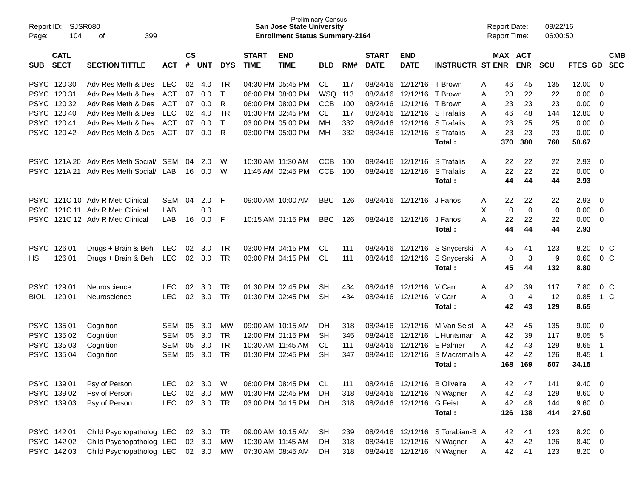| Report ID:<br>Page: | SJSR080<br>104             | 399<br>оf                        |                          |                    |            |              |                             | <b>Preliminary Census</b><br><b>San Jose State University</b><br><b>Enrollment Status Summary-2164</b> |            |            |                             |                           |                                                            |        | <b>Report Date:</b><br>Report Time: |                | 09/22/16<br>06:00:50 |         |                          |                          |
|---------------------|----------------------------|----------------------------------|--------------------------|--------------------|------------|--------------|-----------------------------|--------------------------------------------------------------------------------------------------------|------------|------------|-----------------------------|---------------------------|------------------------------------------------------------|--------|-------------------------------------|----------------|----------------------|---------|--------------------------|--------------------------|
| <b>SUB</b>          | <b>CATL</b><br><b>SECT</b> | <b>SECTION TITTLE</b>            | <b>ACT</b>               | $\mathsf{cs}$<br># | <b>UNT</b> | <b>DYS</b>   | <b>START</b><br><b>TIME</b> | <b>END</b><br><b>TIME</b>                                                                              | <b>BLD</b> | RM#        | <b>START</b><br><b>DATE</b> | <b>END</b><br><b>DATE</b> | <b>INSTRUCTR ST ENR</b>                                    |        | <b>MAX ACT</b>                      | <b>ENR</b>     | <b>SCU</b>           | FTES GD |                          | <b>CMB</b><br><b>SEC</b> |
|                     |                            |                                  |                          |                    |            |              |                             |                                                                                                        |            |            |                             |                           |                                                            |        |                                     |                |                      |         |                          |                          |
|                     | PSYC 120 30                | Adv Res Meth & Des               | <b>LEC</b>               | 02                 | 4.0        | TR           | 04:30 PM 05:45 PM           |                                                                                                        | CL         | 117        | 08/24/16                    | 12/12/16                  | T Brown                                                    | A      | 46                                  | 45             | 135                  | 12.00   | 0                        |                          |
|                     | PSYC 12031                 | Adv Res Meth & Des               | <b>ACT</b>               | 07                 | 0.0        | $\mathsf{T}$ | 06:00 PM 08:00 PM           |                                                                                                        | <b>WSQ</b> | 113        | 08/24/16                    | 12/12/16                  | T Brown                                                    | A      | 23                                  | 22             | 22                   | 0.00    | 0                        |                          |
|                     | PSYC 120 32                | Adv Res Meth & Des               | <b>ACT</b>               | 07                 | 0.0        | R            | 06:00 PM 08:00 PM           |                                                                                                        | <b>CCB</b> | 100        | 08/24/16                    | 12/12/16                  | T Brown                                                    | Α      | 23                                  | 23             | 23                   | 0.00    | $\mathbf 0$              |                          |
|                     | PSYC 120 40<br>PSYC 12041  | Adv Res Meth & Des               | <b>LEC</b>               | 02                 | 4.0        | <b>TR</b>    | 01:30 PM 02:45 PM           |                                                                                                        | <b>CL</b>  | 117        | 08/24/16                    | 12/12/16                  | S Trafalis                                                 | A      | 46                                  | 48             | 144                  | 12.80   | $\mathbf 0$              |                          |
|                     |                            | Adv Res Meth & Des               | <b>ACT</b>               | 07                 | 0.0        | $\mathsf{T}$ | 03:00 PM 05:00 PM           |                                                                                                        | MН         | 332        | 08/24/16                    | 12/12/16                  | S Trafalis                                                 | A      | 23                                  | 25             | 25                   | 0.00    | $\Omega$                 |                          |
| PSYC                | 120 42                     | Adv Res Meth & Des               | <b>ACT</b>               | 07                 | 0.0        | R            | 03:00 PM 05:00 PM           |                                                                                                        | <b>MH</b>  | 332        | 08/24/16                    | 12/12/16                  | S Trafalis                                                 | A      | 23                                  | 23             | 23                   | 0.00    | $\mathbf 0$              |                          |
|                     |                            |                                  |                          |                    |            |              |                             |                                                                                                        |            |            |                             |                           | Total:                                                     |        | 370                                 | 380            | 760                  | 50.67   |                          |                          |
| <b>PSYC</b>         | 121A 20                    | Adv Res Meth Social/             | <b>SEM</b>               | 04                 | 2.0        | W            | 10:30 AM 11:30 AM           |                                                                                                        | <b>CCB</b> | 100        | 08/24/16                    | 12/12/16                  | S Trafalis                                                 | A      | 22                                  | 22             | 22                   | 2.93    | $\mathbf 0$              |                          |
| <b>PSYC</b>         | 121A 21                    | Adv Res Meth Social/             | LAB                      | 16                 | 0.0        | W            | 11:45 AM 02:45 PM           |                                                                                                        | <b>CCB</b> | 100        | 08/24/16                    | 12/12/16                  | S Trafalis                                                 | A      | 22                                  | 22             | 22                   | 0.00    | $\mathbf 0$              |                          |
|                     |                            |                                  |                          |                    |            |              |                             |                                                                                                        |            |            |                             |                           | Total:                                                     |        | 44                                  | 44             | 44                   | 2.93    |                          |                          |
|                     |                            | PSYC 121C 10 Adv R Met: Clinical | <b>SEM</b>               | 04                 | 2.0        | F            | 09:00 AM 10:00 AM           |                                                                                                        | <b>BBC</b> | 126        | 08/24/16                    | 12/12/16 J Fanos          |                                                            | A      | 22                                  | 22             | 22                   | 2.93    | 0                        |                          |
|                     |                            | PSYC 121C 11 Adv R Met: Clinical | LAB                      |                    | 0.0        |              |                             |                                                                                                        |            |            |                             |                           |                                                            | X      | 0                                   | $\mathbf 0$    | 0                    | 0.00    | $\mathbf 0$              |                          |
| <b>PSYC</b>         |                            | 121C 12 Adv R Met: Clinical      | LAB                      | 16                 | 0.0        | F            | 10:15 AM 01:15 PM           |                                                                                                        | <b>BBC</b> | 126        | 08/24/16                    | 12/12/16                  | J Fanos                                                    | A      | 22                                  | 22             | 22                   | 0.00    | $\mathbf 0$              |                          |
|                     |                            |                                  |                          |                    |            |              |                             |                                                                                                        |            |            |                             |                           | Total :                                                    |        | 44                                  | 44             | 44                   | 2.93    |                          |                          |
|                     |                            |                                  |                          |                    |            |              |                             |                                                                                                        |            |            |                             |                           |                                                            |        |                                     |                |                      |         |                          |                          |
| <b>PSYC</b>         | 126 01                     | Drugs + Brain & Beh              | <b>LEC</b>               | 02                 | 3.0        | TR           | 03:00 PM 04:15 PM           |                                                                                                        | CL.        | 111        | 08/24/16                    | 12/12/16                  | S Snycerski                                                | A      | 45                                  | 41             | 123                  | 8.20    | 0 <sup>o</sup>           |                          |
| HS.                 | 126 01                     | Drugs + Brain & Beh              | <b>LEC</b>               | 02                 | 3.0        | <b>TR</b>    | 03:00 PM 04:15 PM           |                                                                                                        | <b>CL</b>  | 111        | 08/24/16                    | 12/12/16                  | S Snycerski A                                              |        | 0                                   | 3              | 9                    | 0.60    | $0\,C$                   |                          |
|                     |                            |                                  |                          |                    |            |              |                             |                                                                                                        |            |            |                             |                           | Total:                                                     |        | 45                                  | 44             | 132                  | 8.80    |                          |                          |
| <b>PSYC</b>         | 129 01                     | Neuroscience                     | <b>LEC</b>               | 02                 | 3.0        | <b>TR</b>    | 01:30 PM 02:45 PM           |                                                                                                        | SH         | 434        | 08/24/16                    | 12/12/16                  | V Carr                                                     | A      | 42                                  | 39             | 117                  | 7.80    | 0 <sup>C</sup>           |                          |
| BIOL                | 129 01                     | Neuroscience                     | <b>LEC</b>               | 02                 | 3.0        | <b>TR</b>    | 01:30 PM 02:45 PM           |                                                                                                        | <b>SH</b>  | 434        | 08/24/16                    | 12/12/16 V Carr           |                                                            | A      | 0                                   | $\overline{4}$ | 12                   | 0.85    | $1\,C$                   |                          |
|                     |                            |                                  |                          |                    |            |              |                             |                                                                                                        |            |            |                             |                           | Total :                                                    |        | 42                                  | 43             | 129                  | 8.65    |                          |                          |
|                     | PSYC 135 01                | Cognition                        | SEM                      | 05                 | 3.0        | МW           | 09:00 AM 10:15 AM           |                                                                                                        | DН         | 318        | 08/24/16                    | 12/12/16                  | M Van Selst A                                              |        | 42                                  | 45             | 135                  | 9.00    | 0                        |                          |
|                     | PSYC 135 02                | Cognition                        | SEM                      | 05                 | 3.0        | <b>TR</b>    | 12:00 PM 01:15 PM           |                                                                                                        | <b>SH</b>  | 345        | 08/24/16                    | 12/12/16                  | L Huntsman A                                               |        | 42                                  | 39             | 117                  | 8.05    | 5                        |                          |
|                     | PSYC 135 03                | Cognition                        | <b>SEM</b>               | 05                 | 3.0        | <b>TR</b>    | 10:30 AM 11:45 AM           |                                                                                                        | CL.        | 111        | 08/24/16                    | 12/12/16                  | E Palmer                                                   | A      | 42                                  | 43             | 129                  | 8.65    | $\overline{1}$           |                          |
| <b>PSYC</b>         | 135 04                     | Cognition                        | <b>SEM</b>               | 05                 | 3.0        | <b>TR</b>    | 01:30 PM 02:45 PM           |                                                                                                        | <b>SH</b>  | 347        | 08/24/16                    | 12/12/16                  | S Macramalla A                                             |        | 42                                  | 42             | 126                  | 8.45    | -1                       |                          |
|                     |                            |                                  |                          |                    |            |              |                             |                                                                                                        |            |            |                             |                           | Total :                                                    |        | 168                                 | 169            | 507                  | 34.15   |                          |                          |
|                     | PSYC 139 01                |                                  |                          | 02                 | 3.0        | W            | 06:00 PM 08:45 PM           |                                                                                                        | CL         |            |                             |                           |                                                            |        |                                     | 47             |                      | 9.40    | 0                        |                          |
|                     | PSYC 139 02                | Psy of Person<br>Psy of Person   | <b>LEC</b><br><b>LEC</b> | 02                 | 3.0        | MW           | 01:30 PM 02:45 PM           |                                                                                                        | DH         | 111<br>318 |                             |                           | 08/24/16 12/12/16 B Oliveira<br>08/24/16 12/12/16 N Wagner | Α<br>Α | 42<br>42                            | 43             | 141<br>129           | 8.60    | - 0                      |                          |
|                     | PSYC 139 03                | Psy of Person                    | <b>LEC</b>               |                    | 02 3.0     | TR           |                             | 03:00 PM 04:15 PM                                                                                      | DH         | 318        |                             | 08/24/16 12/12/16 G Feist |                                                            | Α      | 42                                  | 48             | 144                  | 9.60    | 0                        |                          |
|                     |                            |                                  |                          |                    |            |              |                             |                                                                                                        |            |            |                             |                           | Total:                                                     |        | 126                                 | 138            | 414                  | 27.60   |                          |                          |
|                     |                            |                                  |                          |                    |            |              |                             |                                                                                                        |            |            |                             |                           |                                                            |        |                                     |                |                      |         |                          |                          |
|                     | PSYC 142 01                | Child Psychopatholog LEC         |                          |                    | 02 3.0     | TR           |                             | 09:00 AM 10:15 AM                                                                                      | SH         | 239        |                             |                           | 08/24/16 12/12/16 S Torabian-B A                           |        | 42                                  | 41             | 123                  | 8.20    | $\overline{\phantom{0}}$ |                          |
|                     | PSYC 142 02                | Child Psychopatholog LEC         |                          |                    | 02 3.0     | <b>MW</b>    | 10:30 AM 11:45 AM           |                                                                                                        | DH         | 318        |                             |                           | 08/24/16 12/12/16 N Wagner                                 | A      | 42                                  | 42             | 126                  | 8.40 0  |                          |                          |
|                     | PSYC 142 03                | Child Psychopatholog LEC         |                          |                    | 02 3.0 MW  |              |                             | 07:30 AM 08:45 AM                                                                                      | DH         | 318        |                             |                           | 08/24/16 12/12/16 N Wagner                                 | A      | 42                                  | 41             | 123                  | 8.20 0  |                          |                          |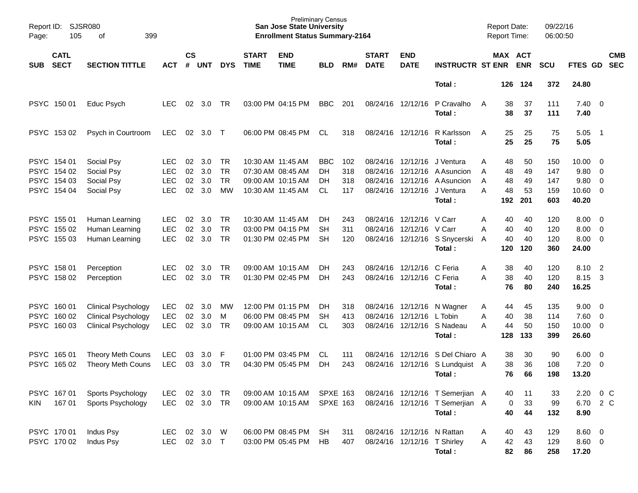| Report ID:<br>Page: | SJSR080<br>105                                           | 399<br>οf                                                                              |                                                |                      |                          |                                    |                             | <b>San Jose State University</b><br><b>Enrollment Status Summary-2164</b>        | <b>Preliminary Census</b>                  |                          |                             |                                                                |                                                                              | <b>Report Date:</b><br><b>Report Time:</b>      |                             | 09/22/16<br>06:00:50            |                                                      |                                           |  |
|---------------------|----------------------------------------------------------|----------------------------------------------------------------------------------------|------------------------------------------------|----------------------|--------------------------|------------------------------------|-----------------------------|----------------------------------------------------------------------------------|--------------------------------------------|--------------------------|-----------------------------|----------------------------------------------------------------|------------------------------------------------------------------------------|-------------------------------------------------|-----------------------------|---------------------------------|------------------------------------------------------|-------------------------------------------|--|
| <b>SUB</b>          | <b>CATL</b><br><b>SECT</b>                               | <b>SECTION TITTLE</b>                                                                  | <b>ACT</b>                                     | <b>CS</b><br>#       | UNT                      | <b>DYS</b>                         | <b>START</b><br><b>TIME</b> | <b>END</b><br><b>TIME</b>                                                        | <b>BLD</b>                                 | RM#                      | <b>START</b><br><b>DATE</b> | <b>END</b><br><b>DATE</b>                                      | <b>INSTRUCTR ST ENR</b>                                                      | MAX ACT                                         | <b>ENR</b>                  | <b>SCU</b>                      | FTES GD                                              | <b>CMB</b><br><b>SEC</b>                  |  |
|                     |                                                          |                                                                                        |                                                |                      |                          |                                    |                             |                                                                                  |                                            |                          |                             |                                                                | Total:                                                                       | 126                                             | 124                         | 372                             | 24.80                                                |                                           |  |
|                     | PSYC 150 01                                              | Educ Psych                                                                             | LEC.                                           | 02                   | 3.0                      | TR                                 |                             | 03:00 PM 04:15 PM                                                                | <b>BBC</b>                                 | 201                      |                             | 08/24/16 12/12/16                                              | P Cravalho<br>Total:                                                         | 38<br>A<br>38                                   | 37<br>37                    | 111<br>111                      | $7.40 \quad 0$<br>7.40                               |                                           |  |
|                     | PSYC 153 02                                              | Psych in Courtroom                                                                     | <b>LEC</b>                                     | 02                   | 3.0                      | $\top$                             |                             | 06:00 PM 08:45 PM                                                                | CL.                                        | 318                      |                             | 08/24/16 12/12/16                                              | R Karlsson<br>Total:                                                         | 25<br>A<br>25                                   | 25<br>25                    | 75<br>75                        | 5.05<br>5.05                                         | $\overline{\phantom{0}}$ 1                |  |
|                     | PSYC 154 01<br>PSYC 154 02<br>PSYC 154 03<br>PSYC 154 04 | Social Psy<br>Social Psy<br>Social Psy<br>Social Psy                                   | LEC.<br><b>LEC</b><br><b>LEC</b><br><b>LEC</b> | 02<br>02<br>02<br>02 | 3.0<br>3.0<br>3.0<br>3.0 | TR<br><b>TR</b><br><b>TR</b><br>МW |                             | 10:30 AM 11:45 AM<br>07:30 AM 08:45 AM<br>09:00 AM 10:15 AM<br>10:30 AM 11:45 AM | <b>BBC</b><br><b>DH</b><br>DH<br><b>CL</b> | 102<br>318<br>318<br>117 | 08/24/16<br>08/24/16        | 08/24/16 12/12/16<br>12/12/16<br>12/12/16<br>08/24/16 12/12/16 | J Ventura<br>A Asuncion<br>A Asuncion<br>J Ventura<br>Total:                 | 48<br>Α<br>48<br>A<br>48<br>A<br>48<br>А<br>192 | 50<br>49<br>49<br>53<br>201 | 150<br>147<br>147<br>159<br>603 | $10.00 \t 0$<br>9.80 0<br>9.80 0<br>10.60 0<br>40.20 |                                           |  |
|                     | PSYC 155 01<br>PSYC 155 02<br>PSYC 155 03                | Human Learning<br>Human Learning<br>Human Learning                                     | <b>LEC</b><br><b>LEC</b><br><b>LEC</b>         | 02<br>02<br>02       | 3.0<br>3.0<br>3.0        | TR<br><b>TR</b><br><b>TR</b>       |                             | 10:30 AM 11:45 AM<br>03:00 PM 04:15 PM<br>01:30 PM 02:45 PM                      | DH<br><b>SH</b><br>SН                      | 243<br>311<br>120        | 08/24/16                    | 08/24/16 12/12/16 V Carr<br>12/12/16 V Carr                    | 08/24/16 12/12/16 S Snycerski<br>Total:                                      | Α<br>40<br>40<br>Α<br>40<br>A<br>120            | 40<br>40<br>40<br>120       | 120<br>120<br>120<br>360        | $8.00 \t 0$<br>8.00<br>$8.00 \t 0$<br>24.00          | $\overline{0}$                            |  |
|                     | PSYC 158 01<br>PSYC 158 02                               | Perception<br>Perception                                                               | LEC.<br><b>LEC</b>                             | 02<br>02             | 3.0<br>3.0               | TR<br>TR                           |                             | 09:00 AM 10:15 AM<br>01:30 PM 02:45 PM                                           | DH<br>DH                                   | 243<br>243               |                             | 08/24/16 12/12/16<br>08/24/16 12/12/16 C Feria                 | C Feria<br>Total:                                                            | 38<br>Α<br>38<br>A<br>76                        | 40<br>40<br>80              | 120<br>120<br>240               | 8.10<br>8.15<br>16.25                                | $\overline{2}$<br>$\overline{\mathbf{3}}$ |  |
| <b>PSYC</b>         | PSYC 160 01<br>PSYC 160 02<br>160 03                     | <b>Clinical Psychology</b><br><b>Clinical Psychology</b><br><b>Clinical Psychology</b> | <b>LEC</b><br><b>LEC</b><br><b>LEC</b>         | 02<br>02<br>02       | 3.0<br>3.0<br>3.0        | MW<br>M<br>TR                      |                             | 12:00 PM 01:15 PM<br>06:00 PM 08:45 PM<br>09:00 AM 10:15 AM                      | DH<br>SН<br><b>CL</b>                      | 318<br>413<br>303        | 08/24/16                    | 08/24/16 12/12/16<br>12/12/16                                  | N Wagner<br>L Tobin<br>08/24/16 12/12/16 S Nadeau<br>Total:                  | 44<br>A<br>Α<br>40<br>44<br>A<br>128            | 45<br>38<br>50<br>133       | 135<br>114<br>150<br>399        | 9.00<br>$7.60 \t 0$<br>$10.00 \t 0$<br>26.60         | $\overline{\phantom{0}}$                  |  |
| <b>PSYC</b>         | PSYC 165 01<br>165 02                                    | <b>Theory Meth Couns</b><br><b>Theory Meth Couns</b>                                   | <b>LEC</b><br><b>LEC</b>                       | 03<br>03             | 3.0<br>3.0               | F<br>TR                            |                             | 01:00 PM 03:45 PM<br>04:30 PM 05:45 PM                                           | CL.<br>DH                                  | 111<br>243               | 08/24/16                    | 08/24/16 12/12/16<br>12/12/16                                  | S Del Chiaro A<br>S Lundquist A<br>Total:                                    | 38<br>38<br>76                                  | 30<br>36<br>66              | 90<br>108<br>198                | 6.00<br>7.20<br>13.20                                | $\overline{\mathbf{0}}$<br>$\overline{0}$ |  |
| KIN.                | PSYC 16701<br>167 01                                     | Sports Psychology<br>Sports Psychology                                                 | <b>LEC</b><br><b>LEC</b>                       | 02                   | 3.0<br>02 3.0 TR         | TR                                 |                             | 09:00 AM 10:15 AM<br>09:00 AM 10:15 AM                                           | <b>SPXE 163</b><br><b>SPXE 163</b>         |                          |                             |                                                                | 08/24/16 12/12/16 T Semerjian A<br>08/24/16 12/12/16 T Semerjian A<br>Total: | 40<br>0<br>40                                   | 11<br>33<br>44              | 33<br>99<br>132                 | 2.20<br>6.70 2 C<br>8.90                             | $0\,C$                                    |  |
|                     | PSYC 170 01<br>PSYC 170 02                               | Indus Psy<br>Indus Psy                                                                 | <b>LEC</b><br><b>LEC</b>                       |                      | 02 3.0 W<br>02 3.0 T     |                                    |                             | 06:00 PM 08:45 PM<br>03:00 PM 05:45 PM                                           | <b>SH</b><br>HB                            | 311<br>407               |                             | 08/24/16 12/12/16 N Rattan<br>08/24/16 12/12/16 T Shirley      | Total:                                                                       | 40<br>Α<br>42<br>Α<br>82                        | 43<br>43<br>86              | 129<br>129<br>258               | $8.60$ 0<br>8.60 0<br>17.20                          |                                           |  |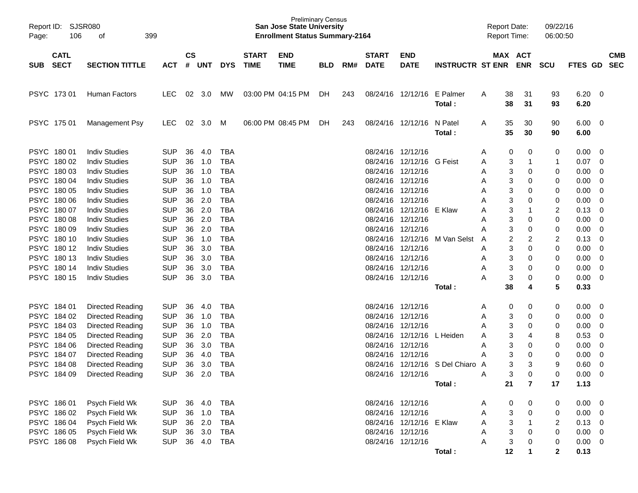| Page:      | Report ID: SJSR080<br>106  | 399<br>οf             |            |                    |            |            |                             | <b>Preliminary Census</b><br><b>San Jose State University</b><br><b>Enrollment Status Summary-2164</b> |            |     |                             |                           |                         | <b>Report Date:</b><br><b>Report Time:</b> |          |                         | 09/22/16<br>06:00:50 |              |                          |                          |
|------------|----------------------------|-----------------------|------------|--------------------|------------|------------|-----------------------------|--------------------------------------------------------------------------------------------------------|------------|-----|-----------------------------|---------------------------|-------------------------|--------------------------------------------|----------|-------------------------|----------------------|--------------|--------------------------|--------------------------|
| <b>SUB</b> | <b>CATL</b><br><b>SECT</b> | <b>SECTION TITTLE</b> | <b>ACT</b> | $\mathsf{cs}$<br># | <b>UNT</b> | <b>DYS</b> | <b>START</b><br><b>TIME</b> | <b>END</b><br><b>TIME</b>                                                                              | <b>BLD</b> | RM# | <b>START</b><br><b>DATE</b> | <b>END</b><br><b>DATE</b> | <b>INSTRUCTR ST ENR</b> |                                            | MAX ACT  | <b>ENR</b>              | SCU                  | FTES GD      |                          | <b>CMB</b><br><b>SEC</b> |
|            | PSYC 17301                 | Human Factors         | <b>LEC</b> | 02                 | 3.0        | MW.        |                             | 03:00 PM 04:15 PM                                                                                      | DH         | 243 |                             | 08/24/16 12/12/16         | E Palmer<br>Total:      | A                                          | 38<br>38 | 31<br>31                | 93<br>93             | 6.20<br>6.20 | $\overline{\phantom{0}}$ |                          |
|            | PSYC 175 01                | Management Psy        | <b>LEC</b> | 02                 | 3.0        | M          |                             | 06:00 PM 08:45 PM                                                                                      | DH         | 243 |                             | 08/24/16 12/12/16         | N Patel<br>Total:       | A                                          | 35<br>35 | 30<br>30                | 90<br>90             | 6.00<br>6.00 | $\overline{\phantom{0}}$ |                          |
|            | PSYC 180 01                | <b>Indiv Studies</b>  | <b>SUP</b> | 36                 | 4.0        | TBA        |                             |                                                                                                        |            |     |                             | 08/24/16 12/12/16         |                         | Α                                          | 0        | 0                       | 0                    | 0.00         | 0                        |                          |
|            | PSYC 180 02                | <b>Indiv Studies</b>  | <b>SUP</b> | 36                 | 1.0        | <b>TBA</b> |                             |                                                                                                        |            |     |                             | 08/24/16 12/12/16         | G Feist                 | Α                                          | 3        | -1                      | 1                    | 0.07         | 0                        |                          |
|            | PSYC 180 03                | <b>Indiv Studies</b>  | <b>SUP</b> | 36                 | 1.0        | <b>TBA</b> |                             |                                                                                                        |            |     |                             | 08/24/16 12/12/16         |                         | Α                                          | 3        | 0                       | 0                    | 0.00         | $\mathbf 0$              |                          |
|            | PSYC 180 04                | <b>Indiv Studies</b>  | <b>SUP</b> | 36                 | 1.0        | <b>TBA</b> |                             |                                                                                                        |            |     |                             | 08/24/16 12/12/16         |                         | Α                                          | 3        | 0                       | 0                    | 0.00         | $\mathbf 0$              |                          |
|            | PSYC 180 05                | <b>Indiv Studies</b>  | <b>SUP</b> | 36                 | 1.0        | <b>TBA</b> |                             |                                                                                                        |            |     |                             | 08/24/16 12/12/16         |                         | Α                                          | 3        | 0                       | 0                    | 0.00         | $\mathbf 0$              |                          |
|            | PSYC 180 06                | <b>Indiv Studies</b>  | <b>SUP</b> | 36                 | 2.0        | <b>TBA</b> |                             |                                                                                                        |            |     |                             | 08/24/16 12/12/16         |                         | Α                                          | 3        | 0                       | 0                    | 0.00         | $\mathbf 0$              |                          |
|            | PSYC 180 07                | <b>Indiv Studies</b>  | <b>SUP</b> | 36                 | 2.0        | <b>TBA</b> |                             |                                                                                                        |            |     |                             | 08/24/16 12/12/16         | E Klaw                  | Α                                          | 3        | $\mathbf 1$             | 2                    | 0.13         | 0                        |                          |
|            | PSYC 180 08                | <b>Indiv Studies</b>  | <b>SUP</b> | 36                 | 2.0        | <b>TBA</b> |                             |                                                                                                        |            |     |                             | 08/24/16 12/12/16         |                         | Α                                          | 3        | 0                       | 0                    | 0.00         | 0                        |                          |
|            | PSYC 180 09                | <b>Indiv Studies</b>  | <b>SUP</b> | 36                 | 2.0        | <b>TBA</b> |                             |                                                                                                        |            |     |                             | 08/24/16 12/12/16         |                         | Α                                          | 3        | 0                       | 0                    | 0.00         | $\mathbf 0$              |                          |
|            | PSYC 180 10                | <b>Indiv Studies</b>  | <b>SUP</b> | 36                 | 1.0        | <b>TBA</b> |                             |                                                                                                        |            |     |                             | 08/24/16 12/12/16         | M Van Selst             | A                                          | 2        | 2                       | 2                    | 0.13         | $\mathbf 0$              |                          |
|            | PSYC 180 12                | <b>Indiv Studies</b>  | <b>SUP</b> | 36                 | 3.0        | <b>TBA</b> |                             |                                                                                                        |            |     |                             | 08/24/16 12/12/16         |                         | Α                                          | 3        | 0                       | 0                    | 0.00         | 0                        |                          |
|            | PSYC 180 13                | <b>Indiv Studies</b>  | <b>SUP</b> | 36                 | 3.0        | <b>TBA</b> |                             |                                                                                                        |            |     |                             | 08/24/16 12/12/16         |                         | Α                                          | 3        | 0                       | 0                    | 0.00         | $\mathbf 0$              |                          |
|            | PSYC 180 14                | <b>Indiv Studies</b>  | <b>SUP</b> | 36                 | 3.0        | <b>TBA</b> |                             |                                                                                                        |            |     |                             | 08/24/16 12/12/16         |                         | Α                                          | 3        | 0                       | 0                    | 0.00         | $\mathbf 0$              |                          |
|            | PSYC 180 15                | <b>Indiv Studies</b>  | <b>SUP</b> | 36                 | 3.0        | <b>TBA</b> |                             |                                                                                                        |            |     |                             | 08/24/16 12/12/16         |                         | А                                          | 3        | 0                       | 0                    | 0.00         | 0                        |                          |
|            |                            |                       |            |                    |            |            |                             |                                                                                                        |            |     |                             |                           | Total:                  |                                            | 38       | 4                       | 5                    | 0.33         |                          |                          |
|            | PSYC 184 01                | Directed Reading      | <b>SUP</b> | 36                 | 4.0        | <b>TBA</b> |                             |                                                                                                        |            |     |                             | 08/24/16 12/12/16         |                         | Α                                          | 0        | 0                       | 0                    | 0.00         | 0                        |                          |
|            | PSYC 184 02                | Directed Reading      | <b>SUP</b> | 36                 | 1.0        | <b>TBA</b> |                             |                                                                                                        |            |     |                             | 08/24/16 12/12/16         |                         | Α                                          | 3        | 0                       | 0                    | 0.00         | 0                        |                          |
|            | PSYC 184 03                | Directed Reading      | <b>SUP</b> | 36                 | 1.0        | <b>TBA</b> |                             |                                                                                                        |            |     |                             | 08/24/16 12/12/16         |                         | Α                                          | 3        | 0                       | 0                    | 0.00         | 0                        |                          |
|            | PSYC 184 05                | Directed Reading      | <b>SUP</b> | 36                 | 2.0        | <b>TBA</b> |                             |                                                                                                        |            |     |                             | 08/24/16 12/12/16         | L Heiden                | Α                                          | 3        | 4                       | 8                    | 0.53         | 0                        |                          |
|            | PSYC 184 06                | Directed Reading      | <b>SUP</b> | 36                 | 3.0        | <b>TBA</b> |                             |                                                                                                        |            |     |                             | 08/24/16 12/12/16         |                         | Α                                          | 3        | 0                       | 0                    | 0.00         | 0                        |                          |
|            | PSYC 184 07                | Directed Reading      | <b>SUP</b> | 36                 | 4.0        | <b>TBA</b> |                             |                                                                                                        |            |     |                             | 08/24/16 12/12/16         |                         | Α                                          | 3        | 0                       | 0                    | 0.00         | 0                        |                          |
|            | PSYC 184 08                | Directed Reading      | <b>SUP</b> | 36                 | 3.0        | <b>TBA</b> |                             |                                                                                                        |            |     |                             | 08/24/16 12/12/16         | S Del Chiaro A          |                                            | 3        | 3                       | 9                    | 0.60         | 0                        |                          |
|            | PSYC 184 09                | Directed Reading      | <b>SUP</b> | 36                 | 2.0        | <b>TBA</b> |                             |                                                                                                        |            |     |                             | 08/24/16 12/12/16         |                         | Α                                          | 3        | $\Omega$                | $\Omega$             | 0.00         | $\mathbf 0$              |                          |
|            |                            |                       |            |                    |            |            |                             |                                                                                                        |            |     |                             |                           | Total:                  |                                            | 21       | $\overline{\mathbf{r}}$ | 17                   | 1.13         |                          |                          |
|            | PSYC 186 01                | Psych Field Wk        | <b>SUP</b> | 36                 | 4.0        | <b>TBA</b> |                             |                                                                                                        |            |     |                             | 08/24/16 12/12/16         |                         | A                                          | 0        | 0                       | 0                    | 0.00         | $\overline{\phantom{0}}$ |                          |
|            | PSYC 186 02                | Psych Field Wk        | <b>SUP</b> |                    | 36 1.0     | <b>TBA</b> |                             |                                                                                                        |            |     |                             | 08/24/16 12/12/16         |                         | Α                                          | 3        | 0                       | 0                    | 0.00         | $\overline{\mathbf{0}}$  |                          |
|            | PSYC 186 04                | Psych Field Wk        | <b>SUP</b> |                    | 36 2.0     | <b>TBA</b> |                             |                                                                                                        |            |     |                             | 08/24/16 12/12/16 E Klaw  |                         | Α                                          | 3        | $\overline{1}$          | 2                    | 0.13         | $\overline{\phantom{0}}$ |                          |
|            | PSYC 186 05                | Psych Field Wk        | <b>SUP</b> |                    | 36 3.0     | <b>TBA</b> |                             |                                                                                                        |            |     |                             | 08/24/16 12/12/16         |                         | Α                                          | 3        | 0                       | 0                    | 0.00         | $\overline{\mathbf{0}}$  |                          |
|            | PSYC 186 08                | Psych Field Wk        | <b>SUP</b> |                    | 36 4.0     | <b>TBA</b> |                             |                                                                                                        |            |     |                             | 08/24/16 12/12/16         |                         | Α                                          | 3        | 0                       | 0                    | 0.00         | $\overline{\mathbf{0}}$  |                          |
|            |                            |                       |            |                    |            |            |                             |                                                                                                        |            |     |                             |                           | Total:                  |                                            | 12       | 1                       | $\mathbf{2}$         | 0.13         |                          |                          |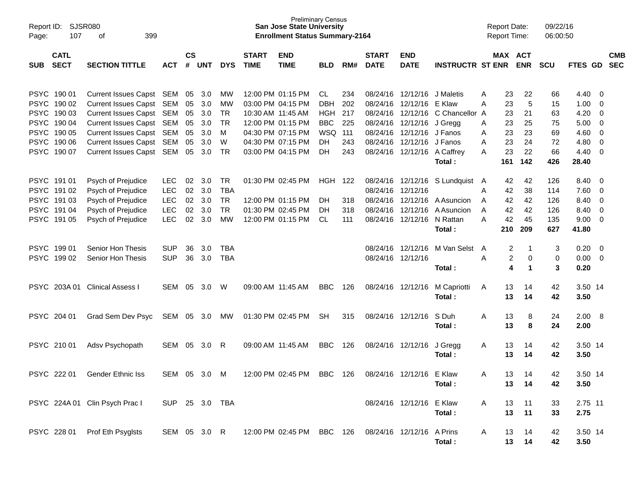| Report ID:<br>107<br>Page:               | SJSR080<br>399<br>οf           |                |                    |            |            |                             | <b>Preliminary Census</b><br><b>San Jose State University</b><br><b>Enrollment Status Summary-2164</b> |                |     |                             |                             |                               |   | <b>Report Date:</b><br><b>Report Time:</b> |             | 09/22/16<br>06:00:50 |                |     |                          |
|------------------------------------------|--------------------------------|----------------|--------------------|------------|------------|-----------------------------|--------------------------------------------------------------------------------------------------------|----------------|-----|-----------------------------|-----------------------------|-------------------------------|---|--------------------------------------------|-------------|----------------------|----------------|-----|--------------------------|
| <b>CATL</b><br><b>SECT</b><br><b>SUB</b> | <b>SECTION TITTLE</b>          | <b>ACT</b>     | $\mathsf{cs}$<br># | <b>UNT</b> | <b>DYS</b> | <b>START</b><br><b>TIME</b> | <b>END</b><br><b>TIME</b>                                                                              | <b>BLD</b>     | RM# | <b>START</b><br><b>DATE</b> | <b>END</b><br><b>DATE</b>   | <b>INSTRUCTR ST ENR</b>       |   | MAX ACT                                    | <b>ENR</b>  | <b>SCU</b>           | <b>FTES GD</b> |     | <b>CMB</b><br><b>SEC</b> |
|                                          |                                |                |                    |            |            |                             |                                                                                                        |                |     |                             |                             |                               |   |                                            |             |                      |                |     |                          |
| PSYC 190 01                              | Current Issues Capst SEM       |                | 05                 | 3.0        | <b>MW</b>  |                             | 12:00 PM 01:15 PM                                                                                      | CL.            | 234 |                             | 08/24/16 12/12/16 J Maletis |                               | A | 23                                         | 22          | 66                   | 4.40           | - 0 |                          |
| PSYC 190 02                              | Current Issues Capst SEM       |                | 05                 | 3.0        | MW         |                             | 03:00 PM 04:15 PM                                                                                      | <b>DBH</b>     | 202 | 08/24/16                    | 12/12/16 E Klaw             |                               | A | 23                                         | 5           | 15                   | 1.00           | 0   |                          |
| PSYC 190 03                              | Current Issues Capst SEM       |                | 05                 | 3.0        | <b>TR</b>  |                             | 10:30 AM 11:45 AM                                                                                      | HGH            | 217 | 08/24/16                    |                             | 12/12/16 C Chancellor A       |   | 23                                         | 21          | 63                   | 4.20           | 0   |                          |
| PSYC 190 04                              | Current Issues Capst SEM       |                | 05                 | 3.0        | TR         |                             | 12:00 PM 01:15 PM                                                                                      | <b>BBC</b>     | 225 | 08/24/16                    | 12/12/16                    | J Gregg                       | A | 23                                         | 25          | 75                   | 5.00           | - 0 |                          |
| PSYC 190 05                              | Current Issues Capst SEM       |                | 05                 | 3.0        | M          |                             | 04:30 PM 07:15 PM                                                                                      | <b>WSQ 111</b> |     | 08/24/16                    | 12/12/16 J Fanos            |                               | A | 23                                         | 23          | 69                   | 4.60           | 0   |                          |
| PSYC 190 06                              | Current Issues Capst SEM       |                | 05                 | 3.0        | W          |                             | 04:30 PM 07:15 PM                                                                                      | DH             | 243 | 08/24/16                    | 12/12/16 J Fanos            |                               | A | 23                                         | 24          | 72                   | 4.80           | 0   |                          |
| PSYC 190 07                              | Current Issues Capst SEM       |                | 05                 | 3.0        | TR         |                             | 03:00 PM 04:15 PM                                                                                      | DH             | 243 |                             | 08/24/16 12/12/16 A Caffrey |                               | A | 23                                         | 22          | 66                   | 4.40           | - 0 |                          |
|                                          |                                |                |                    |            |            |                             |                                                                                                        |                |     |                             |                             | Total:                        |   | 161                                        | 142         | 426                  | 28.40          |     |                          |
| PSYC 191 01                              | Psych of Prejudice             | <b>LEC</b>     | 02                 | 3.0        | <b>TR</b>  |                             | 01:30 PM 02:45 PM                                                                                      | HGH            | 122 |                             |                             | 08/24/16 12/12/16 S Lundquist | A | 42                                         | 42          | 126                  | 8.40           | - 0 |                          |
| PSYC 191 02                              | Psych of Prejudice             | <b>LEC</b>     | 02                 | 3.0        | <b>TBA</b> |                             |                                                                                                        |                |     |                             | 08/24/16 12/12/16           |                               | A | 42                                         | 38          | 114                  | 7.60           | 0   |                          |
| PSYC 191 03                              | Psych of Prejudice             | <b>LEC</b>     | 02                 | 3.0        | <b>TR</b>  |                             | 12:00 PM 01:15 PM                                                                                      | DH.            | 318 |                             | 08/24/16 12/12/16           | A Asuncion                    | A | 42                                         | 42          | 126                  | 8.40           | 0   |                          |
| PSYC 191 04                              | Psych of Prejudice             | <b>LEC</b>     | 02                 | 3.0        | <b>TR</b>  |                             | 01:30 PM 02:45 PM                                                                                      | DH             | 318 | 08/24/16                    | 12/12/16                    | A Asuncion                    | A | 42                                         | 42          | 126                  | 8.40           | 0   |                          |
| PSYC 191 05                              | Psych of Prejudice             | <b>LEC</b>     | 02                 | 3.0        | <b>MW</b>  |                             | 12:00 PM 01:15 PM                                                                                      | CL.            | 111 |                             | 08/24/16 12/12/16           | N Rattan                      | A | 42                                         | 45          | 135                  | 9.00           | - 0 |                          |
|                                          |                                |                |                    |            |            |                             |                                                                                                        |                |     |                             |                             | Total:                        |   | 210                                        | 209         | 627                  | 41.80          |     |                          |
| PSYC 199 01                              | Senior Hon Thesis              | <b>SUP</b>     | 36                 | 3.0        | <b>TBA</b> |                             |                                                                                                        |                |     |                             | 08/24/16 12/12/16           | M Van Selst                   | A | 2                                          | -1          | 3                    | 0.20           | - 0 |                          |
| PSYC 199 02                              | Senior Hon Thesis              | <b>SUP</b>     | 36                 | 3.0        | <b>TBA</b> |                             |                                                                                                        |                |     |                             | 08/24/16 12/12/16           |                               | A | 2                                          | 0           | 0                    | 0.00           | - 0 |                          |
|                                          |                                |                |                    |            |            |                             |                                                                                                        |                |     |                             |                             | Total:                        |   | 4                                          | $\mathbf 1$ | 3                    | 0.20           |     |                          |
| PSYC 203A01                              | <b>Clinical Assess I</b>       | SEM            | 05                 | 3.0        | W          |                             | 09:00 AM 11:45 AM                                                                                      | BBC            | 126 |                             | 08/24/16 12/12/16           | M Capriotti                   | A | 13                                         | 14          | 42                   | 3.50 14        |     |                          |
|                                          |                                |                |                    |            |            |                             |                                                                                                        |                |     |                             |                             | Total:                        |   | 13                                         | 14          | 42                   | 3.50           |     |                          |
| PSYC 204 01                              | Grad Sem Dev Psyc              | SEM            | 05                 | 3.0        | MW         |                             | 01:30 PM 02:45 PM                                                                                      | <b>SH</b>      | 315 |                             | 08/24/16 12/12/16           | S Duh                         | A | 13                                         | 8           | 24                   | 2.00 8         |     |                          |
|                                          |                                |                |                    |            |            |                             |                                                                                                        |                |     |                             |                             | Total:                        |   | 13                                         | 8           | 24                   | 2.00           |     |                          |
|                                          |                                |                |                    |            |            |                             |                                                                                                        |                |     |                             |                             |                               |   |                                            |             |                      |                |     |                          |
| PSYC 210 01                              | Adsv Psychopath                | SEM            | 05                 | 3.0        | R          |                             | 09:00 AM 11:45 AM                                                                                      | <b>BBC</b>     | 126 |                             | 08/24/16 12/12/16           | J Gregg                       | A | 13                                         | 14          | 42                   | 3.50 14        |     |                          |
|                                          |                                |                |                    |            |            |                             |                                                                                                        |                |     |                             |                             | Total:                        |   | 13                                         | 14          | 42                   | 3.50           |     |                          |
|                                          |                                |                |                    |            |            |                             |                                                                                                        |                |     |                             |                             |                               |   |                                            |             |                      |                |     |                          |
| PSYC 222 01                              | <b>Gender Ethnic Iss</b>       | SEM            | 05                 | 3.0        | м          |                             | 12:00 PM 02:45 PM                                                                                      | BBC            | 126 |                             | 08/24/16 12/12/16           | E Klaw                        | A | 13                                         | 14          | 42                   | 3.50 14        |     |                          |
|                                          |                                |                |                    |            |            |                             |                                                                                                        |                |     |                             |                             | Total:                        |   | 13                                         | 14          | 42                   | 3.50           |     |                          |
|                                          | PSYC 224A 01 Clin Psych Prac I | SUP 25 3.0 TBA |                    |            |            |                             |                                                                                                        |                |     |                             | 08/24/16 12/12/16 E Klaw    |                               | A | 13                                         | 11          | 33                   | 2.75 11        |     |                          |
|                                          |                                |                |                    |            |            |                             |                                                                                                        |                |     |                             |                             | Total:                        |   | 13                                         | 11          | 33                   | 2.75           |     |                          |
|                                          |                                |                |                    |            |            |                             |                                                                                                        |                |     |                             |                             |                               |   |                                            |             |                      |                |     |                          |
| PSYC 228 01                              | Prof Eth Psyglsts              | SEM 05 3.0 R   |                    |            |            |                             | 12:00 PM 02:45 PM BBC 126                                                                              |                |     |                             | 08/24/16 12/12/16 A Prins   |                               | A | 13                                         | 14          | 42                   | 3.50 14        |     |                          |
|                                          |                                |                |                    |            |            |                             |                                                                                                        |                |     |                             |                             | Total:                        |   | 13                                         | 14          | 42                   | 3.50           |     |                          |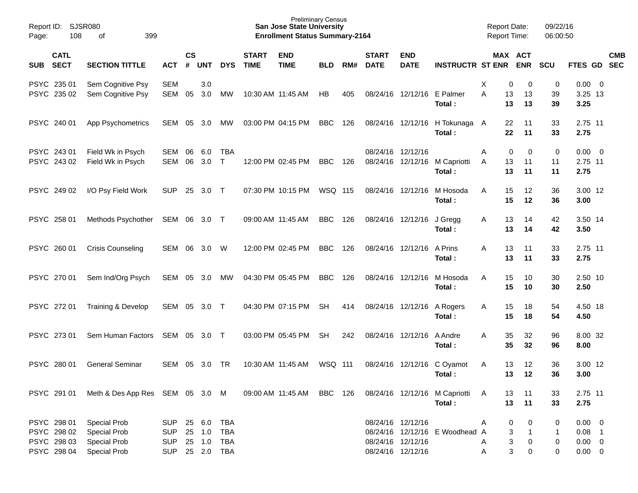| Report ID:<br>Page: | 108                                                      | SJSR080<br>399<br>of                                                                     |                                               |                    |                                |                                                      |                             | <b>Preliminary Census</b><br><b>San Jose State University</b><br><b>Enrollment Status Summary-2164</b> |            |     |                             |                                                             |                                          | <b>Report Date:</b><br><b>Report Time:</b> |                                                 | 09/22/16<br>06:00:50        |                                                       |            |
|---------------------|----------------------------------------------------------|------------------------------------------------------------------------------------------|-----------------------------------------------|--------------------|--------------------------------|------------------------------------------------------|-----------------------------|--------------------------------------------------------------------------------------------------------|------------|-----|-----------------------------|-------------------------------------------------------------|------------------------------------------|--------------------------------------------|-------------------------------------------------|-----------------------------|-------------------------------------------------------|------------|
| <b>SUB</b>          | <b>CATL</b><br><b>SECT</b>                               | <b>SECTION TITTLE</b>                                                                    | <b>ACT</b>                                    | $\mathsf{cs}$<br># | <b>UNT</b>                     | <b>DYS</b>                                           | <b>START</b><br><b>TIME</b> | <b>END</b><br><b>TIME</b>                                                                              | <b>BLD</b> | RM# | <b>START</b><br><b>DATE</b> | <b>END</b><br><b>DATE</b>                                   | <b>INSTRUCTR ST ENR ENR</b>              |                                            | MAX ACT                                         | SCU                         | FTES GD SEC                                           | <b>CMB</b> |
|                     | PSYC 235 01<br>PSYC 235 02                               | Sem Cognitive Psy<br>Sem Cognitive Psy                                                   | <b>SEM</b><br><b>SEM</b>                      | 05                 | 3.0<br>3.0                     | MW                                                   |                             | 10:30 AM 11:45 AM                                                                                      | HB         | 405 |                             | 08/24/16 12/12/16 E Palmer                                  | Total:                                   | Χ<br>A<br>13                               | 0<br>0<br>13<br>13<br>13                        | 0<br>39<br>39               | $0.00 \t 0$<br>3.25 13<br>3.25                        |            |
|                     | PSYC 240 01                                              | App Psychometrics                                                                        | SEM                                           | 05                 | 3.0                            | МW                                                   |                             | 03:00 PM 04:15 PM                                                                                      | <b>BBC</b> | 126 |                             |                                                             | 08/24/16 12/12/16 H Tokunaga A<br>Total: |                                            | 11<br>22<br>22<br>11                            | 33<br>33                    | 2.75 11<br>2.75                                       |            |
|                     | PSYC 243 01<br>PSYC 243 02                               | Field Wk in Psych<br>Field Wk in Psych                                                   | SEM<br><b>SEM</b>                             | 06<br>06           | 6.0<br>3.0                     | TBA<br>$\top$                                        |                             | 12:00 PM 02:45 PM                                                                                      | <b>BBC</b> | 126 |                             | 08/24/16 12/12/16                                           | 08/24/16 12/12/16 M Capriotti<br>Total:  | Α<br>A<br>13                               | 0<br>0<br>11<br>13<br>11                        | $\mathbf 0$<br>11<br>11     | $0.00 \t 0$<br>2.75 11<br>2.75                        |            |
|                     | PSYC 249 02                                              | I/O Psy Field Work                                                                       | <b>SUP</b>                                    | 25                 | 3.0                            | $\top$                                               |                             | 07:30 PM 10:15 PM                                                                                      | WSQ 115    |     |                             | 08/24/16 12/12/16                                           | M Hosoda<br>Total:                       | A<br>15                                    | 15<br>12<br>12                                  | 36<br>36                    | 3.00 12<br>3.00                                       |            |
|                     | PSYC 258 01                                              | Methods Psychother                                                                       | SEM 06                                        |                    | $3.0$ T                        |                                                      |                             | 09:00 AM 11:45 AM                                                                                      | <b>BBC</b> | 126 |                             | 08/24/16 12/12/16                                           | J Gregg<br>Total:                        | Α<br>13                                    | 13<br>14<br>14                                  | 42<br>42                    | 3.50 14<br>3.50                                       |            |
|                     | PSYC 260 01                                              | <b>Crisis Counseling</b>                                                                 | <b>SEM</b>                                    | 06                 | 3.0                            | W                                                    |                             | 12:00 PM 02:45 PM                                                                                      | <b>BBC</b> | 126 |                             | 08/24/16 12/12/16                                           | A Prins<br>Total:                        | A<br>13                                    | 13<br>11<br>11                                  | 33<br>33                    | 2.75 11<br>2.75                                       |            |
|                     | PSYC 270 01                                              | Sem Ind/Org Psych                                                                        | SEM                                           | 05                 | 3.0                            | MW                                                   |                             | 04:30 PM 05:45 PM                                                                                      | <b>BBC</b> | 126 |                             | 08/24/16 12/12/16                                           | M Hosoda<br>Total:                       | A<br>15                                    | 15<br>10<br>10                                  | 30<br>30                    | 2.50 10<br>2.50                                       |            |
|                     | PSYC 272 01                                              | Training & Develop                                                                       | <b>SEM</b>                                    | 05                 | 3.0                            | $\top$                                               |                             | 04:30 PM 07:15 PM                                                                                      | <b>SH</b>  | 414 |                             | 08/24/16 12/12/16                                           | A Rogers<br>Total:                       | A                                          | 15<br>18<br>15<br>18                            | 54<br>54                    | 4.50 18<br>4.50                                       |            |
|                     | PSYC 273 01                                              | Sem Human Factors                                                                        | SEM                                           | 05                 | 3.0                            | $\top$                                               |                             | 03:00 PM 05:45 PM                                                                                      | <b>SH</b>  | 242 |                             | 08/24/16 12/12/16                                           | A Andre<br>Total:                        | A                                          | 35<br>32<br>35<br>32                            | 96<br>96                    | 8.00 32<br>8.00                                       |            |
|                     | PSYC 280 01                                              | <b>General Seminar</b>                                                                   | <b>SEM</b>                                    | 05                 | 3.0                            | <b>TR</b>                                            |                             | 10:30 AM 11:45 AM                                                                                      | WSQ 111    |     | 08/24/16                    |                                                             | 12/12/16 C Oyamot<br>Total:              | A                                          | 12<br>13<br>12<br>13                            | 36<br>36                    | 3.00 12<br>3.00                                       |            |
|                     | PSYC 291 01                                              | Meth & Des App Res SEM 05 3.0 M                                                          |                                               |                    |                                |                                                      |                             | 09:00 AM 11:45 AM BBC 126                                                                              |            |     |                             |                                                             | 08/24/16 12/12/16 M Capriotti<br>Total:  | A                                          | 13<br>11<br>13<br>11                            | 33<br>33                    | 2.75 11<br>2.75                                       |            |
|                     | PSYC 298 01<br>PSYC 298 02<br>PSYC 298 03<br>PSYC 298 04 | <b>Special Prob</b><br><b>Special Prob</b><br><b>Special Prob</b><br><b>Special Prob</b> | SUP<br><b>SUP</b><br><b>SUP</b><br><b>SUP</b> | 25<br>25           | 25 6.0<br>1.0<br>1.0<br>25 2.0 | <b>TBA</b><br><b>TBA</b><br><b>TBA</b><br><b>TBA</b> |                             |                                                                                                        |            |     |                             | 08/24/16 12/12/16<br>08/24/16 12/12/16<br>08/24/16 12/12/16 | 08/24/16 12/12/16 E Woodhead A           | A<br>A<br>Α                                | 0<br>0<br>3<br>$\mathbf{1}$<br>3<br>0<br>3<br>0 | 0<br>$\mathbf{1}$<br>0<br>0 | $0.00 \t 0$<br>$0.08$ 1<br>$0.00 \t 0$<br>$0.00 \t 0$ |            |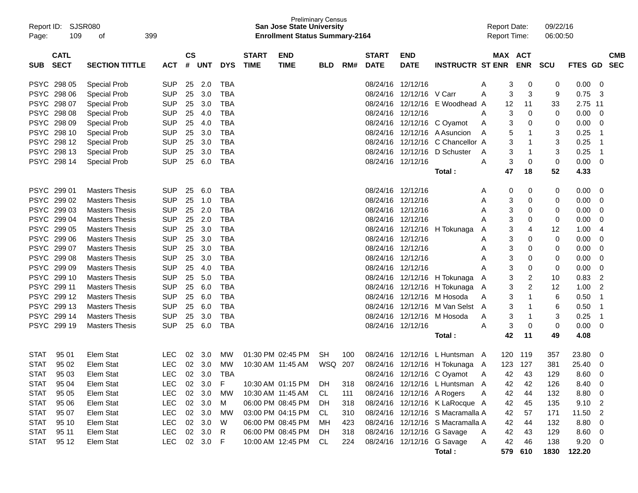| Report ID:<br>Page: | SJSR080<br>109             | 399<br>оf             |            |                    |            |            |                             | <b>Preliminary Census</b><br><b>San Jose State University</b><br><b>Enrollment Status Summary-2164</b> |            |     |                             |                            |                                  | <b>Report Date:</b><br>Report Time: |                       |                      | 09/22/16<br>06:00:50 |                         |                          |
|---------------------|----------------------------|-----------------------|------------|--------------------|------------|------------|-----------------------------|--------------------------------------------------------------------------------------------------------|------------|-----|-----------------------------|----------------------------|----------------------------------|-------------------------------------|-----------------------|----------------------|----------------------|-------------------------|--------------------------|
| <b>SUB</b>          | <b>CATL</b><br><b>SECT</b> | <b>SECTION TITTLE</b> | ACT        | $\mathsf{cs}$<br># | UNT        | <b>DYS</b> | <b>START</b><br><b>TIME</b> | <b>END</b><br><b>TIME</b>                                                                              | <b>BLD</b> | RM# | <b>START</b><br><b>DATE</b> | <b>END</b><br><b>DATE</b>  | <b>INSTRUCTR ST ENR</b>          |                                     | MAX ACT<br><b>ENR</b> | scu                  | FTES GD              |                         | <b>CMB</b><br><b>SEC</b> |
|                     | PSYC 298 05                | Special Prob          | <b>SUP</b> | 25                 | 2.0        | <b>TBA</b> |                             |                                                                                                        |            |     | 08/24/16                    | 12/12/16                   |                                  | A                                   | 3                     | 0<br>0               | 0.00                 | 0                       |                          |
|                     | PSYC 298 06                | <b>Special Prob</b>   | <b>SUP</b> | 25                 | 3.0        | <b>TBA</b> |                             |                                                                                                        |            |     | 08/24/16                    | 12/12/16 V Carr            |                                  | Α                                   | 3                     | 3<br>9               | 0.75                 | -3                      |                          |
|                     | PSYC 298 07                | <b>Special Prob</b>   | <b>SUP</b> | 25                 | 3.0        | <b>TBA</b> |                             |                                                                                                        |            |     | 08/24/16                    | 12/12/16                   | E Woodhead A                     |                                     | 12                    | 11<br>33             | 2.75                 | 11                      |                          |
|                     | PSYC 298 08                | <b>Special Prob</b>   | <b>SUP</b> | 25                 | 4.0        | <b>TBA</b> |                             |                                                                                                        |            |     | 08/24/16                    | 12/12/16                   |                                  | Α                                   | 3                     | $\mathbf 0$<br>0     | 0.00                 | 0                       |                          |
|                     | PSYC 298 09                | <b>Special Prob</b>   | <b>SUP</b> | 25                 | 4.0        | <b>TBA</b> |                             |                                                                                                        |            |     | 08/24/16                    | 12/12/16                   | C Oyamot                         | Α                                   | 3                     | 0<br>0               | 0.00                 | 0                       |                          |
|                     | PSYC 298 10                | <b>Special Prob</b>   | <b>SUP</b> | 25                 | 3.0        | <b>TBA</b> |                             |                                                                                                        |            |     | 08/24/16                    |                            | 12/12/16 A Asuncion              | A                                   | 5                     | 3<br>1               | 0.25                 | $\overline{1}$          |                          |
|                     | PSYC 298 12                | Special Prob          | <b>SUP</b> | 25                 | 3.0        | <b>TBA</b> |                             |                                                                                                        |            |     | 08/24/16                    | 12/12/16                   | C Chancellor A                   |                                     | 3                     | 3<br>1               | 0.25                 | -1                      |                          |
|                     | PSYC 298 13                | Special Prob          | <b>SUP</b> | 25                 | 3.0        | <b>TBA</b> |                             |                                                                                                        |            |     | 08/24/16                    | 12/12/16                   | D Schuster                       | A                                   | 3                     | 3<br>-1              | 0.25                 | $\overline{1}$          |                          |
|                     | PSYC 298 14                | <b>Special Prob</b>   | <b>SUP</b> | 25                 | 6.0        | <b>TBA</b> |                             |                                                                                                        |            |     | 08/24/16 12/12/16           |                            |                                  | A                                   | 3                     | 0<br>0               | 0.00                 | 0                       |                          |
|                     |                            |                       |            |                    |            |            |                             |                                                                                                        |            |     |                             |                            | Total :                          |                                     | 47                    | 18<br>52             | 4.33                 |                         |                          |
|                     | PSYC 299 01                | <b>Masters Thesis</b> | <b>SUP</b> | 25                 | 6.0        | <b>TBA</b> |                             |                                                                                                        |            |     | 08/24/16 12/12/16           |                            |                                  | A                                   | 0                     | 0<br>0               | 0.00                 | 0                       |                          |
|                     | PSYC 299 02                | <b>Masters Thesis</b> | <b>SUP</b> | 25                 | 1.0        | <b>TBA</b> |                             |                                                                                                        |            |     | 08/24/16 12/12/16           |                            |                                  | Α                                   | 3                     | 0<br>0               | 0.00                 | 0                       |                          |
|                     | PSYC 299 03                | <b>Masters Thesis</b> | <b>SUP</b> | 25                 | 2.0        | <b>TBA</b> |                             |                                                                                                        |            |     | 08/24/16 12/12/16           |                            |                                  | Α                                   | 3                     | 0<br>0               | 0.00                 | 0                       |                          |
|                     | PSYC 299 04                | <b>Masters Thesis</b> | <b>SUP</b> | 25                 | 2.0        | <b>TBA</b> |                             |                                                                                                        |            |     | 08/24/16 12/12/16           |                            |                                  |                                     | 3                     | 0<br>0               | 0.00                 | 0                       |                          |
|                     | PSYC 299 05                | <b>Masters Thesis</b> | <b>SUP</b> | 25                 | 3.0        | <b>TBA</b> |                             |                                                                                                        |            |     |                             | 08/24/16 12/12/16          | H Tokunaga                       | A                                   | 3                     | 12<br>4              | 1.00                 | 4                       |                          |
|                     | PSYC 299 06                | <b>Masters Thesis</b> | <b>SUP</b> | 25                 | 3.0        | <b>TBA</b> |                             |                                                                                                        |            |     | 08/24/16 12/12/16           |                            |                                  | Α                                   | 3                     | 0<br>0               | 0.00                 | 0                       |                          |
|                     | PSYC 299 07                | <b>Masters Thesis</b> | <b>SUP</b> | 25                 | 3.0        | <b>TBA</b> |                             |                                                                                                        |            |     | 08/24/16 12/12/16           |                            |                                  | A                                   | 3                     | 0<br>0               | 0.00                 | 0                       |                          |
|                     | PSYC 299 08                | <b>Masters Thesis</b> | <b>SUP</b> | 25                 | 3.0        | TBA        |                             |                                                                                                        |            |     | 08/24/16                    | 12/12/16                   |                                  | Α                                   | 3                     | 0<br>0               | 0.00                 | 0                       |                          |
|                     | PSYC 299 09                | <b>Masters Thesis</b> | <b>SUP</b> | 25                 | 4.0        | <b>TBA</b> |                             |                                                                                                        |            |     | 08/24/16 12/12/16           |                            |                                  |                                     | 3                     | 0<br>0               | 0.00                 | 0                       |                          |
|                     | PSYC 299 10                | <b>Masters Thesis</b> | <b>SUP</b> | 25                 | 5.0        | <b>TBA</b> |                             |                                                                                                        |            |     |                             |                            | 08/24/16 12/12/16 H Tokunaga     | A                                   | 3                     | 2<br>10              | 0.83                 | 2                       |                          |
|                     | PSYC 299 11                | <b>Masters Thesis</b> | <b>SUP</b> | 25                 | 6.0        | <b>TBA</b> |                             |                                                                                                        |            |     |                             |                            | 08/24/16 12/12/16 H Tokunaga     | A                                   | 3                     | $\overline{c}$<br>12 | 1.00                 | $\overline{2}$          |                          |
|                     | PSYC 299 12                | <b>Masters Thesis</b> | <b>SUP</b> | 25                 | 6.0        | <b>TBA</b> |                             |                                                                                                        |            |     | 08/24/16                    | 12/12/16                   | M Hosoda                         | Α                                   | 3                     | 6<br>1               | 0.50                 | $\overline{1}$          |                          |
|                     | PSYC 299 13                | <b>Masters Thesis</b> | <b>SUP</b> | 25                 | 6.0        | <b>TBA</b> |                             |                                                                                                        |            |     | 08/24/16                    | 12/12/16                   | M Van Selst A                    |                                     | 3                     | 6<br>1               | 0.50                 | $\overline{1}$          |                          |
|                     | PSYC 299 14                | <b>Masters Thesis</b> | <b>SUP</b> | 25                 | 3.0        | <b>TBA</b> |                             |                                                                                                        |            |     | 08/24/16                    | 12/12/16                   | M Hosoda                         | A                                   | 3                     | 3<br>1               | 0.25                 | $\overline{1}$          |                          |
|                     | PSYC 299 19                | <b>Masters Thesis</b> | <b>SUP</b> | 25                 | 6.0        | <b>TBA</b> |                             |                                                                                                        |            |     | 08/24/16 12/12/16           |                            |                                  | A                                   | 3                     | 0<br>0               | 0.00                 | 0                       |                          |
|                     |                            |                       |            |                    |            |            |                             |                                                                                                        |            |     |                             |                            | Total :                          |                                     | 42                    | 11<br>49             | 4.08                 |                         |                          |
| <b>STAT</b>         | 95 01                      | <b>Elem Stat</b>      | LEC        | 02                 | 3.0        | мw         |                             | 01:30 PM 02:45 PM                                                                                      | SН         | 100 |                             |                            | 08/24/16 12/12/16 L Huntsman A   |                                     | 120<br>119            | 357                  | 23.80                | 0                       |                          |
| <b>STAT</b>         | 95 02                      | <b>Elem Stat</b>      | <b>LEC</b> |                    | 02 3.0     | МW         |                             | 10:30 AM 11:45 AM                                                                                      | WSQ 207    |     |                             |                            | 08/24/16 12/12/16 H Tokunaga A   |                                     | 123 127               | 381                  | 25.40                | 0                       |                          |
|                     | STAT 95 03                 | Elem Stat             | LEC        |                    | 02 3.0 TBA |            |                             |                                                                                                        |            |     |                             |                            | 08/24/16 12/12/16 C Oyamot       | $\overline{A}$                      | 42                    | 43<br>129            | 8.60                 | $\overline{\mathbf{0}}$ |                          |
| <b>STAT</b>         | 95 04                      | Elem Stat             | <b>LEC</b> |                    | 02 3.0     | F          |                             | 10:30 AM 01:15 PM DH                                                                                   |            | 318 |                             |                            | 08/24/16 12/12/16 L Huntsman A   |                                     | 42                    | 42<br>126            | 8.40                 | 0                       |                          |
| <b>STAT</b>         | 95 05                      | Elem Stat             | <b>LEC</b> |                    | 02 3.0     | MW         |                             | 10:30 AM 11:45 AM                                                                                      | CL.        | 111 |                             | 08/24/16 12/12/16 A Rogers |                                  | A                                   | 42                    | 44<br>132            | 8.80                 | 0                       |                          |
| <b>STAT</b>         | 95 06                      | Elem Stat             | <b>LEC</b> |                    | 02 3.0     | M          |                             | 06:00 PM 08:45 PM                                                                                      | - DH       | 318 |                             |                            | 08/24/16 12/12/16 K LaRocque A   |                                     | 42                    | 45<br>135            | 9.10                 | $\overline{c}$          |                          |
| <b>STAT</b>         | 95 07                      | Elem Stat             | <b>LEC</b> |                    | 02 3.0     | MW         |                             | 03:00 PM 04:15 PM                                                                                      | CL.        | 310 |                             |                            | 08/24/16 12/12/16 S Macramalla A |                                     | 42                    | 57<br>171            | 11.50                | $\overline{c}$          |                          |
| <b>STAT</b>         | 95 10                      | Elem Stat             | <b>LEC</b> |                    | 02 3.0     | W          |                             | 06:00 PM 08:45 PM                                                                                      | MН         | 423 |                             |                            | 08/24/16 12/12/16 S Macramalla A |                                     | 42                    | 44<br>132            | 8.80                 | 0                       |                          |
| <b>STAT</b>         | 95 11                      | Elem Stat             | <b>LEC</b> |                    | 02 3.0     | R          |                             | 06:00 PM 08:45 PM                                                                                      | - DH       | 318 |                             |                            | 08/24/16 12/12/16 G Savage       | A                                   | 42                    | 43<br>129            | 8.60                 | 0                       |                          |
| <b>STAT</b>         | 95 12                      | Elem Stat             | <b>LEC</b> |                    | 02 3.0     | -F         |                             | 10:00 AM 12:45 PM CL                                                                                   |            | 224 |                             |                            | 08/24/16 12/12/16 G Savage       | A                                   | 42                    | 46<br>138            | 9.20                 | 0                       |                          |
|                     |                            |                       |            |                    |            |            |                             |                                                                                                        |            |     |                             |                            | Total:                           |                                     | 579 610               | 1830                 | 122.20               |                         |                          |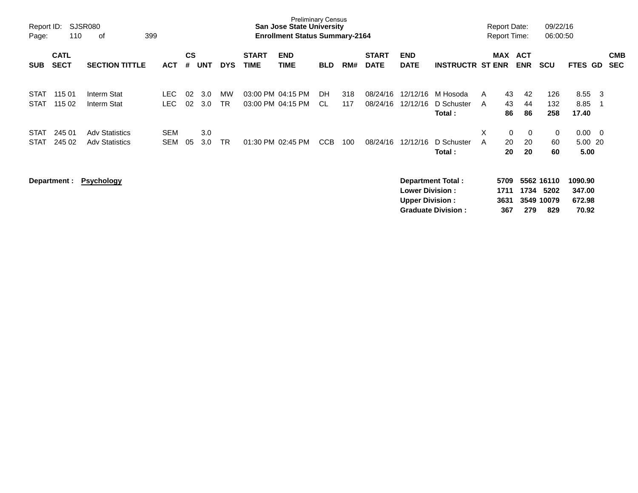| Report ID:<br>Page:        | 110                        | SJSR080<br>399<br>оf                           |                          |                |            |                 |                             | <b>Preliminary Census</b><br><b>San Jose State University</b><br><b>Enrollment Status Summary-2164</b> |            |            |                             |                                                   |                                                       |        | <b>Report Date:</b><br><b>Report Time:</b> |                            | 09/22/16<br>06:00:50                    |                                      |                          |                          |
|----------------------------|----------------------------|------------------------------------------------|--------------------------|----------------|------------|-----------------|-----------------------------|--------------------------------------------------------------------------------------------------------|------------|------------|-----------------------------|---------------------------------------------------|-------------------------------------------------------|--------|--------------------------------------------|----------------------------|-----------------------------------------|--------------------------------------|--------------------------|--------------------------|
| <b>SUB</b>                 | <b>CATL</b><br><b>SECT</b> | <b>SECTION TITTLE</b>                          | <b>ACT</b>               | <b>CS</b><br># | <b>UNT</b> | <b>DYS</b>      | <b>START</b><br><b>TIME</b> | <b>END</b><br><b>TIME</b>                                                                              | <b>BLD</b> | RM#        | <b>START</b><br><b>DATE</b> | <b>END</b><br><b>DATE</b>                         | <b>INSTRUCTR ST ENR</b>                               |        | <b>MAX</b>                                 | <b>ACT</b><br><b>ENR</b>   | <b>SCU</b>                              | <b>FTES</b>                          | <b>GD</b>                | <b>CMB</b><br><b>SEC</b> |
| <b>STAT</b><br><b>STAT</b> | 115 01<br>115 02           | Interm Stat<br>Interm Stat                     | LEC.<br><b>LEC</b>       | 02<br>02       | 3.0<br>3.0 | MW<br><b>TR</b> |                             | 03:00 PM 04:15 PM<br>03:00 PM 04:15 PM                                                                 | DH<br>CL.  | 318<br>117 | 08/24/16<br>08/24/16        | 12/12/16<br>12/12/16                              | M Hosoda<br>D Schuster<br>Total:                      | A<br>A | 43<br>43<br>86                             | 42<br>44<br>86             | 126<br>132<br>258                       | 8.55<br>8.85<br>17.40                | - 3<br>- 1               |                          |
| <b>STAT</b><br><b>STAT</b> | 245 01<br>245 02           | <b>Adv Statistics</b><br><b>Adv Statistics</b> | <b>SEM</b><br><b>SEM</b> | 05             | 3.0<br>3.0 | <b>TR</b>       |                             | 01:30 PM 02:45 PM                                                                                      | CCB        | 100        | 08/24/16                    | 12/12/16                                          | D Schuster<br>Total:                                  | X<br>A | 0<br>20<br>20                              | $\overline{0}$<br>20<br>20 | 0<br>60<br>60                           | 0.00<br>5.00 20<br>5.00              | $\overline{\phantom{0}}$ |                          |
|                            | Department :               | <b>Psychology</b>                              |                          |                |            |                 |                             |                                                                                                        |            |            |                             | <b>Lower Division :</b><br><b>Upper Division:</b> | <b>Department Total:</b><br><b>Graduate Division:</b> |        | 5709<br>1711<br>3631<br>367                | 1734<br>279                | 5562 16110<br>5202<br>3549 10079<br>829 | 1090.90<br>347.00<br>672.98<br>70.92 |                          |                          |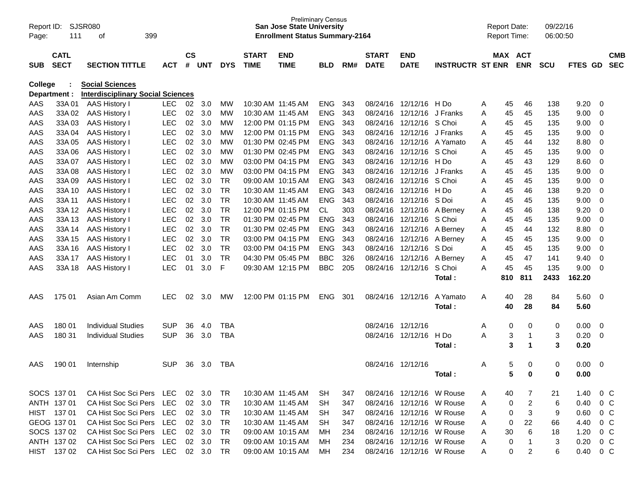| Report ID:<br>Page: | 111                        | SJSR080<br>399<br>оf                     |            |                    |                |            |                             | <b>Preliminary Census</b><br><b>San Jose State University</b><br><b>Enrollment Status Summary-2164</b> |            |     |                             |                           |                         | <b>Report Date:</b><br><b>Report Time:</b> |                      | 09/22/16<br>06:00:50 |         |             |                          |
|---------------------|----------------------------|------------------------------------------|------------|--------------------|----------------|------------|-----------------------------|--------------------------------------------------------------------------------------------------------|------------|-----|-----------------------------|---------------------------|-------------------------|--------------------------------------------|----------------------|----------------------|---------|-------------|--------------------------|
| <b>SUB</b>          | <b>CATL</b><br><b>SECT</b> | <b>SECTION TITTLE</b>                    | <b>ACT</b> | $\mathsf{cs}$<br># | <b>UNT</b>     | <b>DYS</b> | <b>START</b><br><b>TIME</b> | <b>END</b><br><b>TIME</b>                                                                              | <b>BLD</b> | RM# | <b>START</b><br><b>DATE</b> | <b>END</b><br><b>DATE</b> | <b>INSTRUCTR ST ENR</b> | MAX ACT                                    | <b>ENR</b>           | <b>SCU</b>           | FTES GD |             | <b>CMB</b><br><b>SEC</b> |
| <b>College</b>      |                            | <b>Social Sciences</b>                   |            |                    |                |            |                             |                                                                                                        |            |     |                             |                           |                         |                                            |                      |                      |         |             |                          |
|                     | Department :               | <b>Interdisciplinary Social Sciences</b> |            |                    |                |            |                             |                                                                                                        |            |     |                             |                           |                         |                                            |                      |                      |         |             |                          |
| AAS                 | 33A01                      | <b>AAS History I</b>                     | <b>LEC</b> | 02                 | 3.0            | МW         |                             | 10:30 AM 11:45 AM                                                                                      | <b>ENG</b> | 343 | 08/24/16                    | 12/12/16 H Do             |                         | A<br>45                                    | 46                   | 138                  | 9.20    | 0           |                          |
| AAS                 | 33A 02                     | <b>AAS History I</b>                     | <b>LEC</b> | 02                 | 3.0            | <b>MW</b>  |                             | 10:30 AM  11:45 AM                                                                                     | <b>ENG</b> | 343 | 08/24/16                    | 12/12/16 J Franks         |                         | 45<br>A                                    | 45                   | 135                  | 9.00    | 0           |                          |
| AAS                 | 33A03                      | <b>AAS History I</b>                     | <b>LEC</b> | 02                 | 3.0            | МW         |                             | 12:00 PM 01:15 PM                                                                                      | <b>ENG</b> | 343 | 08/24/16                    | 12/12/16 S Choi           |                         | 45<br>A                                    | 45                   | 135                  | 9.00    | $\mathbf 0$ |                          |
| AAS                 | 33A 04                     | <b>AAS History I</b>                     | <b>LEC</b> | 02                 | 3.0            | МW         |                             | 12:00 PM 01:15 PM                                                                                      | <b>ENG</b> | 343 | 08/24/16                    | 12/12/16 J Franks         |                         | 45<br>A                                    | 45                   | 135                  | 9.00    | 0           |                          |
| AAS                 | 33A 05                     | <b>AAS History I</b>                     | <b>LEC</b> | 02                 | 3.0            | МW         |                             | 01:30 PM 02:45 PM                                                                                      | <b>ENG</b> | 343 | 08/24/16                    |                           | 12/12/16 A Yamato       | 45<br>A                                    | 44                   | 132                  | 8.80    | 0           |                          |
| AAS                 | 33A 06                     | <b>AAS History I</b>                     | <b>LEC</b> | 02                 | 3.0            | <b>MW</b>  |                             | 01:30 PM 02:45 PM                                                                                      | <b>ENG</b> | 343 | 08/24/16                    | 12/12/16 S Choi           |                         | Α<br>45                                    | 45                   | 135                  | 9.00    | $\mathbf 0$ |                          |
| AAS                 | 33A 07                     | <b>AAS History I</b>                     | <b>LEC</b> | 02                 | 3.0            | <b>MW</b>  |                             | 03:00 PM 04:15 PM                                                                                      | <b>ENG</b> | 343 | 08/24/16                    | 12/12/16 H Do             |                         | 45<br>A                                    | 43                   | 129                  | 8.60    | $\mathbf 0$ |                          |
| AAS                 | 33A 08                     | <b>AAS History I</b>                     | <b>LEC</b> | 02                 | 3.0            | <b>MW</b>  |                             | 03:00 PM 04:15 PM                                                                                      | <b>ENG</b> | 343 | 08/24/16                    | 12/12/16 J Franks         |                         | 45<br>A                                    | 45                   | 135                  | 9.00    | $\mathbf 0$ |                          |
| AAS                 | 33A 09                     | <b>AAS History I</b>                     | <b>LEC</b> | 02                 | 3.0            | <b>TR</b>  |                             | 09:00 AM 10:15 AM                                                                                      | <b>ENG</b> | 343 | 08/24/16                    | 12/12/16 S Choi           |                         | 45<br>A                                    | 45                   | 135                  | 9.00    | $\mathbf 0$ |                          |
| AAS                 | 33A 10                     | <b>AAS History I</b>                     | <b>LEC</b> | 02                 | 3.0            | <b>TR</b>  | 10:30 AM 11:45 AM           |                                                                                                        | <b>ENG</b> | 343 | 08/24/16                    | 12/12/16 H Do             |                         | 45<br>A                                    | 46                   | 138                  | 9.20    | $\mathbf 0$ |                          |
| AAS                 | 33A 11                     | <b>AAS History I</b>                     | <b>LEC</b> | 02                 | 3.0            | <b>TR</b>  | 10:30 AM 11:45 AM           |                                                                                                        | <b>ENG</b> | 343 | 08/24/16                    | 12/12/16 S Doi            |                         | 45<br>A                                    | 45                   | 135                  | 9.00    | $\mathbf 0$ |                          |
| AAS                 | 33A 12                     | <b>AAS History I</b>                     | <b>LEC</b> | 02                 | 3.0            | <b>TR</b>  |                             | 12:00 PM 01:15 PM                                                                                      | <b>CL</b>  | 303 | 08/24/16                    |                           | 12/12/16 A Berney       | 45<br>Α                                    | 46                   | 138                  | 9.20    | $\Omega$    |                          |
| AAS                 | 33A 13                     | <b>AAS History I</b>                     | <b>LEC</b> | 02                 | 3.0            | <b>TR</b>  |                             | 01:30 PM 02:45 PM                                                                                      | <b>ENG</b> | 343 | 08/24/16                    | 12/12/16 S Choi           |                         | 45<br>A                                    | 45                   | 135                  | 9.00    | $\Omega$    |                          |
| AAS                 | 33A 14                     | <b>AAS History I</b>                     | <b>LEC</b> | 02                 | 3.0            | <b>TR</b>  |                             | 01:30 PM 02:45 PM                                                                                      | <b>ENG</b> | 343 | 08/24/16                    |                           | 12/12/16 A Berney       | 45<br>Α                                    | 44                   | 132                  | 8.80    | $\mathbf 0$ |                          |
| AAS                 | 33A 15                     | <b>AAS History I</b>                     | <b>LEC</b> | 02                 | 3.0            | <b>TR</b>  |                             | 03:00 PM 04:15 PM                                                                                      | <b>ENG</b> | 343 | 08/24/16                    | 12/12/16                  | A Berney                | 45<br>Α                                    | 45                   | 135                  | 9.00    | $\mathbf 0$ |                          |
| AAS                 | 33A 16                     | <b>AAS History I</b>                     | <b>LEC</b> | 02                 | 3.0            | <b>TR</b>  |                             | 03:00 PM 04:15 PM                                                                                      | <b>ENG</b> | 343 | 08/24/16                    | 12/12/16 S Doi            |                         | 45<br>A                                    | 45                   | 135                  | 9.00    | 0           |                          |
| AAS                 | 33A 17                     | <b>AAS History I</b>                     | <b>LEC</b> | 01                 | 3.0            | <b>TR</b>  |                             | 04:30 PM 05:45 PM                                                                                      | <b>BBC</b> | 326 | 08/24/16                    | 12/12/16                  | A Berney                | 45<br>Α                                    | 47                   | 141                  | 9.40    | $\Omega$    |                          |
| AAS                 | 33A 18                     | <b>AAS History I</b>                     | <b>LEC</b> | 01                 | 3.0            | F          |                             | 09:30 AM 12:15 PM                                                                                      | <b>BBC</b> | 205 | 08/24/16                    | 12/12/16                  | S Choi                  | 45<br>Α                                    | 45                   | 135                  | 9.00    | $\Omega$    |                          |
|                     |                            |                                          |            |                    |                |            |                             |                                                                                                        |            |     |                             |                           | Total:                  | 810                                        | 811                  | 2433                 | 162.20  |             |                          |
| AAS                 | 175 01                     | Asian Am Comm                            | <b>LEC</b> | 02                 | 3.0            | МW         |                             | 12:00 PM 01:15 PM                                                                                      | <b>ENG</b> | 301 | 08/24/16                    | 12/12/16                  | A Yamato                | Α<br>40                                    | 28                   | 84                   | 5.60    | - 0         |                          |
|                     |                            |                                          |            |                    |                |            |                             |                                                                                                        |            |     |                             |                           | Total:                  | 40                                         | 28                   | 84                   | 5.60    |             |                          |
| AAS                 | 18001                      | <b>Individual Studies</b>                | <b>SUP</b> | 36                 | 4.0            | <b>TBA</b> |                             |                                                                                                        |            |     | 08/24/16                    | 12/12/16                  |                         | 0<br>A                                     | 0                    | 0                    | 0.00    | 0           |                          |
| AAS                 | 180 31                     | Individual Studies                       | <b>SUP</b> | 36                 | 3.0            | <b>TBA</b> |                             |                                                                                                        |            |     |                             | 08/24/16 12/12/16         | H Do                    | 3<br>A                                     | $\mathbf 1$          | 3                    | 0.20    | $\Omega$    |                          |
|                     |                            |                                          |            |                    |                |            |                             |                                                                                                        |            |     |                             |                           | Total:                  | 3                                          | $\blacktriangleleft$ | 3                    | 0.20    |             |                          |
| AAS                 | 190 01                     | Internship                               | SUP        | 36                 | 3.0            | <b>TBA</b> |                             |                                                                                                        |            |     |                             | 08/24/16 12/12/16         |                         | A<br>5                                     | 0                    | 0                    | 0.00    | 0           |                          |
|                     |                            |                                          |            |                    |                |            |                             |                                                                                                        |            |     |                             |                           | Total :                 | 5                                          | 0                    | 0                    | 0.00    |             |                          |
|                     | SOCS 137 01                | CA Hist Soc Sci Pers LEC                 |            |                    | 02 3.0         | TR.        | 10:30 AM 11:45 AM           |                                                                                                        | SH         | 347 |                             | 08/24/16 12/12/16 W Rouse |                         | 40<br>A                                    | 7                    | 21                   | 1.40    | $0\,C$      |                          |
|                     | ANTH 137 01                | CA Hist Soc Sci Pers                     | LEC        |                    | 02 3.0         | TR         | 10:30 AM 11:45 AM           |                                                                                                        | <b>SH</b>  | 347 |                             | 08/24/16 12/12/16 W Rouse |                         | 0<br>A                                     | $\overline{2}$       | 6                    | 0.40    | $0\,$ C     |                          |
|                     | HIST 137 01                | CA Hist Soc Sci Pers                     | LEC        |                    | 02 3.0         | TR         | 10:30 AM 11:45 AM           |                                                                                                        | <b>SH</b>  | 347 |                             | 08/24/16 12/12/16 W Rouse |                         | 0<br>A                                     | 3                    | 9                    | 0.60    | $0\,C$      |                          |
|                     | GEOG 137 01                | CA Hist Soc Sci Pers                     | <b>LEC</b> |                    | $02 \quad 3.0$ | <b>TR</b>  |                             | 10:30 AM 11:45 AM                                                                                      | <b>SH</b>  | 347 |                             | 08/24/16 12/12/16 W Rouse |                         | 0<br>A                                     | 22                   | 66                   | 4.40    | $0\,$ C     |                          |
|                     | SOCS 137 02                | CA Hist Soc Sci Pers                     | LEC        |                    | 02 3.0         | <b>TR</b>  |                             | 09:00 AM 10:15 AM                                                                                      | МH         | 234 |                             | 08/24/16 12/12/16 W Rouse |                         | 30<br>A                                    | 6                    | 18                   | 1.20    | $0\,C$      |                          |
|                     | ANTH 137 02                | CA Hist Soc Sci Pers                     | LEC        |                    | 02 3.0         | <b>TR</b>  |                             | 09:00 AM 10:15 AM                                                                                      | МH         | 234 |                             | 08/24/16 12/12/16 W Rouse |                         | 0<br>A                                     | 1                    | 3                    | 0.20    | 0 C         |                          |
|                     | HIST 137 02                | CA Hist Soc Sci Pers LEC                 |            |                    | 02 3.0         | TR         |                             | 09:00 AM 10:15 AM                                                                                      | МH         | 234 |                             | 08/24/16 12/12/16 W Rouse |                         | A<br>0                                     | $\overline{2}$       | 6                    | 0.40    | $0\,C$      |                          |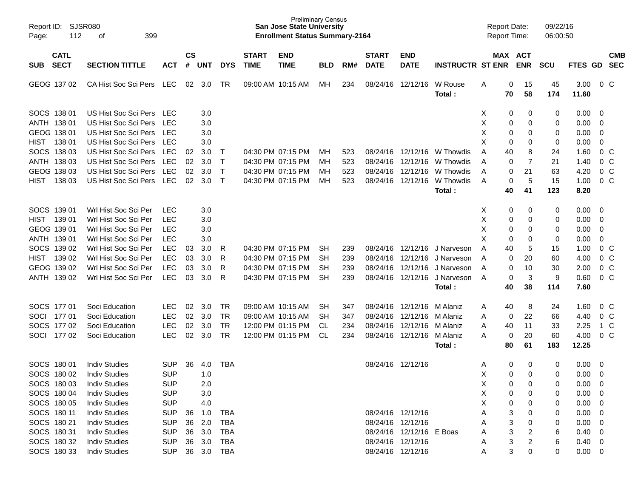| Report ID:<br>Page:       | <b>SJSR080</b><br>112<br>399<br>оf<br><b>CATL</b>               |            |                |            |              |                             | <b>Preliminary Census</b><br><b>San Jose State University</b><br><b>Enrollment Status Summary-2164</b> |            |     |                             |                           |                         | <b>Report Date:</b><br>Report Time: |             |                       | 09/22/16<br>06:00:50 |                 |                |                          |
|---------------------------|-----------------------------------------------------------------|------------|----------------|------------|--------------|-----------------------------|--------------------------------------------------------------------------------------------------------|------------|-----|-----------------------------|---------------------------|-------------------------|-------------------------------------|-------------|-----------------------|----------------------|-----------------|----------------|--------------------------|
| <b>SECT</b><br><b>SUB</b> | <b>SECTION TITTLE</b><br><b>ACT</b><br>CA Hist Soc Sci Pers LEC |            | <b>CS</b><br># | <b>UNT</b> | <b>DYS</b>   | <b>START</b><br><b>TIME</b> | <b>END</b><br><b>TIME</b>                                                                              | <b>BLD</b> | RM# | <b>START</b><br><b>DATE</b> | <b>END</b><br><b>DATE</b> | <b>INSTRUCTR ST ENR</b> |                                     |             | MAX ACT<br><b>ENR</b> | <b>SCU</b>           | FTES GD         |                | <b>CMB</b><br><b>SEC</b> |
| GEOG 137 02               |                                                                 |            | 02             | 3.0        | TR           |                             | 09:00 AM 10:15 AM                                                                                      | МH         | 234 | 08/24/16                    | 12/12/16                  | W Rouse<br>Total:       | A                                   | 0<br>70     | 15<br>58              | 45<br>174            | 3.00<br>11.60   |                | $0\,C$                   |
| SOCS 138 01               | US Hist Soc Sci Pers LEC                                        |            |                | 3.0        |              |                             |                                                                                                        |            |     |                             |                           |                         | Х                                   | 0           | 0                     | 0                    | 0.00            | - 0            |                          |
| ANTH 138 01               | US Hist Soc Sci Pers                                            | LEC        |                | 3.0        |              |                             |                                                                                                        |            |     |                             |                           |                         | X                                   | 0           | 0                     | 0                    | 0.00            | $\overline{0}$ |                          |
| GEOG 138 01               | US Hist Soc Sci Pers                                            | <b>LEC</b> |                | 3.0        |              |                             |                                                                                                        |            |     |                             |                           |                         | X                                   | 0           | 0                     | 0                    | 0.00            | $\overline{0}$ |                          |
| <b>HIST</b><br>138 01     | US Hist Soc Sci Pers                                            | LEC        |                | 3.0        |              |                             |                                                                                                        |            |     |                             |                           |                         | X                                   | 0           | 0                     | 0                    | 0.00            | $\mathbf 0$    |                          |
| SOCS 138 03               | US Hist Soc Sci Pers                                            | <b>LEC</b> | 02             | 3.0        | $\top$       |                             | 04:30 PM 07:15 PM                                                                                      | MН         | 523 |                             | 08/24/16 12/12/16         | W Thowdis               | A                                   | 40          | 8                     | 24                   | 1.60            |                | 0 <sup>C</sup>           |
| ANTH 138 03               | US Hist Soc Sci Pers                                            | <b>LEC</b> | 02             | 3.0        | $\mathsf{T}$ |                             | 04:30 PM 07:15 PM                                                                                      | MН         | 523 | 08/24/16                    | 12/12/16                  | W Thowdis               | A                                   | 0           | $\overline{7}$        | 21                   | 1.40            |                | $0\,C$                   |
| GEOG 138 03               | US Hist Soc Sci Pers                                            | <b>LEC</b> | 02             | 3.0        | $\mathsf{T}$ |                             | 04:30 PM 07:15 PM                                                                                      | MН         | 523 | 08/24/16                    | 12/12/16                  | W Thowdis               | A                                   | $\mathbf 0$ | 21                    | 63                   | 4.20            |                | $0\,C$                   |
| <b>HIST</b><br>138 03     | US Hist Soc Sci Pers                                            | LEC        | 02             | 3.0        | $\mathsf{T}$ |                             | 04:30 PM 07:15 PM                                                                                      | MН         | 523 |                             | 08/24/16 12/12/16         | W Thowdis               | A                                   | 0           | 5                     | 15                   | 1.00            |                | $0\,C$                   |
|                           |                                                                 |            |                |            |              |                             |                                                                                                        |            |     |                             |                           | Total:                  |                                     | 40          | 41                    | 123                  | 8.20            |                |                          |
| SOCS 139 01               | Wrl Hist Soc Sci Per                                            | <b>LEC</b> |                | 3.0        |              |                             |                                                                                                        |            |     |                             |                           |                         | х                                   | 0           | 0                     | 0                    | 0.00            | - 0            |                          |
| <b>HIST</b><br>139 01     | Wrl Hist Soc Sci Per                                            | <b>LEC</b> |                | 3.0        |              |                             |                                                                                                        |            |     |                             |                           |                         | X                                   | 0           | 0                     | 0                    | 0.00            | $\overline{0}$ |                          |
| GEOG 139 01               | Wrl Hist Soc Sci Per                                            | <b>LEC</b> |                | 3.0        |              |                             |                                                                                                        |            |     |                             |                           |                         | X                                   | 0           | 0                     | 0                    | 0.00            | $\mathbf 0$    |                          |
| ANTH 139 01               | Wrl Hist Soc Sci Per                                            | <b>LEC</b> |                | 3.0        |              |                             |                                                                                                        |            |     |                             |                           |                         | X                                   | 0           | 0                     | 0                    | 0.00            | $\mathbf 0$    |                          |
| SOCS 139 02               | Wrl Hist Soc Sci Per                                            | LEC        | 03             | 3.0        | R            |                             | 04:30 PM 07:15 PM                                                                                      | <b>SH</b>  | 239 |                             | 08/24/16 12/12/16         | J Narveson              | A                                   | 40          | 5                     | 15                   | 1.00            |                | 0 <sup>C</sup>           |
| <b>HIST</b><br>139 02     | Wrl Hist Soc Sci Per                                            | LEC        | 03             | 3.0        | R            |                             | 04:30 PM 07:15 PM                                                                                      | <b>SH</b>  | 239 |                             | 08/24/16 12/12/16         | J Narveson              | A                                   | 0           | 20                    | 60                   | 4.00            |                | $0\,C$                   |
| GEOG 139 02               | Wrl Hist Soc Sci Per                                            | LEC        | 03             | 3.0        | R            |                             | 04:30 PM 07:15 PM                                                                                      | <b>SH</b>  | 239 |                             | 08/24/16 12/12/16         | J Narveson              | A                                   | 0           | 10                    | 30                   | 2.00            |                | $0\,C$                   |
| ANTH 139 02               | Wrl Hist Soc Sci Per                                            | <b>LEC</b> | 03             | 3.0        | R            |                             | 04:30 PM 07:15 PM                                                                                      | <b>SH</b>  | 239 |                             | 08/24/16 12/12/16         | J Narveson              | A                                   | 0           | $\mathbf{3}$          | 9                    | 0.60            |                | $0\,C$                   |
|                           |                                                                 |            |                |            |              |                             |                                                                                                        |            |     |                             |                           | Total:                  |                                     | 40          | 38                    | 114                  | 7.60            |                |                          |
| SOCS 177 01               | Soci Education                                                  | <b>LEC</b> | 02             | 3.0        | TR           |                             | 09:00 AM 10:15 AM                                                                                      | <b>SH</b>  | 347 |                             | 08/24/16 12/12/16         | M Alaniz                | A                                   | 40          | 8                     | 24                   | 1.60            |                | $0\,C$                   |
| SOCI 177 01               | Soci Education                                                  | LEC        | 02             | 3.0        | <b>TR</b>    |                             | 09:00 AM 10:15 AM                                                                                      | <b>SH</b>  | 347 |                             | 08/24/16 12/12/16         | M Alaniz                | A                                   | 0           | 22                    | 66                   | 4.40            |                | 0 <sup>C</sup>           |
| SOCS 177 02               | Soci Education                                                  | <b>LEC</b> | 02             | 3.0        | <b>TR</b>    |                             | 12:00 PM 01:15 PM                                                                                      | <b>CL</b>  | 234 |                             | 08/24/16 12/12/16         | M Alaniz                | A                                   | 40          | 11                    | 33                   | 2.25            |                | 1 C                      |
| SOCI<br>17702             | Soci Education                                                  | <b>LEC</b> | 02             | 3.0        | TR           |                             | 12:00 PM 01:15 PM                                                                                      | <b>CL</b>  | 234 |                             | 08/24/16 12/12/16         | M Alaniz                | A                                   | 0           | 20                    | 60                   | 4.00            |                | 0 <sup>C</sup>           |
|                           |                                                                 |            |                |            |              |                             |                                                                                                        |            |     |                             |                           | Total:                  |                                     | 80          | 61                    | 183                  | 12.25           |                |                          |
| SOCS 180 01               | <b>Indiv Studies</b>                                            | <b>SUP</b> | 36             | 4.0        | <b>TBA</b>   |                             |                                                                                                        |            |     |                             | 08/24/16 12/12/16         |                         | A                                   | 0           | 0                     | 0                    | 0.00            | 0              |                          |
| SOCS 180 02               | <b>Indiv Studies</b>                                            | <b>SUP</b> |                | 1.0        |              |                             |                                                                                                        |            |     |                             |                           |                         | X                                   | 0           | $\Omega$              | 0                    | 0.00            | $\mathbf 0$    |                          |
| SOCS 180 03               | <b>Indiv Studies</b>                                            | <b>SUP</b> |                | 2.0        |              |                             |                                                                                                        |            |     |                             |                           |                         | Χ                                   | 0           | 0                     | 0                    | $0.00 \t 0$     |                |                          |
| SOCS 180 04               | <b>Indiv Studies</b>                                            | <b>SUP</b> |                | 3.0        |              |                             |                                                                                                        |            |     |                             |                           |                         | Χ                                   | 0           | 0                     | 0                    | $0.00 \t 0$     |                |                          |
| SOCS 180 05               | <b>Indiv Studies</b>                                            | <b>SUP</b> |                | 4.0        |              |                             |                                                                                                        |            |     |                             |                           |                         | Х                                   | 0           | 0                     | 0                    | $0.00 \t 0$     |                |                          |
| SOCS 180 11               | <b>Indiv Studies</b>                                            | <b>SUP</b> | 36             | 1.0        | <b>TBA</b>   |                             |                                                                                                        |            |     |                             | 08/24/16 12/12/16         |                         | Α                                   | 3           | 0                     | 0                    | $0.00 \t 0$     |                |                          |
| SOCS 180 21               | <b>Indiv Studies</b>                                            | <b>SUP</b> | 36             | 2.0        | <b>TBA</b>   |                             |                                                                                                        |            |     |                             | 08/24/16 12/12/16         |                         | A                                   | 3           | 0                     | 0                    | $0.00 \t 0$     |                |                          |
| SOCS 180 31               | <b>Indiv Studies</b>                                            | <b>SUP</b> | 36             | 3.0        | <b>TBA</b>   |                             |                                                                                                        |            |     |                             | 08/24/16 12/12/16 E Boas  |                         | Α                                   | 3           | 2                     | 6                    | $0.40 \ 0$      |                |                          |
| SOCS 180 32               | <b>Indiv Studies</b>                                            | <b>SUP</b> | 36             | 3.0        | <b>TBA</b>   |                             |                                                                                                        |            |     |                             | 08/24/16 12/12/16         |                         | Α                                   | 3           | 2                     | 6                    | $0.40 \ 0$      |                |                          |
| SOCS 180 33               | <b>Indiv Studies</b>                                            | <b>SUP</b> |                |            | 36 3.0 TBA   |                             |                                                                                                        |            |     |                             | 08/24/16 12/12/16         |                         | A                                   | 3           | 0                     | 0                    | $0.00\quad$ $0$ |                |                          |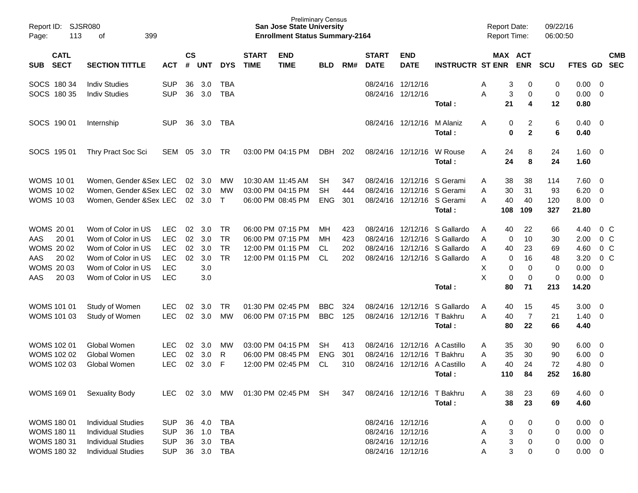| Page: | <b>SJSR080</b><br>Report ID:<br>113<br>399<br>of<br><b>CATL</b> |                           |            |                |                |              |                             | <b>Preliminary Census</b><br><b>San Jose State University</b><br><b>Enrollment Status Summary-2164</b> |            |     |                             |                           |                                      | <b>Report Date:</b><br>Report Time: |                  |                       | 09/22/16<br>06:00:50 |               |                          |                |
|-------|-----------------------------------------------------------------|---------------------------|------------|----------------|----------------|--------------|-----------------------------|--------------------------------------------------------------------------------------------------------|------------|-----|-----------------------------|---------------------------|--------------------------------------|-------------------------------------|------------------|-----------------------|----------------------|---------------|--------------------------|----------------|
| SUB   | <b>SECT</b>                                                     | <b>SECTION TITTLE</b>     | <b>ACT</b> | <b>CS</b><br># | <b>UNT</b>     | <b>DYS</b>   | <b>START</b><br><b>TIME</b> | <b>END</b><br><b>TIME</b>                                                                              | <b>BLD</b> | RM# | <b>START</b><br><b>DATE</b> | <b>END</b><br><b>DATE</b> | <b>INSTRUCTR ST ENR</b>              |                                     |                  | MAX ACT<br><b>ENR</b> | <b>SCU</b>           | FTES GD SEC   |                          | <b>CMB</b>     |
|       | SOCS 180 34                                                     | <b>Indiv Studies</b>      | <b>SUP</b> | 36             | 3.0            | TBA          |                             |                                                                                                        |            |     |                             | 08/24/16 12/12/16         |                                      | Α                                   | 3                | 0                     | 0                    | 0.00          | - 0                      |                |
|       | SOCS 180 35                                                     | <b>Indiv Studies</b>      | <b>SUP</b> | 36             | 3.0            | <b>TBA</b>   |                             |                                                                                                        |            |     |                             | 08/24/16 12/12/16         | Total:                               | A                                   | 3<br>21          | 0<br>4                | 0<br>12              | 0.00<br>0.80  | $\overline{0}$           |                |
|       | SOCS 190 01                                                     | Internship                | <b>SUP</b> | 36             | 3.0            | TBA          |                             |                                                                                                        |            |     |                             | 08/24/16 12/12/16         | M Alaniz<br>Total:                   | A                                   | 0<br>$\mathbf 0$ | 2<br>$\mathbf{2}$     | 6<br>6               | 0.40<br>0.40  | $\overline{\phantom{0}}$ |                |
|       | SOCS 195 01                                                     | Thry Pract Soc Sci        | SEM        | 05             | 3.0            | TR.          |                             | 03:00 PM 04:15 PM                                                                                      | <b>DBH</b> | 202 |                             | 08/24/16 12/12/16         | W Rouse<br>Total:                    | Α                                   | 24<br>24         | 8<br>8                | 24<br>24             | 1.60<br>1.60  | $\overline{\phantom{0}}$ |                |
|       | <b>WOMS 1001</b>                                                | Women, Gender & Sex LEC   |            | 02             | 3.0            | МW           |                             | 10:30 AM 11:45 AM                                                                                      | SH         | 347 |                             | 08/24/16 12/12/16         | S Gerami                             | A                                   | 38               | 38                    | 114                  | 7.60          | $\overline{\mathbf{0}}$  |                |
|       | <b>WOMS 1002</b>                                                | Women, Gender &Sex LEC    |            | 02             | 3.0            | МW           |                             | 03:00 PM 04:15 PM                                                                                      | <b>SH</b>  | 444 |                             | 08/24/16 12/12/16         | S Gerami                             | Α                                   | 30               | 31                    | 93                   | 6.20          | $\overline{0}$           |                |
|       | <b>WOMS 1003</b>                                                | Women, Gender &Sex LEC    |            | 02             | 3.0            | $\mathsf{T}$ |                             | 06:00 PM 08:45 PM                                                                                      | <b>ENG</b> | 301 |                             |                           | 08/24/16 12/12/16 S Gerami<br>Total: | А                                   | 40<br>108        | 40<br>109             | 120<br>327           | 8.00<br>21.80 | $\overline{0}$           |                |
|       |                                                                 |                           |            |                |                |              |                             |                                                                                                        |            |     |                             |                           |                                      |                                     |                  |                       |                      |               |                          |                |
|       | <b>WOMS 2001</b>                                                | Wom of Color in US        | <b>LEC</b> | 02             | 3.0            | TR           |                             | 06:00 PM 07:15 PM                                                                                      | MН         | 423 |                             | 08/24/16 12/12/16         | S Gallardo                           | A                                   | 40               | 22                    | 66                   | 4.40          |                          | $0\,$ C        |
| AAS   | 20 01                                                           | Wom of Color in US        | <b>LEC</b> | 02             | 3.0            | <b>TR</b>    |                             | 06:00 PM 07:15 PM                                                                                      | MН         | 423 |                             | 08/24/16 12/12/16         | S Gallardo                           | A                                   | $\mathbf 0$      | 10                    | 30                   | 2.00          |                          | 0 <sup>o</sup> |
|       | <b>WOMS 2002</b>                                                | Wom of Color in US        | <b>LEC</b> | 02             | 3.0            | <b>TR</b>    |                             | 12:00 PM 01:15 PM                                                                                      | CL.        | 202 |                             |                           | 08/24/16 12/12/16 S Gallardo         | A                                   | 40               | 23                    | 69                   | 4.60          |                          | 0 <sup>o</sup> |
| AAS   | 20 02                                                           | Wom of Color in US        | <b>LEC</b> | 02             | 3.0            | <b>TR</b>    |                             | 12:00 PM 01:15 PM                                                                                      | <b>CL</b>  | 202 |                             |                           | 08/24/16 12/12/16 S Gallardo         | Α                                   | 0                | 16                    | 48                   | 3.20          |                          | 0 <sup>o</sup> |
|       | <b>WOMS 2003</b>                                                | Wom of Color in US        | <b>LEC</b> |                | 3.0            |              |                             |                                                                                                        |            |     |                             |                           |                                      | X                                   | 0                | 0                     | 0                    | 0.00          | $\mathbf 0$              |                |
| AAS   | 20 03                                                           | Wom of Color in US        | <b>LEC</b> |                | 3.0            |              |                             |                                                                                                        |            |     |                             |                           |                                      | X                                   | 0                | 0                     | 0                    | 0.00          | $\overline{0}$           |                |
|       |                                                                 |                           |            |                |                |              |                             |                                                                                                        |            |     |                             |                           | Total:                               |                                     | 80               | 71                    | 213                  | 14.20         |                          |                |
|       | <b>WOMS 101 01</b>                                              | Study of Women            | <b>LEC</b> | 02             | 3.0            | <b>TR</b>    |                             | 01:30 PM 02:45 PM                                                                                      | <b>BBC</b> | 324 |                             | 08/24/16 12/12/16         | S Gallardo                           | A                                   | 40               | 15                    | 45                   | 3.00          | - 0                      |                |
|       | WOMS 101 03                                                     | Study of Women            | <b>LEC</b> | 02             | 3.0            | MW           |                             | 06:00 PM 07:15 PM                                                                                      | <b>BBC</b> | 125 |                             | 08/24/16 12/12/16         | T Bakhru                             | Α                                   | 40               | $\overline{7}$        | 21                   | 1.40          | $\overline{0}$           |                |
|       |                                                                 |                           |            |                |                |              |                             |                                                                                                        |            |     |                             |                           | Total:                               |                                     | 80               | 22                    | 66                   | 4.40          |                          |                |
|       | <b>WOMS 102 01</b>                                              | Global Women              | <b>LEC</b> | 02             | 3.0            | МW           |                             | 03:00 PM 04:15 PM                                                                                      | SH.        | 413 |                             | 08/24/16 12/12/16         | A Castillo                           | A                                   | 35               | 30                    | 90                   | 6.00          | $\overline{\mathbf{0}}$  |                |
|       | <b>WOMS 102 02</b>                                              | Global Women              | <b>LEC</b> | 02             | 3.0            | R            |                             | 06:00 PM 08:45 PM                                                                                      | <b>ENG</b> | 301 | 08/24/16                    | 12/12/16                  | T Bakhru                             | Α                                   | 35               | 30                    | 90                   | 6.00          | $\mathbf 0$              |                |
|       | <b>WOMS 102 03</b>                                              | Global Women              | <b>LEC</b> | 02             | 3.0            | F            |                             | 12:00 PM 02:45 PM                                                                                      | <b>CL</b>  | 310 |                             | 08/24/16 12/12/16         | A Castillo                           | А                                   | 40               | 24                    | 72                   | 4.80          | $\mathbf 0$              |                |
|       |                                                                 |                           |            |                |                |              |                             |                                                                                                        |            |     |                             |                           | Total:                               |                                     | 110              | 84                    | 252                  | 16.80         |                          |                |
|       | <b>WOMS 169 01</b>                                              | Sexuality Body            | <b>LEC</b> |                | $02 \quad 3.0$ | MW           |                             | 01:30 PM 02:45 PM                                                                                      | SH.        | 347 |                             | 08/24/16 12/12/16         | T Bakhru                             | A                                   | 38               | 23                    | 69                   | $4.60$ 0      |                          |                |
|       |                                                                 |                           |            |                |                |              |                             |                                                                                                        |            |     |                             |                           | Total:                               |                                     | 38               | 23                    | 69                   | 4.60          |                          |                |
|       | <b>WOMS 180 01</b>                                              | <b>Individual Studies</b> | <b>SUP</b> | 36             | 4.0            | <b>TBA</b>   |                             |                                                                                                        |            |     | 08/24/16 12/12/16           |                           |                                      | A                                   | 0                | 0                     | 0                    | 0.00          | $\overline{\phantom{0}}$ |                |
|       | <b>WOMS 180 11</b>                                              | <b>Individual Studies</b> | <b>SUP</b> | 36             | 1.0            | <b>TBA</b>   |                             |                                                                                                        |            |     | 08/24/16 12/12/16           |                           |                                      | Α                                   | 3                | 0                     | 0                    | $0.00 \t 0$   |                          |                |
|       | <b>WOMS 180 31</b>                                              | <b>Individual Studies</b> | <b>SUP</b> | 36             | 3.0            | <b>TBA</b>   |                             |                                                                                                        |            |     | 08/24/16 12/12/16           |                           |                                      | A                                   | 3                | 0                     | 0                    | $0.00 \t 0$   |                          |                |
|       | <b>WOMS 180 32</b>                                              | <b>Individual Studies</b> | <b>SUP</b> |                | 36 3.0 TBA     |              |                             |                                                                                                        |            |     |                             | 08/24/16 12/12/16         |                                      | Α                                   | 3                | 0                     | 0                    | $0.00 \t 0$   |                          |                |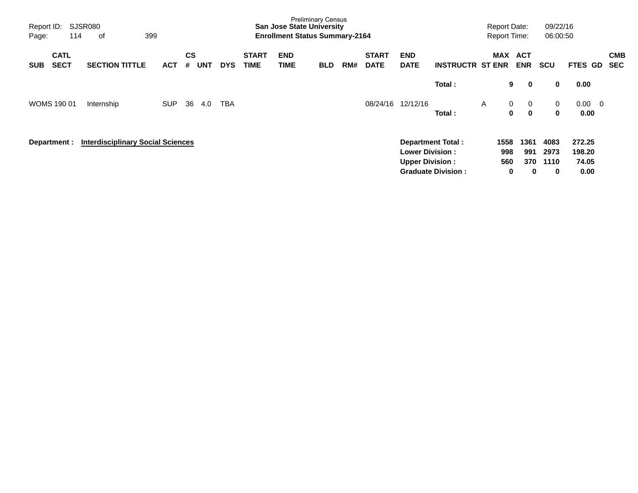| Report ID:<br>Page: | 114                        | SJSR080<br>399<br>οf                     |            |                |            |            |                             | <b>Preliminary Census</b><br><b>San Jose State University</b><br><b>Enrollment Status Summary-2164</b> |            |     |                             |                                                   |                                                       |              | <b>Report Date:</b><br><b>Report Time:</b> |                                    | 09/22/16<br>06:00:50      |                                   |                          |
|---------------------|----------------------------|------------------------------------------|------------|----------------|------------|------------|-----------------------------|--------------------------------------------------------------------------------------------------------|------------|-----|-----------------------------|---------------------------------------------------|-------------------------------------------------------|--------------|--------------------------------------------|------------------------------------|---------------------------|-----------------------------------|--------------------------|
| <b>SUB</b>          | <b>CATL</b><br><b>SECT</b> | <b>SECTION TITTLE</b>                    | <b>ACT</b> | <b>CS</b><br># | <b>UNT</b> | <b>DYS</b> | <b>START</b><br><b>TIME</b> | <b>END</b><br><b>TIME</b>                                                                              | <b>BLD</b> | RM# | <b>START</b><br><b>DATE</b> | <b>END</b><br><b>DATE</b>                         | <b>INSTRUCTR ST ENR</b>                               |              | MAX                                        | <b>ACT</b><br><b>ENR</b>           | <b>SCU</b>                | FTES GD                           | <b>CMB</b><br><b>SEC</b> |
|                     |                            |                                          |            |                |            |            |                             |                                                                                                        |            |     |                             |                                                   | Total:                                                |              | 9                                          | $\mathbf 0$                        | 0                         | 0.00                              |                          |
|                     | <b>WOMS 190 01</b>         | Internship                               | <b>SUP</b> | 36             | 4.0        | TBA        |                             |                                                                                                        |            |     | 08/24/16                    | 12/12/16                                          | Total:                                                | $\mathsf{A}$ | $\mathbf{0}$<br>0                          | $\overline{0}$<br>$\mathbf{0}$     | $\mathbf 0$<br>0          | $0.00 \quad 0$<br>0.00            |                          |
|                     | Department :               | <b>Interdisciplinary Social Sciences</b> |            |                |            |            |                             |                                                                                                        |            |     |                             | <b>Lower Division :</b><br><b>Upper Division:</b> | <b>Department Total:</b><br><b>Graduate Division:</b> |              | 1558<br>998<br>560<br>0                    | 1361<br>991<br>370<br>$\mathbf{0}$ | 4083<br>2973<br>1110<br>0 | 272.25<br>198.20<br>74.05<br>0.00 |                          |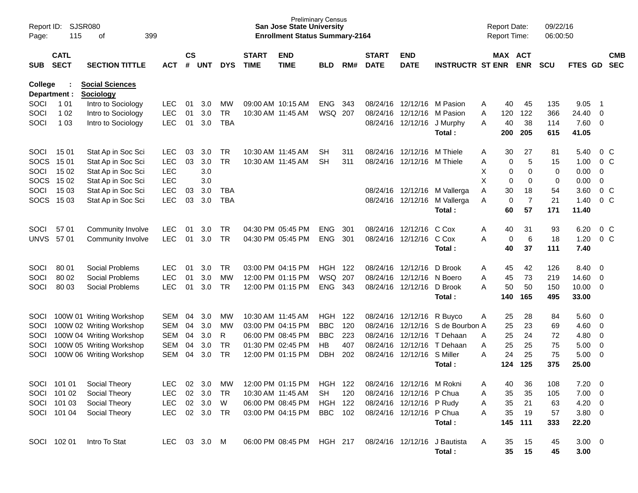| Report ID:<br>Page: | 115                                                               | SJSR080<br>οf<br>399                       |              |    |                             |            |                             | <b>Preliminary Census</b><br><b>San Jose State University</b><br><b>Enrollment Status Summary-2164</b> |                |     |                             |                            |                              |   | <b>Report Date:</b><br><b>Report Time:</b> |                | 09/22/16<br>06:00:50 |                |                         |                          |
|---------------------|-------------------------------------------------------------------|--------------------------------------------|--------------|----|-----------------------------|------------|-----------------------------|--------------------------------------------------------------------------------------------------------|----------------|-----|-----------------------------|----------------------------|------------------------------|---|--------------------------------------------|----------------|----------------------|----------------|-------------------------|--------------------------|
| <b>SUB</b>          | <b>CATL</b><br><b>SECT</b><br><b>SECTION TITTLE</b><br><b>ACT</b> |                                            |              |    | $\mathsf{cs}$<br><b>UNT</b> | <b>DYS</b> | <b>START</b><br><b>TIME</b> | <b>END</b><br><b>TIME</b>                                                                              | <b>BLD</b>     | RM# | <b>START</b><br><b>DATE</b> | <b>END</b><br><b>DATE</b>  | <b>INSTRUCTR ST ENR</b>      |   | MAX ACT                                    | <b>ENR</b>     | <b>SCU</b>           | <b>FTES GD</b> |                         | <b>CMB</b><br><b>SEC</b> |
| <b>College</b>      | Department :                                                      | <b>Social Sciences</b><br><b>Sociology</b> |              |    |                             |            |                             |                                                                                                        |                |     |                             |                            |                              |   |                                            |                |                      |                |                         |                          |
| SOCI                | 1 0 1                                                             | Intro to Sociology                         | <b>LEC</b>   | 01 | 3.0                         | МW         | 09:00 AM 10:15 AM           |                                                                                                        | <b>ENG</b>     | 343 |                             | 08/24/16 12/12/16 M Pasion |                              | A | 40                                         | 45             | 135                  | 9.05           | - 1                     |                          |
| SOCI                | 1 0 2                                                             | Intro to Sociology                         | <b>LEC</b>   | 01 | 3.0                         | <b>TR</b>  | 10:30 AM 11:45 AM           |                                                                                                        | WSQ 207        |     |                             | 08/24/16 12/12/16          | M Pasion                     | A | 120                                        | 122            | 366                  | 24.40          | $\mathbf 0$             |                          |
| SOCI                | 1 0 3                                                             | Intro to Sociology                         | <b>LEC</b>   | 01 | 3.0                         | <b>TBA</b> |                             |                                                                                                        |                |     |                             | 08/24/16 12/12/16          | J Murphy                     | A | 40                                         | 38             | 114                  | 7.60           | 0                       |                          |
|                     |                                                                   |                                            |              |    |                             |            |                             |                                                                                                        |                |     |                             |                            | Total:                       |   | 200                                        | 205            | 615                  | 41.05          |                         |                          |
| SOCI                | 15 01                                                             | Stat Ap in Soc Sci                         | <b>LEC</b>   | 03 | 3.0                         | TR.        | 10:30 AM 11:45 AM           |                                                                                                        | SH             | 311 |                             | 08/24/16 12/12/16          | M Thiele                     | A | 30                                         | 27             | 81                   | 5.40           |                         | $0\,$ C                  |
| <b>SOCS</b>         | 15 01                                                             | Stat Ap in Soc Sci                         | <b>LEC</b>   | 03 | 3.0                         | <b>TR</b>  | 10:30 AM 11:45 AM           |                                                                                                        | <b>SH</b>      | 311 |                             | 08/24/16 12/12/16 M Thiele |                              | Α | 0                                          | 5              | 15                   | 1.00           |                         | $0\,C$                   |
| SOCI                | 15 02                                                             | Stat Ap in Soc Sci                         | <b>LEC</b>   |    | 3.0                         |            |                             |                                                                                                        |                |     |                             |                            |                              | X | 0                                          | 0              | 0                    | 0.00           | 0                       |                          |
| <b>SOCS</b>         | 15 02                                                             | Stat Ap in Soc Sci                         | <b>LEC</b>   |    | 3.0                         |            |                             |                                                                                                        |                |     |                             |                            |                              | X | 0                                          | 0              | 0                    | 0.00           | 0                       |                          |
| SOCI                | 15 03                                                             | Stat Ap in Soc Sci                         | <b>LEC</b>   | 03 | 3.0                         | TBA        |                             |                                                                                                        |                |     |                             |                            | 08/24/16 12/12/16 M Vallerga | A | 30                                         | 18             | 54                   | 3.60           |                         | 0 <sup>C</sup>           |
| <b>SOCS</b>         | 15 03                                                             | Stat Ap in Soc Sci                         | <b>LEC</b>   | 03 | 3.0                         | <b>TBA</b> |                             |                                                                                                        |                |     |                             | 08/24/16 12/12/16          | M Vallerga                   | A | 0                                          | $\overline{7}$ | 21                   | 1.40           |                         | $0\,C$                   |
|                     |                                                                   |                                            |              |    |                             |            |                             |                                                                                                        |                |     |                             |                            | Total:                       |   | 60                                         | 57             | 171                  | 11.40          |                         |                          |
| SOCI                | 57 01                                                             | Community Involve                          | <b>LEC</b>   | 01 | 3.0                         | TR.        | 04:30 PM 05:45 PM           |                                                                                                        | <b>ENG</b>     | 301 |                             | 08/24/16 12/12/16          | C Cox                        | Α | 40                                         | 31             | 93                   | 6.20           |                         | $0\,C$                   |
| <b>UNVS</b>         | 57 01                                                             | Community Involve                          | <b>LEC</b>   | 01 | 3.0                         | <b>TR</b>  |                             | 04:30 PM 05:45 PM                                                                                      | <b>ENG</b>     | 301 |                             | 08/24/16 12/12/16          | C Cox                        | A | 0                                          | 6              | 18                   | 1.20           |                         | $0\,C$                   |
|                     |                                                                   |                                            |              |    |                             |            |                             |                                                                                                        |                |     |                             |                            | Total:                       |   | 40                                         | 37             | 111                  | 7.40           |                         |                          |
| SOCI                | 80 01                                                             | Social Problems                            | <b>LEC</b>   | 01 | 3.0                         | TR.        |                             | 03:00 PM 04:15 PM                                                                                      | <b>HGH 122</b> |     |                             | 08/24/16 12/12/16          | D Brook                      | Α | 45                                         | 42             | 126                  | 8.40           | $\overline{0}$          |                          |
| SOCI                | 80 02                                                             | Social Problems                            | <b>LEC</b>   | 01 | 3.0                         | <b>MW</b>  |                             | 12:00 PM 01:15 PM                                                                                      | WSQ            | 207 |                             | 08/24/16 12/12/16          | N Boero                      | A | 45                                         | 73             | 219                  | 14.60          | 0                       |                          |
| SOCI                | 80 03                                                             | Social Problems                            | <b>LEC</b>   | 01 | 3.0                         | <b>TR</b>  |                             | 12:00 PM 01:15 PM                                                                                      | <b>ENG</b>     | 343 |                             | 08/24/16 12/12/16          | D Brook                      | A | 50                                         | 50             | 150                  | 10.00          | 0                       |                          |
|                     |                                                                   |                                            |              |    |                             |            |                             |                                                                                                        |                |     |                             |                            | Total:                       |   | 140                                        | 165            | 495                  | 33.00          |                         |                          |
| <b>SOCI</b>         |                                                                   | 100W 01 Writing Workshop                   | <b>SEM</b>   | 04 | 3.0                         | МW         | 10:30 AM 11:45 AM           |                                                                                                        | HGH            | 122 |                             | 08/24/16 12/12/16          | R Buyco                      | A | 25                                         | 28             | 84                   | 5.60           | 0                       |                          |
| SOCI                |                                                                   | 100W 02 Writing Workshop                   | <b>SEM</b>   | 04 | 3.0                         | МW         | 03:00 PM 04:15 PM           |                                                                                                        | <b>BBC</b>     | 120 | 08/24/16                    | 12/12/16                   | S de Bourbon A               |   | 25                                         | 23             | 69                   | 4.60           | 0                       |                          |
| SOCI                |                                                                   | 100W 04 Writing Workshop                   | <b>SEM</b>   | 04 | 3.0                         | R          |                             | 06:00 PM 08:45 PM                                                                                      | <b>BBC</b>     | 223 | 08/24/16                    | 12/12/16                   | T Dehaan                     | A | 25                                         | 24             | 72                   | 4.80           | $\mathbf 0$             |                          |
| SOCI                |                                                                   | 100W 05 Writing Workshop                   | <b>SEM</b>   | 04 | 3.0                         | <b>TR</b>  | 01:30 PM 02:45 PM           |                                                                                                        | HB             | 407 | 08/24/16                    | 12/12/16                   | T Dehaan                     | Α | 25                                         | 25             | 75                   | 5.00           | $\mathbf 0$             |                          |
| SOCI                |                                                                   | 100W 06 Writing Workshop                   | <b>SEM</b>   | 04 | 3.0                         | <b>TR</b>  |                             | 12:00 PM 01:15 PM                                                                                      | <b>DBH</b>     | 202 |                             | 08/24/16 12/12/16          | S Miller                     | A | 24                                         | 25             | 75                   | 5.00           | 0                       |                          |
|                     |                                                                   |                                            |              |    |                             |            |                             |                                                                                                        |                |     |                             |                            | Total:                       |   | 124                                        | 125            | 375                  | 25.00          |                         |                          |
|                     | SOCI 101 01                                                       | Social Theory                              | <b>LEC</b>   |    | 02 3.0                      | MW         |                             | 12:00 PM 01:15 PM                                                                                      | HGH 122        |     |                             | 08/24/16 12/12/16 M Rokni  |                              | Α | 40                                         | 36             | 108                  | 7.20           | $\overline{0}$          |                          |
|                     | SOCI 101 02                                                       | Social Theory                              | LEC          |    | 02 3.0                      | TR         | 10:30 AM 11:45 AM           |                                                                                                        | SH             | 120 |                             | 08/24/16 12/12/16 P Chua   |                              | A | 35                                         | 35             | 105                  | 7.00           | $\overline{\mathbf{0}}$ |                          |
|                     | SOCI 101 03                                                       | Social Theory                              | LEC          |    | 02 3.0                      | W          |                             | 06:00 PM 08:45 PM                                                                                      | HGH 122        |     |                             | 08/24/16 12/12/16 P Rudy   |                              | A | 35                                         | 21             | 63                   | 4.20 0         |                         |                          |
|                     | SOCI 101 04                                                       | Social Theory                              | <b>LEC</b>   |    | 02 3.0                      | TR         |                             | 03:00 PM 04:15 PM                                                                                      | BBC 102        |     |                             | 08/24/16 12/12/16 P Chua   |                              | A | 35                                         | 19             | 57                   | 3.80 0         |                         |                          |
|                     |                                                                   |                                            |              |    |                             |            |                             |                                                                                                        |                |     |                             |                            | Total:                       |   | 145                                        | 111            | 333                  | 22.20          |                         |                          |
|                     | SOCI 102 01                                                       | Intro To Stat                              | LEC 03 3.0 M |    |                             |            |                             | 06:00 PM 08:45 PM HGH 217 08/24/16 12/12/16 J Bautista                                                 |                |     |                             |                            |                              | A | 35                                         | 15             | 45                   | $3.00 \ 0$     |                         |                          |
|                     |                                                                   |                                            |              |    |                             |            |                             |                                                                                                        |                |     |                             |                            | Total:                       |   | 35                                         | 15             | 45                   | 3.00           |                         |                          |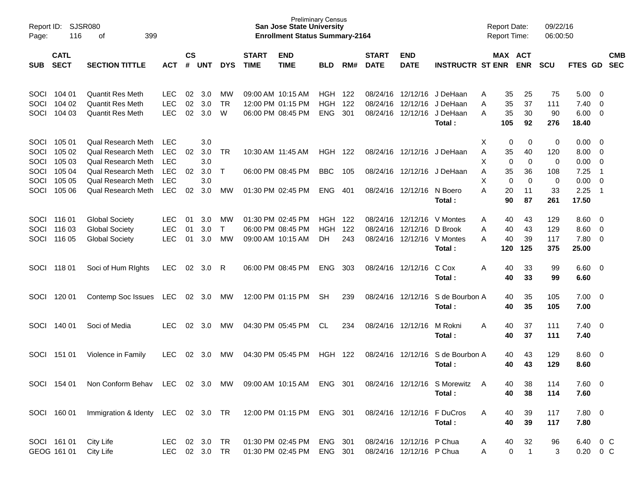| Report ID:<br>Page: | 116                        | SJSR080<br>399<br>оf               |            |                    |            |              |                             | <b>San Jose State University</b><br><b>Enrollment Status Summary-2164</b> | <b>Preliminary Census</b> |     |                             |                           |                              | <b>Report Date:</b><br>Report Time: |                       | 09/22/16<br>06:00:50 |               |                |                          |
|---------------------|----------------------------|------------------------------------|------------|--------------------|------------|--------------|-----------------------------|---------------------------------------------------------------------------|---------------------------|-----|-----------------------------|---------------------------|------------------------------|-------------------------------------|-----------------------|----------------------|---------------|----------------|--------------------------|
| <b>SUB</b>          | <b>CATL</b><br><b>SECT</b> | <b>SECTION TITTLE</b>              | <b>ACT</b> | $\mathsf{cs}$<br># | <b>UNT</b> | <b>DYS</b>   | <b>START</b><br><b>TIME</b> | <b>END</b><br><b>TIME</b>                                                 | <b>BLD</b>                | RM# | <b>START</b><br><b>DATE</b> | <b>END</b><br><b>DATE</b> | <b>INSTRUCTR ST ENR</b>      |                                     | MAX ACT<br><b>ENR</b> | <b>SCU</b>           | FTES GD       |                | <b>CMB</b><br><b>SEC</b> |
| SOCI                | 104 01                     | <b>Quantit Res Meth</b>            | LEC.       | 02                 | 3.0        | MW           |                             | 09:00 AM 10:15 AM                                                         | HGH                       | 122 | 08/24/16                    | 12/12/16                  | J DeHaan                     | Α                                   | 35<br>25              | 75                   | 5.00          | - 0            |                          |
| SOCI                | 104 02                     | <b>Quantit Res Meth</b>            | <b>LEC</b> | 02                 | 3.0        | <b>TR</b>    |                             | 12:00 PM 01:15 PM                                                         | <b>HGH</b>                | 122 | 08/24/16                    | 12/12/16                  | J DeHaan                     | A                                   | 35<br>37              | 111                  | 7.40          | - 0            |                          |
| SOCI                | 104 03                     | <b>Quantit Res Meth</b>            | <b>LEC</b> | 02                 | 3.0        | W            |                             | 06:00 PM 08:45 PM                                                         | <b>ENG</b>                | 301 | 08/24/16                    | 12/12/16                  | J DeHaan                     | A                                   | 35<br>30              | 90                   | 6.00          | - 0            |                          |
|                     |                            |                                    |            |                    |            |              |                             |                                                                           |                           |     |                             |                           | Total:                       | 105                                 | 92                    | 276                  | 18.40         |                |                          |
| SOCI                | 105 01                     | Qual Research Meth                 | <b>LEC</b> |                    | 3.0        |              |                             |                                                                           |                           |     |                             |                           |                              | X                                   | 0                     | 0<br>0               | 0.00          | - 0            |                          |
| SOCI                | 105 02                     | <b>Qual Research Meth</b>          | <b>LEC</b> | 02                 | 3.0        | <b>TR</b>    |                             | 10:30 AM 11:45 AM                                                         | <b>HGH</b>                | 122 | 08/24/16                    | 12/12/16                  | J DeHaan                     | A                                   | 35<br>40              | 120                  | 8.00          | - 0            |                          |
| SOCI                | 105 03                     | Qual Research Meth                 | <b>LEC</b> |                    | 3.0        |              |                             |                                                                           |                           |     |                             |                           |                              | X                                   | $\mathbf 0$           | $\mathbf 0$<br>0     | 0.00          | $\mathbf 0$    |                          |
| SOCI                | 105 04                     | Qual Research Meth                 | <b>LEC</b> | 02                 | 3.0        | $\top$       |                             | 06:00 PM 08:45 PM                                                         | <b>BBC</b>                | 105 | 08/24/16                    | 12/12/16                  | J DeHaan                     | A                                   | 35<br>36              | 108                  | 7.25          | $\overline{1}$ |                          |
| SOCI                | 105 05                     | Qual Research Meth                 | <b>LEC</b> |                    | 3.0        |              |                             |                                                                           |                           |     |                             |                           |                              | X                                   | $\mathbf 0$           | $\mathbf 0$<br>0     | 0.00          | $\mathbf 0$    |                          |
| SOCI                | 105 06                     | Qual Research Meth                 | <b>LEC</b> | 02                 | 3.0        | <b>MW</b>    |                             | 01:30 PM 02:45 PM                                                         | <b>ENG</b>                | 401 | 08/24/16                    | 12/12/16                  | N Boero                      | Α                                   | 20<br>11              | 33                   | 2.25          | $\overline{1}$ |                          |
|                     |                            |                                    |            |                    |            |              |                             |                                                                           |                           |     |                             |                           | Total:                       |                                     | 87<br>90              | 261                  | 17.50         |                |                          |
| SOCI                | 116 01                     | <b>Global Society</b>              | <b>LEC</b> | 01                 | 3.0        | MW           |                             | 01:30 PM 02:45 PM                                                         | HGH                       | 122 | 08/24/16                    | 12/12/16                  | V Montes                     | Α                                   | 40<br>43              | 129                  | 8.60          | - 0            |                          |
| SOCI                | 116 03                     | <b>Global Society</b>              | <b>LEC</b> | 01                 | 3.0        | $\mathsf{T}$ |                             | 06:00 PM 08:45 PM                                                         | <b>HGH</b>                | 122 | 08/24/16                    | 12/12/16                  | D Brook                      | A                                   | 43<br>40              | 129                  | 8.60          | 0              |                          |
| SOCI                | 116 05                     | <b>Global Society</b>              | <b>LEC</b> | 01                 | 3.0        | <b>MW</b>    |                             | 09:00 AM 10:15 AM                                                         | <b>DH</b>                 | 243 | 08/24/16                    | 12/12/16                  | V Montes                     | A                                   | 39<br>40              | 117                  | 7.80          | $\overline{0}$ |                          |
|                     |                            |                                    |            |                    |            |              |                             |                                                                           |                           |     |                             |                           | Total:                       | 120                                 | 125                   | 375                  | 25.00         |                |                          |
| SOCI                | 118 01                     | Soci of Hum Rights                 | LEC.       | 02                 | 3.0        | R            |                             | 06:00 PM 08:45 PM                                                         | <b>ENG</b>                | 303 | 08/24/16                    | 12/12/16                  | C Cox                        | Α                                   | 33<br>40              | 99                   | $6.60$ 0      |                |                          |
|                     |                            |                                    |            |                    |            |              |                             |                                                                           |                           |     |                             |                           | Total:                       |                                     | 33<br>40              | 99                   | 6.60          |                |                          |
| SOCI                | 120 01                     | Contemp Soc Issues                 | <b>LEC</b> | 02                 | 3.0        | MW           |                             | 12:00 PM 01:15 PM                                                         | <b>SH</b>                 | 239 | 08/24/16                    | 12/12/16                  | S de Bourbon A               |                                     | 35<br>40              | 105                  | $7.00 \t 0$   |                |                          |
|                     |                            |                                    |            |                    |            |              |                             |                                                                           |                           |     |                             |                           | Total:                       |                                     | 35<br>40              | 105                  | 7.00          |                |                          |
| SOCI                | 140 01                     | Soci of Media                      | LEC        | 02                 | 3.0        | MW           |                             | 04:30 PM 05:45 PM                                                         | <b>CL</b>                 | 234 | 08/24/16                    | 12/12/16                  | M Rokni                      | Α                                   | 37<br>40              | 111                  | $7.40 \ 0$    |                |                          |
|                     |                            |                                    |            |                    |            |              |                             |                                                                           |                           |     |                             |                           | Total :                      |                                     | 40<br>37              | 111                  | 7.40          |                |                          |
| SOCI                | 151 01                     | Violence in Family                 | LEC.       | 02                 | 3.0        | MW           |                             | 04:30 PM 05:45 PM                                                         | <b>HGH</b>                | 122 | 08/24/16                    | 12/12/16                  | S de Bourbon A               |                                     | 40<br>43              | 129                  | $8.60$ 0      |                |                          |
|                     |                            |                                    |            |                    |            |              |                             |                                                                           |                           |     |                             |                           | Total :                      |                                     | 40<br>43              | 129                  | 8.60          |                |                          |
|                     | SOCI 154 01                | Non Conform Behav LEC 02 3.0 MW    |            |                    |            |              |                             | 09:00 AM 10:15 AM ENG 301                                                 |                           |     |                             |                           | 08/24/16 12/12/16 S Morewitz |                                     | 38<br>40              | 114                  | 7.60 0        |                |                          |
|                     |                            |                                    |            |                    |            |              |                             |                                                                           |                           |     |                             |                           | Total:                       |                                     | 40<br>38              | 114                  | 7.60          |                |                          |
|                     | SOCI 160 01                | Immigration & Identy LEC 02 3.0 TR |            |                    |            |              |                             | 12:00 PM 01:15 PM ENG 301                                                 |                           |     |                             |                           | 08/24/16 12/12/16 F DuCros   | A                                   | 39<br>40              | 117                  | 7.80 0        |                |                          |
|                     |                            |                                    |            |                    |            |              |                             |                                                                           |                           |     |                             |                           | Total:                       |                                     | 40<br>39              | 117                  | 7.80          |                |                          |
|                     | SOCI 161 01                | City Life                          | LEC        |                    | 02 3.0 TR  |              |                             | 01:30 PM 02:45 PM                                                         | ENG 301                   |     |                             | 08/24/16 12/12/16 P Chua  |                              | A                                   | 32<br>40              | 96                   | 6.40 0 C      |                |                          |
|                     | GEOG 161 01                | City Life                          | LEC.       |                    | 02 3.0 TR  |              |                             | 01:30 PM 02:45 PM                                                         | ENG 301                   |     |                             | 08/24/16 12/12/16 P Chua  |                              | Α                                   | 0                     | $\mathbf{1}$<br>3    | $0.20 \t 0 C$ |                |                          |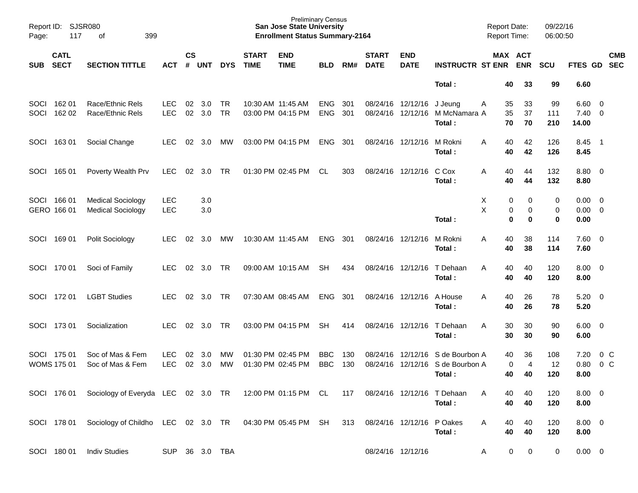| Page:        | Report ID: SJSR080<br>117         | 399<br>оf                                                           |                          |                    |            |                 |                             | <b>Preliminary Census</b><br><b>San Jose State University</b><br><b>Enrollment Status Summary-2164</b> |                          |            |                             |                                        |                                            | <b>Report Date:</b><br><b>Report Time:</b> |                            | 09/22/16<br>06:00:50 |                        |                                                    |                          |
|--------------|-----------------------------------|---------------------------------------------------------------------|--------------------------|--------------------|------------|-----------------|-----------------------------|--------------------------------------------------------------------------------------------------------|--------------------------|------------|-----------------------------|----------------------------------------|--------------------------------------------|--------------------------------------------|----------------------------|----------------------|------------------------|----------------------------------------------------|--------------------------|
| <b>SUB</b>   | <b>CATL</b><br><b>SECT</b>        | <b>SECTION TITTLE</b>                                               | <b>ACT</b>               | $\mathsf{cs}$<br># | <b>UNT</b> | <b>DYS</b>      | <b>START</b><br><b>TIME</b> | <b>END</b><br><b>TIME</b>                                                                              | <b>BLD</b>               | RM#        | <b>START</b><br><b>DATE</b> | <b>END</b><br><b>DATE</b>              | <b>INSTRUCTR ST ENR ENR</b>                | MAX ACT                                    |                            | <b>SCU</b>           | <b>FTES GD</b>         |                                                    | <b>CMB</b><br><b>SEC</b> |
|              |                                   |                                                                     |                          |                    |            |                 |                             |                                                                                                        |                          |            |                             |                                        | Total:                                     | 40                                         | 33                         | 99                   | 6.60                   |                                                    |                          |
| SOCI<br>SOCI | 162 01<br>162 02                  | Race/Ethnic Rels<br>Race/Ethnic Rels                                | <b>LEC</b><br><b>LEC</b> | 02<br>02           | 3.0<br>3.0 | TR<br><b>TR</b> |                             | 10:30 AM 11:45 AM<br>03:00 PM 04:15 PM                                                                 | <b>ENG</b><br><b>ENG</b> | 301<br>301 |                             | 08/24/16 12/12/16<br>08/24/16 12/12/16 | J Jeung<br>M McNamara A<br>Total:          | 35<br>A<br>35<br>70                        | 33<br>37<br>70             | 99<br>111<br>210     | 6.60<br>7.40<br>14.00  | 0<br>$\overline{0}$                                |                          |
| SOCI         | 16301                             | Social Change                                                       | <b>LEC</b>               | 02                 | 3.0        | МW              |                             | 03:00 PM 04:15 PM                                                                                      | <b>ENG</b>               | 301        |                             | 08/24/16 12/12/16                      | M Rokni<br>Total:                          | 40<br>A<br>40                              | 42<br>42                   | 126<br>126           | 8.45<br>8.45           | $\overline{\phantom{1}}$                           |                          |
| SOCI         | 165 01                            | Poverty Wealth Prv                                                  | <b>LEC</b>               | 02                 | 3.0        | TR              |                             | 01:30 PM 02:45 PM                                                                                      | CL                       | 303        |                             | 08/24/16 12/12/16                      | C Cox<br>Total:                            | 40<br>A<br>40                              | 44<br>44                   | 132<br>132           | 8.80<br>8.80           | $\overline{\mathbf{0}}$                            |                          |
|              | SOCI 166 01<br>GERO 166 01        | <b>Medical Sociology</b><br><b>Medical Sociology</b>                | <b>LEC</b><br><b>LEC</b> |                    | 3.0<br>3.0 |                 |                             |                                                                                                        |                          |            |                             |                                        | Total:                                     | Х<br>0<br>X<br>0<br>0                      | 0<br>$\mathbf 0$<br>0      | 0<br>0<br>$\bf{0}$   | 0.00<br>0.00<br>0.00   | $\overline{\mathbf{0}}$<br>$\overline{\mathbf{0}}$ |                          |
| SOCI         | 169 01                            | Polit Sociology                                                     | <b>LEC</b>               | 02                 | 3.0        | МW              |                             | 10:30 AM 11:45 AM                                                                                      | <b>ENG</b>               | 301        |                             | 08/24/16 12/12/16                      | M Rokni<br>Total:                          | 40<br>A<br>40                              | 38<br>38                   | 114<br>114           | $7.60 \t 0$<br>7.60    |                                                    |                          |
|              | SOCI 170 01                       | Soci of Family                                                      | LEC.                     | 02                 | 3.0        | TR              |                             | 09:00 AM 10:15 AM                                                                                      | <b>SH</b>                | 434        |                             | 08/24/16 12/12/16                      | T Dehaan<br>Total:                         | 40<br>A<br>40                              | 40<br>40                   | 120<br>120           | $8.00 \t 0$<br>8.00    |                                                    |                          |
|              | SOCI 172 01                       | <b>LGBT Studies</b>                                                 | LEC.                     | 02                 | 3.0        | TR              |                             | 07:30 AM 08:45 AM                                                                                      | <b>ENG</b>               | 301        |                             | 08/24/16 12/12/16                      | A House<br>Total:                          | 40<br>A<br>40                              | 26<br>26                   | 78<br>78             | 5.20<br>5.20           | $\overline{\mathbf{0}}$                            |                          |
| SOCI         | 17301                             | Socialization                                                       | <b>LEC</b>               | 02                 | 3.0        | <b>TR</b>       |                             | 03:00 PM 04:15 PM                                                                                      | <b>SH</b>                | 414        |                             | 08/24/16 12/12/16                      | T Dehaan<br>Total:                         | 30<br>A<br>30                              | 30<br>30                   | 90<br>90             | $6.00 \quad 0$<br>6.00 |                                                    |                          |
|              | SOCI 175 01<br><b>WOMS 175 01</b> | Soc of Mas & Fem<br>Soc of Mas & Fem                                | <b>LEC</b><br><b>LEC</b> | 02<br>02           | 3.0<br>3.0 | МW<br><b>MW</b> |                             | 01:30 PM 02:45 PM<br>01:30 PM 02:45 PM                                                                 | <b>BBC</b><br><b>BBC</b> | 130<br>130 | 08/24/16                    | 08/24/16 12/12/16<br>12/12/16          | S de Bourbon A<br>S de Bourbon A<br>Total: | 40<br>0<br>40                              | 36<br>$\overline{4}$<br>40 | 108<br>12<br>120     | 7.20<br>0.80<br>8.00   | 0 <sup>o</sup><br>0 <sup>o</sup>                   |                          |
|              |                                   | SOCI 176 01 Sociology of Everyda LEC 02 3.0 TR 12:00 PM 01:15 PM CL |                          |                    |            |                 |                             |                                                                                                        |                          | 117        |                             |                                        | 08/24/16 12/12/16 T Dehaan<br>Total:       | 40<br>40                                   | 40<br>40                   | 120<br>120           | $8.00 \t 0$<br>8.00    |                                                    |                          |
|              | SOCI 178 01                       | Sociology of Childho LEC 02 3.0 TR 04:30 PM 05:45 PM SH             |                          |                    |            |                 |                             |                                                                                                        |                          | 313        |                             | 08/24/16 12/12/16                      | P Oakes<br>Total:                          | 40<br>A<br>40                              | 40<br>40                   | 120<br>120           | $8.00 \t 0$<br>8.00    |                                                    |                          |
|              | SOCI 180 01                       | <b>Indiv Studies</b>                                                | SUP 36 3.0 TBA           |                    |            |                 |                             |                                                                                                        |                          |            | 08/24/16 12/12/16           |                                        |                                            | 0<br>A                                     | 0                          | 0                    | $0.00 \t 0$            |                                                    |                          |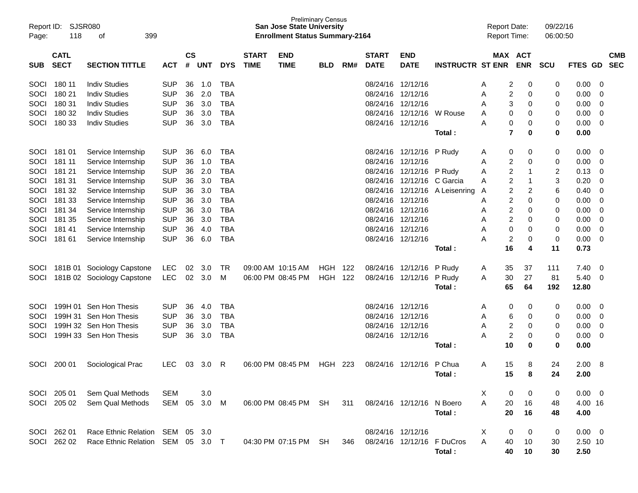| Report ID:<br>Page: | 118                        | <b>SJSR080</b><br>399<br>οf     |              |                |            |            |                             | <b>San Jose State University</b><br><b>Enrollment Status Summary-2164</b> | <b>Preliminary Census</b> |     |                             |                           |                            | <b>Report Date:</b><br><b>Report Time:</b> |                       | 09/22/16<br>06:00:50 |                |   |                          |
|---------------------|----------------------------|---------------------------------|--------------|----------------|------------|------------|-----------------------------|---------------------------------------------------------------------------|---------------------------|-----|-----------------------------|---------------------------|----------------------------|--------------------------------------------|-----------------------|----------------------|----------------|---|--------------------------|
| <b>SUB</b>          | <b>CATL</b><br><b>SECT</b> | <b>SECTION TITTLE</b>           | <b>ACT</b>   | <b>CS</b><br># | <b>UNT</b> | <b>DYS</b> | <b>START</b><br><b>TIME</b> | <b>END</b><br><b>TIME</b>                                                 | <b>BLD</b>                | RM# | <b>START</b><br><b>DATE</b> | <b>END</b><br><b>DATE</b> | <b>INSTRUCTR ST ENR</b>    |                                            | MAX ACT<br><b>ENR</b> | <b>SCU</b>           | FTES GD        |   | <b>CMB</b><br><b>SEC</b> |
|                     |                            |                                 |              |                |            |            |                             |                                                                           |                           |     |                             |                           |                            |                                            |                       |                      |                |   |                          |
| SOCI                | 180 11                     | <b>Indiv Studies</b>            | <b>SUP</b>   | 36             | 1.0        | <b>TBA</b> |                             |                                                                           |                           |     | 08/24/16                    | 12/12/16                  |                            | 2<br>A                                     | 0                     | 0                    | 0.00           | 0 |                          |
| SOCI                | 180 21                     | <b>Indiv Studies</b>            | <b>SUP</b>   | 36             | 2.0        | <b>TBA</b> |                             |                                                                           |                           |     | 08/24/16                    | 12/12/16                  |                            | Α                                          | 2<br>0                | 0                    | 0.00           | 0 |                          |
| SOCI                | 180 31                     | <b>Indiv Studies</b>            | <b>SUP</b>   | 36             | 3.0        | <b>TBA</b> |                             |                                                                           |                           |     | 08/24/16                    | 12/12/16                  |                            | Α                                          | 3<br>0                | 0                    | 0.00           | 0 |                          |
| SOCI                | 180 32                     | <b>Indiv Studies</b>            | <b>SUP</b>   | 36             | 3.0        | <b>TBA</b> |                             |                                                                           |                           |     | 08/24/16                    | 12/12/16                  | W Rouse                    | A                                          | 0<br>0                | 0                    | 0.00           | 0 |                          |
| SOCI                | 180 33                     | <b>Indiv Studies</b>            | <b>SUP</b>   | 36             | 3.0        | <b>TBA</b> |                             |                                                                           |                           |     |                             | 08/24/16 12/12/16         |                            | Α                                          | 0<br>0                | 0                    | 0.00           | 0 |                          |
|                     |                            |                                 |              |                |            |            |                             |                                                                           |                           |     |                             |                           | Total:                     | 7                                          | 0                     | 0                    | 0.00           |   |                          |
| SOCI                | 181 01                     | Service Internship              | <b>SUP</b>   | 36             | 6.0        | <b>TBA</b> |                             |                                                                           |                           |     | 08/24/16                    | 12/12/16                  | P Rudy                     | 0<br>A                                     | 0                     | 0                    | 0.00           | 0 |                          |
| SOCI                | 181 11                     | Service Internship              | <b>SUP</b>   | 36             | 1.0        | <b>TBA</b> |                             |                                                                           |                           |     | 08/24/16                    | 12/12/16                  |                            | Α                                          | 2<br>0                | 0                    | 0.00           | 0 |                          |
| SOCI                | 181 21                     | Service Internship              | <b>SUP</b>   | 36             | 2.0        | <b>TBA</b> |                             |                                                                           |                           |     | 08/24/16                    | 12/12/16                  | P Rudy                     | Α                                          | 2<br>-1               | 2                    | 0.13           | 0 |                          |
| SOCI                | 181 31                     | Service Internship              | <b>SUP</b>   | 36             | 3.0        | <b>TBA</b> |                             |                                                                           |                           |     | 08/24/16                    | 12/12/16                  | C Garcia                   | A                                          | 2<br>-1               | 3                    | 0.20           | 0 |                          |
| SOCI                | 181 32                     | Service Internship              | <b>SUP</b>   | 36             | 3.0        | <b>TBA</b> |                             |                                                                           |                           |     | 08/24/16                    | 12/12/16                  | A Leisenring               | Α                                          | 2<br>2                | 6                    | 0.40           | 0 |                          |
| SOCI                | 181 33                     | Service Internship              | <b>SUP</b>   | 36             | 3.0        | <b>TBA</b> |                             |                                                                           |                           |     | 08/24/16                    | 12/12/16                  |                            | Α                                          | 2<br>0                | 0                    | 0.00           | 0 |                          |
| SOCI                | 181 34                     | Service Internship              | <b>SUP</b>   | 36             | 3.0        | <b>TBA</b> |                             |                                                                           |                           |     | 08/24/16                    | 12/12/16                  |                            | Α                                          | 2<br>0                | 0                    | 0.00           | 0 |                          |
| SOCI                | 181 35                     | Service Internship              | <b>SUP</b>   | 36             | 3.0        | <b>TBA</b> |                             |                                                                           |                           |     | 08/24/16                    | 12/12/16                  |                            | Α                                          | 2<br>0                | 0                    | 0.00           | 0 |                          |
| SOCI                | 181 41                     | Service Internship              | <b>SUP</b>   | 36             | 4.0        | <b>TBA</b> |                             |                                                                           |                           |     | 08/24/16                    | 12/12/16                  |                            | 0<br>A                                     | 0                     | 0                    | 0.00           | 0 |                          |
| SOCI                | 181 61                     | Service Internship              | <b>SUP</b>   | 36             | 6.0        | <b>TBA</b> |                             |                                                                           |                           |     |                             | 08/24/16 12/12/16         |                            | 2<br>А                                     | 0                     | 0                    | 0.00           | 0 |                          |
|                     |                            |                                 |              |                |            |            |                             |                                                                           |                           |     |                             |                           | Total:                     | 16                                         | 4                     | 11                   | 0.73           |   |                          |
| <b>SOCI</b>         |                            | 181B 01 Sociology Capstone      | LEC          | 02             | 3.0        | TR         |                             | 09:00 AM 10:15 AM                                                         | HGH                       | 122 | 08/24/16                    | 12/12/16                  | P Rudy                     | 35<br>A                                    | 37                    | 111                  | 7.40           | 0 |                          |
| SOCI                |                            | 181B 02 Sociology Capstone      | <b>LEC</b>   | 02             | 3.0        | M          |                             | 06:00 PM 08:45 PM                                                         | <b>HGH</b>                | 122 | 08/24/16                    | 12/12/16                  | P Rudy                     | 30<br>A                                    | 27                    | 81                   | 5.40           | 0 |                          |
|                     |                            |                                 |              |                |            |            |                             |                                                                           |                           |     |                             |                           | Total:                     | 65                                         | 64                    | 192                  | 12.80          |   |                          |
| SOCI                |                            | 199H 01 Sen Hon Thesis          | <b>SUP</b>   | 36             | 4.0        | TBA        |                             |                                                                           |                           |     |                             | 08/24/16 12/12/16         |                            | 0<br>A                                     | 0                     | 0                    | 0.00           | 0 |                          |
| SOCI                |                            | 199H 31 Sen Hon Thesis          | <b>SUP</b>   | 36             | 3.0        | <b>TBA</b> |                             |                                                                           |                           |     | 08/24/16                    | 12/12/16                  |                            | Α<br>6                                     | 0                     | 0                    | 0.00           | 0 |                          |
| SOCI                |                            | 199H 32 Sen Hon Thesis          | <b>SUP</b>   | 36             | 3.0        | <b>TBA</b> |                             |                                                                           |                           |     | 08/24/16                    | 12/12/16                  |                            | 2<br>A                                     | 0                     | 0                    | 0.00           | 0 |                          |
| SOCI                |                            | 199H 33 Sen Hon Thesis          | <b>SUP</b>   | 36             | 3.0        | <b>TBA</b> |                             |                                                                           |                           |     |                             | 08/24/16 12/12/16         |                            | 2<br>А                                     | 0                     | 0                    | 0.00           | 0 |                          |
|                     |                            |                                 |              |                |            |            |                             |                                                                           |                           |     |                             |                           | Total:                     | 10                                         | 0                     | 0                    | 0.00           |   |                          |
| SOCI                | 200 01                     | Sociological Prac               | <b>LEC</b>   | 03             | 3.0        | R          |                             | 06:00 PM 08:45 PM                                                         | <b>HGH</b>                | 223 | 08/24/16                    | 12/12/16                  | P Chua                     | Α<br>15                                    | 8                     | 24                   | 2.00           | 8 |                          |
|                     |                            |                                 |              |                |            |            |                             |                                                                           |                           |     |                             |                           | Total:                     | 15                                         | 8                     | 24                   | 2.00           |   |                          |
|                     |                            |                                 |              |                |            |            |                             |                                                                           |                           |     |                             |                           |                            |                                            |                       |                      |                |   |                          |
|                     | SOCI 205 01                | Sem Qual Methods                | SEM          |                | 3.0        |            |                             |                                                                           |                           |     |                             |                           |                            | X                                          | 0<br>0                | 0                    | $0.00 \quad 0$ |   |                          |
| SOCI                | 205 02                     | Sem Qual Methods                | SEM 05 3.0 M |                |            |            |                             | 06:00 PM 08:45 PM SH                                                      |                           | 311 |                             | 08/24/16 12/12/16 N Boero |                            | A<br>20                                    | 16                    | 48                   | 4.00 16        |   |                          |
|                     |                            |                                 |              |                |            |            |                             |                                                                           |                           |     |                             |                           | Total:                     | 20                                         | 16                    | 48                   | 4.00           |   |                          |
|                     | SOCI 262 01                | Race Ethnic Relation SEM 05 3.0 |              |                |            |            |                             |                                                                           |                           |     | 08/24/16 12/12/16           |                           |                            | X                                          | 0<br>0                | 0                    | $0.00 \quad 0$ |   |                          |
|                     | SOCI 262 02                | Race Ethnic Relation            | SEM 05 3.0 T |                |            |            |                             | 04:30 PM 07:15 PM                                                         | -SH                       | 346 |                             |                           | 08/24/16 12/12/16 F DuCros | A<br>40                                    | 10                    | 30                   | 2.50 10        |   |                          |
|                     |                            |                                 |              |                |            |            |                             |                                                                           |                           |     |                             |                           | Total:                     | 40                                         | 10                    | 30                   | 2.50           |   |                          |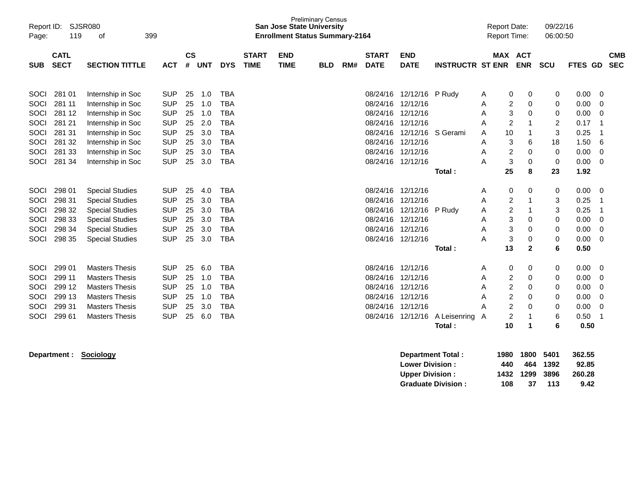| Report ID:<br>Page:                                  | 119                                                                | SJSR080<br>399<br>οf                                                                                                                                     |                                                                                                |                                        |                                               |                                                                                         |                             |                           | <b>Preliminary Census</b><br><b>San Jose State University</b><br><b>Enrollment Status Summary-2164</b> |     |                                                                                        |                                                                                                           |                                  | <b>Report Date:</b><br><b>Report Time:</b> |                                                                                              | 09/22/16<br>06:00:50                 |                                                              |                                            |
|------------------------------------------------------|--------------------------------------------------------------------|----------------------------------------------------------------------------------------------------------------------------------------------------------|------------------------------------------------------------------------------------------------|----------------------------------------|-----------------------------------------------|-----------------------------------------------------------------------------------------|-----------------------------|---------------------------|--------------------------------------------------------------------------------------------------------|-----|----------------------------------------------------------------------------------------|-----------------------------------------------------------------------------------------------------------|----------------------------------|--------------------------------------------|----------------------------------------------------------------------------------------------|--------------------------------------|--------------------------------------------------------------|--------------------------------------------|
| <b>SUB</b>                                           | <b>CATL</b><br><b>SECT</b>                                         | <b>SECTION TITTLE</b>                                                                                                                                    | <b>ACT</b>                                                                                     | $\mathsf{cs}$<br>#                     | <b>UNT</b>                                    | <b>DYS</b>                                                                              | <b>START</b><br><b>TIME</b> | <b>END</b><br><b>TIME</b> | <b>BLD</b>                                                                                             | RM# | <b>START</b><br><b>DATE</b>                                                            | <b>END</b><br><b>DATE</b>                                                                                 | <b>INSTRUCTR ST ENR</b>          |                                            | MAX ACT<br><b>ENR</b>                                                                        | <b>SCU</b>                           | <b>FTES GD</b>                                               | <b>CMB</b><br><b>SEC</b>                   |
| SOCI<br>SOCI<br>SOCI<br>SOCI<br>SOCI<br>SOCI<br>SOCI | 281 01<br>281 11<br>281 12<br>281 21<br>281 31<br>281 32<br>281 33 | Internship in Soc<br>Internship in Soc<br>Internship in Soc<br>Internship in Soc<br>Internship in Soc<br>Internship in Soc<br>Internship in Soc          | <b>SUP</b><br><b>SUP</b><br><b>SUP</b><br><b>SUP</b><br><b>SUP</b><br><b>SUP</b><br><b>SUP</b> | 25<br>25<br>25<br>25<br>25<br>25<br>25 | 1.0<br>1.0<br>1.0<br>2.0<br>3.0<br>3.0<br>3.0 | <b>TBA</b><br>TBA<br><b>TBA</b><br><b>TBA</b><br><b>TBA</b><br><b>TBA</b><br><b>TBA</b> |                             |                           |                                                                                                        |     | 08/24/16<br>08/24/16<br>08/24/16<br>08/24/16<br>08/24/16<br>08/24/16                   | 08/24/16 12/12/16 P Rudy<br>12/12/16<br>12/12/16<br>12/12/16<br>12/12/16 S Gerami<br>12/12/16<br>12/12/16 |                                  | A<br>Α<br>Α<br>Α<br>10<br>Α<br>Α<br>A      | 0<br>0<br>2<br>0<br>3<br>$\mathbf 0$<br>$\overline{2}$<br>-1<br>3<br>6<br>2<br>0             | 0<br>0<br>0<br>2<br>3<br>18<br>0     | 0.00<br>0.00<br>0.00<br>0.17<br>0.25<br>1.50<br>0.00         | 0<br>0<br>0<br>-1<br>6<br>0                |
| SOCI                                                 | 281 34                                                             | Internship in Soc                                                                                                                                        | <b>SUP</b>                                                                                     | 25                                     | 3.0                                           | <b>TBA</b>                                                                              |                             |                           |                                                                                                        |     | 08/24/16 12/12/16                                                                      |                                                                                                           | Total:                           | Α<br>25                                    | 3<br>0<br>8                                                                                  | 0<br>23                              | 0.00<br>1.92                                                 | 0                                          |
| SOCI<br>SOCI<br>SOCI<br>SOCI<br>SOCI<br>SOCI         | 298 01<br>298 31<br>298 32<br>298 33<br>298 34<br>298 35           | <b>Special Studies</b><br><b>Special Studies</b><br><b>Special Studies</b><br><b>Special Studies</b><br><b>Special Studies</b><br><b>Special Studies</b> | <b>SUP</b><br><b>SUP</b><br><b>SUP</b><br><b>SUP</b><br><b>SUP</b><br><b>SUP</b>               | 25<br>25<br>25<br>25<br>25<br>25       | 4.0<br>3.0<br>3.0<br>3.0<br>3.0<br>3.0        | <b>TBA</b><br><b>TBA</b><br><b>TBA</b><br><b>TBA</b><br><b>TBA</b><br><b>TBA</b>        |                             |                           |                                                                                                        |     | 08/24/16 12/12/16<br>08/24/16<br>08/24/16<br>08/24/16<br>08/24/16<br>08/24/16 12/12/16 | 12/12/16<br>12/12/16<br>12/12/16<br>12/12/16                                                              | P Rudy                           | A<br>A<br>Α<br>Α<br>Α<br>Α                 | 0<br>0<br>2<br>2<br>3<br>0<br>3<br>0<br>3<br>0                                               | 0<br>3<br>3<br>0<br>0<br>0           | 0.00<br>0.25<br>0.25<br>0.00<br>0.00<br>0.00                 | 0<br>-1<br>-1<br>0<br>$\Omega$<br>$\Omega$ |
| SOCI<br>SOCI<br>SOCI<br>SOCI<br>SOCI<br>SOCI         | 299 01<br>299 11<br>299 12<br>299 13<br>299 31<br>299 61           | <b>Masters Thesis</b><br><b>Masters Thesis</b><br><b>Masters Thesis</b><br><b>Masters Thesis</b><br><b>Masters Thesis</b><br><b>Masters Thesis</b>       | <b>SUP</b><br><b>SUP</b><br><b>SUP</b><br><b>SUP</b><br><b>SUP</b><br><b>SUP</b>               | 25<br>25<br>25<br>25<br>25<br>25       | 6.0<br>1.0<br>1.0<br>1.0<br>3.0<br>6.0        | <b>TBA</b><br><b>TBA</b><br><b>TBA</b><br><b>TBA</b><br><b>TBA</b><br><b>TBA</b>        |                             |                           |                                                                                                        |     | 08/24/16<br>08/24/16<br>08/24/16<br>08/24/16<br>08/24/16<br>08/24/16                   | 12/12/16<br>12/12/16<br>12/12/16<br>12/12/16<br>12/12/16<br>12/12/16                                      | Total:<br>A Leisenring<br>Total: | 13<br>A<br>Α<br>Α<br>Α<br>Α<br>A<br>10     | $\mathbf{2}$<br>0<br>0<br>2<br>0<br>2<br>0<br>2<br>$\Omega$<br>$\overline{c}$<br>0<br>2<br>1 | 6<br>0<br>0<br>0<br>0<br>0<br>6<br>6 | 0.50<br>0.00<br>0.00<br>0.00<br>0.00<br>0.00<br>0.50<br>0.50 | 0<br>0<br>0<br>0<br>0                      |

**Department : Sociology Department Total : 1980 1800 5401 362.55 Lower Division : 440 464 1392 92.85 Upper Division : 1432 1299 3896 260.28 Graduate Division : 108 37 113 9.42**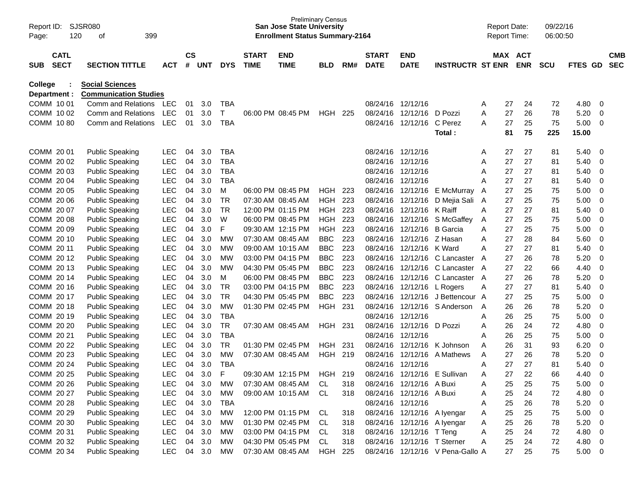| Page:          | SJSR080<br>Report ID:<br>399<br>120<br>οf<br><b>CATL</b> |  |                              |            |               |            |            |                   | <b>Preliminary Census</b><br><b>San Jose State University</b><br><b>Enrollment Status Summary-2164</b> |                |     |              |                             |                                  |   | <b>Report Date:</b><br><b>Report Time:</b> |            | 09/22/16<br>06:00:50 |             |             |            |
|----------------|----------------------------------------------------------|--|------------------------------|------------|---------------|------------|------------|-------------------|--------------------------------------------------------------------------------------------------------|----------------|-----|--------------|-----------------------------|----------------------------------|---|--------------------------------------------|------------|----------------------|-------------|-------------|------------|
|                |                                                          |  |                              |            | $\mathsf{cs}$ |            |            | <b>START</b>      | <b>END</b>                                                                                             |                |     | <b>START</b> | <b>END</b>                  |                                  |   | <b>MAX</b>                                 | <b>ACT</b> |                      |             |             | <b>CMB</b> |
| <b>SUB</b>     | <b>SECT</b>                                              |  | <b>SECTION TITTLE</b>        | <b>ACT</b> | #             | <b>UNT</b> | <b>DYS</b> | <b>TIME</b>       | <b>TIME</b>                                                                                            | <b>BLD</b>     | RM# | <b>DATE</b>  | <b>DATE</b>                 | <b>INSTRUCTR ST ENR</b>          |   |                                            | <b>ENR</b> | <b>SCU</b>           | <b>FTES</b> | GD          | <b>SEC</b> |
| <b>College</b> |                                                          |  | <b>Social Sciences</b>       |            |               |            |            |                   |                                                                                                        |                |     |              |                             |                                  |   |                                            |            |                      |             |             |            |
| Department :   |                                                          |  | <b>Communication Studies</b> |            |               |            |            |                   |                                                                                                        |                |     |              |                             |                                  |   |                                            |            |                      |             |             |            |
| COMM 10 01     |                                                          |  | Comm and Relations           | <b>LEC</b> | 01            | 3.0        | <b>TBA</b> |                   |                                                                                                        |                |     | 08/24/16     | 12/12/16                    |                                  | A | 27                                         | 24         | 72                   | 4.80        | 0           |            |
| COMM 10 02     |                                                          |  | Comm and Relations           | <b>LEC</b> | 01            | 3.0        | Т          |                   | 06:00 PM 08:45 PM                                                                                      | HGH.           | 225 | 08/24/16     | 12/12/16                    | D Pozzi                          | A | 27                                         | 26         | 78                   | 5.20        | 0           |            |
| COMM 10 80     |                                                          |  | Comm and Relations           | <b>LEC</b> | 01            | 3.0        | <b>TBA</b> |                   |                                                                                                        |                |     | 08/24/16     | 12/12/16                    | C Perez                          | A | 27                                         | 25         | 75                   | 5.00        | 0           |            |
|                |                                                          |  |                              |            |               |            |            |                   |                                                                                                        |                |     |              |                             | Total:                           |   | 81                                         | 75         | 225                  | 15.00       |             |            |
| COMM 20 01     |                                                          |  | <b>Public Speaking</b>       | <b>LEC</b> | 04            | 3.0        | <b>TBA</b> |                   |                                                                                                        |                |     | 08/24/16     | 12/12/16                    |                                  | A | 27                                         | 27         | 81                   | 5.40        | 0           |            |
| COMM 20 02     |                                                          |  | <b>Public Speaking</b>       | <b>LEC</b> | 04            | 3.0        | <b>TBA</b> |                   |                                                                                                        |                |     | 08/24/16     | 12/12/16                    |                                  | A | 27                                         | 27         | 81                   | 5.40        | 0           |            |
| COMM 2003      |                                                          |  | <b>Public Speaking</b>       | <b>LEC</b> | 04            | 3.0        | <b>TBA</b> |                   |                                                                                                        |                |     | 08/24/16     | 12/12/16                    |                                  | A | 27                                         | 27         | 81                   | 5.40        | 0           |            |
| COMM 2004      |                                                          |  | <b>Public Speaking</b>       | <b>LEC</b> | 04            | 3.0        | <b>TBA</b> |                   |                                                                                                        |                |     | 08/24/16     | 12/12/16                    |                                  | A | 27                                         | 27         | 81                   | 5.40        | 0           |            |
| COMM 20 05     |                                                          |  | <b>Public Speaking</b>       | <b>LEC</b> | 04            | 3.0        | м          |                   | 06:00 PM 08:45 PM                                                                                      | HGH            | 223 | 08/24/16     | 12/12/16                    | E McMurray                       | A | 27                                         | 25         | 75                   | 5.00        | 0           |            |
| COMM 20 06     |                                                          |  | <b>Public Speaking</b>       | <b>LEC</b> | 04            | 3.0        | <b>TR</b>  | 07:30 AM 08:45 AM |                                                                                                        | <b>HGH</b>     | 223 | 08/24/16     | 12/12/16                    | D Mejia Sali A                   |   | 27                                         | 25         | 75                   | 5.00        | 0           |            |
| COMM 20 07     |                                                          |  | <b>Public Speaking</b>       | <b>LEC</b> | 04            | 3.0        | <b>TR</b>  |                   | 12:00 PM 01:15 PM                                                                                      | <b>HGH</b>     | 223 | 08/24/16     | 12/12/16                    | K Raiff                          | A | 27                                         | 27         | 81                   | 5.40        | 0           |            |
| COMM 20 08     |                                                          |  | <b>Public Speaking</b>       | <b>LEC</b> | 04            | 3.0        | W          |                   | 06:00 PM 08:45 PM                                                                                      | <b>HGH</b>     | 223 | 08/24/16     | 12/12/16                    | S McGaffey                       | Α | 27                                         | 25         | 75                   | 5.00        | 0           |            |
| COMM 20 09     |                                                          |  | <b>Public Speaking</b>       | <b>LEC</b> | 04            | 3.0        | F          |                   | 09:30 AM 12:15 PM                                                                                      | <b>HGH</b>     | 223 | 08/24/16     | 12/12/16                    | <b>B</b> Garcia                  | A | 27                                         | 25         | 75                   | 5.00        | 0           |            |
| COMM 20 10     |                                                          |  | <b>Public Speaking</b>       | <b>LEC</b> | 04            | 3.0        | <b>MW</b>  | 07:30 AM 08:45 AM |                                                                                                        | <b>BBC</b>     | 223 | 08/24/16     | 12/12/16                    | Z Hasan                          | A | 27                                         | 28         | 84                   | 5.60        | 0           |            |
| COMM 20 11     |                                                          |  | <b>Public Speaking</b>       | <b>LEC</b> | 04            | 3.0        | <b>MW</b>  |                   | 09:00 AM 10:15 AM                                                                                      | <b>BBC</b>     | 223 | 08/24/16     | 12/12/16                    | K Ward                           | A | 27                                         | 27         | 81                   | 5.40        | 0           |            |
| COMM 2012      |                                                          |  | <b>Public Speaking</b>       | <b>LEC</b> | 04            | 3.0        | <b>MW</b>  |                   | 03:00 PM 04:15 PM                                                                                      | <b>BBC</b>     | 223 | 08/24/16     | 12/12/16                    | C Lancaster A                    |   | 27                                         | 26         | 78                   | 5.20        | 0           |            |
| COMM 2013      |                                                          |  | <b>Public Speaking</b>       | <b>LEC</b> | 04            | 3.0        | <b>MW</b>  |                   | 04:30 PM 05:45 PM                                                                                      | <b>BBC</b>     | 223 | 08/24/16     | 12/12/16                    | C Lancaster A                    |   | 27                                         | 22         | 66                   | 4.40        | 0           |            |
| COMM 2014      |                                                          |  | <b>Public Speaking</b>       | <b>LEC</b> | 04            | 3.0        | M          |                   | 06:00 PM 08:45 PM                                                                                      | <b>BBC</b>     | 223 | 08/24/16     | 12/12/16                    | C Lancaster A                    |   | 27                                         | 26         | 78                   | 5.20        | 0           |            |
| COMM 20 16     |                                                          |  | <b>Public Speaking</b>       | <b>LEC</b> | 04            | 3.0        | <b>TR</b>  |                   | 03:00 PM 04:15 PM                                                                                      | <b>BBC</b>     | 223 | 08/24/16     | 12/12/16                    | L Rogers                         | Α | 27                                         | 27         | 81                   | 5.40        | 0           |            |
| COMM 20 17     |                                                          |  | <b>Public Speaking</b>       | <b>LEC</b> | 04            | 3.0        | <b>TR</b>  |                   | 04:30 PM 05:45 PM                                                                                      | <b>BBC</b>     | 223 | 08/24/16     | 12/12/16                    | J Bettencour A                   |   | 27                                         | 25         | 75                   | 5.00        | 0           |            |
| COMM 20 18     |                                                          |  | <b>Public Speaking</b>       | <b>LEC</b> | 04            | 3.0        | <b>MW</b>  |                   | 01:30 PM 02:45 PM                                                                                      | <b>HGH</b>     | 231 | 08/24/16     | 12/12/16                    | S Anderson                       | A | 26                                         | 26         | 78                   | 5.20        | 0           |            |
| COMM 20 19     |                                                          |  | <b>Public Speaking</b>       | <b>LEC</b> | 04            | 3.0        | <b>TBA</b> |                   |                                                                                                        |                |     | 08/24/16     | 12/12/16                    |                                  | A | 26                                         | 25         | 75                   | 5.00        | 0           |            |
| COMM 20 20     |                                                          |  | <b>Public Speaking</b>       | <b>LEC</b> | 04            | 3.0        | <b>TR</b>  |                   | 07:30 AM 08:45 AM                                                                                      | HGH.           | 231 | 08/24/16     | 12/12/16                    | D Pozzi                          | A | 26                                         | 24         | 72                   | 4.80        | 0           |            |
| COMM 20 21     |                                                          |  | <b>Public Speaking</b>       | <b>LEC</b> | 04            | 3.0        | <b>TBA</b> |                   |                                                                                                        |                |     | 08/24/16     | 12/12/16                    |                                  | A | 26                                         | 25         | 75                   | 5.00        | 0           |            |
| COMM 20 22     |                                                          |  | <b>Public Speaking</b>       | <b>LEC</b> | 04            | 3.0        | <b>TR</b>  |                   | 01:30 PM 02:45 PM                                                                                      | HGH.           | 231 | 08/24/16     | 12/12/16                    | K Johnson                        | A | 26                                         | 31         | 93                   | 6.20        | 0           |            |
| COMM 20 23     |                                                          |  | <b>Public Speaking</b>       | <b>LEC</b> | 04            | 3.0        | <b>MW</b>  |                   | 07:30 AM 08:45 AM                                                                                      | HGH            | 219 | 08/24/16     | 12/12/16                    | A Mathews                        | A | 27                                         | 26         | 78                   | 5.20        | 0           |            |
| COMM 20 24     |                                                          |  | <b>Public Speaking</b>       | <b>LEC</b> | 04            | 3.0        | <b>TBA</b> |                   |                                                                                                        |                |     | 08/24/16     | 12/12/16                    |                                  | Α | 27                                         | 27         | 81                   | 5.40        | 0           |            |
| COMM 20 25     |                                                          |  | <b>Public Speaking</b>       | LEC        |               | 04 3.0     | F          |                   | 09:30 AM 12:15 PM                                                                                      | HGH            | 219 |              |                             | 08/24/16 12/12/16 E Sullivan     | А | 27                                         | 22         | 66                   | 4.40        | $\mathbf 0$ |            |
| COMM 20 26     |                                                          |  | <b>Public Speaking</b>       | <b>LEC</b> | 04            | 3.0        | MW         |                   | 07:30 AM 08:45 AM                                                                                      | CL.            | 318 |              | 08/24/16 12/12/16 A Buxi    |                                  | Α | 25                                         | 25         | 75                   | 5.00        | 0           |            |
| COMM 20 27     |                                                          |  | <b>Public Speaking</b>       | <b>LEC</b> | 04            | 3.0        | <b>MW</b>  |                   | 09:00 AM 10:15 AM                                                                                      | CL             | 318 |              | 08/24/16 12/12/16 A Buxi    |                                  | A | 25                                         | 24         | 72                   | 4.80        | 0           |            |
| COMM 20 28     |                                                          |  | <b>Public Speaking</b>       | <b>LEC</b> | 04            | 3.0        | <b>TBA</b> |                   |                                                                                                        |                |     |              | 08/24/16 12/12/16           |                                  | Α | 25                                         | 26         | 78                   | 5.20        | 0           |            |
| COMM 20 29     |                                                          |  | <b>Public Speaking</b>       | <b>LEC</b> | 04            | 3.0        | <b>MW</b>  |                   | 12:00 PM 01:15 PM                                                                                      | CL             | 318 |              | 08/24/16 12/12/16 A lyengar |                                  | A | 25                                         | 25         | 75                   | 5.00        | 0           |            |
| COMM 20 30     |                                                          |  | <b>Public Speaking</b>       | <b>LEC</b> | 04            | 3.0        | MW         |                   | 01:30 PM 02:45 PM                                                                                      | CL             | 318 |              | 08/24/16 12/12/16 A Iyengar |                                  | A | 25                                         | 26         | 78                   | 5.20        | 0           |            |
| COMM 20 31     |                                                          |  | <b>Public Speaking</b>       | <b>LEC</b> | 04            | 3.0        | MW         |                   | 03:00 PM 04:15 PM                                                                                      | CL             | 318 |              | 08/24/16 12/12/16 T Teng    |                                  | Α | 25                                         | 24         | 72                   | 4.80        | 0           |            |
| COMM 20 32     |                                                          |  | <b>Public Speaking</b>       | <b>LEC</b> | 04            | 3.0        | MW         |                   | 04:30 PM 05:45 PM                                                                                      | CL             | 318 |              | 08/24/16 12/12/16 T Sterner |                                  | Α | 25                                         | 24         | 72                   | 4.80        | 0           |            |
| COMM 20 34     |                                                          |  | <b>Public Speaking</b>       | <b>LEC</b> |               | 04 3.0     | MW         |                   | 07:30 AM 08:45 AM                                                                                      | <b>HGH 225</b> |     |              |                             | 08/24/16 12/12/16 V Pena-Gallo A |   | 27                                         | 25         | 75                   | 5.00        | $\mathbf 0$ |            |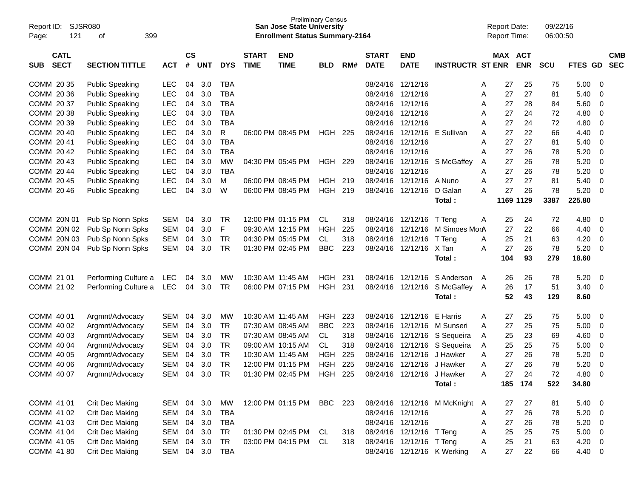| Report ID:<br>121<br>Page:               | SJSR080<br>399<br>οf   |               |                |            |            |                             | <b>Preliminary Census</b><br><b>San Jose State University</b><br><b>Enrollment Status Summary-2164</b> |            |       |                             |                            |                                |   | <b>Report Date:</b><br><b>Report Time:</b> |            | 09/22/16<br>06:00:50 |            |                          |                          |
|------------------------------------------|------------------------|---------------|----------------|------------|------------|-----------------------------|--------------------------------------------------------------------------------------------------------|------------|-------|-----------------------------|----------------------------|--------------------------------|---|--------------------------------------------|------------|----------------------|------------|--------------------------|--------------------------|
| <b>CATL</b><br><b>SECT</b><br><b>SUB</b> | <b>SECTION TITTLE</b>  | <b>ACT</b>    | <b>CS</b><br># | <b>UNT</b> | <b>DYS</b> | <b>START</b><br><b>TIME</b> | <b>END</b><br><b>TIME</b>                                                                              | <b>BLD</b> | RM#   | <b>START</b><br><b>DATE</b> | <b>END</b><br><b>DATE</b>  | <b>INSTRUCTR ST ENR</b>        |   | <b>MAX ACT</b>                             | <b>ENR</b> | <b>SCU</b>           | FTES GD    |                          | <b>CMB</b><br><b>SEC</b> |
| COMM 20 35                               | <b>Public Speaking</b> | LEC           | 04             | 3.0        | <b>TBA</b> |                             |                                                                                                        |            |       | 08/24/16                    | 12/12/16                   |                                | Α | 27                                         | 25         | 75                   | 5.00       | - 0                      |                          |
| COMM 20 36                               | <b>Public Speaking</b> | <b>LEC</b>    | 04             | 3.0        | <b>TBA</b> |                             |                                                                                                        |            |       |                             | 08/24/16 12/12/16          |                                | A | 27                                         | 27         | 81                   | 5.40       | 0                        |                          |
| COMM 20 37                               | <b>Public Speaking</b> | <b>LEC</b>    | 04             | 3.0        | <b>TBA</b> |                             |                                                                                                        |            |       | 08/24/16                    | 12/12/16                   |                                | Α | 27                                         | 28         | 84                   | 5.60       | 0                        |                          |
| COMM 20 38                               | <b>Public Speaking</b> | <b>LEC</b>    | 04             | 3.0        | <b>TBA</b> |                             |                                                                                                        |            |       | 08/24/16                    | 12/12/16                   |                                | A | 27                                         | 24         | 72                   | 4.80       | 0                        |                          |
| COMM 20 39                               | <b>Public Speaking</b> | <b>LEC</b>    | 04             | 3.0        | <b>TBA</b> |                             |                                                                                                        |            |       | 08/24/16                    | 12/12/16                   |                                | A | 27                                         | 24         | 72                   | 4.80       | 0                        |                          |
| COMM 20 40                               | <b>Public Speaking</b> | <b>LEC</b>    | 04             | 3.0        | R          |                             | 06:00 PM 08:45 PM                                                                                      | HGH        | -225  |                             |                            | 08/24/16 12/12/16 E Sullivan   | A | 27                                         | 22         | 66                   | 4.40       | 0                        |                          |
| COMM 2041                                | <b>Public Speaking</b> | <b>LEC</b>    | 04             | 3.0        | <b>TBA</b> |                             |                                                                                                        |            |       | 08/24/16                    | 12/12/16                   |                                | Α | 27                                         | 27         | 81                   | 5.40       | 0                        |                          |
| COMM 20 42                               | <b>Public Speaking</b> | <b>LEC</b>    | 04             | 3.0        | <b>TBA</b> |                             |                                                                                                        |            |       | 08/24/16                    | 12/12/16                   |                                | A | 27                                         | 26         | 78                   | 5.20       | 0                        |                          |
| COMM 20 43                               | <b>Public Speaking</b> | <b>LEC</b>    | 04             | 3.0        | MW         |                             | 04:30 PM 05:45 PM                                                                                      | HGH        | -229  |                             |                            | 08/24/16 12/12/16 S McGaffey   | A | 27                                         | 26         | 78                   | 5.20       | 0                        |                          |
| COMM 20 44                               | <b>Public Speaking</b> | <b>LEC</b>    | 04             | 3.0        | <b>TBA</b> |                             |                                                                                                        |            |       |                             | 08/24/16 12/12/16          |                                | A | 27                                         | 26         | 78                   | 5.20       | 0                        |                          |
| COMM 20 45                               | <b>Public Speaking</b> | <b>LEC</b>    | 04             | 3.0        | М          |                             | 06:00 PM 08:45 PM                                                                                      | HGH.       | 219   | 08/24/16                    | 12/12/16                   | A Nuno                         | Α | 27                                         | 27         | 81                   | 5.40       | $\mathbf 0$              |                          |
| COMM 20 46                               | <b>Public Speaking</b> | <b>LEC</b>    | 04             | 3.0        | W          |                             | 06:00 PM 08:45 PM                                                                                      | HGH        | 219   |                             | 08/24/16 12/12/16          | D Galan                        | А | 27                                         | 26         | 78                   | 5.20       | - 0                      |                          |
|                                          |                        |               |                |            |            |                             |                                                                                                        |            |       |                             |                            | Total:                         |   |                                            | 1169 1129  | 3387                 | 225.80     |                          |                          |
|                                          |                        |               |                |            |            |                             |                                                                                                        |            |       |                             |                            |                                |   |                                            |            |                      |            |                          |                          |
| COMM 20N 01                              | Pub Sp Nonn Spks       | SEM           | 04             | 3.0        | TR         |                             | 12:00 PM 01:15 PM                                                                                      | CL         | 318   | 08/24/16                    | 12/12/16                   | T Teng                         | Α | 25                                         | 24         | 72                   | 4.80       | 0                        |                          |
| COMM 20N 02                              | Pub Sp Nonn Spks       | <b>SEM</b>    | 04             | 3.0        | F          |                             | 09:30 AM 12:15 PM                                                                                      | <b>HGH</b> | 225   | 08/24/16                    | 12/12/16                   | M Simoes MonA                  |   | 27                                         | 22         | 66                   | 4.40       | 0                        |                          |
| COMM 20N 03                              | Pub Sp Nonn Spks       | <b>SEM</b>    | 04             | 3.0        | TR         |                             | 04:30 PM 05:45 PM                                                                                      | CL.        | 318   | 08/24/16                    | 12/12/16                   | T Teng                         | Α | 25                                         | 21         | 63                   | 4.20       | - 0                      |                          |
| COMM 20N 04                              | Pub Sp Nonn Spks       | <b>SEM</b>    | 04             | 3.0        | TR         |                             | 01:30 PM 02:45 PM                                                                                      | <b>BBC</b> | 223   |                             | 08/24/16 12/12/16 X Tan    |                                | Α | 27                                         | 26         | 78                   | 5.20       | - 0                      |                          |
|                                          |                        |               |                |            |            |                             |                                                                                                        |            |       |                             |                            | Total:                         |   | 104                                        | 93         | 279                  | 18.60      |                          |                          |
| COMM 21 01                               | Performing Culture a   | <b>LEC</b>    | 04             | 3.0        | <b>MW</b>  |                             | 10:30 AM 11:45 AM                                                                                      | <b>HGH</b> | 231   | 08/24/16                    | 12/12/16                   | S Anderson                     | A | 26                                         | 26         | 78                   | 5.20       | - 0                      |                          |
| COMM 21 02                               | Performing Culture a   | LEC           | 04             | 3.0        | TR         |                             | 06:00 PM 07:15 PM                                                                                      | HGH        | - 231 |                             |                            | 08/24/16 12/12/16 S McGaffey   | A | 26                                         | 17         | 51                   | 3.40       | - 0                      |                          |
|                                          |                        |               |                |            |            |                             |                                                                                                        |            |       |                             |                            | Total:                         |   | 52                                         | 43         | 129                  | 8.60       |                          |                          |
| COMM 40 01                               | Argmnt/Advocacy        | SEM           | 04             | 3.0        | <b>MW</b>  |                             | 10:30 AM 11:45 AM                                                                                      | HGH        | 223   | 08/24/16                    | 12/12/16                   | E Harris                       | Α | 27                                         | 25         | 75                   | 5.00       | - 0                      |                          |
| COMM 40 02                               | Argmnt/Advocacy        | <b>SEM</b>    | 04             | 3.0        | TR         |                             | 07:30 AM 08:45 AM                                                                                      | <b>BBC</b> | 223   | 08/24/16                    | 12/12/16                   | M Sunseri                      | A | 27                                         | 25         | 75                   | 5.00       | 0                        |                          |
| COMM 40 03                               | Argmnt/Advocacy        | <b>SEM</b>    | 04             | 3.0        | TR         |                             | 07:30 AM 08:45 AM                                                                                      | CL         | 318   | 08/24/16                    |                            | 12/12/16 S Sequeira            | Α | 25                                         | 23         | 69                   | 4.60       | 0                        |                          |
| COMM 40 04                               | Argmnt/Advocacy        | <b>SEM</b>    | 04             | 3.0        | TR         |                             | 09:00 AM 10:15 AM                                                                                      | CL         | 318   | 08/24/16                    |                            | 12/12/16 S Sequeira            | A | 25                                         | 25         | 75                   | 5.00       | 0                        |                          |
| COMM 40 05                               | Argmnt/Advocacy        | <b>SEM</b>    | 04             | 3.0        | TR         |                             | 10:30 AM 11:45 AM                                                                                      | HGH        | 225   | 08/24/16                    | 12/12/16                   | J Hawker                       | A | 27                                         | 26         | 78                   | 5.20       | 0                        |                          |
| COMM 40 06                               | Argmnt/Advocacy        | <b>SEM</b>    | 04             | 3.0        | TR         |                             | 12:00 PM 01:15 PM                                                                                      | <b>HGH</b> | 225   |                             | 08/24/16 12/12/16 J Hawker |                                | A | 27                                         | 26         | 78                   | 5.20       | $\mathbf 0$              |                          |
| COMM 40 07                               | Argmnt/Advocacy        | SEM 04 3.0 TR |                |            |            |                             | 01:30 PM 02:45 PM HGH 225 08/24/16 12/12/16 J Hawker                                                   |            |       |                             |                            |                                | A | 27                                         | 24         | 72                   | 4.80       | $\overline{\mathbf{0}}$  |                          |
|                                          |                        |               |                |            |            |                             |                                                                                                        |            |       |                             |                            | Total:                         |   |                                            | 185 174    | 522                  | 34.80      |                          |                          |
|                                          |                        |               |                |            |            |                             |                                                                                                        |            |       |                             |                            |                                |   |                                            |            |                      |            |                          |                          |
| COMM 41 01                               | Crit Dec Making        | SEM 04 3.0    |                |            | MW         |                             | 12:00 PM 01:15 PM BBC 223                                                                              |            |       |                             |                            | 08/24/16 12/12/16 M McKnight A |   | 27                                         | 27         | 81                   | 5.40 0     |                          |                          |
| COMM 41 02                               | <b>Crit Dec Making</b> | SEM           | 04             | 3.0        | TBA        |                             |                                                                                                        |            |       |                             | 08/24/16 12/12/16          |                                | A | 27                                         | 26         | 78                   | $5.20 \ 0$ |                          |                          |
| COMM 41 03                               | Crit Dec Making        | SEM           | 04             | 3.0        | TBA        |                             |                                                                                                        |            |       |                             | 08/24/16 12/12/16          |                                | Α | 27                                         | 26         | 78                   | 5.20       | $\overline{\phantom{0}}$ |                          |
| COMM 41 04                               | <b>Crit Dec Making</b> | SEM           | 04             | 3.0        | TR         |                             | 01:30 PM 02:45 PM CL                                                                                   |            | 318   |                             | 08/24/16 12/12/16 T Teng   |                                | Α | 25                                         | 25         | 75                   | 5.00       | $\overline{\phantom{0}}$ |                          |
| COMM 41 05                               | Crit Dec Making        | SEM           | 04             | 3.0        | TR         |                             | 03:00 PM 04:15 PM CL                                                                                   |            | 318   |                             | 08/24/16 12/12/16 T Teng   |                                | Α | 25                                         | 21         | 63                   | $4.20 \ 0$ |                          |                          |
| COMM 41 80                               | Crit Dec Making        | SEM 04 3.0    |                |            | <b>TBA</b> |                             |                                                                                                        |            |       |                             |                            | 08/24/16 12/12/16 K Werking    | A | 27                                         | 22         | 66                   | 4.40 0     |                          |                          |
|                                          |                        |               |                |            |            |                             |                                                                                                        |            |       |                             |                            |                                |   |                                            |            |                      |            |                          |                          |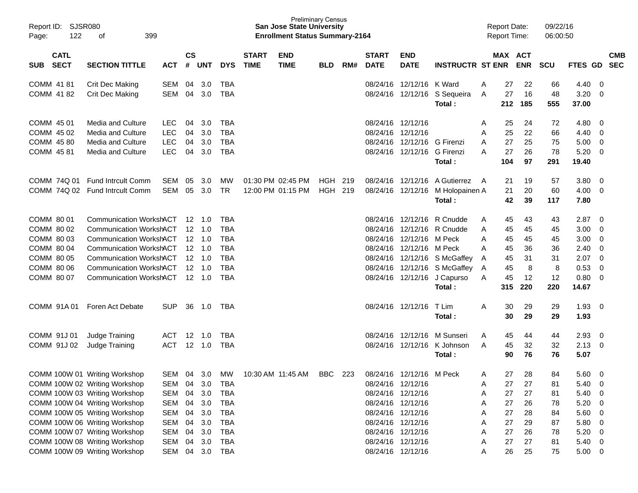| Report ID:<br>122<br>Page:                                                                     | <b>SJSR080</b><br>399<br>оf                                                                                                                                                                                                                                                                           |                                                                                                |                      |                                                                                          |                                                                                                                     |                             | <b>San Jose State University</b><br><b>Enrollment Status Summary-2164</b> | <b>Preliminary Census</b> |     |                             |                                                                                                                                                                                                  |                                                                                                                                                                   |                                           | <b>Report Date:</b><br><b>Report Time:</b>         |                                                    | 09/22/16<br>06:00:50                               |                                                                             |                                                                                                                                                                                |                          |
|------------------------------------------------------------------------------------------------|-------------------------------------------------------------------------------------------------------------------------------------------------------------------------------------------------------------------------------------------------------------------------------------------------------|------------------------------------------------------------------------------------------------|----------------------|------------------------------------------------------------------------------------------|---------------------------------------------------------------------------------------------------------------------|-----------------------------|---------------------------------------------------------------------------|---------------------------|-----|-----------------------------|--------------------------------------------------------------------------------------------------------------------------------------------------------------------------------------------------|-------------------------------------------------------------------------------------------------------------------------------------------------------------------|-------------------------------------------|----------------------------------------------------|----------------------------------------------------|----------------------------------------------------|-----------------------------------------------------------------------------|--------------------------------------------------------------------------------------------------------------------------------------------------------------------------------|--------------------------|
| <b>CATL</b><br><b>SECT</b><br><b>SUB</b>                                                       | <b>SECTION TITTLE</b>                                                                                                                                                                                                                                                                                 | <b>ACT</b>                                                                                     | <b>CS</b><br>#       | <b>UNT</b>                                                                               | <b>DYS</b>                                                                                                          | <b>START</b><br><b>TIME</b> | <b>END</b><br><b>TIME</b>                                                 | <b>BLD</b>                | RM# | <b>START</b><br><b>DATE</b> | <b>END</b><br><b>DATE</b>                                                                                                                                                                        | <b>INSTRUCTR ST ENR</b>                                                                                                                                           |                                           | MAX ACT                                            | <b>ENR</b>                                         | SCU                                                | FTES GD                                                                     |                                                                                                                                                                                | <b>CMB</b><br><b>SEC</b> |
| COMM 41 81<br>COMM 41 82                                                                       | Crit Dec Making<br>Crit Dec Making                                                                                                                                                                                                                                                                    | SEM<br>SEM                                                                                     | 04<br>04             | 3.0<br>3.0                                                                               | <b>TBA</b><br><b>TBA</b>                                                                                            |                             |                                                                           |                           |     |                             | 08/24/16 12/12/16 K Ward                                                                                                                                                                         | 08/24/16 12/12/16 S Sequeira<br>Total:                                                                                                                            | A<br>A                                    | 27<br>27<br>212                                    | 22<br>16<br>185                                    | 66<br>48<br>555                                    | 4.40<br>3.20<br>37.00                                                       | - 0<br>- 0                                                                                                                                                                     |                          |
| COMM 45 01<br>COMM 45 02<br>COMM 45 80<br>COMM 45 81                                           | Media and Culture<br>Media and Culture<br>Media and Culture<br>Media and Culture                                                                                                                                                                                                                      | <b>LEC</b><br><b>LEC</b><br><b>LEC</b><br><b>LEC</b>                                           | 04<br>04<br>04<br>04 | 3.0<br>3.0<br>3.0<br>3.0                                                                 | <b>TBA</b><br><b>TBA</b><br><b>TBA</b><br><b>TBA</b>                                                                |                             |                                                                           |                           |     |                             | 08/24/16 12/12/16<br>08/24/16 12/12/16<br>08/24/16 12/12/16 G Firenzi<br>08/24/16 12/12/16 G Firenzi                                                                                             | Total:                                                                                                                                                            | A<br>A<br>A<br>A                          | 25<br>25<br>27<br>27<br>104                        | 24<br>22<br>25<br>26<br>97                         | 72<br>66<br>75<br>78<br>291                        | 4.80<br>4.40<br>5.00<br>5.20<br>19.40                                       | $\overline{\mathbf{0}}$<br>- 0<br>0<br>$\overline{\mathbf{0}}$                                                                                                                 |                          |
|                                                                                                | COMM 74Q 01 Fund Introult Comm<br>COMM 74Q 02 Fund Intrcult Comm                                                                                                                                                                                                                                      | SEM<br>SEM                                                                                     | 05<br>05             | 3.0<br>3.0                                                                               | MW<br><b>TR</b>                                                                                                     |                             | 01:30 PM 02:45 PM<br>12:00 PM 01:15 PM                                    | HGH 219<br>HGH 219        |     |                             |                                                                                                                                                                                                  | 08/24/16 12/12/16 A Gutierrez<br>08/24/16 12/12/16 M Holopainen A<br>Total:                                                                                       | A                                         | 21<br>21<br>42                                     | 19<br>20<br>39                                     | 57<br>60<br>117                                    | 3.80<br>4.00<br>7.80                                                        | $\overline{\mathbf{0}}$<br>$\overline{0}$                                                                                                                                      |                          |
| COMM 80 01<br>COMM 80 02<br>COMM 80 03<br>COMM 80 04<br>COMM 80 05<br>COMM 80 06<br>COMM 80 07 | Communication WorkshACT 12 1.0<br><b>Communication WorkshACT</b><br><b>Communication WorkshACT</b><br><b>Communication WorkshACT</b><br><b>Communication WorkshACT</b><br><b>Communication WorkshACT</b><br><b>Communication WorkshACT</b>                                                            |                                                                                                |                      | $12 \quad 1.0$<br>$12 \quad 1.0$<br>$12 \quad 1.0$<br>$12 \quad 1.0$<br>12 1.0<br>12 1.0 | TBA<br><b>TBA</b><br><b>TBA</b><br><b>TBA</b><br><b>TBA</b><br><b>TBA</b><br><b>TBA</b>                             |                             |                                                                           |                           |     |                             | 08/24/16 12/12/16 M Peck<br>08/24/16 12/12/16 M Peck                                                                                                                                             | 08/24/16 12/12/16 R Cnudde<br>08/24/16 12/12/16 R Cnudde<br>08/24/16 12/12/16 S McGaffey<br>08/24/16 12/12/16 S McGaffey<br>08/24/16 12/12/16 J Capurso<br>Total: | A<br>A<br>A<br>A<br>A<br>A<br>A           | 45<br>45<br>45<br>45<br>45<br>45<br>45<br>315      | 43<br>45<br>45<br>36<br>31<br>8<br>12<br>220       | 43<br>45<br>45<br>36<br>31<br>8<br>12<br>220       | 2.87<br>3.00<br>3.00<br>2.40<br>2.07<br>0.53<br>0.80<br>14.67               | $\overline{\phantom{0}}$<br>- 0<br>0<br>0<br>$\overline{\phantom{0}}$<br>0<br>$\overline{0}$                                                                                   |                          |
| COMM 91A01<br>COMM 91J 01                                                                      | Foren Act Debate<br>Judge Training                                                                                                                                                                                                                                                                    | <b>SUP</b><br>ACT                                                                              | 36                   | 1.0<br>12 1.0                                                                            | TBA<br><b>TBA</b>                                                                                                   |                             |                                                                           |                           |     |                             | 08/24/16 12/12/16                                                                                                                                                                                | T Lim<br>Total:<br>08/24/16 12/12/16 M Sunseri                                                                                                                    | A<br>A                                    | 30<br>30<br>45                                     | 29<br>29<br>44                                     | 29<br>29<br>44                                     | 1.93<br>1.93<br>2.93                                                        | - 0<br>$\overline{\mathbf{0}}$                                                                                                                                                 |                          |
| COMM 91J 02                                                                                    | Judge Training                                                                                                                                                                                                                                                                                        | ACT                                                                                            |                      | $12 \quad 1.0$                                                                           | <b>TBA</b>                                                                                                          |                             |                                                                           |                           |     |                             |                                                                                                                                                                                                  | 08/24/16 12/12/16 K Johnson<br>Total:                                                                                                                             | A                                         | 45<br>90                                           | 32<br>76                                           | 32<br>76                                           | $2.13 \ 0$<br>5.07                                                          |                                                                                                                                                                                |                          |
|                                                                                                | COMM 100W 01 Writing Workshop<br>COMM 100W 02 Writing Workshop<br>COMM 100W 03 Writing Workshop<br>COMM 100W 04 Writing Workshop<br>COMM 100W 05 Writing Workshop<br>COMM 100W 06 Writing Workshop<br>COMM 100W 07 Writing Workshop<br>COMM 100W 08 Writing Workshop<br>COMM 100W 09 Writing Workshop | SEM 04 3.0<br>SEM 04<br>SEM 04<br>SEM 04<br>SEM 04<br>SEM 04<br>SEM 04<br>SEM 04<br>SEM 04 3.0 |                      | 3.0<br>3.0<br>3.0<br>3.0<br>3.0<br>3.0<br>3.0                                            | MW.<br><b>TBA</b><br><b>TBA</b><br><b>TBA</b><br><b>TBA</b><br><b>TBA</b><br><b>TBA</b><br><b>TBA</b><br><b>TBA</b> |                             | 10:30 AM 11:45 AM                                                         | BBC                       | 223 |                             | 08/24/16 12/12/16 M Peck<br>08/24/16 12/12/16<br>08/24/16 12/12/16<br>08/24/16 12/12/16<br>08/24/16 12/12/16<br>08/24/16 12/12/16<br>08/24/16 12/12/16<br>08/24/16 12/12/16<br>08/24/16 12/12/16 |                                                                                                                                                                   | A<br>Α<br>Α<br>Α<br>Α<br>Α<br>Α<br>Α<br>A | 27<br>27<br>27<br>27<br>27<br>27<br>27<br>27<br>26 | 28<br>27<br>27<br>26<br>28<br>29<br>26<br>27<br>25 | 84<br>81<br>81<br>78<br>84<br>87<br>78<br>81<br>75 | 5.60<br>5.40<br>5.40<br>5.20<br>5.60<br>5.80<br>5.20<br>5.40<br>$5.00 \t 0$ | - 0<br>$\overline{\phantom{0}}$<br>- 0<br>$\overline{\mathbf{0}}$<br>$\overline{\mathbf{0}}$<br>$\overline{\mathbf{0}}$<br>$\overline{\mathbf{0}}$<br>$\overline{\phantom{0}}$ |                          |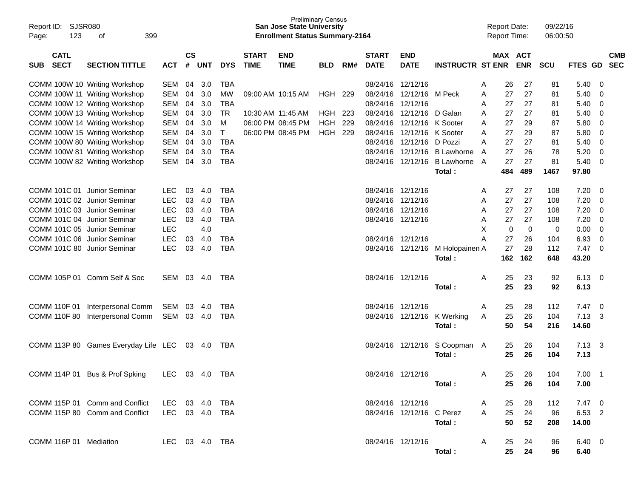| Report ID: SJSR080<br>123<br>Page:       | 399<br>οf                                                      |                          |                    |            |            |                             | <b>Preliminary Census</b><br><b>San Jose State University</b><br><b>Enrollment Status Summary-2164</b> |                |     |                             |                                        |                         | <b>Report Date:</b><br><b>Report Time:</b> |          |                       | 09/22/16<br>06:00:50 |                |                |                          |
|------------------------------------------|----------------------------------------------------------------|--------------------------|--------------------|------------|------------|-----------------------------|--------------------------------------------------------------------------------------------------------|----------------|-----|-----------------------------|----------------------------------------|-------------------------|--------------------------------------------|----------|-----------------------|----------------------|----------------|----------------|--------------------------|
| <b>CATL</b><br><b>SECT</b><br><b>SUB</b> | <b>SECTION TITTLE</b>                                          | <b>ACT</b>               | $\mathsf{cs}$<br># | UNT        | <b>DYS</b> | <b>START</b><br><b>TIME</b> | <b>END</b><br><b>TIME</b>                                                                              | <b>BLD</b>     | RM# | <b>START</b><br><b>DATE</b> | <b>END</b><br><b>DATE</b>              | <b>INSTRUCTR ST ENR</b> |                                            |          | MAX ACT<br><b>ENR</b> | <b>SCU</b>           | FTES GD        |                | <b>CMB</b><br><b>SEC</b> |
|                                          |                                                                |                          |                    |            |            |                             |                                                                                                        |                |     |                             |                                        |                         |                                            |          |                       |                      |                |                |                          |
|                                          | COMM 100W 10 Writing Workshop                                  | <b>SEM</b>               | 04                 | 3.0        | <b>TBA</b> |                             |                                                                                                        |                |     | 08/24/16 12/12/16           |                                        |                         | A                                          | 26       | 27                    | 81                   | 5.40           | 0              |                          |
|                                          | COMM 100W 11 Writing Workshop                                  | <b>SEM</b>               | 04                 | 3.0        | <b>MW</b>  | 09:00 AM 10:15 AM           |                                                                                                        | HGH            | 229 |                             | 08/24/16 12/12/16                      | M Peck                  | A                                          | 27       | 27                    | 81                   | 5.40           | 0              |                          |
|                                          | COMM 100W 12 Writing Workshop                                  | <b>SEM</b>               | 04                 | 3.0        | <b>TBA</b> |                             |                                                                                                        |                |     |                             | 08/24/16 12/12/16                      |                         | A                                          | 27       | 27                    | 81                   | 5.40           | 0              |                          |
|                                          | COMM 100W 13 Writing Workshop                                  | <b>SEM</b>               | 04                 | 3.0        | TR         | 10:30 AM 11:45 AM           |                                                                                                        | HGH            | 223 |                             | 08/24/16 12/12/16                      | D Galan                 | A                                          | 27       | 27                    | 81                   | 5.40           | 0              |                          |
|                                          | COMM 100W 14 Writing Workshop                                  | <b>SEM</b>               | 04                 | 3.0        | M<br>т     |                             | 06:00 PM 08:45 PM                                                                                      | HGH            | 229 |                             | 08/24/16 12/12/16<br>08/24/16 12/12/16 | K Sooter<br>K Sooter    | A                                          | 27       | 29                    | 87                   | 5.80           | 0              |                          |
|                                          | COMM 100W 15 Writing Workshop                                  | <b>SEM</b><br><b>SEM</b> | 04<br>04           | 3.0<br>3.0 | <b>TBA</b> |                             | 06:00 PM 08:45 PM                                                                                      | <b>HGH 229</b> |     |                             | 08/24/16 12/12/16                      | D Pozzi                 | A<br>A                                     | 27<br>27 | 29<br>27              | 87<br>81             | 5.80<br>5.40   | 0<br>0         |                          |
|                                          | COMM 100W 80 Writing Workshop<br>COMM 100W 81 Writing Workshop | <b>SEM</b>               | 04                 | 3.0        | <b>TBA</b> |                             |                                                                                                        |                |     | 08/24/16                    | 12/12/16                               | <b>B</b> Lawhorne       | A                                          | 27       | 26                    | 78                   | 5.20           | 0              |                          |
|                                          | COMM 100W 82 Writing Workshop                                  | <b>SEM</b>               | 04                 | 3.0        | TBA        |                             |                                                                                                        |                |     |                             | 08/24/16 12/12/16                      | <b>B Lawhorne</b>       | A                                          | 27       | 27                    | 81                   | 5.40           | 0              |                          |
|                                          |                                                                |                          |                    |            |            |                             |                                                                                                        |                |     |                             |                                        | Total:                  |                                            | 484      | 489                   | 1467                 | 97.80          |                |                          |
|                                          |                                                                |                          |                    |            |            |                             |                                                                                                        |                |     |                             |                                        |                         |                                            |          |                       |                      |                |                |                          |
| COMM 101C 01 Junior Seminar              |                                                                | <b>LEC</b>               | 03                 | 4.0        | <b>TBA</b> |                             |                                                                                                        |                |     | 08/24/16 12/12/16           |                                        |                         | A                                          | 27       | 27                    | 108                  | 7.20           | 0              |                          |
| COMM 101C 02 Junior Seminar              |                                                                | <b>LEC</b>               | 03                 | 4.0        | <b>TBA</b> |                             |                                                                                                        |                |     | 08/24/16 12/12/16           |                                        |                         | A                                          | 27       | 27                    | 108                  | 7.20           | 0              |                          |
| COMM 101C 03 Junior Seminar              |                                                                | <b>LEC</b>               | 03                 | 4.0        | <b>TBA</b> |                             |                                                                                                        |                |     |                             | 08/24/16 12/12/16                      |                         | A                                          | 27       | 27                    | 108                  | 7.20           | 0              |                          |
| COMM 101C 04 Junior Seminar              |                                                                | <b>LEC</b>               | 03                 | 4.0        | <b>TBA</b> |                             |                                                                                                        |                |     | 08/24/16 12/12/16           |                                        |                         | Α                                          | 27       | 27                    | 108                  | 7.20           | 0              |                          |
| COMM 101C 05 Junior Seminar              |                                                                | <b>LEC</b>               |                    | 4.0        |            |                             |                                                                                                        |                |     |                             |                                        |                         | X                                          | 0        | 0                     | 0                    | 0.00           | 0              |                          |
| COMM 101C 06 Junior Seminar              |                                                                | <b>LEC</b>               | 03                 | 4.0        | <b>TBA</b> |                             |                                                                                                        |                |     |                             | 08/24/16 12/12/16                      |                         | Α                                          | 27       | 26                    | 104                  | 6.93           | 0              |                          |
| COMM 101C 80 Junior Seminar              |                                                                | LEC                      | 03                 | 4.0        | <b>TBA</b> |                             |                                                                                                        |                |     |                             | 08/24/16 12/12/16                      | M Holopainen A          |                                            | 27       | 28                    | 112                  | 7.47           | $\Omega$       |                          |
|                                          |                                                                |                          |                    |            |            |                             |                                                                                                        |                |     |                             |                                        | Total:                  |                                            | 162      | 162                   | 648                  | 43.20          |                |                          |
|                                          |                                                                |                          |                    |            |            |                             |                                                                                                        |                |     |                             |                                        |                         |                                            |          |                       |                      |                |                |                          |
|                                          | COMM 105P 01 Comm Self & Soc                                   | SEM                      | 03                 | -4.0       | TBA        |                             |                                                                                                        |                |     | 08/24/16 12/12/16           |                                        |                         | A                                          | 25       | 23                    | 92                   | 6.13           | 0              |                          |
|                                          |                                                                |                          |                    |            |            |                             |                                                                                                        |                |     |                             |                                        | Total :                 |                                            | 25       | 23                    | 92                   | 6.13           |                |                          |
|                                          |                                                                |                          |                    |            |            |                             |                                                                                                        |                |     |                             |                                        |                         |                                            |          |                       |                      |                |                |                          |
| COMM 110F 01                             | Interpersonal Comm                                             | SEM                      | 03                 | 4.0        | <b>TBA</b> |                             |                                                                                                        |                |     | 08/24/16 12/12/16           |                                        |                         | A                                          | 25       | 28                    | 112                  | 7.47           | 0              |                          |
|                                          | COMM 110F 80 Interpersonal Comm                                | SEM                      |                    | 03 4.0     | TBA        |                             |                                                                                                        |                |     |                             | 08/24/16 12/12/16                      | K Werking               | A                                          | 25       | 26                    | 104                  | 7.13           | -3             |                          |
|                                          |                                                                |                          |                    |            |            |                             |                                                                                                        |                |     |                             |                                        | Total :                 |                                            | 50       | 54                    | 216                  | 14.60          |                |                          |
|                                          |                                                                |                          |                    |            |            |                             |                                                                                                        |                |     |                             |                                        |                         |                                            |          |                       |                      |                |                |                          |
|                                          | COMM 113P 80 Games Everyday Life LEC                           |                          |                    | 03 4.0     | TBA        |                             |                                                                                                        |                |     |                             | 08/24/16 12/12/16                      | S Coopman A             |                                            | 25       | 26                    | 104                  | $7.13 \quad 3$ |                |                          |
|                                          |                                                                |                          |                    |            |            |                             |                                                                                                        |                |     |                             |                                        | Total:                  |                                            | 25       | 26                    | 104                  | 7.13           |                |                          |
|                                          |                                                                |                          |                    |            |            |                             |                                                                                                        |                |     |                             |                                        |                         |                                            |          |                       |                      |                |                |                          |
| COMM 114P 01                             | Bus & Prof Spking                                              | LEC                      |                    | 03 4.0     | TBA        |                             |                                                                                                        |                |     |                             | 08/24/16 12/12/16                      |                         | A                                          | 25<br>25 | 26<br>26              | 104                  | 7.00           | $\overline{1}$ |                          |
|                                          |                                                                |                          |                    |            |            |                             |                                                                                                        |                |     |                             |                                        | Total:                  |                                            |          |                       | 104                  | 7.00           |                |                          |
|                                          | COMM 115P 01 Comm and Conflict                                 | LEC 03 4.0               |                    |            | TBA        |                             |                                                                                                        |                |     |                             | 08/24/16 12/12/16                      |                         | A                                          | 25       | 28                    | 112                  | $7.47\quad 0$  |                |                          |
|                                          | COMM 115P 80 Comm and Conflict                                 | LEC 03 4.0 TBA           |                    |            |            |                             |                                                                                                        |                |     |                             | 08/24/16 12/12/16 C Perez              |                         | A                                          | 25       | 24                    | 96                   | 6.53 2         |                |                          |
|                                          |                                                                |                          |                    |            |            |                             |                                                                                                        |                |     |                             |                                        | Total:                  |                                            | 50       | 52                    | 208                  | 14.00          |                |                          |
|                                          |                                                                |                          |                    |            |            |                             |                                                                                                        |                |     |                             |                                        |                         |                                            |          |                       |                      |                |                |                          |
| COMM 116P 01 Mediation                   |                                                                | LEC 03 4.0 TBA           |                    |            |            |                             |                                                                                                        |                |     |                             | 08/24/16 12/12/16                      |                         | A                                          | 25       | 24                    | 96                   | $6.40 \quad 0$ |                |                          |
|                                          |                                                                |                          |                    |            |            |                             |                                                                                                        |                |     |                             |                                        | Total:                  |                                            | 25       | 24                    | 96                   | 6.40           |                |                          |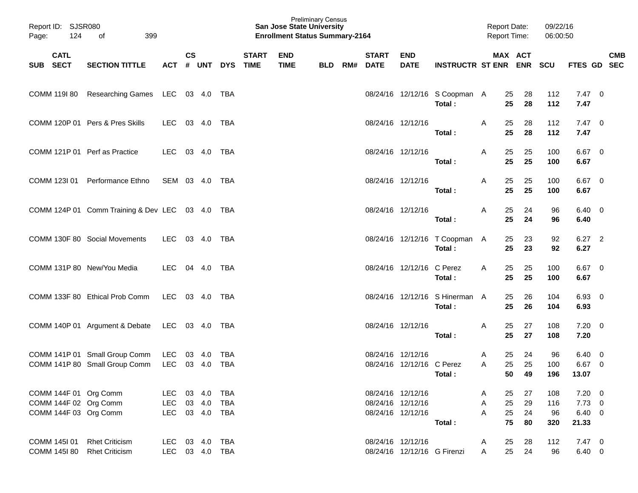| Page:                                                                   | Report ID: SJSR080<br>124<br>399<br>of<br><b>CATL</b>          |                       |               |                         |                                 |              | <b>San Jose State University</b><br><b>Enrollment Status Summary-2164</b> | <b>Preliminary Census</b> |                          |                                                             |                                          | <b>Report Date:</b><br>Report Time: |                      | 09/22/16<br>06:00:50    |                                                   |            |
|-------------------------------------------------------------------------|----------------------------------------------------------------|-----------------------|---------------|-------------------------|---------------------------------|--------------|---------------------------------------------------------------------------|---------------------------|--------------------------|-------------------------------------------------------------|------------------------------------------|-------------------------------------|----------------------|-------------------------|---------------------------------------------------|------------|
| SUB SECT                                                                | <b>SECTION TITTLE</b>                                          |                       | $\mathsf{cs}$ |                         | ACT # UNT DYS TIME              | <b>START</b> | <b>END</b><br><b>TIME</b>                                                 | <b>BLD</b>                | <b>START</b><br>RM# DATE | <b>END</b><br><b>DATE</b>                                   | <b>INSTRUCTR ST ENR ENR</b>              |                                     | MAX ACT              | SCU                     | FTES GD SEC                                       | <b>CMB</b> |
| COMM 119I 80                                                            | Researching Games LEC 03 4.0 TBA                               |                       |               |                         |                                 |              |                                                                           |                           |                          |                                                             | 08/24/16 12/12/16 S Coopman A<br>Total:  | 25<br>25                            | 28<br>28             | 112<br>112              | $7.47\quad 0$<br>7.47                             |            |
|                                                                         | COMM 120P 01 Pers & Pres Skills                                | LEC                   |               | 03 4.0                  | TBA                             |              |                                                                           |                           |                          | 08/24/16 12/12/16                                           | Total:                                   | 25<br>Α<br>25                       | 28<br>28             | 112<br>112              | $7.47 \quad 0$<br>7.47                            |            |
|                                                                         | COMM 121P 01 Perf as Practice                                  | LEC                   |               | 03 4.0                  | TBA                             |              |                                                                           |                           |                          | 08/24/16 12/12/16                                           | Total:                                   | 25<br>Α<br>25                       | 25<br>25             | 100<br>100              | 6.67 0<br>6.67                                    |            |
|                                                                         | COMM 123I 01 Performance Ethno                                 | SEM 03 4.0            |               |                         | TBA                             |              |                                                                           |                           |                          | 08/24/16 12/12/16                                           | Total:                                   | 25<br>Α<br>25                       | 25<br>25             | 100<br>100              | 6.67 0<br>6.67                                    |            |
|                                                                         | COMM 124P 01 Comm Training & Dev LEC 03 4.0 TBA                |                       |               |                         |                                 |              |                                                                           |                           |                          | 08/24/16 12/12/16                                           | Total:                                   | 25<br>Α<br>25                       | 24<br>24             | 96<br>96                | $6.40 \quad 0$<br>6.40                            |            |
|                                                                         | COMM 130F 80 Social Movements                                  | LEC 03 4.0            |               |                         | TBA                             |              |                                                                           |                           |                          |                                                             | 08/24/16 12/12/16 T Coopman A<br>Total:  | 25<br>25                            | 23<br>23             | 92<br>92                | $6.27$ 2<br>6.27                                  |            |
|                                                                         | COMM 131P 80 New/You Media                                     | LEC                   |               | 04 4.0                  | TBA                             |              |                                                                           |                           |                          | 08/24/16 12/12/16 C Perez                                   | Total:                                   | 25<br>A<br>25                       | 25<br>25             | 100<br>100              | 6.67 0<br>6.67                                    |            |
|                                                                         | COMM 133F 80 Ethical Prob Comm                                 | LEC 03 4.0            |               |                         | TBA                             |              |                                                                           |                           |                          |                                                             | 08/24/16 12/12/16 S Hinerman A<br>Total: | 25<br>25                            | 26<br>26             | 104<br>104              | 6.93 0<br>6.93                                    |            |
|                                                                         | COMM 140P 01 Argument & Debate LEC 03 4.0                      |                       |               |                         | TBA                             |              |                                                                           |                           |                          | 08/24/16 12/12/16                                           | Total:                                   | 25<br>Α<br>25                       | 27<br>27             | 108<br>108              | $7.20 \t 0$<br>7.20                               |            |
|                                                                         | COMM 141P 01 Small Group Comm<br>COMM 141P 80 Small Group Comm | LEC<br>LEC            |               | 03 4.0<br>03 4.0        | TBA<br><b>TBA</b>               |              |                                                                           |                           |                          | 08/24/16 12/12/16<br>08/24/16 12/12/16 C Perez              | Total:                                   | 25<br>A<br>A<br>25<br>50            | 24<br>25<br>49       | 96<br>100<br>196        | $6.40 \quad 0$<br>6.67 0<br>13.07                 |            |
| COMM 144F 01 Org Comm<br>COMM 144F 02 Org Comm<br>COMM 144F 03 Org Comm |                                                                | LEC<br>LEC<br>LEC     | 03            | 4.0<br>03 4.0<br>03 4.0 | <b>TBA</b><br><b>TBA</b><br>TBA |              |                                                                           |                           |                          | 08/24/16 12/12/16<br>08/24/16 12/12/16<br>08/24/16 12/12/16 | Total:                                   | 25<br>A<br>25<br>Α<br>25<br>A<br>75 | 27<br>29<br>24<br>80 | 108<br>116<br>96<br>320 | $7.20 \t 0$<br>$7.73$ 0<br>$6.40\quad 0$<br>21.33 |            |
| COMM 145I 01<br>COMM 145I 80                                            | <b>Rhet Criticism</b><br><b>Rhet Criticism</b>                 | LEC<br>LEC 03 4.0 TBA |               | 03 4.0                  | <b>TBA</b>                      |              |                                                                           |                           |                          | 08/24/16 12/12/16<br>08/24/16 12/12/16 G Firenzi            |                                          | 25<br>A<br>25<br>A                  | 28<br>24             | 112<br>96               | $7.47\quad 0$<br>$6.40\quad 0$                    |            |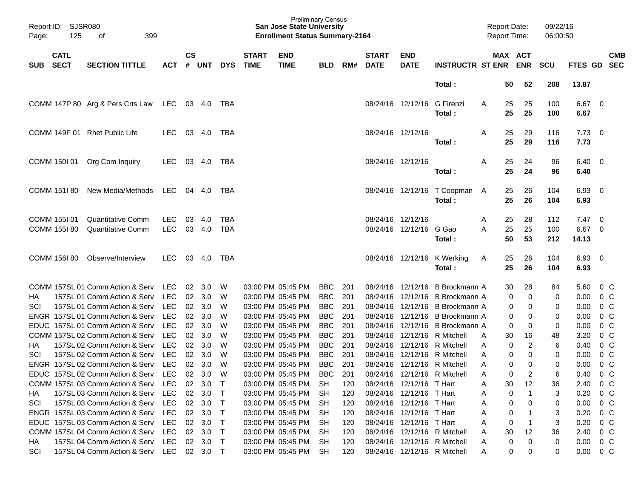| Page:      | Report ID: SJSR080<br>125    | 399<br>οf                                            |                          |           |                |            |                             | <b>Preliminary Census</b><br><b>San Jose State University</b><br><b>Enrollment Status Summary-2164</b> |            |     |                             |                           |                                       | <b>Report Date:</b><br><b>Report Time:</b> |                       | 09/22/16<br>06:00:50 |                        |                          |                          |
|------------|------------------------------|------------------------------------------------------|--------------------------|-----------|----------------|------------|-----------------------------|--------------------------------------------------------------------------------------------------------|------------|-----|-----------------------------|---------------------------|---------------------------------------|--------------------------------------------|-----------------------|----------------------|------------------------|--------------------------|--------------------------|
| <b>SUB</b> | <b>CATL</b><br><b>SECT</b>   | <b>SECTION TITTLE</b>                                | ACT                      | <b>CS</b> | # UNT          | <b>DYS</b> | <b>START</b><br><b>TIME</b> | <b>END</b><br><b>TIME</b>                                                                              | <b>BLD</b> | RM# | <b>START</b><br><b>DATE</b> | <b>END</b><br><b>DATE</b> | <b>INSTRUCTR ST ENR</b>               |                                            | MAX ACT<br><b>ENR</b> | <b>SCU</b>           | <b>FTES GD</b>         |                          | <b>CMB</b><br><b>SEC</b> |
|            |                              |                                                      |                          |           |                |            |                             |                                                                                                        |            |     |                             |                           | Total:                                | 50                                         | 52                    | 208                  | 13.87                  |                          |                          |
|            |                              | COMM 147P 80 Arg & Pers Crts Law                     | LEC 03 4.0               |           |                | TBA        |                             |                                                                                                        |            |     |                             | 08/24/16 12/12/16         | G Firenzi<br>Total :                  | 25<br>A<br>25                              | 25<br>25              | 100<br>100           | $6.67$ 0<br>6.67       |                          |                          |
|            |                              | COMM 149F 01 Rhet Public Life                        | <b>LEC</b>               |           | 03 4.0         | TBA        |                             |                                                                                                        |            |     | 08/24/16 12/12/16           |                           | Total :                               | 25<br>A<br>25                              | 29<br>29              | 116<br>116           | $7.73 \t 0$<br>7.73    |                          |                          |
|            | COMM 150I 01                 | Org Com Inquiry                                      | <b>LEC</b>               |           | 03 4.0         | TBA        |                             |                                                                                                        |            |     | 08/24/16 12/12/16           |                           | Total :                               | 25<br>A<br>25                              | 24<br>24              | 96<br>96             | $6.40 \quad 0$<br>6.40 |                          |                          |
|            | COMM 151I 80                 | New Media/Methods                                    | LEC 04 4.0               |           |                | TBA        |                             |                                                                                                        |            |     |                             |                           | 08/24/16 12/12/16 T Coopman<br>Total: | A<br>25<br>25                              | 26<br>26              | 104<br>104           | $6.93$ 0<br>6.93       |                          |                          |
|            | COMM 155I 01<br>COMM 155I 80 | <b>Quantitative Comm</b><br><b>Quantitative Comm</b> | <b>LEC</b><br><b>LEC</b> | 03        | 4.0<br>03 4.0  | TBA<br>TBA |                             |                                                                                                        |            |     | 08/24/16 12/12/16           | 08/24/16 12/12/16         | G Gao                                 | A<br>25<br>25<br>A                         | 28<br>25              | 112<br>100           | $7.47\quad 0$<br>6.67  | $\overline{\phantom{0}}$ |                          |
|            |                              |                                                      |                          |           |                |            |                             |                                                                                                        |            |     |                             |                           | Total :                               | 50                                         | 53                    | 212                  | 14.13                  |                          |                          |
|            | COMM 156I 80                 | Observe/Interview                                    | LEC.                     |           | 03 4.0         | TBA        |                             |                                                                                                        |            |     |                             |                           | 08/24/16 12/12/16 K Werking<br>Total: | 25<br>A<br>25                              | 26<br>26              | 104<br>104           | $6.93$ 0<br>6.93       |                          |                          |
|            |                              | COMM 157SL 01 Comm Action & Serv                     | LEC                      | 02        | 3.0            | W          |                             | 03:00 PM 05:45 PM                                                                                      | BBC        | 201 |                             |                           | 08/24/16 12/12/16 B Brockmann A       | 30                                         | 28                    | 84                   | 5.60                   | $0\,$ C                  |                          |
| НA         |                              | 157SL 01 Comm Action & Serv                          | <b>LEC</b>               |           | 02 3.0         | W          |                             | 03:00 PM 05:45 PM                                                                                      | <b>BBC</b> | 201 |                             |                           | 08/24/16 12/12/16 B Brockmann A       |                                            | 0<br>0                | 0                    | 0.00                   | $0\,$ C                  |                          |
| SCI        |                              | 157SL 01 Comm Action & Serv                          | <b>LEC</b>               |           | $02 \quad 3.0$ | W          |                             | 03:00 PM 05:45 PM                                                                                      | <b>BBC</b> | 201 |                             |                           | 08/24/16 12/12/16 B Brockmann A       |                                            | 0<br>0                | 0                    | 0.00                   | $0\,$ C                  |                          |
|            |                              | ENGR 157SL 01 Comm Action & Serv                     | <b>LEC</b>               | 02        | 3.0            | W          |                             | 03:00 PM 05:45 PM                                                                                      | <b>BBC</b> | 201 |                             |                           | 08/24/16 12/12/16 B Brockmann A       |                                            | 0<br>0                | 0                    | 0.00                   | $0\,C$                   |                          |
|            |                              | EDUC 157SL 01 Comm Action & Serv                     | <b>LEC</b>               | 02        | 3.0            | W          |                             | 03:00 PM 05:45 PM                                                                                      | <b>BBC</b> | 201 |                             |                           | 08/24/16 12/12/16 B Brockmann A       |                                            | 0<br>0                | 0                    | 0.00                   | $0\,$ C                  |                          |
|            |                              | COMM 157SL 02 Comm Action & Serv                     | <b>LEC</b>               |           | 02 3.0         | W          |                             | 03:00 PM 05:45 PM                                                                                      | <b>BBC</b> | 201 |                             |                           | 08/24/16 12/12/16 R Mitchell          | A<br>30                                    | 16                    | 48                   | 3.20                   | $0\,$ C                  |                          |
| HA         |                              | 157SL 02 Comm Action & Serv                          | <b>LEC</b>               |           | $02 \quad 3.0$ | W          |                             | 03:00 PM 05:45 PM                                                                                      | <b>BBC</b> | 201 |                             |                           | 08/24/16 12/12/16 R Mitchell          | A                                          | 2<br>0                | 6                    | 0.40                   | $0\,C$                   |                          |
| SCI        |                              | 157SL 02 Comm Action & Serv                          | <b>LEC</b>               | 02        | 3.0            | W          |                             | 03:00 PM 05:45 PM                                                                                      | <b>BBC</b> | 201 | 08/24/16                    |                           | 12/12/16 R Mitchell                   | A                                          | 0<br>0                | 0                    | 0.00                   | $0\,C$                   |                          |
|            |                              | ENGR 157SL 02 Comm Action & Serv                     | <b>LEC</b>               | 02        | 3.0            | W          |                             | 03:00 PM 05:45 PM                                                                                      | <b>BBC</b> | 201 |                             |                           | 08/24/16 12/12/16 R Mitchell          | A                                          | 0<br>0                | 0                    | 0.00                   | $0\,$ C                  |                          |
|            |                              | EDUC 157SL 02 Comm Action & Serv LEC 02 3.0          |                          |           |                | W          |                             | 03:00 PM 05:45 PM                                                                                      | BBC        | 201 |                             |                           | 08/24/16 12/12/16 R Mitchell          | A                                          | 0                     | 6                    | 0.40                   | 0 C                      |                          |
|            |                              | COMM 157SL 03 Comm Action & Serv LEC 02 3.0 T        |                          |           |                |            |                             | 03:00 PM 05:45 PM SH                                                                                   |            | 120 |                             | 08/24/16 12/12/16 T Hart  |                                       | A<br>30                                    | 12                    | 36                   | 2.40 0 C               |                          |                          |
| HA.        |                              | 157SL 03 Comm Action & Serv                          | LEC                      |           | 02 3.0         | $\top$     |                             | 03:00 PM 05:45 PM                                                                                      | <b>SH</b>  | 120 |                             | 08/24/16 12/12/16 T Hart  |                                       | A                                          | 0<br>-1               | 3                    | $0.20 \t 0 C$          |                          |                          |
| SCI        |                              | 157SL 03 Comm Action & Serv LEC                      |                          |           | 02 3.0         | $\top$     |                             | 03:00 PM 05:45 PM                                                                                      | -SH        | 120 |                             | 08/24/16 12/12/16 T Hart  |                                       | A                                          | 0<br>0                | 0                    | $0.00 \t 0 C$          |                          |                          |
|            |                              | ENGR 157SL 03 Comm Action & Serv LEC                 |                          |           | 02 3.0         | $\top$     |                             | 03:00 PM 05:45 PM                                                                                      | -SH        | 120 |                             | 08/24/16 12/12/16 T Hart  |                                       | A                                          | 0                     | 3                    | $0.20 \t 0 C$          |                          |                          |
|            |                              | EDUC 157SL 03 Comm Action & Serv                     | LEC                      |           | $02 \quad 3.0$ | $\top$     |                             | 03:00 PM 05:45 PM                                                                                      | -SH        | 120 |                             | 08/24/16 12/12/16 T Hart  |                                       | A                                          | 0<br>$\mathbf 1$      | 3                    | $0.20 \t 0 C$          |                          |                          |
|            |                              | COMM 157SL 04 Comm Action & Serv                     | LEC                      |           | $02 \quad 3.0$ | $\top$     |                             | 03:00 PM 05:45 PM                                                                                      | -SH        | 120 |                             |                           | 08/24/16 12/12/16 R Mitchell          | 30<br>A                                    | 12                    | 36                   | 2.40 0 C               |                          |                          |
| HA.        |                              | 157SL 04 Comm Action & Serv                          | LEC 02 3.0               |           |                | $\top$     |                             | 03:00 PM 05:45 PM SH                                                                                   |            | 120 |                             |                           | 08/24/16 12/12/16 R Mitchell          | A                                          | 0<br>0                | 0                    | $0.00 \t 0 C$          |                          |                          |
| SCI        |                              | 157SL 04 Comm Action & Serv LEC 02 3.0 T             |                          |           |                |            |                             | 03:00 PM 05:45 PM SH                                                                                   |            | 120 |                             |                           | 08/24/16 12/12/16 R Mitchell          | A                                          | 0<br>0                | 0                    | $0.00 \t 0 C$          |                          |                          |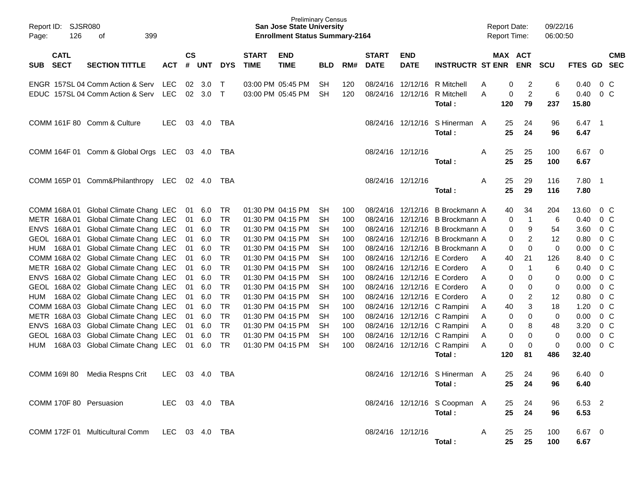| Page:      | Report ID: SJSR080<br>126<br>399<br>of<br><b>CATL</b> |                                                                                |             |                |                  |                  |                             | <b>Preliminary Census</b><br><b>San Jose State University</b><br><b>Enrollment Status Summary-2164</b> |                 |            |                             |                           |                                                                        | <b>Report Date:</b><br><b>Report Time:</b> |                                     | 09/22/16<br>06:00:50 |                       |     |                           |
|------------|-------------------------------------------------------|--------------------------------------------------------------------------------|-------------|----------------|------------------|------------------|-----------------------------|--------------------------------------------------------------------------------------------------------|-----------------|------------|-----------------------------|---------------------------|------------------------------------------------------------------------|--------------------------------------------|-------------------------------------|----------------------|-----------------------|-----|---------------------------|
| SUB SECT   |                                                       | <b>SECTION TITTLE</b>                                                          | <b>ACT</b>  | <b>CS</b><br># | <b>UNT</b>       | <b>DYS</b>       | <b>START</b><br><b>TIME</b> | <b>END</b><br><b>TIME</b>                                                                              | <b>BLD</b>      | RM#        | <b>START</b><br><b>DATE</b> | <b>END</b><br><b>DATE</b> | <b>INSTRUCTR ST ENR</b>                                                |                                            | MAX ACT<br><b>ENR</b>               | <b>SCU</b>           | FTES GD SEC           |     | <b>CMB</b>                |
|            |                                                       | ENGR 157SL 04 Comm Action & Serv<br>EDUC 157SL 04 Comm Action & Serv           | LEC.<br>LEC |                | 02 3.0<br>02 3.0 | $\top$<br>$\top$ |                             | 03:00 PM 05:45 PM<br>03:00 PM 05:45 PM                                                                 | SH<br><b>SH</b> | 120<br>120 |                             |                           | 08/24/16 12/12/16 R Mitchell<br>08/24/16 12/12/16 R Mitchell<br>Total: | Α<br>Α<br>120                              | 2<br>0<br>$\overline{2}$<br>0<br>79 | 6<br>6<br>237        | 0.40<br>0.40<br>15.80 |     | $0\,$ C<br>0 <sup>o</sup> |
|            |                                                       | COMM 161F 80 Comm & Culture                                                    | <b>LEC</b>  |                | 03 4.0           | TBA              |                             |                                                                                                        |                 |            |                             |                           | 08/24/16 12/12/16 S Hinerman A<br>Total:                               | 25<br>25                                   | 24<br>24                            | 96<br>96             | $6.47$ 1<br>6.47      |     |                           |
|            |                                                       | COMM 164F 01 Comm & Global Orgs LEC 03 4.0 TBA                                 |             |                |                  |                  |                             |                                                                                                        |                 |            | 08/24/16 12/12/16           |                           | Total :                                                                | Α<br>25<br>25                              | 25<br>25                            | 100<br>100           | $6.67$ 0<br>6.67      |     |                           |
|            |                                                       | COMM 165P 01 Comm&Philanthropy                                                 | LEC         |                | 02 4.0           | TBA              |                             |                                                                                                        |                 |            |                             | 08/24/16 12/12/16         | Total :                                                                | A<br>25<br>25                              | 29<br>29                            | 116<br>116           | 7.80<br>7.80          | - 1 |                           |
|            |                                                       | COMM 168A 01 Global Climate Chang LEC<br>METR 168A 01 Global Climate Chang LEC |             | 01<br>01       | 6.0<br>6.0       | TR.<br>TR        |                             | 01:30 PM 04:15 PM<br>01:30 PM 04:15 PM                                                                 | SH<br>SH        | 100<br>100 |                             |                           | 08/24/16 12/12/16 B Brockmann A<br>08/24/16 12/12/16 B Brockmann A     | 40                                         | 34<br>0<br>$\mathbf{1}$             | 204<br>6             | 13.60<br>0.40         |     | 0 C<br>$0\,$ C            |
|            |                                                       | ENVS 168A 01 Global Climate Chang LEC                                          |             | 01             | 6.0              | TR               |                             | 01:30 PM 04:15 PM                                                                                      | SH              | 100        |                             |                           | 08/24/16 12/12/16 B Brockmann A                                        |                                            | 9<br>0                              | 54                   | 3.60                  |     | 0 <sup>o</sup>            |
|            |                                                       | GEOL 168A 01 Global Climate Chang LEC                                          |             | 01             | 6.0              | <b>TR</b>        |                             | 01:30 PM 04:15 PM                                                                                      | SH              | 100        |                             |                           | 08/24/16 12/12/16 B Brockmann A                                        |                                            | $\overline{2}$<br>0                 | 12                   | 0.80                  |     | 0 <sup>o</sup>            |
| <b>HUM</b> |                                                       | 168A 01 Global Climate Chang LEC                                               |             | 01             | 6.0              | <b>TR</b>        |                             | 01:30 PM 04:15 PM                                                                                      | SH              | 100        |                             |                           | 08/24/16 12/12/16 B Brockmann A                                        |                                            | 0<br>0                              | 0                    | 0.00                  |     | 0 <sup>o</sup>            |
|            |                                                       | COMM 168A 02 Global Climate Chang LEC                                          |             | 01             | 6.0              | <b>TR</b>        |                             | 01:30 PM 04:15 PM                                                                                      | SH              | 100        |                             |                           | 08/24/16 12/12/16 E Cordero                                            | 40<br>A                                    | 21                                  | 126                  | 8.40                  |     | 0 <sup>o</sup>            |
|            |                                                       | METR 168A 02 Global Climate Chang LEC                                          |             | 01             | 6.0              | <b>TR</b>        |                             | 01:30 PM 04:15 PM                                                                                      | SH              | 100        |                             |                           | 08/24/16 12/12/16 E Cordero                                            | A                                          | 0<br>$\mathbf{1}$                   | 6                    | 0.40                  |     | 0 <sup>o</sup>            |
|            |                                                       | ENVS 168A 02 Global Climate Chang LEC                                          |             | 01             | 6.0              | <b>TR</b>        |                             | 01:30 PM 04:15 PM                                                                                      | SH              | 100        |                             |                           | 08/24/16 12/12/16 E Cordero                                            | Α                                          | 0<br>0                              | 0                    | 0.00                  |     | 0 <sup>o</sup>            |
|            |                                                       | GEOL 168A 02 Global Climate Chang LEC                                          |             | 01             | 6.0              | <b>TR</b>        |                             | 01:30 PM 04:15 PM                                                                                      | SH              | 100        |                             |                           | 08/24/16 12/12/16 E Cordero                                            | Α                                          | 0<br>0                              | 0                    | 0.00                  |     | 0 <sup>o</sup>            |
| <b>HUM</b> |                                                       | 168A 02 Global Climate Chang LEC                                               |             | 01             | 6.0              | <b>TR</b>        |                             | 01:30 PM 04:15 PM                                                                                      | SH              | 100        |                             |                           | 08/24/16 12/12/16 E Cordero                                            | A                                          | $\overline{c}$<br>0                 | 12                   | 0.80                  |     | 0 <sup>o</sup>            |
|            |                                                       | COMM 168A 03 Global Climate Chang LEC                                          |             | 01             | 6.0              | <b>TR</b>        |                             | 01:30 PM 04:15 PM                                                                                      | SH              | 100        |                             |                           | 08/24/16 12/12/16 C Rampini                                            | 40<br>A                                    | 3                                   | 18                   | 1.20                  |     | 0 <sup>o</sup>            |
|            |                                                       | METR 168A 03 Global Climate Chang LEC                                          |             | 01             | 6.0              | <b>TR</b>        |                             | 01:30 PM 04:15 PM                                                                                      | SH              | 100        |                             |                           | 08/24/16 12/12/16 C Rampini                                            | A                                          | 0<br>0                              | 0                    | 0.00                  |     | 0 <sup>o</sup>            |
|            |                                                       | ENVS 168A 03 Global Climate Chang LEC                                          |             | 01             | 6.0              | <b>TR</b>        |                             | 01:30 PM 04:15 PM                                                                                      | SH              | 100        |                             |                           | 08/24/16 12/12/16 C Rampini                                            | A                                          | 8<br>0                              | 48                   | 3.20                  |     | 0 <sup>o</sup>            |
|            |                                                       | GEOL 168A 03 Global Climate Chang LEC                                          |             | 01             | 6.0              | <b>TR</b>        |                             | 01:30 PM 04:15 PM                                                                                      | SH              | 100        |                             |                           | 08/24/16 12/12/16 C Rampini                                            | A                                          | 0<br>0                              | 0                    | 0.00                  |     | 0 <sup>o</sup>            |
| <b>HUM</b> |                                                       | 168A 03 Global Climate Chang LEC                                               |             | 01             | 6.0              | TR               |                             | 01:30 PM 04:15 PM                                                                                      | <b>SH</b>       | 100        |                             |                           | 08/24/16 12/12/16 C Rampini                                            | A                                          | 0<br>0                              | 0                    | 0.00                  |     | 0 <sup>o</sup>            |
|            |                                                       |                                                                                |             |                |                  |                  |                             |                                                                                                        |                 |            |                             |                           | Total:                                                                 | 120                                        | 81                                  | 486                  | 32.40                 |     |                           |
|            | COMM 169I 80                                          | Media Respns Crit                                                              | LEC.        | 03             | - 4.0            | TBA              |                             |                                                                                                        |                 |            |                             |                           | 08/24/16 12/12/16 S Hinerman A                                         | 25                                         | 24                                  | 96                   | 6.40                  | - 0 |                           |
|            |                                                       |                                                                                |             |                |                  |                  |                             |                                                                                                        |                 |            |                             |                           | Total:                                                                 | 25                                         | 24                                  | 96                   | 6.40                  |     |                           |
|            |                                                       | COMM 170F 80 Persuasion<br>LEC 03 4.0 TBA                                      |             |                |                  |                  |                             |                                                                                                        |                 |            |                             |                           | 08/24/16 12/12/16 S Coopman A<br>Total:                                | 25<br>25                                   | 24<br>24                            | 96<br>96             | 6.53 2<br>6.53        |     |                           |
|            |                                                       | COMM 172F 01 Multicultural Comm LEC 03 4.0 TBA                                 |             |                |                  |                  |                             |                                                                                                        |                 |            |                             | 08/24/16 12/12/16         | Total:                                                                 | A<br>25<br>25                              | 25<br>25                            | 100<br>100           | 6.67 0<br>6.67        |     |                           |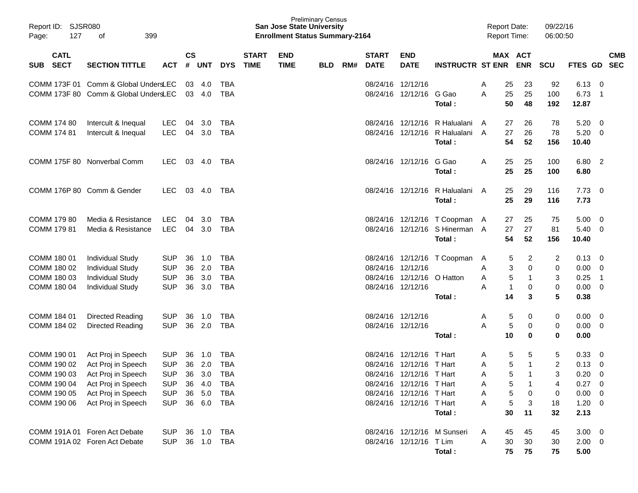| Report ID: SJSR080<br>127<br>Page:       | 399<br>оf                            |            |                    |            |            |                             | <b>San Jose State University</b><br><b>Enrollment Status Summary-2164</b> | <b>Preliminary Census</b> |     |                             |                           |                                          | <b>Report Date:</b><br><b>Report Time:</b> |                       | 09/22/16<br>06:00:50    |                        |                          |                          |
|------------------------------------------|--------------------------------------|------------|--------------------|------------|------------|-----------------------------|---------------------------------------------------------------------------|---------------------------|-----|-----------------------------|---------------------------|------------------------------------------|--------------------------------------------|-----------------------|-------------------------|------------------------|--------------------------|--------------------------|
| <b>CATL</b><br><b>SECT</b><br><b>SUB</b> | <b>SECTION TITTLE</b>                | <b>ACT</b> | $\mathsf{cs}$<br># | <b>UNT</b> | <b>DYS</b> | <b>START</b><br><b>TIME</b> | <b>END</b><br><b>TIME</b>                                                 | <b>BLD</b>                | RM# | <b>START</b><br><b>DATE</b> | <b>END</b><br><b>DATE</b> | <b>INSTRUCTR ST ENR</b>                  |                                            | MAX ACT<br><b>ENR</b> | SCU                     | <b>FTES GD</b>         |                          | <b>CMB</b><br><b>SEC</b> |
|                                          | COMM 173F 01 Comm & Global UndersLEC |            | 03                 | 4.0        | TBA        |                             |                                                                           |                           |     | 08/24/16 12/12/16           |                           |                                          | A                                          | 23<br>25              | 92                      | 6.13                   | - 0                      |                          |
|                                          | COMM 173F 80 Comm & Global UndersLEC |            |                    | 03 4.0     | <b>TBA</b> |                             |                                                                           |                           |     |                             | 08/24/16 12/12/16 G Gao   | Total:                                   | A                                          | 25<br>25<br>50<br>48  | 100<br>192              | 6.73<br>12.87          | $\overline{\phantom{1}}$ |                          |
| COMM 174 80                              | Intercult & Inequal                  | <b>LEC</b> | 04                 | 3.0        | TBA        |                             |                                                                           |                           |     |                             |                           | 08/24/16 12/12/16 R Halualani            | A                                          | 27<br>26              | 78                      | 5.20                   | $\overline{\phantom{0}}$ |                          |
| COMM 174 81                              | Intercult & Inequal                  | <b>LEC</b> |                    | 04 3.0     | <b>TBA</b> |                             |                                                                           |                           |     |                             |                           | 08/24/16 12/12/16 R Halualani<br>Total:  | A                                          | 27<br>26<br>54<br>52  | 78<br>156               | 5.20<br>10.40          | - 0                      |                          |
|                                          | COMM 175F 80 Nonverbal Comm          | LEC.       | 03                 | 4.0        | TBA        |                             |                                                                           |                           |     |                             | 08/24/16 12/12/16         | G Gao                                    | Α                                          | 25<br>25              | 100                     | 6.80 2                 |                          |                          |
|                                          |                                      |            |                    |            |            |                             |                                                                           |                           |     |                             |                           | Total:                                   |                                            | 25<br>25              | 100                     | 6.80                   |                          |                          |
|                                          | COMM 176P 80 Comm & Gender           | LEC.       | 03                 | 4.0        | TBA        |                             |                                                                           |                           |     |                             |                           | 08/24/16 12/12/16 R Halualani<br>Total:  | A                                          | 25<br>29<br>25<br>29  | 116<br>116              | $7.73 \quad 0$<br>7.73 |                          |                          |
| COMM 179 80                              | Media & Resistance                   | <b>LEC</b> | 04                 | - 3.0      | TBA        |                             |                                                                           |                           |     |                             |                           | 08/24/16 12/12/16 T Coopman              | A                                          | 25<br>27              | 75                      | 5.00                   | $\overline{\mathbf{0}}$  |                          |
| <b>COMM 179 81</b>                       | Media & Resistance                   | <b>LEC</b> |                    | 04 3.0     | TBA        |                             |                                                                           |                           |     |                             |                           | 08/24/16 12/12/16 S Hinerman A<br>Total: |                                            | 27<br>27<br>54<br>52  | 81<br>156               | 5.40<br>10.40          | $\overline{\mathbf{0}}$  |                          |
| COMM 180 01                              | <b>Individual Study</b>              | <b>SUP</b> | 36                 | 1.0        | <b>TBA</b> |                             |                                                                           |                           |     |                             |                           | 08/24/16 12/12/16 T Coopman              | A                                          | $\overline{c}$<br>5   | 2                       | 0.13                   | - 0                      |                          |
| COMM 180 02                              | <b>Individual Study</b>              | <b>SUP</b> | 36                 | 2.0        | <b>TBA</b> |                             |                                                                           |                           |     |                             | 08/24/16 12/12/16         |                                          | A                                          | 3<br>0                | 0                       | 0.00                   | - 0                      |                          |
| COMM 180 03                              | <b>Individual Study</b>              | <b>SUP</b> | 36                 | 3.0        | <b>TBA</b> |                             |                                                                           |                           |     |                             | 08/24/16 12/12/16         | O Hatton                                 | Α                                          | 5<br>$\mathbf{1}$     | 3                       | 0.25                   | $\overline{\phantom{0}}$ |                          |
| COMM 180 04                              | <b>Individual Study</b>              | <b>SUP</b> | 36                 | 3.0        | <b>TBA</b> |                             |                                                                           |                           |     |                             | 08/24/16 12/12/16         |                                          | A                                          | $\mathbf{1}$<br>0     | 0                       | 0.00                   | $\overline{0}$           |                          |
|                                          |                                      |            |                    |            |            |                             |                                                                           |                           |     |                             |                           | Total:                                   |                                            | 14<br>3               | 5                       | 0.38                   |                          |                          |
| COMM 184 01                              | Directed Reading                     | <b>SUP</b> | 36                 | 1.0        | TBA        |                             |                                                                           |                           |     | 08/24/16 12/12/16           |                           |                                          | A                                          | 5<br>0                | 0                       | 0.00                   | $\overline{\phantom{0}}$ |                          |
| COMM 184 02                              | Directed Reading                     | <b>SUP</b> | 36                 | 2.0        | <b>TBA</b> |                             |                                                                           |                           |     |                             | 08/24/16 12/12/16         |                                          | A                                          | 5<br>0                | 0                       | 0.00                   | $\overline{\mathbf{0}}$  |                          |
|                                          |                                      |            |                    |            |            |                             |                                                                           |                           |     |                             |                           | Total:                                   |                                            | 10<br>$\bf{0}$        | 0                       | 0.00                   |                          |                          |
| COMM 190 01                              | Act Proj in Speech                   | <b>SUP</b> | 36                 | 1.0        | TBA        |                             |                                                                           |                           |     | 08/24/16                    | 12/12/16                  | T Hart                                   | A                                          | 5<br>5                | 5                       | 0.33                   | - 0                      |                          |
| COMM 190 02                              | Act Proj in Speech                   | <b>SUP</b> | 36                 | 2.0        | <b>TBA</b> |                             |                                                                           |                           |     | 08/24/16                    | 12/12/16                  | T Hart                                   | Α                                          | 5<br>$\overline{1}$   | $\overline{\mathbf{c}}$ | 0.13                   | $\overline{0}$           |                          |
| COMM 190 03                              | Act Proj in Speech                   | <b>SUP</b> |                    | 36 3.0     | <b>TBA</b> |                             |                                                                           |                           |     |                             | 08/24/16 12/12/16 T Hart  |                                          | A                                          | 5<br>$\overline{1}$   | 3                       | 0.20                   | 0                        |                          |
| COMM 190 04                              | Act Proj in Speech                   | <b>SUP</b> | 36                 | 4.0        | TBA        |                             |                                                                           |                           |     |                             | 08/24/16 12/12/16 T Hart  |                                          | Α                                          | -1<br>5               |                         | 0.27                   | $\overline{\phantom{0}}$ |                          |
| COMM 190 05                              | Act Proj in Speech                   | <b>SUP</b> | 36                 | 5.0        | <b>TBA</b> |                             |                                                                           |                           |     |                             | 08/24/16 12/12/16 T Hart  |                                          | A                                          | 5<br>0                | 0                       | 0.00                   | $\overline{\phantom{0}}$ |                          |
| COMM 190 06                              | Act Proj in Speech                   | <b>SUP</b> |                    | 36 6.0     | <b>TBA</b> |                             |                                                                           |                           |     |                             | 08/24/16 12/12/16 T Hart  |                                          | Α                                          | 3<br>5                | 18                      | $1.20 \t 0$            |                          |                          |
|                                          |                                      |            |                    |            |            |                             |                                                                           |                           |     |                             |                           | Total:                                   |                                            | 30<br>11              | 32                      | 2.13                   |                          |                          |
|                                          | COMM 191A 01 Foren Act Debate        | <b>SUP</b> |                    | 36 1.0     | <b>TBA</b> |                             |                                                                           |                           |     |                             |                           | 08/24/16 12/12/16 M Sunseri              | A                                          | 45<br>45              | 45                      | $3.00 \ 0$             |                          |                          |
|                                          | COMM 191A 02 Foren Act Debate        | <b>SUP</b> |                    | 36 1.0 TBA |            |                             |                                                                           |                           |     |                             | 08/24/16 12/12/16 T Lim   |                                          | Α                                          | 30<br>30              | 30                      | $2.00 \t 0$            |                          |                          |
|                                          |                                      |            |                    |            |            |                             |                                                                           |                           |     |                             |                           | Total:                                   |                                            | 75<br>75              | 75                      | 5.00                   |                          |                          |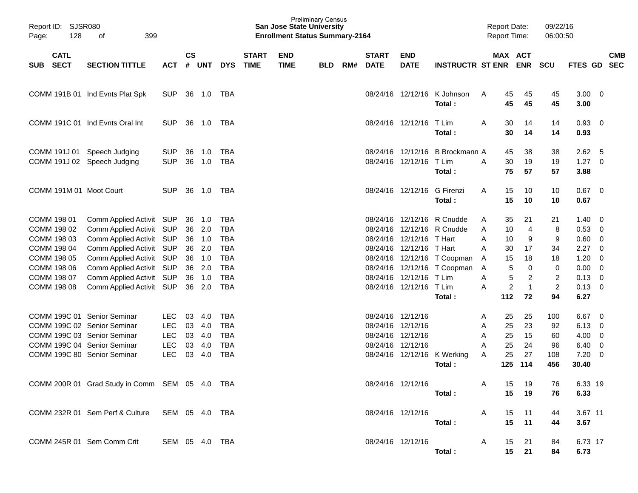| Page: | Report ID: SJSR080<br>128  | 399<br>οf                                                  |                          |               |            |            |                             | <b>San Jose State University</b><br><b>Enrollment Status Summary-2164</b> | <b>Preliminary Census</b> |     |                             |                                        |                                 |   | <b>Report Date:</b><br><b>Report Time:</b> |                | 09/22/16<br>06:00:50 |                    |                          |  |
|-------|----------------------------|------------------------------------------------------------|--------------------------|---------------|------------|------------|-----------------------------|---------------------------------------------------------------------------|---------------------------|-----|-----------------------------|----------------------------------------|---------------------------------|---|--------------------------------------------|----------------|----------------------|--------------------|--------------------------|--|
| SUB   | <b>CATL</b><br><b>SECT</b> | <b>SECTION TITTLE</b>                                      | ACT                      | $\mathsf{cs}$ | # UNT      | <b>DYS</b> | <b>START</b><br><b>TIME</b> | <b>END</b><br><b>TIME</b>                                                 | <b>BLD</b>                | RM# | <b>START</b><br><b>DATE</b> | <b>END</b><br><b>DATE</b>              | <b>INSTRUCTR ST ENR ENR SCU</b> |   | MAX ACT                                    |                |                      | FTES GD            | <b>CMB</b><br><b>SEC</b> |  |
|       |                            | COMM 191B 01 Ind Evnts Plat Spk                            | <b>SUP</b>               |               | 36 1.0     | TBA        |                             |                                                                           |                           |     |                             | 08/24/16 12/12/16                      | K Johnson<br>Total:             | A | 45<br>45                                   | 45<br>45       | 45<br>45             | $3.00 \ 0$<br>3.00 |                          |  |
|       |                            | COMM 191C 01 Ind Evnts Oral Int                            | <b>SUP</b>               |               | 36 1.0     | TBA        |                             |                                                                           |                           |     |                             | 08/24/16 12/12/16                      | T Lim<br>Total:                 | A | 30<br>30                                   | 14<br>14       | 14<br>14             | 0.93<br>0.93       | - 0                      |  |
|       |                            | COMM 191J 01 Speech Judging<br>COMM 191J 02 Speech Judging | <b>SUP</b><br><b>SUP</b> | 36<br>36      | 1.0<br>1.0 | TBA<br>TBA |                             |                                                                           |                           |     |                             | 08/24/16 12/12/16<br>08/24/16 12/12/16 | B Brockmann A<br>T Lim          | A | 45<br>30                                   | 38<br>19       | 38<br>19             | 2.62<br>1.27       | - 5<br>$\overline{0}$    |  |
|       |                            | COMM 191M 01 Moot Court                                    | <b>SUP</b>               | 36            | 1.0        | TBA        |                             |                                                                           |                           |     |                             | 08/24/16 12/12/16                      | Total:<br>G Firenzi             | A | 75<br>15                                   | 57<br>10       | 57<br>10             | 3.88<br>0.67       | $\overline{\phantom{0}}$ |  |
|       | COMM 198 01                | Comm Applied Activit SUP                                   |                          | 36            | 1.0        | <b>TBA</b> |                             |                                                                           |                           |     |                             | 08/24/16 12/12/16                      | Total:<br>R Cnudde              | A | 15<br>35                                   | 10<br>21       | 10<br>21             | 0.67<br>1.40       | $\overline{0}$           |  |
|       | COMM 198 02                | Comm Applied Activit                                       | SUP                      | 36            | 2.0        | <b>TBA</b> |                             |                                                                           |                           |     |                             | 08/24/16 12/12/16                      | R Cnudde                        | A | 10                                         | $\overline{4}$ | 8                    | 0.53               | $\mathbf 0$              |  |
|       | COMM 198 03                | Comm Applied Activit SUP                                   |                          |               | 36 1.0     | <b>TBA</b> |                             |                                                                           |                           |     |                             | 08/24/16 12/12/16 T Hart               |                                 | A | 10                                         | 9              | 9                    | 0.60               | $\mathbf 0$              |  |
|       | COMM 198 04                | Comm Applied Activit                                       | SUP                      | 36            | 2.0        | <b>TBA</b> |                             |                                                                           |                           |     |                             | 08/24/16 12/12/16 T Hart               |                                 | A | 30                                         | 17             | 34                   | 2.27               | $\Omega$                 |  |
|       | COMM 198 05                | Comm Applied Activit                                       | SUP                      |               | 36 1.0     | <b>TBA</b> |                             |                                                                           |                           |     |                             |                                        | 08/24/16 12/12/16 T Coopman     | A | 15                                         | 18             | 18                   | 1.20               | $\mathbf 0$              |  |
|       | COMM 198 06                | Comm Applied Activit SUP                                   |                          | 36            | 2.0        | <b>TBA</b> |                             |                                                                           |                           |     |                             |                                        | 08/24/16 12/12/16 T Coopman     | Α | 5                                          | $\mathbf 0$    | 0                    | 0.00               | $\mathbf 0$              |  |
|       | COMM 198 07                | Comm Applied Activit SUP                                   |                          |               | 36 1.0     | <b>TBA</b> |                             |                                                                           |                           |     |                             | 08/24/16 12/12/16 T Lim                |                                 | Α | 5                                          | $\overline{2}$ | $\overline{c}$       | 0.13               | $\mathbf 0$              |  |
|       | COMM 198 08                | Comm Applied Activit SUP                                   |                          | 36            | 2.0        | <b>TBA</b> |                             |                                                                           |                           |     |                             | 08/24/16 12/12/16                      | T Lim                           | A | $\overline{c}$                             | $\mathbf{1}$   | $\overline{c}$       | 0.13               | - 0                      |  |
|       |                            |                                                            |                          |               |            |            |                             |                                                                           |                           |     |                             |                                        | Total:                          |   | 112                                        | 72             | 94                   | 6.27               |                          |  |
|       |                            | COMM 199C 01 Senior Seminar                                | <b>LEC</b>               | 03            | 4.0        | <b>TBA</b> |                             |                                                                           |                           |     |                             | 08/24/16 12/12/16                      |                                 | A | 25                                         | 25             | 100                  | 6.67               | 0                        |  |
|       |                            | COMM 199C 02 Senior Seminar                                | LEC                      | 03            | 4.0        | <b>TBA</b> |                             |                                                                           |                           |     |                             | 08/24/16 12/12/16                      |                                 | Α | 25                                         | 23             | 92                   | 6.13               | 0                        |  |
|       |                            | COMM 199C 03 Senior Seminar                                | LEC                      |               | 03 4.0     | <b>TBA</b> |                             |                                                                           |                           |     |                             | 08/24/16 12/12/16                      |                                 | Α | 25                                         | 15             | 60                   | 4.00               | 0                        |  |
|       |                            | COMM 199C 04 Senior Seminar                                | <b>LEC</b>               | 03            | 4.0        | <b>TBA</b> |                             |                                                                           |                           |     | 08/24/16 12/12/16           |                                        |                                 | A | 25                                         | 24             | 96                   | 6.40               | $\mathbf 0$              |  |
|       |                            | COMM 199C 80 Senior Seminar                                | <b>LEC</b>               | 03            | 4.0        | TBA        |                             |                                                                           |                           |     |                             | 08/24/16 12/12/16                      | K Werking                       | A | 25                                         | 27             | 108                  | 7.20               | 0                        |  |
|       |                            |                                                            |                          |               |            |            |                             |                                                                           |                           |     |                             |                                        | Total:                          |   | 125                                        | 114            | 456                  | 30.40              |                          |  |
|       |                            | COMM 200R 01 Grad Study in Comm SEM 05 4.0 TBA             |                          |               |            |            |                             |                                                                           |                           |     |                             | 08/24/16 12/12/16                      | Total:                          | A | 15<br>15                                   | 19<br>19       | 76<br>76             | 6.33 19<br>6.33    |                          |  |
|       |                            | COMM 232R 01 Sem Perf & Culture SEM 05 4.0 TBA             |                          |               |            |            |                             |                                                                           |                           |     |                             | 08/24/16 12/12/16                      |                                 | A | 15                                         | 11             | 44                   | 3.67 11            |                          |  |
|       |                            |                                                            |                          |               |            |            |                             |                                                                           |                           |     |                             |                                        | Total:                          |   | 15                                         | 11             | 44                   | 3.67               |                          |  |
|       |                            | COMM 245R 01 Sem Comm Crit                                 | SEM 05 4.0 TBA           |               |            |            |                             |                                                                           |                           |     |                             | 08/24/16 12/12/16                      | Total:                          | A | 15                                         | 21<br>15 21    | 84<br>84             | 6.73 17<br>6.73    |                          |  |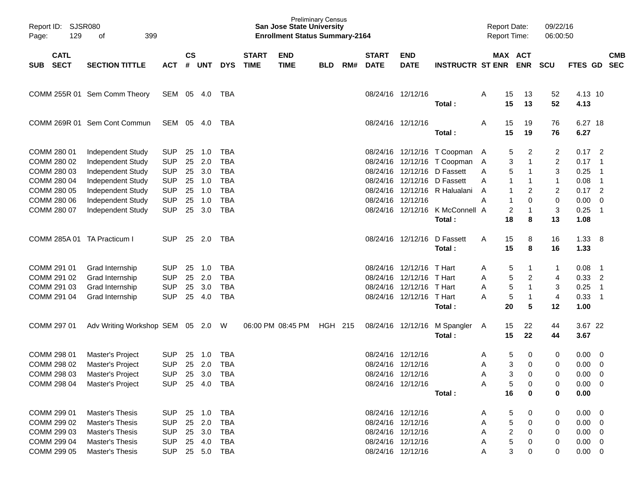| Page: | Report ID: SJSR080<br>129<br>399<br>οf<br><b>CATL</b> |                                        |                          |               |            |                          |                             | <b>San Jose State University</b><br><b>Enrollment Status Summary-2164</b> | <b>Preliminary Census</b> |     |                             |                           |                                                              | <b>Report Date:</b><br><b>Report Time:</b> |          |                               | 09/22/16<br>06:00:50        |                  |                                                      |                          |
|-------|-------------------------------------------------------|----------------------------------------|--------------------------|---------------|------------|--------------------------|-----------------------------|---------------------------------------------------------------------------|---------------------------|-----|-----------------------------|---------------------------|--------------------------------------------------------------|--------------------------------------------|----------|-------------------------------|-----------------------------|------------------|------------------------------------------------------|--------------------------|
| SUB   | <b>SECT</b>                                           | <b>SECTION TITTLE</b>                  | <b>ACT</b>               | $\mathsf{cs}$ | # UNT      | <b>DYS</b>               | <b>START</b><br><b>TIME</b> | <b>END</b><br><b>TIME</b>                                                 | <b>BLD</b>                | RM# | <b>START</b><br><b>DATE</b> | <b>END</b><br><b>DATE</b> | <b>INSTRUCTR ST ENR</b>                                      |                                            |          | MAX ACT<br><b>ENR</b>         | SCU                         | <b>FTES GD</b>   |                                                      | <b>CMB</b><br><b>SEC</b> |
|       |                                                       | COMM 255R 01 Sem Comm Theory           | SEM 05                   |               | 4.0        | TBA                      |                             |                                                                           |                           |     |                             | 08/24/16 12/12/16         | Total:                                                       | A                                          | 15<br>15 | 13<br>13                      | 52<br>52                    | 4.13 10<br>4.13  |                                                      |                          |
|       |                                                       | COMM 269R 01 Sem Cont Commun           | SEM 05                   |               | - 4.0      | TBA                      |                             |                                                                           |                           |     | 08/24/16 12/12/16           |                           | Total:                                                       | A                                          | 15<br>15 | 19<br>19                      | 76<br>76                    | 6.27 18<br>6.27  |                                                      |                          |
|       | COMM 280 01<br>COMM 280 02                            | Independent Study<br>Independent Study | <b>SUP</b><br><b>SUP</b> | 25<br>25      | 1.0<br>2.0 | <b>TBA</b><br><b>TBA</b> |                             |                                                                           |                           |     |                             |                           | 08/24/16 12/12/16 T Coopman A<br>08/24/16 12/12/16 T Coopman | A                                          | 5<br>3   | 2<br>$\overline{1}$           | 2<br>$\overline{c}$         | $0.17$ 2<br>0.17 | $\overline{\phantom{0}}$ 1                           |                          |
|       | COMM 280 03<br>COMM 280 04                            | Independent Study<br>Independent Study | <b>SUP</b><br><b>SUP</b> | 25<br>25      | 3.0<br>1.0 | <b>TBA</b><br><b>TBA</b> |                             |                                                                           |                           |     |                             |                           | 08/24/16 12/12/16 D Fassett<br>08/24/16 12/12/16 D Fassett   | A<br>A                                     | 5        | $\overline{1}$<br>$\mathbf 1$ | 3<br>1                      | 0.25<br>0.08     | $\overline{\phantom{0}}$<br>$\overline{\phantom{0}}$ |                          |
|       | COMM 280 05<br>COMM 280 06                            | Independent Study<br>Independent Study | <b>SUP</b><br><b>SUP</b> | 25<br>25      | 1.0<br>1.0 | <b>TBA</b><br><b>TBA</b> |                             |                                                                           |                           |     | 08/24/16 12/12/16           |                           | 08/24/16 12/12/16 R Halualani                                | A<br>A                                     |          | 2<br>0                        | $\overline{c}$<br>$\pmb{0}$ | $0.17$ 2<br>0.00 | $\overline{0}$                                       |                          |
|       | COMM 280 07                                           | Independent Study                      | <b>SUP</b>               | 25            | 3.0        | <b>TBA</b>               |                             |                                                                           |                           |     |                             |                           | 08/24/16 12/12/16 K McConnell A<br>Total:                    |                                            | 2<br>18  | $\overline{1}$<br>8           | 3<br>13                     | 0.25<br>1.08     | $\overline{\phantom{0}}$ 1                           |                          |
|       |                                                       | COMM 285A 01 TA Practicum I            | <b>SUP</b>               | 25            | 2.0        | TBA                      |                             |                                                                           |                           |     |                             | 08/24/16 12/12/16         | D Fassett                                                    | A                                          | 15       | 8                             | 16                          | 1.33             | - 8                                                  |                          |
|       |                                                       |                                        |                          |               |            |                          |                             |                                                                           |                           |     |                             |                           | Total:                                                       |                                            | 15       | 8                             | 16                          | 1.33             |                                                      |                          |
|       | COMM 291 01                                           | Grad Internship                        | <b>SUP</b>               | 25            | 1.0        | <b>TBA</b>               |                             |                                                                           |                           |     |                             | 08/24/16 12/12/16         | T Hart                                                       | A                                          | 5        | -1                            | 1                           | 0.08             | $\overline{\phantom{1}}$                             |                          |
|       | COMM 291 02                                           | Grad Internship                        | <b>SUP</b>               | 25            | 2.0        | <b>TBA</b>               |                             |                                                                           |                           |     |                             | 08/24/16 12/12/16         | T Hart                                                       | A                                          | 5        | $\overline{2}$                | 4                           | 0.33             | $\overline{2}$                                       |                          |
|       | COMM 291 03                                           | Grad Internship                        | <b>SUP</b>               | 25            | 3.0        | <b>TBA</b>               |                             |                                                                           |                           |     |                             | 08/24/16 12/12/16 T Hart  |                                                              | A                                          | 5        | $\overline{1}$                | 3                           | 0.25             | $\overline{\phantom{0}}$                             |                          |
|       | COMM 291 04                                           | Grad Internship                        | <b>SUP</b>               | 25            | 4.0        | <b>TBA</b>               |                             |                                                                           |                           |     |                             | 08/24/16 12/12/16 T Hart  | Total:                                                       | A                                          | 5<br>20  | $\overline{1}$<br>5           | 4<br>12                     | 0.33<br>1.00     | $\overline{\phantom{0}}$ 1                           |                          |
|       | COMM 297 01                                           | Adv Writing Workshop SEM 05 2.0 W      |                          |               |            |                          |                             | 06:00 PM 08:45 PM                                                         | HGH 215                   |     |                             |                           | 08/24/16 12/12/16 M Spangler<br>Total:                       | A                                          | 15<br>15 | 22<br>22                      | 44<br>44                    | 3.67 22<br>3.67  |                                                      |                          |
|       | COMM 298 01                                           | Master's Project                       | <b>SUP</b>               | 25            | 1.0        | <b>TBA</b>               |                             |                                                                           |                           |     | 08/24/16 12/12/16           |                           |                                                              | A                                          | 5        | 0                             | 0                           | 0.00             | $\overline{\mathbf{0}}$                              |                          |
|       | COMM 298 02                                           | Master's Project                       | <b>SUP</b>               | 25            | 2.0        | <b>TBA</b>               |                             |                                                                           |                           |     |                             | 08/24/16 12/12/16         |                                                              | Α                                          | 3        | 0                             | 0                           | 0.00             | $\overline{0}$                                       |                          |
|       | COMM 298 03                                           | Master's Project                       | <b>SUP</b>               | 25            | 3.0        | <b>TBA</b>               |                             |                                                                           |                           |     |                             | 08/24/16 12/12/16         |                                                              | A                                          | 3        | 0                             | 0                           | 0.00             | $\overline{0}$                                       |                          |
|       | COMM 298 04                                           | Master's Project                       | <b>SUP</b>               | 25            | 4.0        | TBA                      |                             |                                                                           |                           |     |                             | 08/24/16 12/12/16         |                                                              | Α                                          | 5        | 0                             | 0                           | $0.00 \t 0$      |                                                      |                          |
|       |                                                       |                                        |                          |               |            |                          |                             |                                                                           |                           |     |                             |                           | Total:                                                       |                                            | 16       | 0                             | 0                           | 0.00             |                                                      |                          |
|       | COMM 299 01                                           | Master's Thesis                        | <b>SUP</b>               | 25            | 1.0        | TBA                      |                             |                                                                           |                           |     |                             | 08/24/16 12/12/16         |                                                              | A                                          | 5        | 0                             | 0                           | 0.00             | $\overline{\phantom{0}}$                             |                          |
|       | COMM 299 02                                           | <b>Master's Thesis</b>                 | <b>SUP</b>               |               | 25 2.0     | TBA                      |                             |                                                                           |                           |     | 08/24/16 12/12/16           |                           |                                                              | Α                                          | 5        | 0                             | 0                           | $0.00 \quad 0$   |                                                      |                          |
|       | COMM 299 03                                           | Master's Thesis                        | <b>SUP</b>               |               | 25 3.0     | TBA                      |                             |                                                                           |                           |     | 08/24/16 12/12/16           |                           |                                                              | Α                                          | 2        | 0                             | 0                           | $0.00 \quad 0$   |                                                      |                          |
|       | COMM 299 04                                           | Master's Thesis                        | <b>SUP</b>               |               | 25 4.0     | TBA                      |                             |                                                                           |                           |     | 08/24/16 12/12/16           |                           |                                                              | Α                                          | 5        | 0                             | 0                           | $0.00 \quad 0$   |                                                      |                          |
|       | COMM 299 05                                           | Master's Thesis                        | <b>SUP</b>               |               | 25 5.0 TBA |                          |                             |                                                                           |                           |     |                             | 08/24/16 12/12/16         |                                                              | Α                                          | 3        | 0                             | 0                           | $0.00 \t 0$      |                                                      |                          |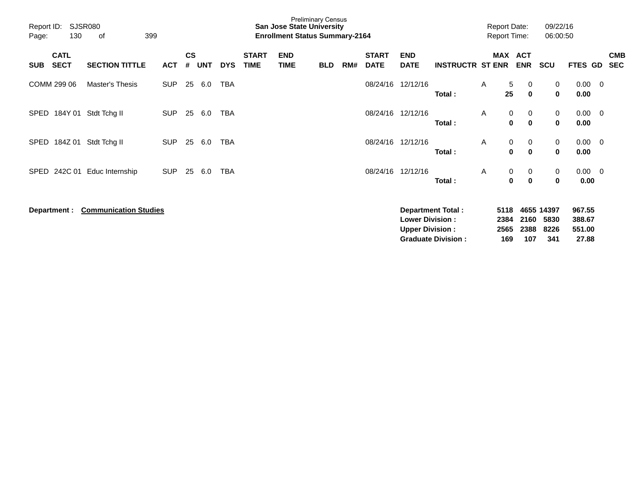| <b>SJSR080</b><br>Report ID:<br>399<br>130<br>Page:<br>οf |                            |                              |            | <b>Preliminary Census</b><br><b>San Jose State University</b><br><b>Enrollment Status Summary-2164</b> |            |            |                             |                           |            |     |                             |                                                  |                                                       | <b>Report Date:</b><br><b>Report Time:</b> |                             |                          | 09/22/16<br>06:00:50              |                                     |                          |                          |
|-----------------------------------------------------------|----------------------------|------------------------------|------------|--------------------------------------------------------------------------------------------------------|------------|------------|-----------------------------|---------------------------|------------|-----|-----------------------------|--------------------------------------------------|-------------------------------------------------------|--------------------------------------------|-----------------------------|--------------------------|-----------------------------------|-------------------------------------|--------------------------|--------------------------|
| <b>SUB</b>                                                | <b>CATL</b><br><b>SECT</b> | <b>SECTION TITTLE</b>        | <b>ACT</b> | <b>CS</b><br>#                                                                                         | <b>UNT</b> | <b>DYS</b> | <b>START</b><br><b>TIME</b> | <b>END</b><br><b>TIME</b> | <b>BLD</b> | RM# | <b>START</b><br><b>DATE</b> | <b>END</b><br><b>DATE</b>                        | <b>INSTRUCTR ST ENR</b>                               |                                            | <b>MAX</b>                  | <b>ACT</b><br><b>ENR</b> | <b>SCU</b>                        | <b>FTES GD</b>                      |                          | <b>CMB</b><br><b>SEC</b> |
|                                                           | COMM 299 06                | Master's Thesis              | <b>SUP</b> | 25                                                                                                     | 6.0        | TBA        |                             |                           |            |     | 08/24/16                    | 12/12/16                                         | Total:                                                | A                                          | 5<br>25                     | 0<br>$\mathbf 0$         | 0<br>$\mathbf 0$                  | 0.00<br>0.00                        | - 0                      |                          |
| SPED                                                      | 184Y 01                    | Stdt Tchg II                 | <b>SUP</b> | 25                                                                                                     | 6.0        | <b>TBA</b> |                             |                           |            |     | 08/24/16                    | 12/12/16                                         | Total:                                                | A                                          | 0<br>$\bf{0}$               | 0<br>$\bf{0}$            | 0<br>$\mathbf 0$                  | 0.00<br>0.00                        | $\overline{\mathbf{0}}$  |                          |
| SPED                                                      | 184Z 01                    | Stdt Tchg II                 | <b>SUP</b> |                                                                                                        | 25 6.0     | TBA        |                             |                           |            |     | 08/24/16                    | 12/12/16                                         | Total:                                                | A                                          | 0<br>0                      | 0<br>0                   | 0<br>$\mathbf 0$                  | 0.00<br>0.00                        | $\overline{\phantom{0}}$ |                          |
| SPED                                                      | 242C 01                    | Educ Internship              | <b>SUP</b> | 25                                                                                                     | 6.0        | TBA        |                             |                           |            |     | 08/24/16                    | 12/12/16                                         | Total:                                                | A                                          | 0<br>0                      | 0<br>0                   | 0<br>0                            | $0.00 \quad 0$<br>0.00              |                          |                          |
|                                                           | Department :               | <b>Communication Studies</b> |            |                                                                                                        |            |            |                             |                           |            |     |                             | <b>Lower Division:</b><br><b>Upper Division:</b> | <b>Department Total:</b><br><b>Graduate Division:</b> |                                            | 5118<br>2384<br>2565<br>169 | 2160<br>2388<br>107      | 4655 14397<br>5830<br>8226<br>341 | 967.55<br>388.67<br>551.00<br>27.88 |                          |                          |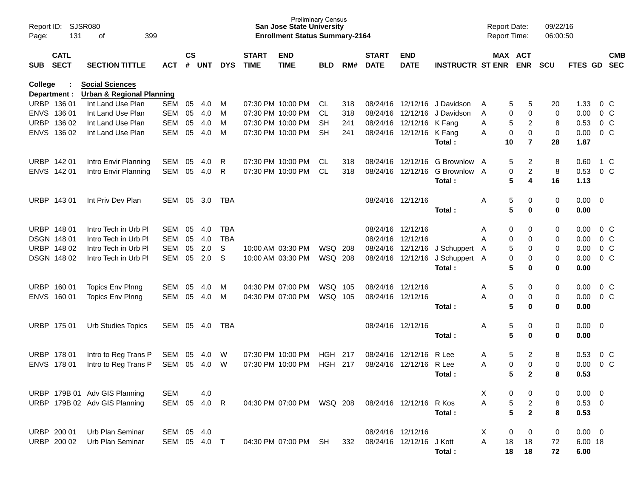| Page:          | SJSR080<br>Report ID:<br>131<br>399<br>оf |                                                                |            |                    |            | <b>Preliminary Census</b><br><b>San Jose State University</b><br><b>Enrollment Status Summary-2164</b> |                             |                           |                |     |                             |                           |                                           |         |                          | 09/22/16<br>06:00:50 |                     |                          |
|----------------|-------------------------------------------|----------------------------------------------------------------|------------|--------------------|------------|--------------------------------------------------------------------------------------------------------|-----------------------------|---------------------------|----------------|-----|-----------------------------|---------------------------|-------------------------------------------|---------|--------------------------|----------------------|---------------------|--------------------------|
| SUB            | <b>CATL</b><br><b>SECT</b>                | <b>SECTION TITTLE</b>                                          | <b>ACT</b> | $\mathsf{cs}$<br># | <b>UNT</b> | <b>DYS</b>                                                                                             | <b>START</b><br><b>TIME</b> | <b>END</b><br><b>TIME</b> | BLD            | RM# | <b>START</b><br><b>DATE</b> | <b>END</b><br><b>DATE</b> | <b>INSTRUCTR ST ENR</b>                   |         | MAX ACT<br><b>ENR</b>    | <b>SCU</b>           | <b>FTES GD</b>      | <b>CMB</b><br><b>SEC</b> |
| <b>College</b> | Department :                              | <b>Social Sciences</b><br><b>Urban &amp; Regional Planning</b> |            |                    |            |                                                                                                        |                             |                           |                |     |                             |                           |                                           |         |                          |                      |                     |                          |
|                | URBP 136 01                               | Int Land Use Plan                                              | SEM        | 05                 | 4.0        | M                                                                                                      |                             | 07:30 PM 10:00 PM         | CL             | 318 |                             |                           | 08/24/16 12/12/16 J Davidson              | A       | 5<br>5                   | 20                   | 1.33                | $0\,$ C                  |
|                | ENVS 136 01                               | Int Land Use Plan                                              | <b>SEM</b> | 05                 | 4.0        | м                                                                                                      |                             | 07:30 PM 10:00 PM         | CL.            | 318 |                             | 08/24/16 12/12/16         | J Davidson                                | A       | 0<br>0                   | 0                    | 0.00                | 0 <sup>o</sup>           |
| URBP           | 136 02                                    | Int Land Use Plan                                              | <b>SEM</b> | 05                 | 4.0        | м                                                                                                      |                             | 07:30 PM 10:00 PM         | <b>SH</b>      | 241 |                             | 08/24/16 12/12/16 K Fang  |                                           | Α       | 5<br>2                   | 8                    | 0.53                | 0 <sup>o</sup>           |
| <b>ENVS</b>    | 136 02                                    | Int Land Use Plan                                              | <b>SEM</b> | 05                 | 4.0        | м                                                                                                      |                             | 07:30 PM 10:00 PM         | <b>SH</b>      | 241 |                             | 08/24/16 12/12/16 K Fang  | Total:                                    | Α<br>10 | 0<br>0<br>$\overline{7}$ | 0<br>28              | 0.00<br>1.87        | $0\,C$                   |
|                | URBP 142 01                               | Intro Envir Planning                                           | SEM        | 05                 | 4.0        | R                                                                                                      |                             | 07:30 PM 10:00 PM         | CL.            | 318 |                             | 08/24/16 12/12/16         | G Brownlow A                              |         | 5<br>2                   | 8                    | 0.60                | 1 C                      |
|                | ENVS 142 01                               | Intro Envir Planning                                           | SEM        | 05                 | 4.0        | R                                                                                                      |                             | 07:30 PM 10:00 PM         | <b>CL</b>      | 318 |                             | 08/24/16 12/12/16         | G Brownlow A                              |         | 0<br>$\overline{c}$      | 8                    | 0.53                | 0 <sup>o</sup>           |
|                |                                           |                                                                |            |                    |            |                                                                                                        |                             |                           |                |     |                             |                           | Total:                                    |         | 5<br>4                   | 16                   | 1.13                |                          |
|                | URBP 143 01                               | Int Priv Dev Plan                                              | SEM        | 05                 | 3.0        | TBA                                                                                                    |                             |                           |                |     | 08/24/16 12/12/16           |                           | Total:                                    | Α       | 5<br>0<br>5<br>0         | 0<br>0               | $0.00 \t 0$<br>0.00 |                          |
|                |                                           |                                                                |            |                    |            |                                                                                                        |                             |                           |                |     |                             |                           |                                           |         |                          |                      |                     |                          |
|                | URBP 148 01                               | Intro Tech in Urb PI                                           | SEM        | 05                 | 4.0        | <b>TBA</b>                                                                                             |                             |                           |                |     |                             | 08/24/16 12/12/16         |                                           | Α       | 0<br>0                   | 0                    | 0.00                | $0\,$ C                  |
|                | DSGN 148 01                               | Intro Tech in Urb PI                                           | <b>SEM</b> | 05                 | 4.0        | <b>TBA</b>                                                                                             |                             |                           |                |     | 08/24/16 12/12/16           |                           |                                           | Α       | 0<br>$\mathbf 0$         | 0                    | 0.00                | 0 <sup>o</sup>           |
|                | URBP 148 02                               | Intro Tech in Urb PI                                           | <b>SEM</b> | 05                 | 2.0        | S                                                                                                      |                             | 10:00 AM 03:30 PM         | WSQ            | 208 |                             |                           | 08/24/16 12/12/16 J Schuppert             | A       | 5<br>0                   | 0                    | 0.00                | 0 <sup>o</sup>           |
|                | DSGN 148 02                               | Intro Tech in Urb PI                                           | <b>SEM</b> | 05                 | 2.0        | S                                                                                                      |                             | 10:00 AM 03:30 PM         | <b>WSQ 208</b> |     |                             |                           | 08/24/16 12/12/16 J Schuppert A<br>Total: |         | 0<br>0<br>5<br>0         | 0<br>0               | 0.00<br>0.00        | 0 <sup>o</sup>           |
| <b>URBP</b>    | 160 01                                    | <b>Topics Env Plnng</b>                                        | <b>SEM</b> | 05                 | 4.0        | M                                                                                                      |                             | 04:30 PM 07:00 PM         | <b>WSQ 105</b> |     | 08/24/16 12/12/16           |                           |                                           | Α       | 5<br>0                   | 0                    | 0.00                | 0 <sup>o</sup>           |
| <b>ENVS</b>    | 16001                                     | Topics Env Plnng                                               | SEM        | 05                 | 4.0        | M                                                                                                      |                             | 04:30 PM 07:00 PM         | WSQ 105        |     | 08/24/16 12/12/16           |                           |                                           | A       | 0<br>0                   | 0                    | 0.00                | 0 <sup>o</sup>           |
|                |                                           |                                                                |            |                    |            |                                                                                                        |                             |                           |                |     |                             |                           | Total:                                    |         | 5<br>0                   | 0                    | 0.00                |                          |
| URBP           | 175 01                                    | <b>Urb Studies Topics</b>                                      | SEM        | 05                 | 4.0        | <b>TBA</b>                                                                                             |                             |                           |                |     | 08/24/16 12/12/16           |                           |                                           | Α       | 5<br>0                   | 0                    | $0.00 \quad 0$      |                          |
|                |                                           |                                                                |            |                    |            |                                                                                                        |                             |                           |                |     |                             |                           | Total:                                    |         | 5<br>0                   | 0                    | 0.00                |                          |
|                | URBP 178 01                               | Intro to Reg Trans P                                           | SEM        | 05                 | 4.0        | W                                                                                                      |                             | 07:30 PM 10:00 PM         | HGH            | 217 |                             | 08/24/16 12/12/16         | R Lee                                     | Α       | 5<br>2                   | 8                    | 0.53                | $0\,$ C                  |
| <b>ENVS</b>    | 178 01                                    | Intro to Reg Trans P                                           | SEM        | 05                 | 4.0        | W                                                                                                      |                             | 07:30 PM 10:00 PM         | <b>HGH</b>     | 217 |                             | 08/24/16 12/12/16         | R Lee                                     | Α       | 0<br>0                   | 0                    | 0.00                | 0 <sup>o</sup>           |
|                |                                           |                                                                |            |                    |            |                                                                                                        |                             |                           |                |     |                             |                           | Total:                                    |         | 5<br>$\mathbf{2}$        | 8                    | 0.53                |                          |
|                |                                           | URBP 179B 01 Adv GIS Planning                                  | <b>SEM</b> |                    | 4.0        |                                                                                                        |                             |                           |                |     |                             |                           |                                           | Χ       | 0<br>0                   | 0                    | $0.00 \t 0$         |                          |
|                |                                           | URBP 179B 02 Adv GIS Planning                                  | SEM 05     |                    | 4.0        | $\mathsf{R}$                                                                                           |                             | 04:30 PM 07:00 PM WSQ 208 |                |     |                             | 08/24/16 12/12/16 R Kos   |                                           |         | 5<br>2                   | 8                    | $0.53$ 0            |                          |
|                |                                           |                                                                |            |                    |            |                                                                                                        |                             |                           |                |     |                             |                           | Total:                                    |         | 5<br>$\mathbf{2}$        | 8                    | 0.53                |                          |
|                | URBP 200 01                               | Urb Plan Seminar                                               | SEM 05 4.0 |                    |            |                                                                                                        |                             |                           |                |     | 08/24/16 12/12/16           |                           |                                           | X       | 0<br>0                   | 0                    | $0.00 \t 0$         |                          |
|                | URBP 200 02                               | Urb Plan Seminar                                               | SEM 05 4.0 |                    |            | $\top$                                                                                                 |                             | 04:30 PM 07:00 PM         | SH             | 332 |                             | 08/24/16 12/12/16 J Kott  |                                           | Α<br>18 | 18                       | 72                   | 6.00 18             |                          |
|                |                                           |                                                                |            |                    |            |                                                                                                        |                             |                           |                |     |                             |                           | Total:                                    |         | 18<br>18                 | 72                   | 6.00                |                          |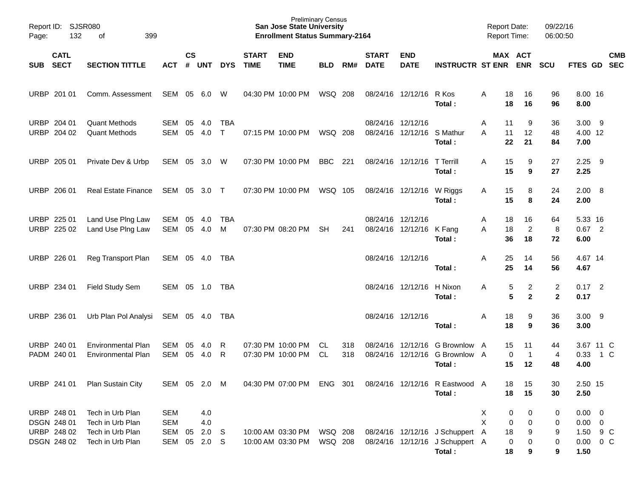| Page:       | Report ID: SJSR080<br>132<br>399<br>of                   |                                                                              |                                        |                    | <b>Preliminary Census</b><br><b>San Jose State University</b><br><b>Enrollment Status Summary-2164</b> |                            |                             |                                        |                    |            |                             |                            |                                                                              | <b>Report Date:</b><br><b>Report Time:</b> |                                                  | 09/22/16<br>06:00:50       |                                |                                                                 |     |            |
|-------------|----------------------------------------------------------|------------------------------------------------------------------------------|----------------------------------------|--------------------|--------------------------------------------------------------------------------------------------------|----------------------------|-----------------------------|----------------------------------------|--------------------|------------|-----------------------------|----------------------------|------------------------------------------------------------------------------|--------------------------------------------|--------------------------------------------------|----------------------------|--------------------------------|-----------------------------------------------------------------|-----|------------|
| SUB         | <b>CATL</b><br><b>SECT</b>                               | <b>SECTION TITTLE</b>                                                        | <b>ACT</b>                             | $\mathsf{cs}$<br># | <b>UNT</b>                                                                                             | <b>DYS</b>                 | <b>START</b><br><b>TIME</b> | <b>END</b><br><b>TIME</b>              | <b>BLD</b>         | RM#        | <b>START</b><br><b>DATE</b> | <b>END</b><br><b>DATE</b>  | <b>INSTRUCTR ST ENR ENR</b>                                                  |                                            |                                                  | MAX ACT                    | <b>SCU</b>                     | FTES GD SEC                                                     |     | <b>CMB</b> |
| <b>URBP</b> | 201 01                                                   | Comm. Assessment                                                             | SEM                                    | 05                 | 6.0                                                                                                    | W                          |                             | 04:30 PM 10:00 PM                      | WSQ 208            |            |                             | 08/24/16 12/12/16          | R Kos<br>Total:                                                              | A                                          | 18<br>18                                         | 16<br>16                   | 96<br>96                       | 8.00 16<br>8.00                                                 |     |            |
|             | URBP 204 01<br>URBP 204 02                               | <b>Quant Methods</b><br><b>Quant Methods</b>                                 | <b>SEM</b><br><b>SEM</b>               | 05<br>05           | 4.0<br>4.0                                                                                             | <b>TBA</b><br>$\mathsf{T}$ |                             | 07:15 PM 10:00 PM                      | WSQ 208            |            | 08/24/16 12/12/16           | 08/24/16 12/12/16 S Mathur | Total:                                                                       | Α<br>A                                     | 11<br>11<br>22                                   | 9<br>12<br>21              | 36<br>48<br>84                 | $3.00$ 9<br>4.00 12<br>7.00                                     |     |            |
|             | URBP 205 01                                              | Private Dev & Urbp                                                           | SEM                                    | 05                 | 3.0                                                                                                    | W                          |                             | 07:30 PM 10:00 PM                      | BBC                | 221        |                             | 08/24/16 12/12/16          | <b>T</b> Terrill<br>Total:                                                   | A                                          | 15<br>15                                         | 9<br>9                     | 27<br>27                       | 2.25<br>2.25                                                    | - 9 |            |
|             | URBP 206 01                                              | <b>Real Estate Finance</b>                                                   | SEM                                    |                    | 05 3.0 T                                                                                               |                            |                             | 07:30 PM 10:00 PM                      | WSQ 105            |            |                             | 08/24/16 12/12/16          | W Riggs<br>Total:                                                            | Α                                          | 15<br>15                                         | 8<br>8                     | 24<br>24                       | 2.00 8<br>2.00                                                  |     |            |
|             | URBP 225 01<br>URBP 225 02                               | Land Use Plng Law<br>Land Use Plng Law                                       | SEM<br>SEM                             | 05<br>05           | 4.0<br>4.0                                                                                             | <b>TBA</b><br>M            |                             | 07:30 PM 08:20 PM                      | <b>SH</b>          | 241        | 08/24/16 12/12/16           | 08/24/16 12/12/16          | K Fang<br>Total:                                                             | Α<br>Α                                     | 18<br>18<br>36                                   | 16<br>$\overline{c}$<br>18 | 64<br>8<br>72                  | 5.33 16<br>$0.67$ 2<br>6.00                                     |     |            |
|             | URBP 226 01                                              | Reg Transport Plan                                                           | SEM                                    |                    | 05 4.0                                                                                                 | TBA                        |                             |                                        |                    |            | 08/24/16 12/12/16           |                            | Total:                                                                       | A                                          | 25<br>25                                         | 14<br>14                   | 56<br>56                       | 4.67 14<br>4.67                                                 |     |            |
|             | URBP 234 01                                              | Field Study Sem                                                              | SEM                                    |                    | 05 1.0                                                                                                 | TBA                        |                             |                                        |                    |            |                             | 08/24/16 12/12/16          | H Nixon<br>Total:                                                            | A                                          | 5<br>5                                           | 2<br>$\mathbf{2}$          | $\overline{c}$<br>$\mathbf{2}$ | $0.17$ 2<br>0.17                                                |     |            |
| <b>URBP</b> | 236 01                                                   | Urb Plan Pol Analysi                                                         | SEM                                    |                    | 05 4.0                                                                                                 | TBA                        |                             |                                        |                    |            | 08/24/16 12/12/16           |                            | Total:                                                                       | Α                                          | 18<br>18                                         | 9<br>9                     | 36<br>36                       | $3.00$ 9<br>3.00                                                |     |            |
|             | URBP 240 01<br>PADM 240 01                               | <b>Environmental Plan</b><br><b>Environmental Plan</b>                       | SEM<br><b>SEM</b>                      | 05<br>05           | 4.0<br>4.0                                                                                             | R<br>R                     |                             | 07:30 PM 10:00 PM<br>07:30 PM 10:00 PM | CL<br><b>CL</b>    | 318<br>318 |                             |                            | 08/24/16 12/12/16 G Brownlow A<br>08/24/16 12/12/16 G Brownlow A<br>Total:   |                                            | 15<br>0<br>15                                    | 11<br>$\mathbf{1}$<br>12   | 44<br>$\overline{4}$<br>48     | 3.67 11 C<br>0.33<br>4.00                                       | 1 C |            |
|             | URBP 241 01                                              | Plan Sustain City                                                            | SEM 05 2.0 M                           |                    |                                                                                                        |                            |                             | 04:30 PM 07:00 PM ENG 301              |                    |            |                             |                            | 08/24/16 12/12/16 R Eastwood A<br>Total:                                     |                                            | 18<br>18                                         | 15<br>15                   | 30<br>30                       | 2.50 15<br>2.50                                                 |     |            |
|             | URBP 248 01<br>DSGN 248 01<br>URBP 248 02<br>DSGN 248 02 | Tech in Urb Plan<br>Tech in Urb Plan<br>Tech in Urb Plan<br>Tech in Urb Plan | <b>SEM</b><br><b>SEM</b><br>SEM<br>SEM | 05<br>05           | 4.0<br>$4.0$<br>2.0 <sub>S</sub><br>$2.0$ S                                                            |                            |                             | 10:00 AM 03:30 PM<br>10:00 AM 03:30 PM | WSQ 208<br>WSQ 208 |            |                             |                            | 08/24/16 12/12/16 J Schuppert A<br>08/24/16 12/12/16 J Schuppert A<br>Total: | X<br>Χ                                     | $\boldsymbol{0}$<br>$\mathbf 0$<br>18<br>0<br>18 | 0<br>0<br>9<br>0<br>9      | 0<br>0<br>9<br>$\pmb{0}$<br>9  | $0.00 \t 0$<br>$0.00 \t 0$<br>1.50 9 C<br>$0.00 \t 0 C$<br>1.50 |     |            |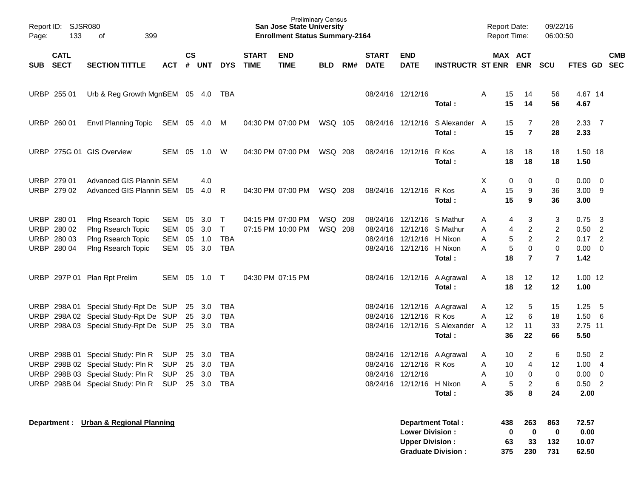| Page:                      | Report ID: SJSR080<br>133                                | 399<br>оf                                                                                                                                                  |                                 |                      |                            |                                              |                             | <b>Preliminary Census</b><br><b>San Jose State University</b><br><b>Enrollment Status Summary-2164</b> |                    |     |                               |                                                                                                                    |                                                                        |                  | <b>Report Date:</b><br><b>Report Time:</b> |                                                              | 09/22/16<br>06:00:50                                         |                                                     |                                                    |            |
|----------------------------|----------------------------------------------------------|------------------------------------------------------------------------------------------------------------------------------------------------------------|---------------------------------|----------------------|----------------------------|----------------------------------------------|-----------------------------|--------------------------------------------------------------------------------------------------------|--------------------|-----|-------------------------------|--------------------------------------------------------------------------------------------------------------------|------------------------------------------------------------------------|------------------|--------------------------------------------|--------------------------------------------------------------|--------------------------------------------------------------|-----------------------------------------------------|----------------------------------------------------|------------|
| SUB                        | <b>CATL</b><br><b>SECT</b>                               | <b>SECTION TITTLE</b>                                                                                                                                      | <b>ACT</b>                      | $\mathsf{cs}$<br>#   | <b>UNT</b>                 | <b>DYS</b>                                   | <b>START</b><br><b>TIME</b> | <b>END</b><br><b>TIME</b>                                                                              | <b>BLD</b>         | RM# | <b>START</b><br><b>DATE</b>   | <b>END</b><br><b>DATE</b>                                                                                          | <b>INSTRUCTR ST ENR ENR</b>                                            |                  | MAX ACT                                    |                                                              | <b>SCU</b>                                                   | FTES GD SEC                                         |                                                    | <b>CMB</b> |
|                            | URBP 255 01                                              | Urb & Reg Growth MgmSEM 05 4.0 TBA                                                                                                                         |                                 |                      |                            |                                              |                             |                                                                                                        |                    |     |                               | 08/24/16 12/12/16                                                                                                  | Total:                                                                 | Α                | 15<br>15                                   | 14<br>14                                                     | 56<br>56                                                     | 4.67 14<br>4.67                                     |                                                    |            |
| <b>URBP</b>                | 260 01                                                   | <b>Envtl Planning Topic</b>                                                                                                                                | SEM 05 4.0 M                    |                      |                            |                                              |                             | 04:30 PM 07:00 PM                                                                                      | WSQ 105            |     |                               | 08/24/16 12/12/16                                                                                                  | S Alexander A<br>Total:                                                |                  | 15<br>15                                   | 7<br>$\overline{7}$                                          | 28<br>28                                                     | $2.33 \quad 7$<br>2.33                              |                                                    |            |
|                            |                                                          | URBP 275G 01 GIS Overview                                                                                                                                  | SEM                             | 05                   | 1.0                        | W                                            |                             | 04:30 PM 07:00 PM                                                                                      | WSQ 208            |     |                               | 08/24/16 12/12/16                                                                                                  | R Kos<br>Total:                                                        | Α                | 18<br>18                                   | 18<br>18                                                     | 18<br>18                                                     | 1.50 18<br>1.50                                     |                                                    |            |
|                            | URBP 279 01<br>URBP 279 02                               | Advanced GIS Plannin SEM<br>Advanced GIS Plannin SEM                                                                                                       |                                 | 05                   | 4.0<br>4.0                 | - R                                          |                             | 04:30 PM 07:00 PM                                                                                      | WSQ 208            |     |                               | 08/24/16 12/12/16                                                                                                  | R Kos<br>Total:                                                        | х<br>A           | 0<br>15<br>15                              | 0<br>9<br>9                                                  | 0<br>36<br>36                                                | $0.00 \t 0$<br>$3.00$ 9<br>3.00                     |                                                    |            |
|                            | URBP 280 01<br>URBP 280 02<br>URBP 280 03<br>URBP 280 04 | Plng Rsearch Topic<br>Plng Rsearch Topic<br>Plng Rsearch Topic<br>Plng Rsearch Topic                                                                       | SEM<br>SEM<br><b>SEM</b><br>SEM | 05<br>05<br>05<br>05 | 3.0<br>3.0<br>1.0<br>3.0   | $\top$<br>$\top$<br><b>TBA</b><br><b>TBA</b> |                             | 04:15 PM 07:00 PM<br>07:15 PM 10:00 PM                                                                 | WSQ 208<br>WSQ 208 |     |                               | 08/24/16 12/12/16 S Mathur<br>08/24/16 12/12/16 S Mathur<br>08/24/16 12/12/16 H Nixon<br>08/24/16 12/12/16 H Nixon | Total:                                                                 | Α<br>Α<br>Α<br>Α | 4<br>4<br>5<br>5<br>18                     | 3<br>$\overline{c}$<br>$\overline{c}$<br>0<br>$\overline{7}$ | 3<br>$\overline{c}$<br>$\overline{c}$<br>0<br>$\overline{7}$ | 0.75<br>$0.50$ 2<br>$0.17$ 2<br>$0.00 \t 0$<br>1.42 | $\overline{\mathbf{3}}$                            |            |
| <b>URBP</b>                |                                                          | 297P 01 Plan Rpt Prelim                                                                                                                                    | SEM                             |                      | 05 1.0 T                   |                                              |                             | 04:30 PM 07:15 PM                                                                                      |                    |     |                               |                                                                                                                    | 08/24/16 12/12/16 A Agrawal<br>Total:                                  | Α                | 18<br>18                                   | 12<br>12                                                     | 12<br>12                                                     | $1.00$ 12<br>1.00                                   |                                                    |            |
| <b>URBP</b><br><b>URBP</b> |                                                          | URBP 298A 01 Special Study-Rpt De SUP<br>298A 02 Special Study-Rpt De SUP<br>298A 03 Special Study-Rpt De SUP                                              |                                 |                      | 25 3.0<br>25 3.0<br>25 3.0 | TBA<br>TBA<br>TBA                            |                             |                                                                                                        |                    |     |                               | 08/24/16 12/12/16 R Kos                                                                                            | 08/24/16 12/12/16 A Agrawal<br>08/24/16 12/12/16 S Alexander<br>Total: | Α<br>Α<br>A      | 12<br>12<br>12<br>36                       | 5<br>6<br>11<br>22                                           | 15<br>18<br>33<br>66                                         | 1.25<br>1.506<br>2.75 11<br>5.50                    | - 5                                                |            |
| <b>URBP</b>                |                                                          | URBP 298B 01 Special Study: Pln R<br>298B 02 Special Study: Pln R<br>URBP 298B 03 Special Study: Pln R<br>URBP 298B 04 Special Study: Pln R SUP 25 3.0 TBA | SUP<br><b>SUP</b><br><b>SUP</b> | 25<br>25             | 3.0<br>3.0<br>25 3.0       | TBA<br><b>TBA</b><br><b>TBA</b>              |                             |                                                                                                        |                    |     | 08/24/16<br>08/24/16 12/12/16 | 12/12/16 R Kos<br>08/24/16 12/12/16 H Nixon                                                                        | 08/24/16 12/12/16 A Agrawal<br>Total:                                  | A<br>Α<br>Α<br>Α | 10<br>10<br>10<br>5<br>35                  | 2<br>$\overline{4}$<br>$\Omega$<br>2<br>8                    | 6<br>12<br>0<br>6<br>24                                      | 0.50<br>1.00<br>0.00<br>$0.50$ 2<br>2.00            | $\overline{2}$<br>$\overline{4}$<br>$\overline{0}$ |            |
|                            |                                                          | Department : Urban & Regional Planning                                                                                                                     |                                 |                      |                            |                                              |                             |                                                                                                        |                    |     |                               | <b>Lower Division:</b><br><b>Upper Division:</b>                                                                   | <b>Department Total:</b><br><b>Graduate Division:</b>                  |                  | 438<br>0<br>63<br>375                      | 263<br>0<br>33<br>230                                        | 863<br>$\bf{0}$<br>132<br>731                                | 72.57<br>0.00<br>10.07<br>62.50                     |                                                    |            |